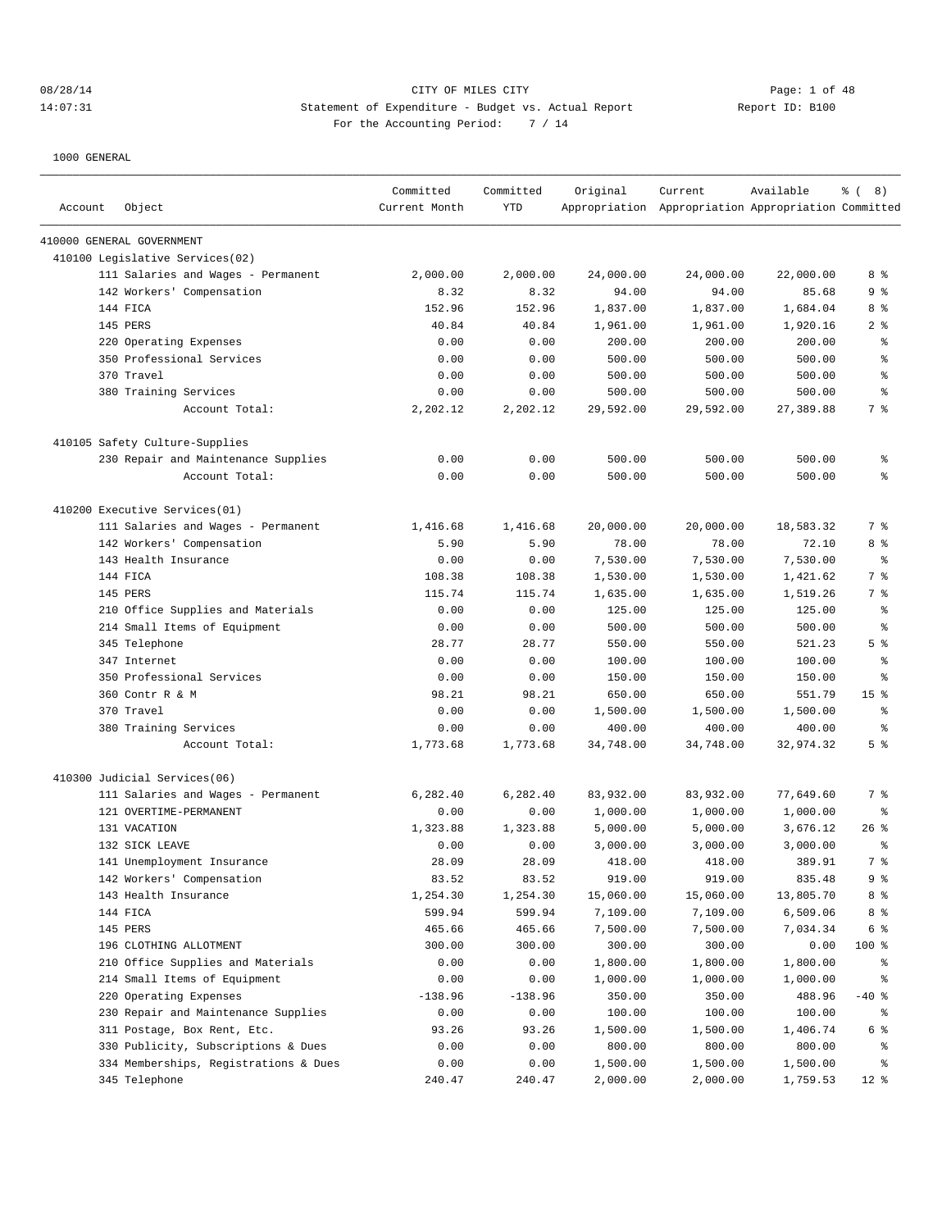## 08/28/14 Page: 1 of 48 14:07:31 Statement of Expenditure - Budget vs. Actual Report 11: Report ID: B100 For the Accounting Period: 7 / 14

| Account | Object                                | Committed<br>Current Month | Committed<br><b>YTD</b> | Original  | Current<br>Appropriation Appropriation Appropriation Committed | Available | $\frac{6}{6}$ ( 8) |
|---------|---------------------------------------|----------------------------|-------------------------|-----------|----------------------------------------------------------------|-----------|--------------------|
|         | 410000 GENERAL GOVERNMENT             |                            |                         |           |                                                                |           |                    |
|         | 410100 Legislative Services(02)       |                            |                         |           |                                                                |           |                    |
|         | 111 Salaries and Wages - Permanent    | 2,000.00                   | 2,000.00                | 24,000.00 | 24,000.00                                                      | 22,000.00 | 8 %                |
|         | 142 Workers' Compensation             | 8.32                       | 8.32                    | 94.00     | 94.00                                                          | 85.68     | 9 <sub>8</sub>     |
|         | 144 FICA                              | 152.96                     | 152.96                  | 1,837.00  | 1,837.00                                                       | 1,684.04  | 8 %                |
|         | 145 PERS                              | 40.84                      | 40.84                   | 1,961.00  | 1,961.00                                                       | 1,920.16  | 2 <sup>8</sup>     |
|         | 220 Operating Expenses                | 0.00                       | 0.00                    | 200.00    | 200.00                                                         | 200.00    | ್ಠಿ                |
|         | 350 Professional Services             | 0.00                       | 0.00                    | 500.00    | 500.00                                                         | 500.00    | နွ                 |
|         | 370 Travel                            | 0.00                       | 0.00                    | 500.00    | 500.00                                                         | 500.00    | နွ                 |
|         | 380 Training Services                 | 0.00                       | 0.00                    | 500.00    | 500.00                                                         | 500.00    | နွ                 |
|         | Account Total:                        | 2,202.12                   | 2,202.12                | 29,592.00 | 29,592.00                                                      | 27,389.88 | 7 %                |
|         | 410105 Safety Culture-Supplies        |                            |                         |           |                                                                |           |                    |
|         | 230 Repair and Maintenance Supplies   | 0.00                       | 0.00                    | 500.00    | 500.00                                                         | 500.00    | ್ಠಿ                |
|         | Account Total:                        | 0.00                       | 0.00                    | 500.00    | 500.00                                                         | 500.00    | နွ                 |
|         | 410200 Executive Services(01)         |                            |                         |           |                                                                |           |                    |
|         | 111 Salaries and Wages - Permanent    | 1,416.68                   | 1,416.68                | 20,000.00 | 20,000.00                                                      | 18,583.32 | 7 %                |
|         | 142 Workers' Compensation             | 5.90                       | 5.90                    | 78.00     | 78.00                                                          | 72.10     | 8 %                |
|         | 143 Health Insurance                  | 0.00                       | 0.00                    | 7,530.00  | 7,530.00                                                       | 7,530.00  | နွ                 |
|         | 144 FICA                              | 108.38                     | 108.38                  | 1,530.00  | 1,530.00                                                       | 1,421.62  | 7 %                |
|         | 145 PERS                              | 115.74                     | 115.74                  | 1,635.00  | 1,635.00                                                       | 1,519.26  | 7 %                |
|         | 210 Office Supplies and Materials     | 0.00                       | 0.00                    | 125.00    | 125.00                                                         | 125.00    | ႜ                  |
|         | 214 Small Items of Equipment          | 0.00                       | 0.00                    | 500.00    | 500.00                                                         | 500.00    | နွ                 |
|         | 345 Telephone                         | 28.77                      | 28.77                   | 550.00    | 550.00                                                         | 521.23    | 5 <sup>°</sup>     |
|         | 347 Internet                          | 0.00                       | 0.00                    | 100.00    | 100.00                                                         | 100.00    | နွ                 |
|         | 350 Professional Services             | 0.00                       | 0.00                    | 150.00    | 150.00                                                         | 150.00    | နွ                 |
|         | 360 Contr R & M                       | 98.21                      | 98.21                   | 650.00    | 650.00                                                         | 551.79    | 15 <sup>8</sup>    |
|         | 370 Travel                            | 0.00                       | 0.00                    | 1,500.00  | 1,500.00                                                       | 1,500.00  | နွ                 |
|         | 380 Training Services                 | 0.00                       | 0.00                    | 400.00    | 400.00                                                         | 400.00    | ႜ                  |
|         | Account Total:                        | 1,773.68                   | 1,773.68                | 34,748.00 | 34,748.00                                                      | 32,974.32 | 5 <sup>°</sup>     |
|         | 410300 Judicial Services(06)          |                            |                         |           |                                                                |           |                    |
|         | 111 Salaries and Wages - Permanent    | 6,282.40                   | 6,282.40                | 83,932.00 | 83,932.00                                                      | 77,649.60 | 7 %                |
|         | 121 OVERTIME-PERMANENT                | 0.00                       | 0.00                    | 1,000.00  | 1,000.00                                                       | 1,000.00  | ႜ                  |
|         | 131 VACATION                          | 1,323.88                   | 1,323.88                | 5,000.00  | 5,000.00                                                       | 3,676.12  | $26$ %             |
|         | 132 SICK LEAVE                        | 0.00                       | 0.00                    | 3,000.00  | 3,000.00                                                       | 3,000.00  | $\epsilon$         |
|         | 141 Unemployment Insurance            | 28.09                      | 28.09                   | 418.00    | 418.00                                                         | 389.91    | 7 <sup>8</sup>     |
|         | 142 Workers' Compensation             | 83.52                      | 83.52                   | 919.00    | 919.00                                                         | 835.48    | 9 <sub>8</sub>     |
|         | 143 Health Insurance                  | 1,254.30                   | 1,254.30                | 15,060.00 | 15,060.00                                                      | 13,805.70 | 8 %                |
|         | 144 FICA                              | 599.94                     | 599.94                  | 7,109.00  | 7,109.00                                                       | 6,509.06  | 8 %                |
|         | 145 PERS                              | 465.66                     | 465.66                  | 7,500.00  | 7,500.00                                                       | 7,034.34  | 6 <sup>°</sup>     |
|         | 196 CLOTHING ALLOTMENT                | 300.00                     | 300.00                  | 300.00    | 300.00                                                         | 0.00      | 100 %              |
|         | 210 Office Supplies and Materials     | 0.00                       | 0.00                    | 1,800.00  | 1,800.00                                                       | 1,800.00  | န္                 |
|         | 214 Small Items of Equipment          | 0.00                       | 0.00                    | 1,000.00  | 1,000.00                                                       | 1,000.00  | နွ                 |
|         | 220 Operating Expenses                | $-138.96$                  | $-138.96$               | 350.00    | 350.00                                                         | 488.96    | $-40$ %            |
|         | 230 Repair and Maintenance Supplies   | 0.00                       | 0.00                    | 100.00    | 100.00                                                         | 100.00    | နွ                 |
|         | 311 Postage, Box Rent, Etc.           | 93.26                      | 93.26                   | 1,500.00  | 1,500.00                                                       | 1,406.74  | 6 <sup>°</sup>     |
|         | 330 Publicity, Subscriptions & Dues   | 0.00                       | 0.00                    | 800.00    | 800.00                                                         | 800.00    | ႜ                  |
|         | 334 Memberships, Registrations & Dues | 0.00                       | 0.00                    | 1,500.00  | 1,500.00                                                       | 1,500.00  | န္                 |
|         | 345 Telephone                         | 240.47                     | 240.47                  | 2,000.00  | 2,000.00                                                       | 1,759.53  | $12$ %             |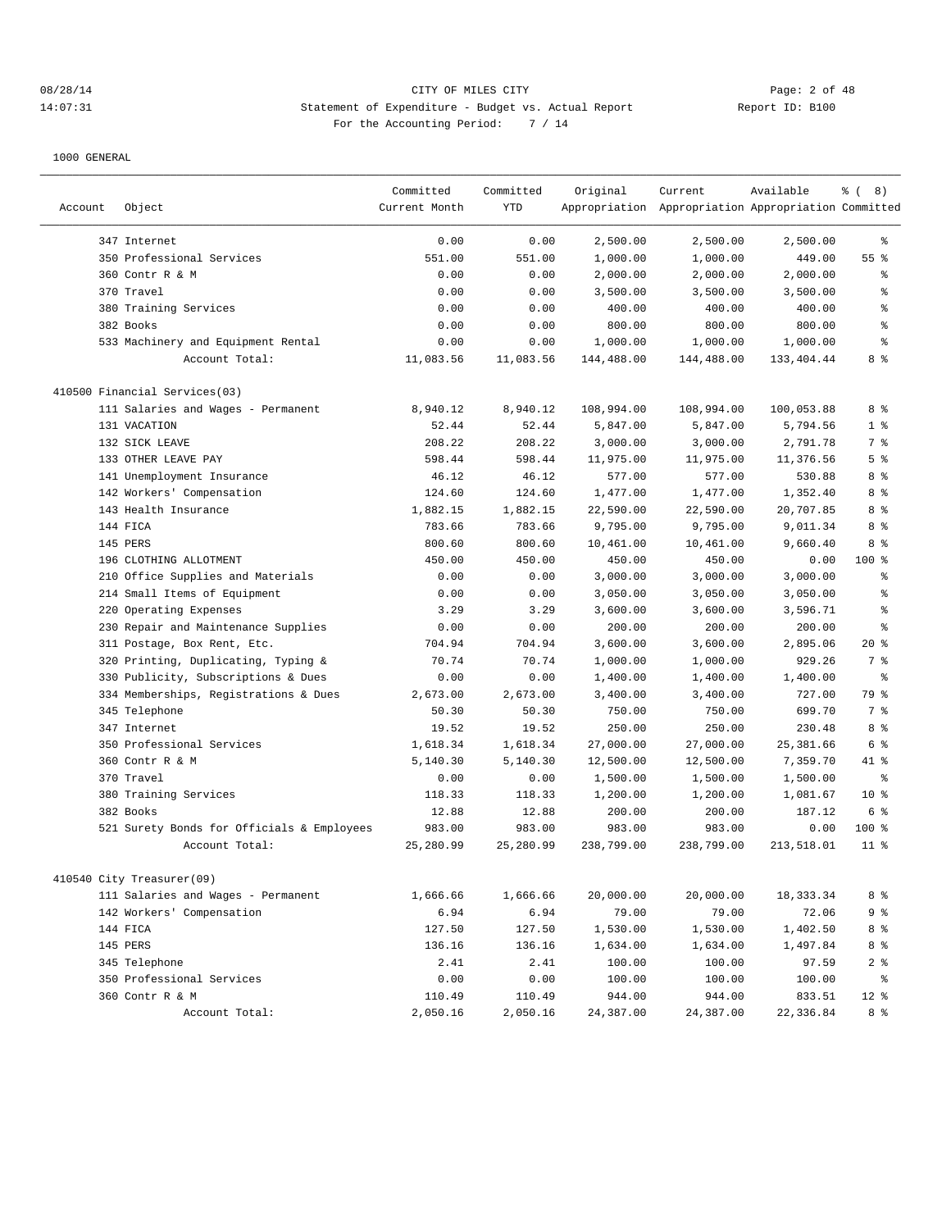# 08/28/14 CITY OF MILES CITY Page: 2 of 48 14:07:31 Statement of Expenditure - Budget vs. Actual Report 11: Deport ID: B100 For the Accounting Period: 7 / 14

| Account | Object                                     | Committed<br>Current Month | Committed<br>YTD | Original   | Current<br>Appropriation Appropriation Appropriation Committed | Available  | $\frac{6}{6}$ ( 8) |
|---------|--------------------------------------------|----------------------------|------------------|------------|----------------------------------------------------------------|------------|--------------------|
|         | 347 Internet                               | 0.00                       | 0.00             | 2,500.00   | 2,500.00                                                       | 2,500.00   | ႜ                  |
|         | 350 Professional Services                  | 551.00                     | 551.00           | 1,000.00   | 1,000.00                                                       | 449.00     | 55%                |
|         | 360 Contr R & M                            | 0.00                       | 0.00             | 2,000.00   | 2,000.00                                                       | 2,000.00   | ి                  |
|         | 370 Travel                                 | 0.00                       | 0.00             | 3,500.00   | 3,500.00                                                       | 3,500.00   | န့                 |
|         | 380 Training Services                      | 0.00                       | 0.00             | 400.00     | 400.00                                                         | 400.00     | š                  |
|         | 382 Books                                  | 0.00                       | 0.00             | 800.00     | 800.00                                                         | 800.00     | န္                 |
|         | 533 Machinery and Equipment Rental         | 0.00                       | 0.00             | 1,000.00   | 1,000.00                                                       | 1,000.00   | န္                 |
|         | Account Total:                             | 11,083.56                  | 11,083.56        | 144,488.00 | 144,488.00                                                     | 133,404.44 | 8 %                |
|         | 410500 Financial Services(03)              |                            |                  |            |                                                                |            |                    |
|         | 111 Salaries and Wages - Permanent         | 8,940.12                   | 8,940.12         | 108,994.00 | 108,994.00                                                     | 100,053.88 | 8 %                |
|         | 131 VACATION                               | 52.44                      | 52.44            | 5,847.00   | 5,847.00                                                       | 5,794.56   | 1 <sup>°</sup>     |
|         | 132 SICK LEAVE                             | 208.22                     | 208.22           | 3,000.00   | 3,000.00                                                       | 2,791.78   | 7 %                |
|         | 133 OTHER LEAVE PAY                        | 598.44                     | 598.44           | 11,975.00  | 11,975.00                                                      | 11,376.56  | 5 <sup>°</sup>     |
|         | 141 Unemployment Insurance                 | 46.12                      | 46.12            | 577.00     | 577.00                                                         | 530.88     | 8%                 |
|         | 142 Workers' Compensation                  | 124.60                     | 124.60           | 1,477.00   | 1,477.00                                                       | 1,352.40   | 8 %                |
|         | 143 Health Insurance                       | 1,882.15                   | 1,882.15         | 22,590.00  | 22,590.00                                                      | 20,707.85  | 8 %                |
|         | 144 FICA                                   | 783.66                     | 783.66           | 9,795.00   | 9,795.00                                                       | 9,011.34   | 8 %                |
|         | 145 PERS                                   | 800.60                     | 800.60           | 10,461.00  | 10,461.00                                                      | 9,660.40   | 8%                 |
|         | 196 CLOTHING ALLOTMENT                     | 450.00                     | 450.00           | 450.00     | 450.00                                                         | 0.00       | $100$ %            |
|         | 210 Office Supplies and Materials          | 0.00                       | 0.00             | 3,000.00   | 3,000.00                                                       | 3,000.00   | ႜ                  |
|         | 214 Small Items of Equipment               | 0.00                       | 0.00             | 3,050.00   | 3,050.00                                                       | 3,050.00   | န္                 |
|         | 220 Operating Expenses                     | 3.29                       | 3.29             | 3,600.00   | 3,600.00                                                       | 3,596.71   | နွ                 |
|         | 230 Repair and Maintenance Supplies        | 0.00                       | 0.00             | 200.00     | 200.00                                                         | 200.00     | န္                 |
|         | 311 Postage, Box Rent, Etc.                | 704.94                     | 704.94           | 3,600.00   | 3,600.00                                                       | 2,895.06   | $20*$              |
|         | 320 Printing, Duplicating, Typing &        | 70.74                      | 70.74            | 1,000.00   | 1,000.00                                                       | 929.26     | 7 <sup>8</sup>     |
|         | 330 Publicity, Subscriptions & Dues        | 0.00                       | 0.00             | 1,400.00   | 1,400.00                                                       | 1,400.00   | န္                 |
|         | 334 Memberships, Registrations & Dues      | 2,673.00                   | 2,673.00         | 3,400.00   | 3,400.00                                                       | 727.00     | 79 %               |
|         | 345 Telephone                              | 50.30                      | 50.30            | 750.00     | 750.00                                                         | 699.70     | 7 %                |
|         | 347 Internet                               | 19.52                      | 19.52            | 250.00     | 250.00                                                         | 230.48     | 8%                 |
|         | 350 Professional Services                  | 1,618.34                   | 1,618.34         | 27,000.00  | 27,000.00                                                      | 25,381.66  | 6 %                |
|         | 360 Contr R & M                            | 5,140.30                   | 5,140.30         | 12,500.00  | 12,500.00                                                      | 7,359.70   | 41 %               |
|         | 370 Travel                                 | 0.00                       | 0.00             | 1,500.00   | 1,500.00                                                       | 1,500.00   | ႜ                  |
|         | 380 Training Services                      | 118.33                     | 118.33           | 1,200.00   | 1,200.00                                                       | 1,081.67   | 10 <sup>8</sup>    |
|         | 382 Books                                  | 12.88                      | 12.88            | 200.00     | 200.00                                                         | 187.12     | 6 <sup>°</sup>     |
|         | 521 Surety Bonds for Officials & Employees | 983.00                     | 983.00           | 983.00     | 983.00                                                         | 0.00       | $100$ %            |
|         | Account Total:                             | 25,280.99                  | 25,280.99        | 238,799.00 | 238,799.00                                                     | 213,518.01 | 11 <sup>8</sup>    |
|         | 410540 City Treasurer(09)                  |                            |                  |            |                                                                |            |                    |
|         | 111 Salaries and Wages - Permanent         | 1,666.66                   | 1,666.66         | 20,000.00  | 20,000.00                                                      | 18, 333.34 | 8 <sup>°</sup>     |
|         | 142 Workers' Compensation                  | 6.94                       | 6.94             | 79.00      | 79.00                                                          | 72.06      | 9 <sup>°</sup>     |
|         | 144 FICA                                   | 127.50                     | 127.50           | 1,530.00   | 1,530.00                                                       | 1,402.50   | 8 %                |
|         | 145 PERS                                   | 136.16                     | 136.16           | 1,634.00   | 1,634.00                                                       | 1,497.84   | 8 %                |
|         | 345 Telephone                              | 2.41                       | 2.41             | 100.00     | 100.00                                                         | 97.59      | 2 <sub>8</sub>     |
|         | 350 Professional Services                  | 0.00                       | 0.00             | 100.00     | 100.00                                                         | 100.00     | ိ                  |
|         | 360 Contr R & M                            | 110.49                     | 110.49           | 944.00     | 944.00                                                         | 833.51     | $12$ %             |
|         | Account Total:                             | 2,050.16                   | 2,050.16         | 24,387.00  | 24,387.00                                                      | 22,336.84  | 8 %                |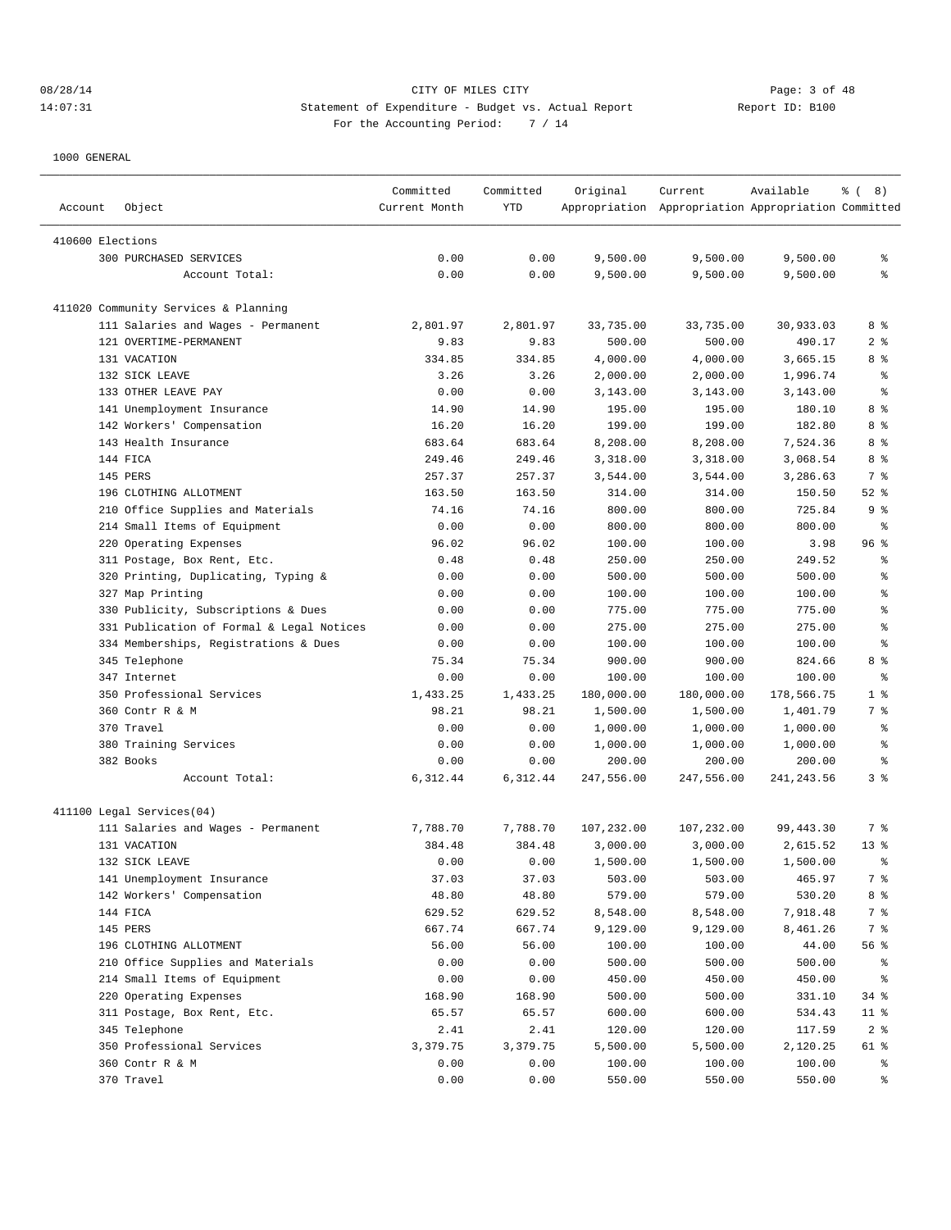|                  |                                           | Committed     | Committed     | Original             | Current                                             | Available            | $\frac{6}{6}$ ( 8)   |
|------------------|-------------------------------------------|---------------|---------------|----------------------|-----------------------------------------------------|----------------------|----------------------|
| Account          | Object                                    | Current Month | YTD           |                      | Appropriation Appropriation Appropriation Committed |                      |                      |
| 410600 Elections |                                           |               |               |                      |                                                     |                      |                      |
|                  | 300 PURCHASED SERVICES                    | 0.00          | 0.00          | 9,500.00             | 9,500.00                                            | 9,500.00             | န္                   |
|                  | Account Total:                            | 0.00          | 0.00          | 9,500.00             | 9,500.00                                            | 9,500.00             | ి                    |
|                  |                                           |               |               |                      |                                                     |                      |                      |
|                  | 411020 Community Services & Planning      |               |               |                      |                                                     |                      |                      |
|                  | 111 Salaries and Wages - Permanent        | 2,801.97      | 2,801.97      | 33,735.00            | 33,735.00                                           | 30,933.03            | 8 %                  |
|                  | 121 OVERTIME-PERMANENT                    | 9.83          | 9.83          | 500.00               | 500.00                                              | 490.17               | 2 <sup>8</sup>       |
|                  | 131 VACATION                              | 334.85        | 334.85        | 4,000.00             | 4,000.00                                            | 3,665.15             | 8 %                  |
|                  | 132 SICK LEAVE                            | 3.26          | 3.26          | 2,000.00             | 2,000.00                                            | 1,996.74             | န့                   |
|                  | 133 OTHER LEAVE PAY                       | 0.00          | 0.00          | 3,143.00             | 3,143.00                                            | 3,143.00             | န့                   |
|                  | 141 Unemployment Insurance                | 14.90         | 14.90         | 195.00               | 195.00                                              | 180.10               | 8 %                  |
|                  | 142 Workers' Compensation                 | 16.20         | 16.20         | 199.00               | 199.00                                              | 182.80               | 8 %                  |
|                  | 143 Health Insurance                      | 683.64        | 683.64        | 8,208.00             | 8,208.00                                            | 7,524.36             | 8 %                  |
|                  | 144 FICA                                  | 249.46        | 249.46        | 3,318.00             | 3,318.00                                            | 3,068.54             | 8 %                  |
|                  | 145 PERS                                  | 257.37        | 257.37        | 3,544.00             | 3,544.00                                            | 3,286.63             | 7 %                  |
|                  | 196 CLOTHING ALLOTMENT                    | 163.50        | 163.50        | 314.00               | 314.00                                              | 150.50               | $52$ $%$             |
|                  | 210 Office Supplies and Materials         | 74.16         | 74.16         | 800.00               | 800.00                                              | 725.84               | 9%                   |
|                  | 214 Small Items of Equipment              | 0.00          | 0.00          | 800.00               | 800.00                                              | 800.00               | ႜ                    |
|                  | 220 Operating Expenses                    | 96.02         | 96.02         | 100.00               | 100.00                                              | 3.98                 | 96%                  |
|                  | 311 Postage, Box Rent, Etc.               | 0.48          | 0.48          | 250.00               | 250.00                                              | 249.52               | န္                   |
|                  | 320 Printing, Duplicating, Typing &       | 0.00          | 0.00          | 500.00               | 500.00                                              | 500.00               | ి                    |
|                  | 327 Map Printing                          | 0.00          | 0.00          | 100.00               | 100.00                                              | 100.00               | န့                   |
|                  | 330 Publicity, Subscriptions & Dues       | 0.00          | 0.00          | 775.00               | 775.00                                              | 775.00               | န့                   |
|                  | 331 Publication of Formal & Legal Notices | 0.00          | 0.00          | 275.00               | 275.00                                              | 275.00               | န့                   |
|                  | 334 Memberships, Registrations & Dues     | 0.00          | 0.00          | 100.00               | 100.00                                              | 100.00               | န္                   |
|                  | 345 Telephone                             | 75.34         | 75.34         | 900.00               | 900.00                                              | 824.66               | 8 %                  |
|                  | 347 Internet                              | 0.00          | 0.00          | 100.00               | 100.00                                              | 100.00               | န့<br>1 <sup>8</sup> |
|                  | 350 Professional Services                 | 1,433.25      | 1,433.25      | 180,000.00           | 180,000.00                                          | 178,566.75           |                      |
|                  | 360 Contr R & M<br>370 Travel             | 98.21         | 98.21<br>0.00 | 1,500.00             | 1,500.00                                            | 1,401.79             | 7 %<br>န့            |
|                  | 380 Training Services                     | 0.00<br>0.00  | 0.00          | 1,000.00<br>1,000.00 | 1,000.00<br>1,000.00                                | 1,000.00<br>1,000.00 | နွ                   |
|                  | 382 Books                                 | 0.00          | 0.00          | 200.00               | 200.00                                              | 200.00               | နွ                   |
|                  | Account Total:                            | 6,312.44      | 6,312.44      | 247,556.00           | 247,556.00                                          | 241, 243.56          | 3%                   |
|                  |                                           |               |               |                      |                                                     |                      |                      |
|                  | 411100 Legal Services(04)                 |               |               |                      |                                                     |                      |                      |
|                  | 111 Salaries and Wages - Permanent        | 7,788.70      | 7,788.70      | 107,232.00           | 107,232.00                                          | 99,443.30            | 7 %                  |
|                  | 131 VACATION                              | 384.48        | 384.48        | 3,000.00             | 3,000.00                                            | 2,615.52             | 13 <sup>8</sup>      |
|                  | 132 SICK LEAVE                            | 0.00          | 0.00          | 1,500.00             | 1,500.00                                            | 1,500.00             | ి                    |
|                  | 141 Unemployment Insurance                | 37.03         | 37.03         | 503.00               | 503.00                                              | 465.97               | 7 %                  |
|                  | 142 Workers' Compensation                 | 48.80         | 48.80         | 579.00               | 579.00                                              | 530.20               | 8 %                  |
|                  | 144 FICA                                  | 629.52        | 629.52        | 8,548.00             | 8,548.00                                            | 7,918.48             | 7 %                  |
|                  | 145 PERS                                  | 667.74        | 667.74        | 9,129.00             | 9,129.00                                            | 8,461.26             | 7 %                  |
|                  | 196 CLOTHING ALLOTMENT                    | 56.00         | 56.00         | 100.00               | 100.00                                              | 44.00                | 56 %                 |
|                  | 210 Office Supplies and Materials         | 0.00          | 0.00          | 500.00               | 500.00                                              | 500.00               | ိင                   |
|                  | 214 Small Items of Equipment              | 0.00          | 0.00          | 450.00               | 450.00                                              | 450.00               | ွေ                   |
|                  | 220 Operating Expenses                    | 168.90        | 168.90        | 500.00               | 500.00                                              | 331.10               | 34%                  |
|                  | 311 Postage, Box Rent, Etc.               | 65.57         | 65.57         | 600.00               | 600.00                                              | 534.43               | $11$ %               |
|                  | 345 Telephone                             | 2.41          | 2.41          | 120.00               | 120.00                                              | 117.59               | 2 <sup>8</sup>       |
|                  | 350 Professional Services                 | 3,379.75      | 3,379.75      | 5,500.00             | 5,500.00                                            | 2,120.25             | 61 %                 |
|                  | 360 Contr R & M                           | 0.00          | 0.00          | 100.00               | 100.00                                              | 100.00               | ိ                    |
|                  | 370 Travel                                | 0.00          | 0.00          | 550.00               | 550.00                                              | 550.00               | ွေ                   |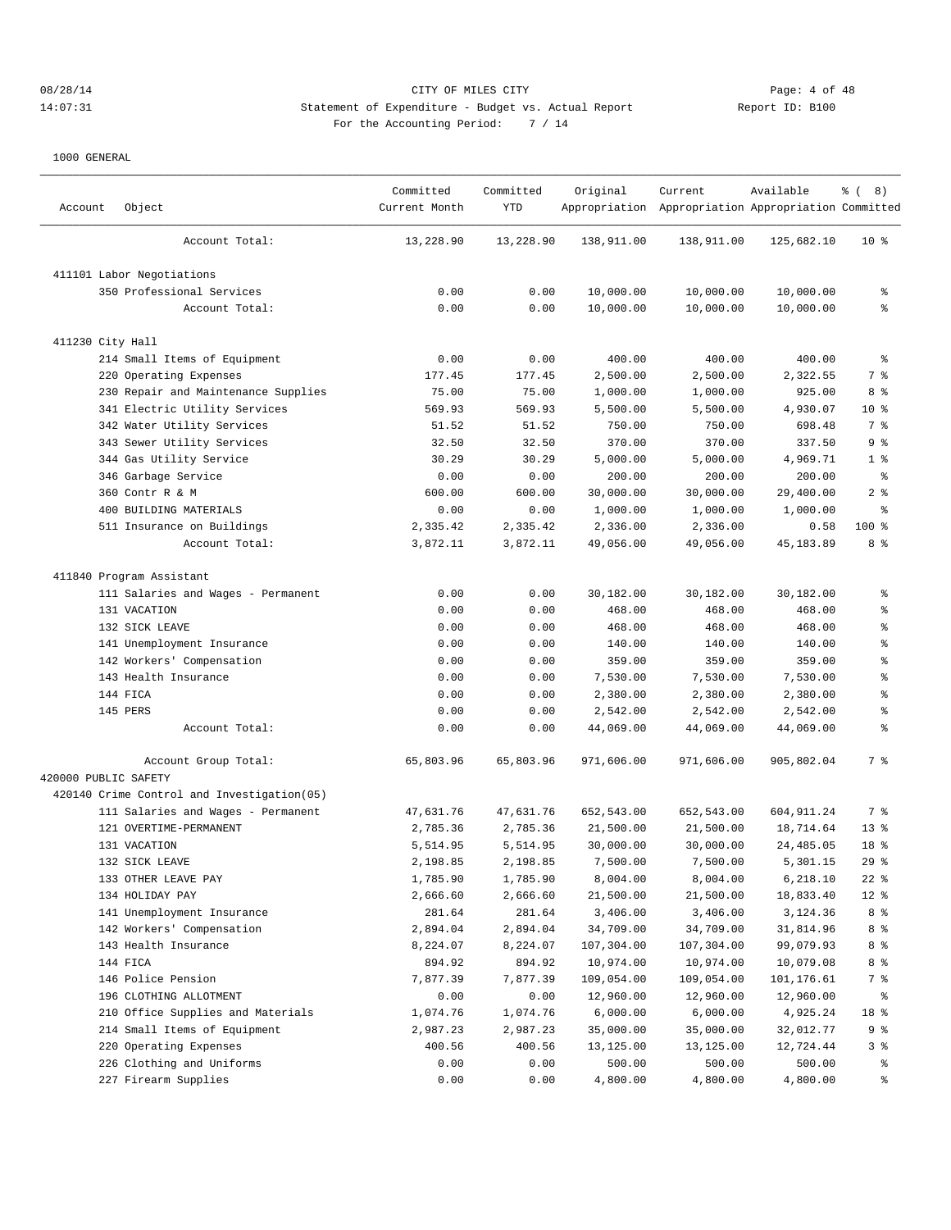## 08/28/14 Page: 4 of 48 14:07:31 Statement of Expenditure - Budget vs. Actual Report Changer Report ID: B100 For the Accounting Period: 7 / 14

| Account              | Object                                     | Committed<br>Current Month | Committed<br>YTD | Original   | Current<br>Appropriation Appropriation Appropriation Committed | Available  | $\frac{6}{6}$ ( 8) |
|----------------------|--------------------------------------------|----------------------------|------------------|------------|----------------------------------------------------------------|------------|--------------------|
|                      | Account Total:                             | 13,228.90                  | 13,228.90        | 138,911.00 | 138,911.00                                                     | 125,682.10 | 10 <sub>8</sub>    |
|                      | 411101 Labor Negotiations                  |                            |                  |            |                                                                |            |                    |
|                      | 350 Professional Services                  | 0.00                       | 0.00             | 10,000.00  | 10,000.00                                                      | 10,000.00  | န္                 |
|                      | Account Total:                             | 0.00                       | 0.00             | 10,000.00  | 10,000.00                                                      | 10,000.00  | နွ                 |
| 411230 City Hall     |                                            |                            |                  |            |                                                                |            |                    |
|                      | 214 Small Items of Equipment               | 0.00                       | 0.00             | 400.00     | 400.00                                                         | 400.00     | ႜ                  |
|                      | 220 Operating Expenses                     | 177.45                     | 177.45           | 2,500.00   | 2,500.00                                                       | 2,322.55   | 7 %                |
|                      | 230 Repair and Maintenance Supplies        | 75.00                      | 75.00            | 1,000.00   | 1,000.00                                                       | 925.00     | 8 %                |
|                      | 341 Electric Utility Services              | 569.93                     | 569.93           | 5,500.00   | 5,500.00                                                       | 4,930.07   | $10*$              |
|                      | 342 Water Utility Services                 | 51.52                      | 51.52            | 750.00     | 750.00                                                         | 698.48     | 7 %                |
|                      | 343 Sewer Utility Services                 | 32.50                      | 32.50            | 370.00     | 370.00                                                         | 337.50     | 9 %                |
|                      | 344 Gas Utility Service                    | 30.29                      | 30.29            | 5,000.00   | 5,000.00                                                       | 4,969.71   | 1 <sup>°</sup>     |
|                      | 346 Garbage Service                        | 0.00                       | 0.00             | 200.00     | 200.00                                                         | 200.00     | နွ                 |
|                      | 360 Contr R & M                            | 600.00                     | 600.00           | 30,000.00  | 30,000.00                                                      | 29,400.00  | 2 <sup>8</sup>     |
|                      | 400 BUILDING MATERIALS                     | 0.00                       | 0.00             | 1,000.00   | 1,000.00                                                       | 1,000.00   | ి                  |
|                      | 511 Insurance on Buildings                 | 2,335.42                   | 2,335.42         | 2,336.00   | 2,336.00                                                       | 0.58       | $100$ %            |
|                      | Account Total:                             | 3,872.11                   | 3,872.11         | 49,056.00  | 49,056.00                                                      | 45, 183.89 | 8 %                |
|                      | 411840 Program Assistant                   |                            |                  |            |                                                                |            |                    |
|                      | 111 Salaries and Wages - Permanent         | 0.00                       | 0.00             | 30,182.00  | 30,182.00                                                      | 30,182.00  | ႜ                  |
|                      | 131 VACATION                               | 0.00                       | 0.00             | 468.00     | 468.00                                                         | 468.00     | န္                 |
|                      | 132 SICK LEAVE                             | 0.00                       | 0.00             | 468.00     | 468.00                                                         | 468.00     | န္                 |
|                      | 141 Unemployment Insurance                 | 0.00                       | 0.00             | 140.00     | 140.00                                                         | 140.00     | န္                 |
|                      | 142 Workers' Compensation                  | 0.00                       | 0.00             | 359.00     | 359.00                                                         | 359.00     | န္                 |
|                      | 143 Health Insurance                       | 0.00                       | 0.00             | 7,530.00   | 7,530.00                                                       | 7,530.00   | န္                 |
|                      | 144 FICA                                   | 0.00                       | 0.00             | 2,380.00   | 2,380.00                                                       | 2,380.00   | န္                 |
|                      | 145 PERS                                   | 0.00                       | 0.00             | 2,542.00   | 2,542.00                                                       | 2,542.00   | န္                 |
|                      | Account Total:                             | 0.00                       | 0.00             | 44,069.00  | 44,069.00                                                      | 44,069.00  | ి                  |
|                      | Account Group Total:                       | 65,803.96                  | 65,803.96        | 971,606.00 | 971,606.00                                                     | 905,802.04 | 7 %                |
| 420000 PUBLIC SAFETY |                                            |                            |                  |            |                                                                |            |                    |
|                      | 420140 Crime Control and Investigation(05) |                            |                  |            |                                                                |            |                    |
|                      | 111 Salaries and Wages - Permanent         | 47,631.76                  | 47,631.76        | 652,543.00 | 652,543.00                                                     | 604,911.24 | 7 %                |
|                      | 121 OVERTIME-PERMANENT                     | 2,785.36                   | 2,785.36         | 21,500.00  | 21,500.00                                                      | 18,714.64  | $13*$              |
|                      | 131 VACATION                               | 5,514.95                   | 5,514.95         | 30,000.00  | 30,000.00                                                      | 24,485.05  | 18 %               |
|                      | 132 SICK LEAVE                             | 2,198.85                   | 2,198.85         | 7,500.00   | 7,500.00                                                       | 5,301.15   | 29%                |
|                      | 133 OTHER LEAVE PAY                        | 1,785.90                   | 1,785.90         | 8,004.00   | 8,004.00                                                       | 6,218.10   | $22$ %             |
|                      | 134 HOLIDAY PAY                            | 2,666.60                   | 2,666.60         | 21,500.00  | 21,500.00                                                      | 18,833.40  | $12$ %             |
|                      | 141 Unemployment Insurance                 | 281.64                     | 281.64           | 3,406.00   | 3,406.00                                                       | 3,124.36   | 8 %                |
|                      | 142 Workers' Compensation                  | 2,894.04                   | 2,894.04         | 34,709.00  | 34,709.00                                                      | 31,814.96  | 8 %                |
|                      | 143 Health Insurance                       | 8,224.07                   | 8,224.07         | 107,304.00 | 107,304.00                                                     | 99,079.93  | 8 %                |
|                      | 144 FICA                                   | 894.92                     | 894.92           | 10,974.00  | 10,974.00                                                      | 10,079.08  | 8 %                |
|                      | 146 Police Pension                         | 7,877.39                   | 7,877.39         | 109,054.00 | 109,054.00                                                     | 101,176.61 | 7 %                |
|                      | 196 CLOTHING ALLOTMENT                     | 0.00                       | 0.00             | 12,960.00  | 12,960.00                                                      | 12,960.00  | ి                  |
|                      | 210 Office Supplies and Materials          | 1,074.76                   | 1,074.76         | 6,000.00   | 6,000.00                                                       | 4,925.24   | 18 %               |
|                      | 214 Small Items of Equipment               | 2,987.23                   | 2,987.23         | 35,000.00  | 35,000.00                                                      | 32,012.77  | 9%                 |
|                      | 220 Operating Expenses                     | 400.56                     | 400.56           | 13,125.00  | 13,125.00                                                      | 12,724.44  | 3%                 |
|                      | 226 Clothing and Uniforms                  | 0.00                       | 0.00             | 500.00     | 500.00                                                         | 500.00     | ွေ                 |
|                      | 227 Firearm Supplies                       | 0.00                       | 0.00             | 4,800.00   | 4,800.00                                                       | 4,800.00   | ွေ                 |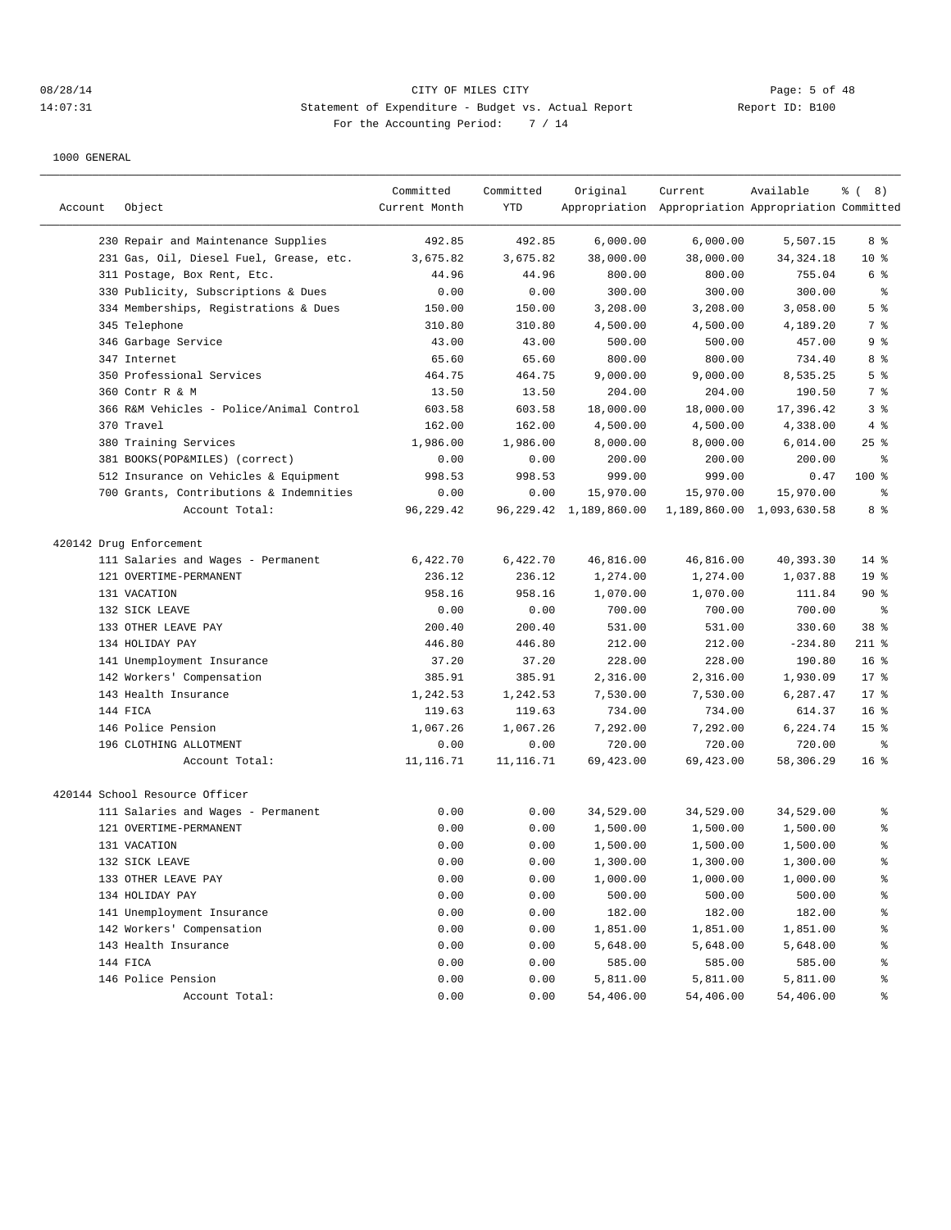# 08/28/14 CITY OF MILES CITY Page: 5 of 48 14:07:31 Statement of Expenditure - Budget vs. Actual Report 11: Deport ID: B100 For the Accounting Period: 7 / 14

| Account | Object                                   | Committed<br>Current Month | Committed<br><b>YTD</b> | Original                    | Current<br>Appropriation Appropriation Appropriation Committed | Available                 | $\frac{6}{6}$ ( 8) |
|---------|------------------------------------------|----------------------------|-------------------------|-----------------------------|----------------------------------------------------------------|---------------------------|--------------------|
|         | 230 Repair and Maintenance Supplies      | 492.85                     | 492.85                  | 6,000.00                    | 6,000.00                                                       | 5,507.15                  | 8 %                |
|         | 231 Gas, Oil, Diesel Fuel, Grease, etc.  | 3,675.82                   | 3,675.82                | 38,000.00                   | 38,000.00                                                      | 34, 324. 18               | 10 <sup>8</sup>    |
|         | 311 Postage, Box Rent, Etc.              | 44.96                      | 44.96                   | 800.00                      | 800.00                                                         | 755.04                    | 6 %                |
|         | 330 Publicity, Subscriptions & Dues      | 0.00                       | 0.00                    | 300.00                      | 300.00                                                         | 300.00                    | $\epsilon$         |
|         | 334 Memberships, Registrations & Dues    | 150.00                     | 150.00                  | 3,208.00                    | 3,208.00                                                       | 3,058.00                  | 5 <sup>°</sup>     |
|         | 345 Telephone                            | 310.80                     | 310.80                  | 4,500.00                    | 4,500.00                                                       | 4,189.20                  | 7 %                |
|         | 346 Garbage Service                      | 43.00                      | 43.00                   | 500.00                      | 500.00                                                         | 457.00                    | 9%                 |
|         | 347 Internet                             | 65.60                      | 65.60                   | 800.00                      | 800.00                                                         | 734.40                    | 8 %                |
|         | 350 Professional Services                | 464.75                     | 464.75                  | 9,000.00                    | 9,000.00                                                       | 8,535.25                  | 5 <sup>°</sup>     |
|         | 360 Contr R & M                          | 13.50                      | 13.50                   | 204.00                      | 204.00                                                         | 190.50                    | 7 %                |
|         | 366 R&M Vehicles - Police/Animal Control | 603.58                     | 603.58                  | 18,000.00                   | 18,000.00                                                      | 17,396.42                 | 3%                 |
|         | 370 Travel                               | 162.00                     | 162.00                  | 4,500.00                    | 4,500.00                                                       | 4,338.00                  | 4%                 |
|         | 380 Training Services                    | 1,986.00                   | 1,986.00                | 8,000.00                    | 8,000.00                                                       | 6,014.00                  | $25$ %             |
|         | 381 BOOKS(POP&MILES) (correct)           | 0.00                       | 0.00                    | 200.00                      | 200.00                                                         | 200.00                    | နွ                 |
|         | 512 Insurance on Vehicles & Equipment    | 998.53                     | 998.53                  | 999.00                      | 999.00                                                         | 0.47                      | $100*$             |
|         | 700 Grants, Contributions & Indemnities  | 0.00                       | 0.00                    | 15,970.00                   | 15,970.00                                                      | 15,970.00                 | န္                 |
|         | Account Total:                           | 96,229.42                  |                         | 96, 229. 42 1, 189, 860. 00 |                                                                | 1,189,860.00 1,093,630.58 | 8 %                |
|         | 420142 Drug Enforcement                  |                            |                         |                             |                                                                |                           |                    |
|         | 111 Salaries and Wages - Permanent       | 6,422.70                   | 6,422.70                | 46,816.00                   | 46,816.00                                                      | 40,393.30                 | $14*$              |
|         | 121 OVERTIME-PERMANENT                   | 236.12                     | 236.12                  | 1,274.00                    | 1,274.00                                                       | 1,037.88                  | 19 <sup>°</sup>    |
|         | 131 VACATION                             | 958.16                     | 958.16                  | 1,070.00                    | 1,070.00                                                       | 111.84                    | $90*$              |
|         | 132 SICK LEAVE                           | 0.00                       | 0.00                    | 700.00                      | 700.00                                                         | 700.00                    | ి                  |
|         | 133 OTHER LEAVE PAY                      | 200.40                     | 200.40                  | 531.00                      | 531.00                                                         | 330.60                    | 38 %               |
|         | 134 HOLIDAY PAY                          | 446.80                     | 446.80                  | 212.00                      | 212.00                                                         | $-234.80$                 | $211$ %            |
|         | 141 Unemployment Insurance               | 37.20                      | 37.20                   | 228.00                      | 228.00                                                         | 190.80                    | 16 <sup>8</sup>    |
|         | 142 Workers' Compensation                | 385.91                     | 385.91                  | 2,316.00                    | 2,316.00                                                       | 1,930.09                  | 17.8               |
|         | 143 Health Insurance                     | 1,242.53                   | 1,242.53                | 7,530.00                    | 7,530.00                                                       | 6,287.47                  | $17*$              |
|         | 144 FICA                                 | 119.63                     | 119.63                  | 734.00                      | 734.00                                                         | 614.37                    | 16 <sup>8</sup>    |
|         | 146 Police Pension                       | 1,067.26                   | 1,067.26                | 7,292.00                    | 7,292.00                                                       | 6,224.74                  | 15 <sup>°</sup>    |
|         | 196 CLOTHING ALLOTMENT                   | 0.00                       | 0.00                    | 720.00                      | 720.00                                                         | 720.00                    | န္                 |
|         | Account Total:                           | 11, 116.71                 | 11, 116.71              | 69,423.00                   | 69,423.00                                                      | 58,306.29                 | 16 <sup>8</sup>    |
|         |                                          |                            |                         |                             |                                                                |                           |                    |
|         | 420144 School Resource Officer           |                            |                         |                             |                                                                |                           |                    |
|         | 111 Salaries and Wages - Permanent       | 0.00                       | 0.00                    | 34,529.00                   | 34,529.00                                                      | 34,529.00                 | နွ                 |
|         | 121 OVERTIME-PERMANENT                   | 0.00                       | 0.00                    | 1,500.00                    | 1,500.00                                                       | 1,500.00                  | ి                  |
|         | 131 VACATION                             | 0.00                       | 0.00                    | 1,500.00                    | 1,500.00                                                       | 1,500.00                  | န္                 |
|         | 132 SICK LEAVE                           | 0.00                       | 0.00                    | 1,300.00                    | 1,300.00                                                       | 1,300.00                  | $\approx$          |
|         | 133 OTHER LEAVE PAY                      | 0.00                       | 0.00                    | 1,000.00                    | 1,000.00                                                       | 1,000.00                  | ៖                  |
|         | 134 HOLIDAY PAY                          | 0.00                       | 0.00                    | 500.00                      | 500.00                                                         | 500.00                    | $\frac{6}{3}$      |
|         | 141 Unemployment Insurance               | 0.00                       | 0.00                    | 182.00                      | 182.00                                                         | 182.00                    | $\frac{6}{3}$      |
|         | 142 Workers' Compensation                | 0.00                       | 0.00                    | 1,851.00                    | 1,851.00                                                       | 1,851.00                  | $\frac{6}{3}$      |
|         | 143 Health Insurance                     | 0.00                       | 0.00                    | 5,648.00                    | 5,648.00                                                       | 5,648.00                  | $\frac{6}{3}$      |
|         | 144 FICA                                 | 0.00                       | 0.00                    | 585.00                      | 585.00                                                         | 585.00                    | $\frac{6}{3}$      |
|         | 146 Police Pension                       | 0.00                       | 0.00                    | 5,811.00                    | 5,811.00                                                       | 5,811.00                  | $\frac{6}{3}$      |
|         | Account Total:                           | 0.00                       | 0.00                    | 54,406.00                   | 54,406.00                                                      | 54,406.00                 | ್ಠಿ                |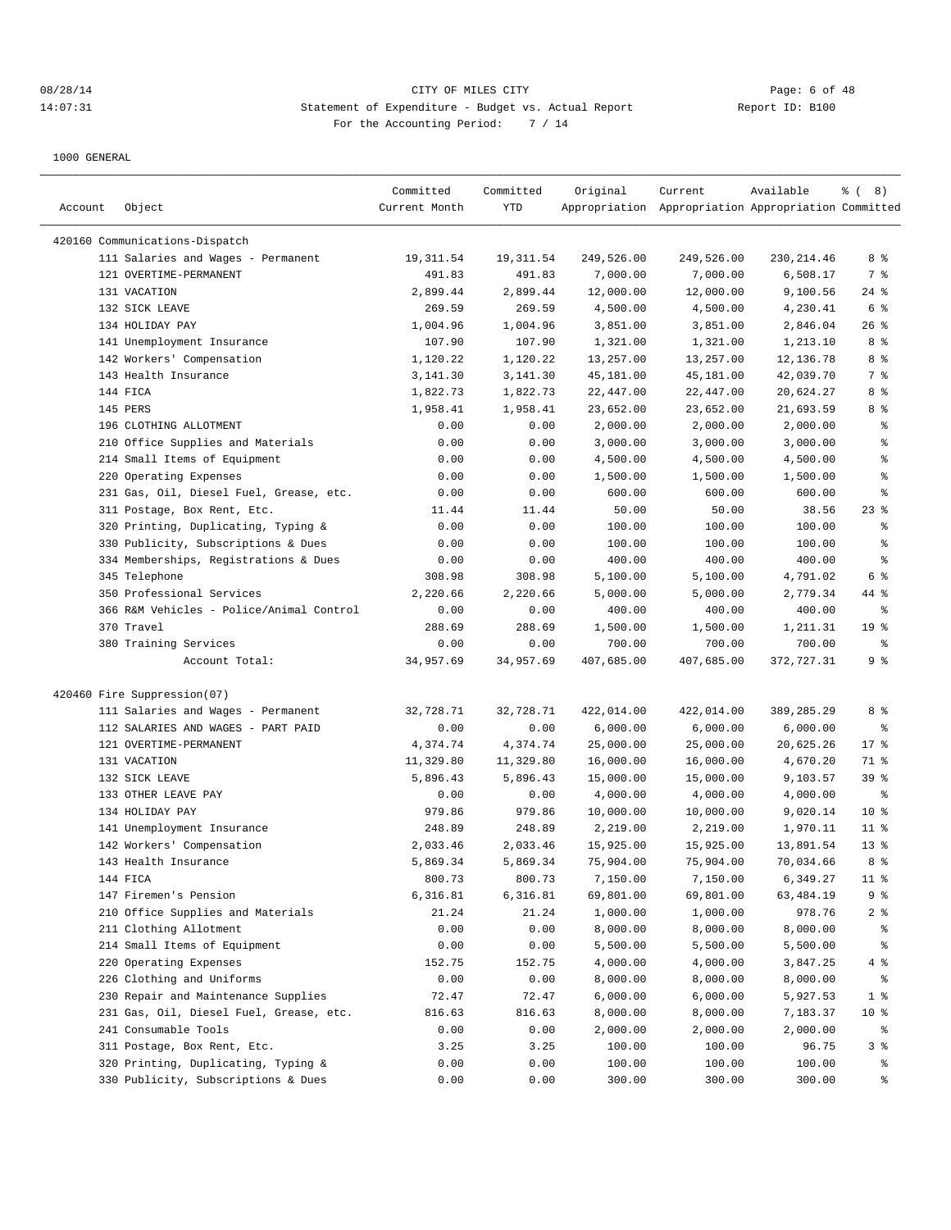|         |                                          | Committed     | Committed  | Original   | Current                                             | Available   | % (8)                                    |
|---------|------------------------------------------|---------------|------------|------------|-----------------------------------------------------|-------------|------------------------------------------|
| Account | Object                                   | Current Month | YTD        |            | Appropriation Appropriation Appropriation Committed |             |                                          |
|         | 420160 Communications-Dispatch           |               |            |            |                                                     |             |                                          |
|         | 111 Salaries and Wages - Permanent       | 19, 311.54    | 19, 311.54 | 249,526.00 | 249,526.00                                          | 230, 214.46 | 8 %                                      |
|         | 121 OVERTIME-PERMANENT                   | 491.83        | 491.83     | 7,000.00   | 7,000.00                                            | 6,508.17    | 7 %                                      |
|         | 131 VACATION                             | 2,899.44      | 2,899.44   | 12,000.00  | 12,000.00                                           | 9,100.56    | $24$ %                                   |
|         | 132 SICK LEAVE                           | 269.59        | 269.59     | 4,500.00   | 4,500.00                                            | 4,230.41    | 6 <sup>°</sup>                           |
|         | 134 HOLIDAY PAY                          | 1,004.96      | 1,004.96   | 3,851.00   | 3,851.00                                            | 2,846.04    | $26$ %                                   |
|         | 141 Unemployment Insurance               | 107.90        | 107.90     | 1,321.00   | 1,321.00                                            | 1,213.10    | 8%                                       |
|         | 142 Workers' Compensation                | 1,120.22      | 1,120.22   | 13,257.00  | 13,257.00                                           | 12,136.78   | 8 %                                      |
|         | 143 Health Insurance                     | 3, 141.30     | 3, 141.30  | 45,181.00  | 45,181.00                                           | 42,039.70   | 7 %                                      |
|         | 144 FICA                                 | 1,822.73      | 1,822.73   | 22,447.00  | 22,447.00                                           | 20,624.27   | 8 %                                      |
|         | 145 PERS                                 | 1,958.41      | 1,958.41   | 23,652.00  | 23,652.00                                           | 21,693.59   | 8 %                                      |
|         | 196 CLOTHING ALLOTMENT                   | 0.00          | 0.00       | 2,000.00   | 2,000.00                                            | 2,000.00    | နွ                                       |
|         | 210 Office Supplies and Materials        | 0.00          | 0.00       | 3,000.00   | 3,000.00                                            | 3,000.00    | န္                                       |
|         | 214 Small Items of Equipment             | 0.00          | 0.00       | 4,500.00   | 4,500.00                                            | 4,500.00    | န္                                       |
|         | 220 Operating Expenses                   | 0.00          | 0.00       | 1,500.00   | 1,500.00                                            | 1,500.00    | $\, \raisebox{0.6ex}{\scriptsize{*}} \,$ |
|         | 231 Gas, Oil, Diesel Fuel, Grease, etc.  | 0.00          | 0.00       | 600.00     | 600.00                                              | 600.00      | ి                                        |
|         | 311 Postage, Box Rent, Etc.              | 11.44         | 11.44      | 50.00      | 50.00                                               | 38.56       | $23$ %                                   |
|         | 320 Printing, Duplicating, Typing &      | 0.00          | 0.00       | 100.00     | 100.00                                              | 100.00      | ႜ                                        |
|         | 330 Publicity, Subscriptions & Dues      | 0.00          | 0.00       | 100.00     | 100.00                                              | 100.00      | $\,{}^{\circ}\!$                         |
|         | 334 Memberships, Registrations & Dues    | 0.00          | 0.00       | 400.00     | 400.00                                              | 400.00      | န္                                       |
|         | 345 Telephone                            | 308.98        | 308.98     | 5,100.00   | 5,100.00                                            | 4,791.02    | 6 %                                      |
|         | 350 Professional Services                | 2,220.66      | 2,220.66   | 5,000.00   | 5,000.00                                            | 2,779.34    | 44 %                                     |
|         | 366 R&M Vehicles - Police/Animal Control | 0.00          | 0.00       | 400.00     | 400.00                                              | 400.00      | ႜ                                        |
|         | 370 Travel                               | 288.69        | 288.69     | 1,500.00   | 1,500.00                                            | 1,211.31    | 19 <sup>°</sup>                          |
|         | 380 Training Services                    | 0.00          | 0.00       | 700.00     | 700.00                                              | 700.00      | နွ                                       |
|         | Account Total:                           | 34,957.69     | 34,957.69  | 407,685.00 | 407,685.00                                          | 372,727.31  | 9 %                                      |
|         | 420460 Fire Suppression(07)              |               |            |            |                                                     |             |                                          |
|         | 111 Salaries and Wages - Permanent       | 32,728.71     | 32,728.71  | 422,014.00 | 422,014.00                                          | 389,285.29  | 8 %                                      |
|         | 112 SALARIES AND WAGES - PART PAID       | 0.00          | 0.00       | 6,000.00   | 6,000.00                                            | 6,000.00    | ್ಠಿ                                      |
|         | 121 OVERTIME-PERMANENT                   | 4,374.74      | 4,374.74   | 25,000.00  | 25,000.00                                           | 20,625.26   | $17$ %                                   |
|         | 131 VACATION                             | 11,329.80     | 11,329.80  | 16,000.00  | 16,000.00                                           | 4,670.20    | 71 %                                     |
|         | 132 SICK LEAVE                           | 5,896.43      | 5,896.43   | 15,000.00  | 15,000.00                                           | 9,103.57    | 39%                                      |
|         | 133 OTHER LEAVE PAY                      | 0.00          | 0.00       | 4,000.00   | 4,000.00                                            | 4,000.00    | နွ                                       |
|         | 134 HOLIDAY PAY                          | 979.86        | 979.86     | 10,000.00  | 10,000.00                                           | 9,020.14    | 10 <sup>8</sup>                          |
|         | 141 Unemployment Insurance               | 248.89        | 248.89     | 2,219.00   | 2,219.00                                            | 1,970.11    | $11$ %                                   |
|         | 142 Workers' Compensation                | 2,033.46      | 2,033.46   | 15,925.00  | 15,925.00                                           | 13,891.54   | $13*$                                    |
|         | 143 Health Insurance                     | 5,869.34      | 5,869.34   | 75,904.00  | 75,904.00                                           | 70,034.66   | 8 %                                      |
|         | 144 FICA                                 | 800.73        | 800.73     | 7,150.00   | 7,150.00                                            | 6,349.27    | $11$ %                                   |
|         | 147 Firemen's Pension                    | 6,316.81      | 6,316.81   | 69,801.00  | 69,801.00                                           | 63,484.19   | 9 %                                      |
|         | 210 Office Supplies and Materials        | 21.24         | 21.24      | 1,000.00   | 1,000.00                                            | 978.76      | 2 <sub>8</sub>                           |
|         | 211 Clothing Allotment                   | 0.00          | 0.00       | 8,000.00   | 8,000.00                                            | 8,000.00    | ್ಠಿ                                      |
|         | 214 Small Items of Equipment             | 0.00          | 0.00       | 5,500.00   | 5,500.00                                            | 5,500.00    | ွေ                                       |
|         | 220 Operating Expenses                   | 152.75        | 152.75     | 4,000.00   | 4,000.00                                            | 3,847.25    | 4%                                       |
|         | 226 Clothing and Uniforms                | 0.00          | 0.00       | 8,000.00   | 8,000.00                                            | 8,000.00    | ి                                        |
|         | 230 Repair and Maintenance Supplies      | 72.47         | 72.47      | 6,000.00   | 6,000.00                                            | 5,927.53    | 1 <sup>8</sup>                           |
|         | 231 Gas, Oil, Diesel Fuel, Grease, etc.  | 816.63        | 816.63     | 8,000.00   | 8,000.00                                            | 7,183.37    | 10 <sup>°</sup>                          |
|         | 241 Consumable Tools                     | 0.00          | 0.00       | 2,000.00   | 2,000.00                                            | 2,000.00    | ႜွ                                       |
|         | 311 Postage, Box Rent, Etc.              | 3.25          | 3.25       | 100.00     | 100.00                                              | 96.75       | 3 %                                      |
|         | 320 Printing, Duplicating, Typing &      | 0.00          | 0.00       | 100.00     | 100.00                                              | 100.00      | ွေ                                       |
|         | 330 Publicity, Subscriptions & Dues      | 0.00          | 0.00       | 300.00     | 300.00                                              | 300.00      | ွေ                                       |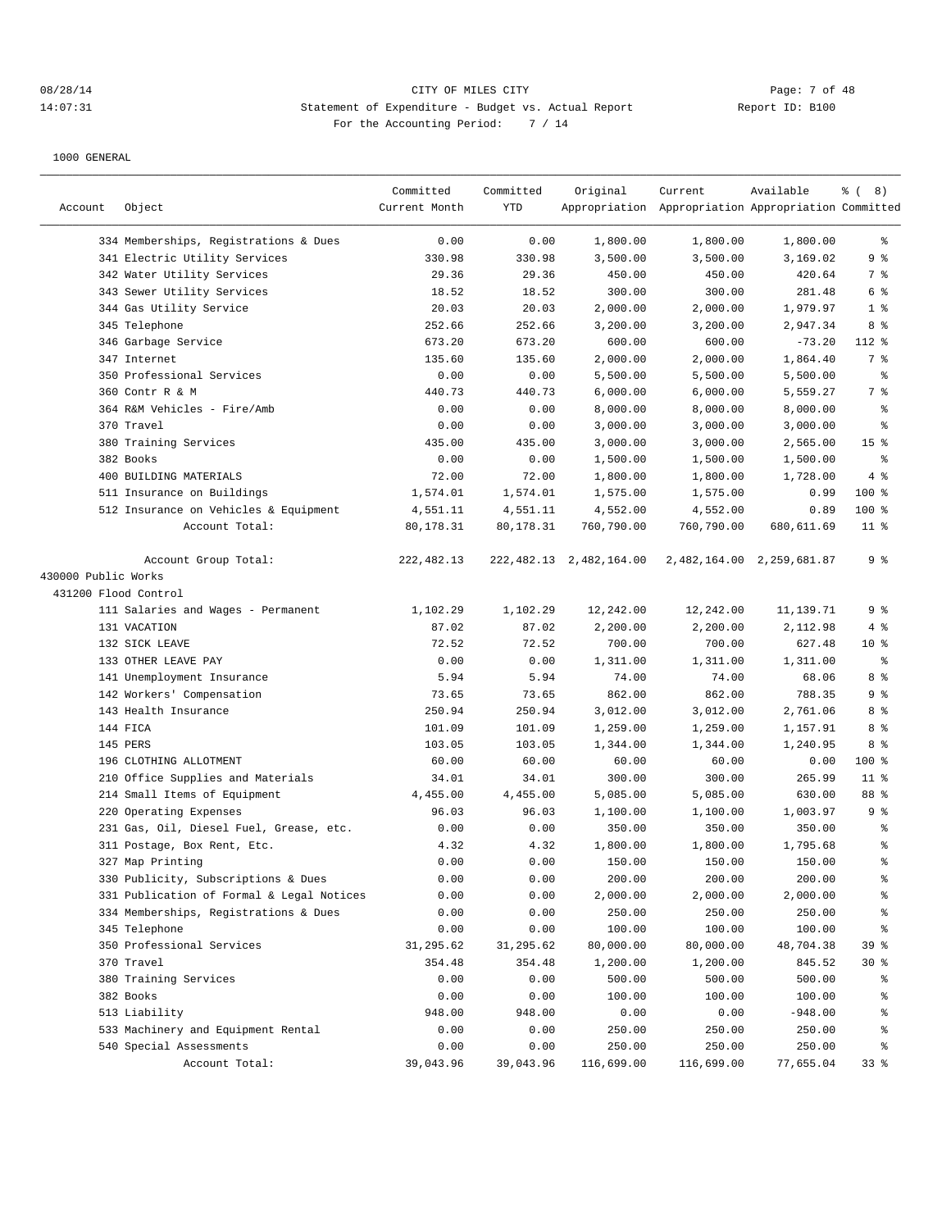## 08/28/14 Page: 7 of 48 14:07:31 Statement of Expenditure - Budget vs. Actual Report Changer Report ID: B100 For the Accounting Period: 7 / 14

|                      |                                           | Committed     | Committed | Original                   | Current                                             | Available                 | $\frac{6}{6}$ ( 8) |
|----------------------|-------------------------------------------|---------------|-----------|----------------------------|-----------------------------------------------------|---------------------------|--------------------|
| Account              | Object                                    | Current Month | YTD       |                            | Appropriation Appropriation Appropriation Committed |                           |                    |
|                      |                                           |               |           |                            |                                                     |                           |                    |
|                      | 334 Memberships, Registrations & Dues     | 0.00          | 0.00      | 1,800.00                   | 1,800.00                                            | 1,800.00                  | ႜ                  |
|                      | 341 Electric Utility Services             | 330.98        | 330.98    | 3,500.00                   | 3,500.00                                            | 3,169.02                  | 9%                 |
|                      | 342 Water Utility Services                | 29.36         | 29.36     | 450.00                     | 450.00                                              | 420.64                    | 7 %                |
|                      | 343 Sewer Utility Services                | 18.52         | 18.52     | 300.00                     | 300.00                                              | 281.48                    | 6 %                |
|                      | 344 Gas Utility Service                   | 20.03         | 20.03     | 2,000.00                   | 2,000.00                                            | 1,979.97                  | 1 <sup>°</sup>     |
|                      | 345 Telephone                             | 252.66        | 252.66    | 3,200.00                   | 3,200.00                                            | 2,947.34                  | 8%                 |
|                      | 346 Garbage Service<br>347 Internet       | 673.20        | 673.20    | 600.00                     | 600.00                                              | $-73.20$                  | 112 %              |
|                      |                                           | 135.60        | 135.60    | 2,000.00                   | 2,000.00                                            | 1,864.40                  | 7 %                |
|                      | 350 Professional Services                 | 0.00          | 0.00      | 5,500.00                   | 5,500.00                                            | 5,500.00                  | နွ                 |
|                      | 360 Contr R & M                           | 440.73        | 440.73    | 6,000.00                   | 6,000.00                                            | 5,559.27                  | 7 %                |
|                      | 364 R&M Vehicles - Fire/Amb               | 0.00          | 0.00      | 8,000.00                   | 8,000.00                                            | 8,000.00                  | $\epsilon$         |
|                      | 370 Travel                                | 0.00          | 0.00      | 3,000.00                   | 3,000.00                                            | 3,000.00                  | ి                  |
|                      | 380 Training Services                     | 435.00        | 435.00    | 3,000.00                   | 3,000.00                                            | 2,565.00                  | 15 <sup>°</sup>    |
|                      | 382 Books                                 | 0.00          | 0.00      | 1,500.00                   | 1,500.00                                            | 1,500.00                  | $\epsilon$         |
|                      | 400 BUILDING MATERIALS                    | 72.00         | 72.00     | 1,800.00                   | 1,800.00                                            | 1,728.00                  | 4%                 |
|                      | 511 Insurance on Buildings                | 1,574.01      | 1,574.01  | 1,575.00                   | 1,575.00                                            | 0.99                      | $100$ %            |
|                      | 512 Insurance on Vehicles & Equipment     | 4,551.11      | 4,551.11  | 4,552.00                   | 4,552.00                                            | 0.89                      | 100 %              |
|                      | Account Total:                            | 80,178.31     | 80,178.31 | 760,790.00                 | 760,790.00                                          | 680,611.69                | $11$ %             |
|                      | Account Group Total:                      | 222,482.13    |           | 222, 482.13 2, 482, 164.00 |                                                     | 2,482,164.00 2,259,681.87 | 9 <sup>°</sup>     |
| 430000 Public Works  |                                           |               |           |                            |                                                     |                           |                    |
| 431200 Flood Control |                                           |               |           |                            |                                                     |                           |                    |
|                      | 111 Salaries and Wages - Permanent        | 1,102.29      | 1,102.29  | 12,242.00                  | 12,242.00                                           | 11,139.71                 | 9%                 |
|                      | 131 VACATION                              | 87.02         | 87.02     | 2,200.00                   | 2,200.00                                            | 2,112.98                  | 4%                 |
|                      | 132 SICK LEAVE                            | 72.52         | 72.52     | 700.00                     | 700.00                                              | 627.48                    | $10*$              |
|                      | 133 OTHER LEAVE PAY                       | 0.00          | 0.00      | 1,311.00                   | 1,311.00                                            | 1,311.00                  | ి                  |
|                      | 141 Unemployment Insurance                | 5.94          | 5.94      | 74.00                      | 74.00                                               | 68.06                     | 8 %                |
|                      | 142 Workers' Compensation                 | 73.65         | 73.65     | 862.00                     | 862.00                                              | 788.35                    | 9%                 |
|                      | 143 Health Insurance                      | 250.94        | 250.94    | 3,012.00                   | 3,012.00                                            | 2,761.06                  | 8 %                |
|                      | 144 FICA                                  | 101.09        | 101.09    | 1,259.00                   | 1,259.00                                            | 1,157.91                  | 8 %                |
|                      | 145 PERS                                  | 103.05        | 103.05    | 1,344.00                   | 1,344.00                                            | 1,240.95                  | 8 %                |
|                      | 196 CLOTHING ALLOTMENT                    | 60.00         | 60.00     | 60.00                      | 60.00                                               | 0.00                      | 100 %              |
|                      | 210 Office Supplies and Materials         | 34.01         | 34.01     | 300.00                     | 300.00                                              | 265.99                    | $11*$              |
|                      | 214 Small Items of Equipment              | 4,455.00      | 4,455.00  | 5,085.00                   | 5,085.00                                            | 630.00                    | 88 %               |
| 220                  | Operating Expenses                        | 96.03         | 96.03     | 1,100.00                   | 1,100.00                                            | 1,003.97                  | 9%                 |
|                      | 231 Gas, Oil, Diesel Fuel, Grease, etc.   | 0.00          | 0.00      | 350.00                     | 350.00                                              | 350.00                    | နွ                 |
|                      | 311 Postage, Box Rent, Etc.               | 4.32          | 4.32      | 1,800.00                   | 1,800.00                                            | 1,795.68                  | နွ                 |
|                      | 327 Map Printing                          | 0.00          | 0.00      | 150.00                     | 150.00                                              | 150.00                    | ి                  |
|                      | 330 Publicity, Subscriptions & Dues       | 0.00          | 0.00      | 200.00                     | 200.00                                              | 200.00                    | န္                 |
|                      | 331 Publication of Formal & Legal Notices | 0.00          | 0.00      | 2,000.00                   | 2,000.00                                            | 2,000.00                  | $\,{}^{\circ}\!$   |
|                      | 334 Memberships, Registrations & Dues     | 0.00          | 0.00      | 250.00                     | 250.00                                              | 250.00                    | န္                 |
|                      | 345 Telephone                             | 0.00          | 0.00      | 100.00                     | 100.00                                              | 100.00                    | န္                 |
|                      | 350 Professional Services                 | 31,295.62     | 31,295.62 | 80,000.00                  | 80,000.00                                           | 48,704.38                 | 39 %               |
|                      | 370 Travel                                | 354.48        | 354.48    | 1,200.00                   | 1,200.00                                            | 845.52                    | $30*$              |
|                      | 380 Training Services                     | 0.00          | 0.00      | 500.00                     | 500.00                                              | 500.00                    | ိန                 |
|                      | 382 Books                                 | 0.00          | 0.00      | 100.00                     | 100.00                                              | 100.00                    | ိင                 |
|                      | 513 Liability                             | 948.00        | 948.00    | 0.00                       | 0.00                                                | $-948.00$                 | ႜ                  |
|                      | 533 Machinery and Equipment Rental        | 0.00          | 0.00      | 250.00                     | 250.00                                              | 250.00                    | ႜ                  |
|                      | 540 Special Assessments                   | 0.00          | 0.00      | 250.00                     | 250.00                                              | 250.00                    | ိန                 |
|                      | Account Total:                            | 39,043.96     | 39,043.96 | 116,699.00                 | 116,699.00                                          | 77,655.04                 | 33%                |
|                      |                                           |               |           |                            |                                                     |                           |                    |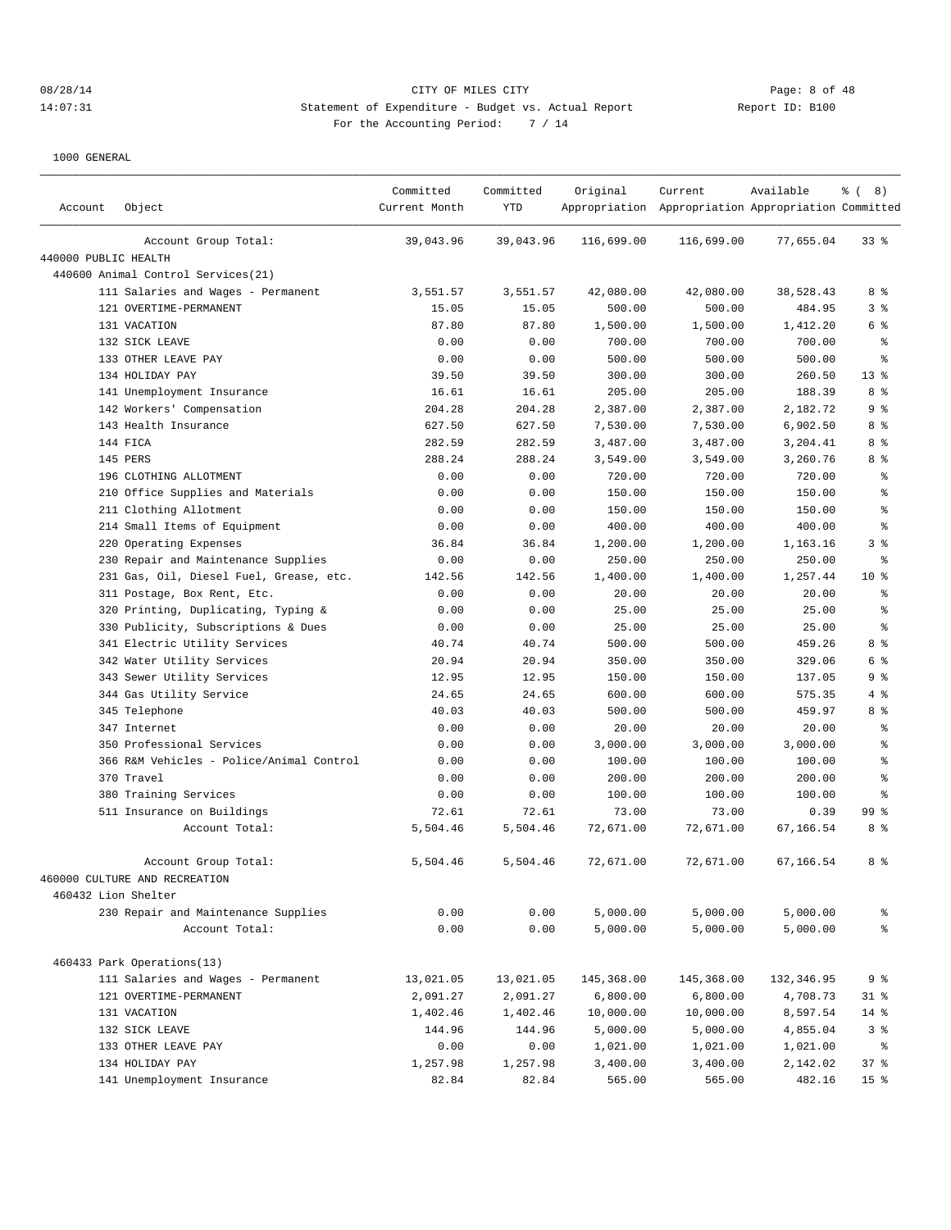# 08/28/14 CITY OF MILES CITY Page: 8 of 48 14:07:31 Statement of Expenditure - Budget vs. Actual Report Changer Report ID: B100 For the Accounting Period: 7 / 14

| Account              | Object                                   | Committed<br>Current Month | Committed<br><b>YTD</b> | Original   | Current<br>Appropriation Appropriation Appropriation Committed | Available  | $\frac{6}{6}$ ( 8) |
|----------------------|------------------------------------------|----------------------------|-------------------------|------------|----------------------------------------------------------------|------------|--------------------|
|                      | Account Group Total:                     | 39,043.96                  | 39,043.96               | 116,699.00 | 116,699.00                                                     | 77,655.04  | 338                |
| 440000 PUBLIC HEALTH |                                          |                            |                         |            |                                                                |            |                    |
|                      | 440600 Animal Control Services(21)       |                            |                         |            |                                                                |            |                    |
|                      | 111 Salaries and Wages - Permanent       | 3,551.57                   | 3,551.57                | 42,080.00  | 42,080.00                                                      | 38,528.43  | 8 %                |
|                      | 121 OVERTIME-PERMANENT                   | 15.05                      | 15.05                   | 500.00     | 500.00                                                         | 484.95     | 3 <sup>°</sup>     |
|                      | 131 VACATION                             | 87.80                      | 87.80                   | 1,500.00   | 1,500.00                                                       | 1,412.20   | 6 %                |
|                      | 132 SICK LEAVE                           | 0.00                       | 0.00                    | 700.00     | 700.00                                                         | 700.00     | $\epsilon$         |
|                      | 133 OTHER LEAVE PAY                      | 0.00                       | 0.00                    | 500.00     | 500.00                                                         | 500.00     | ి                  |
|                      | 134 HOLIDAY PAY                          | 39.50                      | 39.50                   | 300.00     | 300.00                                                         | 260.50     | $13*$              |
|                      | 141 Unemployment Insurance               | 16.61                      | 16.61                   | 205.00     | 205.00                                                         | 188.39     | 8 %                |
|                      | 142 Workers' Compensation                | 204.28                     | 204.28                  | 2,387.00   | 2,387.00                                                       | 2,182.72   | 9 <sup>°</sup>     |
|                      | 143 Health Insurance                     | 627.50                     | 627.50                  | 7,530.00   | 7,530.00                                                       | 6,902.50   | 8 %                |
|                      | 144 FICA                                 | 282.59                     | 282.59                  | 3,487.00   | 3,487.00                                                       | 3,204.41   | 8 %                |
|                      | 145 PERS                                 | 288.24                     | 288.24                  | 3,549.00   | 3,549.00                                                       | 3,260.76   | 8 %                |
|                      | 196 CLOTHING ALLOTMENT                   | 0.00                       | 0.00                    | 720.00     | 720.00                                                         | 720.00     | $\epsilon$         |
|                      | 210 Office Supplies and Materials        | 0.00                       | 0.00                    | 150.00     | 150.00                                                         | 150.00     | ి                  |
|                      | 211 Clothing Allotment                   | 0.00                       | 0.00                    | 150.00     | 150.00                                                         | 150.00     | ి                  |
|                      | 214 Small Items of Equipment             | 0.00                       | 0.00                    | 400.00     | 400.00                                                         | 400.00     | $\,{}^{\circ}\!$   |
|                      | 220 Operating Expenses                   | 36.84                      | 36.84                   | 1,200.00   | 1,200.00                                                       | 1,163.16   | 3 <sup>°</sup>     |
|                      | 230 Repair and Maintenance Supplies      | 0.00                       | 0.00                    | 250.00     | 250.00                                                         | 250.00     | $\epsilon$         |
|                      | 231 Gas, Oil, Diesel Fuel, Grease, etc.  | 142.56                     | 142.56                  | 1,400.00   | 1,400.00                                                       | 1,257.44   | $10*$              |
|                      | 311 Postage, Box Rent, Etc.              | 0.00                       | 0.00                    | 20.00      | 20.00                                                          | 20.00      | နွ                 |
|                      | 320 Printing, Duplicating, Typing &      | 0.00                       | 0.00                    | 25.00      | 25.00                                                          | 25.00      | နွ                 |
|                      | 330 Publicity, Subscriptions & Dues      | 0.00                       | 0.00                    | 25.00      | 25.00                                                          | 25.00      | နွ                 |
|                      | 341 Electric Utility Services            | 40.74                      | 40.74                   | 500.00     | 500.00                                                         | 459.26     | 8 %                |
|                      | 342 Water Utility Services               | 20.94                      | 20.94                   | 350.00     | 350.00                                                         | 329.06     | 6 %                |
|                      | 343 Sewer Utility Services               | 12.95                      | 12.95                   | 150.00     | 150.00                                                         | 137.05     | 9 <sup>8</sup>     |
|                      | 344 Gas Utility Service                  | 24.65                      | 24.65                   | 600.00     | 600.00                                                         | 575.35     | 4%                 |
|                      | 345 Telephone                            | 40.03                      | 40.03                   | 500.00     | 500.00                                                         | 459.97     | 8 %                |
|                      | 347 Internet                             | 0.00                       | 0.00                    | 20.00      | 20.00                                                          | 20.00      | $\epsilon$         |
|                      | 350 Professional Services                | 0.00                       | 0.00                    | 3,000.00   | 3,000.00                                                       | 3,000.00   | ి                  |
|                      | 366 R&M Vehicles - Police/Animal Control | 0.00                       | 0.00                    | 100.00     | 100.00                                                         | 100.00     | ి                  |
|                      | 370 Travel                               | 0.00                       | 0.00                    | 200.00     | 200.00                                                         | 200.00     | ి                  |
|                      | 380 Training Services                    | 0.00                       | 0.00                    | 100.00     | 100.00                                                         | 100.00     | နွ                 |
|                      | 511 Insurance on Buildings               | 72.61                      | 72.61                   | 73.00      | 73.00                                                          | 0.39       | 99%                |
|                      | Account Total:                           | 5,504.46                   | 5,504.46                | 72,671.00  | 72,671.00                                                      | 67,166.54  | 8 %                |
|                      | Account Group Total:                     | 5,504.46                   | 5,504.46                | 72,671.00  | 72,671.00                                                      | 67,166.54  | 8%                 |
|                      | 460000 CULTURE AND RECREATION            |                            |                         |            |                                                                |            |                    |
| 460432 Lion Shelter  |                                          |                            |                         |            |                                                                |            |                    |
|                      | 230 Repair and Maintenance Supplies      | 0.00                       | 0.00                    | 5,000.00   | 5,000.00                                                       | 5,000.00   | န္                 |
|                      | Account Total:                           | 0.00                       | 0.00                    | 5,000.00   | 5,000.00                                                       | 5,000.00   | နွ                 |
|                      | 460433 Park Operations(13)               |                            |                         |            |                                                                |            |                    |
|                      | 111 Salaries and Wages - Permanent       | 13,021.05                  | 13,021.05               | 145,368.00 | 145,368.00                                                     | 132,346.95 | 9%                 |
|                      | 121 OVERTIME-PERMANENT                   | 2,091.27                   | 2,091.27                | 6,800.00   | 6,800.00                                                       | 4,708.73   | $31$ %             |
|                      | 131 VACATION                             | 1,402.46                   | 1,402.46                | 10,000.00  | 10,000.00                                                      | 8,597.54   | $14$ %             |
|                      | 132 SICK LEAVE                           | 144.96                     | 144.96                  | 5,000.00   | 5,000.00                                                       | 4,855.04   | 3%                 |
|                      | 133 OTHER LEAVE PAY                      | 0.00                       | 0.00                    | 1,021.00   | 1,021.00                                                       | 1,021.00   | $\epsilon$         |
|                      | 134 HOLIDAY PAY                          | 1,257.98                   | 1,257.98                | 3,400.00   | 3,400.00                                                       | 2,142.02   | 37%                |
|                      | 141 Unemployment Insurance               | 82.84                      | 82.84                   | 565.00     | 565.00                                                         | 482.16     | 15 <sup>°</sup>    |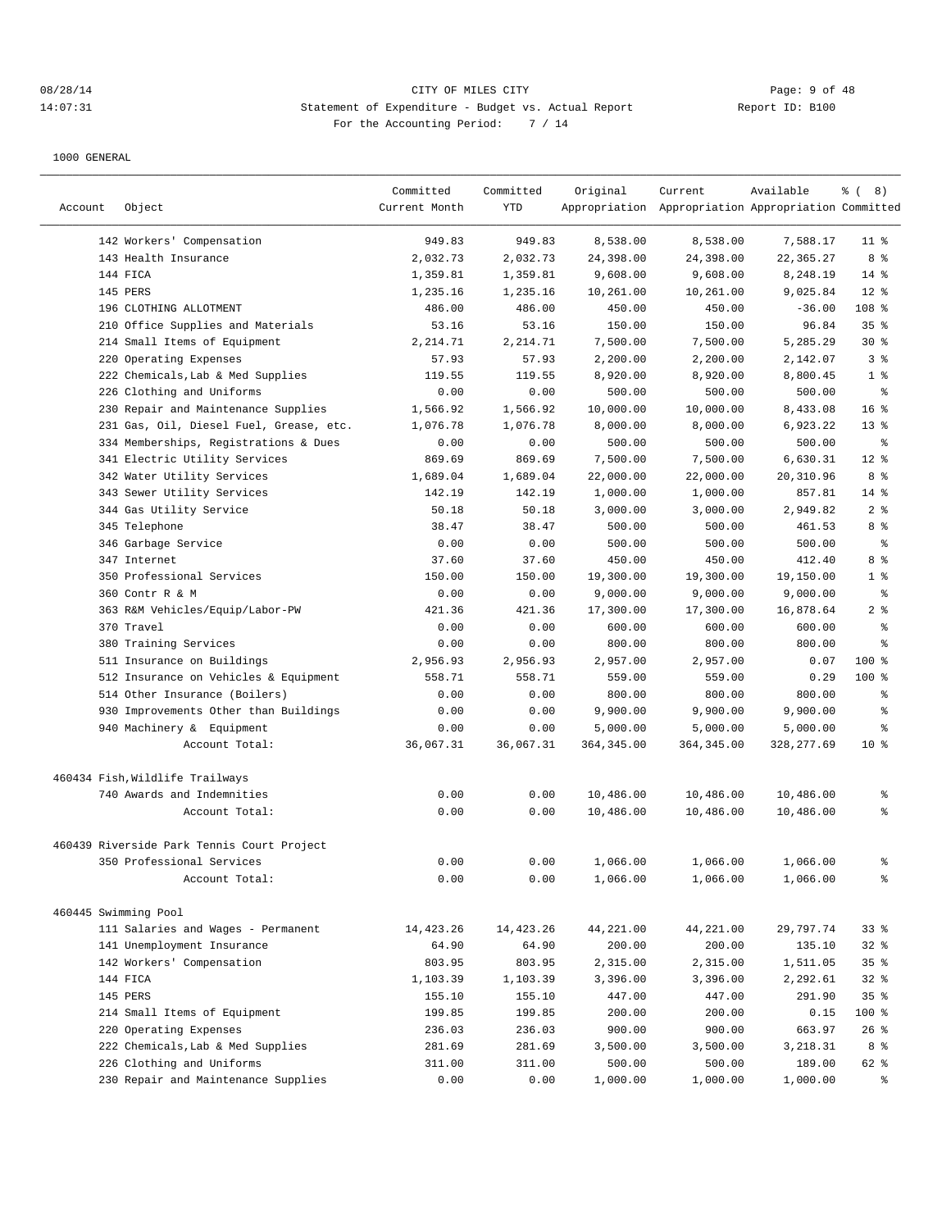## 08/28/14 Page: 9 of 48 14:07:31 Statement of Expenditure - Budget vs. Actual Report Changer Report ID: B100 For the Accounting Period: 7 / 14

|         |                                            | Committed<br>Current Month | Committed<br>YTD | Original    | Current                                             | Available   | $\frac{6}{6}$ ( 8) |
|---------|--------------------------------------------|----------------------------|------------------|-------------|-----------------------------------------------------|-------------|--------------------|
| Account | Object                                     |                            |                  |             | Appropriation Appropriation Appropriation Committed |             |                    |
|         | 142 Workers' Compensation                  | 949.83                     | 949.83           | 8,538.00    | 8,538.00                                            | 7,588.17    | $11$ %             |
|         | 143 Health Insurance                       | 2,032.73                   | 2,032.73         | 24,398.00   | 24,398.00                                           | 22,365.27   | 8%                 |
|         | 144 FICA                                   | 1,359.81                   | 1,359.81         | 9,608.00    | 9,608.00                                            | 8,248.19    | $14*$              |
|         | 145 PERS                                   | 1,235.16                   | 1,235.16         | 10,261.00   | 10,261.00                                           | 9,025.84    | $12*$              |
|         | 196 CLOTHING ALLOTMENT                     | 486.00                     | 486.00           | 450.00      | 450.00                                              | $-36.00$    | 108 %              |
|         | 210 Office Supplies and Materials          | 53.16                      | 53.16            | 150.00      | 150.00                                              | 96.84       | 35%                |
|         | 214 Small Items of Equipment               | 2,214.71                   | 2,214.71         | 7,500.00    | 7,500.00                                            | 5,285.29    | $30*$              |
|         | 220 Operating Expenses                     | 57.93                      | 57.93            | 2,200.00    | 2,200.00                                            | 2,142.07    | 3 <sup>8</sup>     |
|         | 222 Chemicals, Lab & Med Supplies          | 119.55                     | 119.55           | 8,920.00    | 8,920.00                                            | 8,800.45    | 1 <sup>8</sup>     |
| 226     | Clothing and Uniforms                      | 0.00                       | 0.00             | 500.00      | 500.00                                              | 500.00      | $\epsilon$         |
|         | 230 Repair and Maintenance Supplies        | 1,566.92                   | 1,566.92         | 10,000.00   | 10,000.00                                           | 8,433.08    | 16 <sup>8</sup>    |
|         | 231 Gas, Oil, Diesel Fuel, Grease, etc.    | 1,076.78                   | 1,076.78         | 8,000.00    | 8,000.00                                            | 6,923.22    | $13*$              |
|         | 334 Memberships, Registrations & Dues      | 0.00                       | 0.00             | 500.00      | 500.00                                              | 500.00      | နွ                 |
|         | 341 Electric Utility Services              | 869.69                     | 869.69           | 7,500.00    | 7,500.00                                            | 6,630.31    | $12*$              |
|         | 342 Water Utility Services                 | 1,689.04                   | 1,689.04         | 22,000.00   | 22,000.00                                           | 20,310.96   | 8%                 |
|         | 343 Sewer Utility Services                 | 142.19                     | 142.19           | 1,000.00    | 1,000.00                                            | 857.81      | $14*$              |
|         | 344 Gas Utility Service                    | 50.18                      | 50.18            | 3,000.00    | 3,000.00                                            | 2,949.82    | 2 <sub>8</sub>     |
|         | 345 Telephone                              | 38.47                      | 38.47            | 500.00      | 500.00                                              | 461.53      | 8 %                |
|         | 346 Garbage Service                        | 0.00                       | 0.00             | 500.00      | 500.00                                              | 500.00      | $\epsilon$         |
|         | 347 Internet                               | 37.60                      | 37.60            | 450.00      | 450.00                                              | 412.40      | 8%                 |
|         | 350 Professional Services                  | 150.00                     | 150.00           | 19,300.00   | 19,300.00                                           | 19,150.00   | 1 <sup>8</sup>     |
|         | 360 Contr R & M                            | 0.00                       | 0.00             | 9,000.00    | 9,000.00                                            | 9,000.00    | န့                 |
|         | 363 R&M Vehicles/Equip/Labor-PW            | 421.36                     | 421.36           | 17,300.00   | 17,300.00                                           | 16,878.64   | 2 <sub>8</sub>     |
|         | 370 Travel                                 | 0.00                       | 0.00             | 600.00      | 600.00                                              | 600.00      | န့                 |
|         | 380 Training Services                      | 0.00                       | 0.00             | 800.00      | 800.00                                              | 800.00      | န္                 |
|         | 511 Insurance on Buildings                 | 2,956.93                   | 2,956.93         | 2,957.00    | 2,957.00                                            | 0.07        | $100$ %            |
|         | 512 Insurance on Vehicles & Equipment      | 558.71                     | 558.71           | 559.00      | 559.00                                              | 0.29        | $100$ %            |
|         | 514 Other Insurance (Boilers)              | 0.00                       | 0.00             | 800.00      | 800.00                                              | 800.00      | န္                 |
|         | 930 Improvements Other than Buildings      | 0.00                       | 0.00             | 9,900.00    | 9,900.00                                            | 9,900.00    | န့                 |
|         | 940 Machinery & Equipment                  | 0.00                       | 0.00             | 5,000.00    | 5,000.00                                            | 5,000.00    | န္                 |
|         | Account Total:                             | 36,067.31                  | 36,067.31        | 364, 345.00 | 364, 345.00                                         | 328, 277.69 | $10*$              |
|         |                                            |                            |                  |             |                                                     |             |                    |
|         | 460434 Fish, Wildlife Trailways            |                            |                  |             |                                                     |             |                    |
|         | 740 Awards and Indemnities                 | 0.00                       | 0.00             | 10,486.00   | 10,486.00                                           | 10,486.00   | န္                 |
|         | Account Total:                             | 0.00                       | 0.00             | 10,486.00   | 10,486.00                                           | 10,486.00   | ి                  |
|         | 460439 Riverside Park Tennis Court Project |                            |                  |             |                                                     |             |                    |
|         | 350 Professional Services                  | 0.00                       | 0.00             | 1,066.00    | 1,066.00                                            | 1,066.00    | န့                 |
|         | Account Total:                             | 0.00                       | 0.00             | 1,066.00    | 1,066.00                                            | 1,066.00    | နွ                 |
|         |                                            |                            |                  |             |                                                     |             |                    |
|         | 460445 Swimming Pool                       |                            |                  |             |                                                     |             |                    |
|         | 111 Salaries and Wages - Permanent         | 14,423.26                  | 14, 423.26       | 44,221.00   | 44,221.00                                           | 29,797.74   | 33%                |
|         | 141 Unemployment Insurance                 | 64.90                      | 64.90            | 200.00      | 200.00                                              | 135.10      | 32%                |
|         | 142 Workers' Compensation                  | 803.95                     | 803.95           | 2,315.00    | 2,315.00                                            | 1,511.05    | 35%                |
|         | 144 FICA                                   | 1,103.39                   | 1,103.39         | 3,396.00    | 3,396.00                                            | 2,292.61    | 32%                |
|         | 145 PERS                                   | 155.10                     | 155.10           | 447.00      | 447.00                                              | 291.90      | 35%                |
|         | 214 Small Items of Equipment               | 199.85                     | 199.85           | 200.00      | 200.00                                              | 0.15        | 100 %              |
|         | 220 Operating Expenses                     | 236.03                     | 236.03           | 900.00      | 900.00                                              | 663.97      | $26$ %             |
|         | 222 Chemicals, Lab & Med Supplies          | 281.69                     | 281.69           | 3,500.00    | 3,500.00                                            | 3,218.31    | 8 %                |
|         | 226 Clothing and Uniforms                  | 311.00                     | 311.00           | 500.00      | 500.00                                              | 189.00      | 62 %               |
|         | 230 Repair and Maintenance Supplies        | 0.00                       | 0.00             | 1,000.00    | 1,000.00                                            | 1,000.00    | $\approx$          |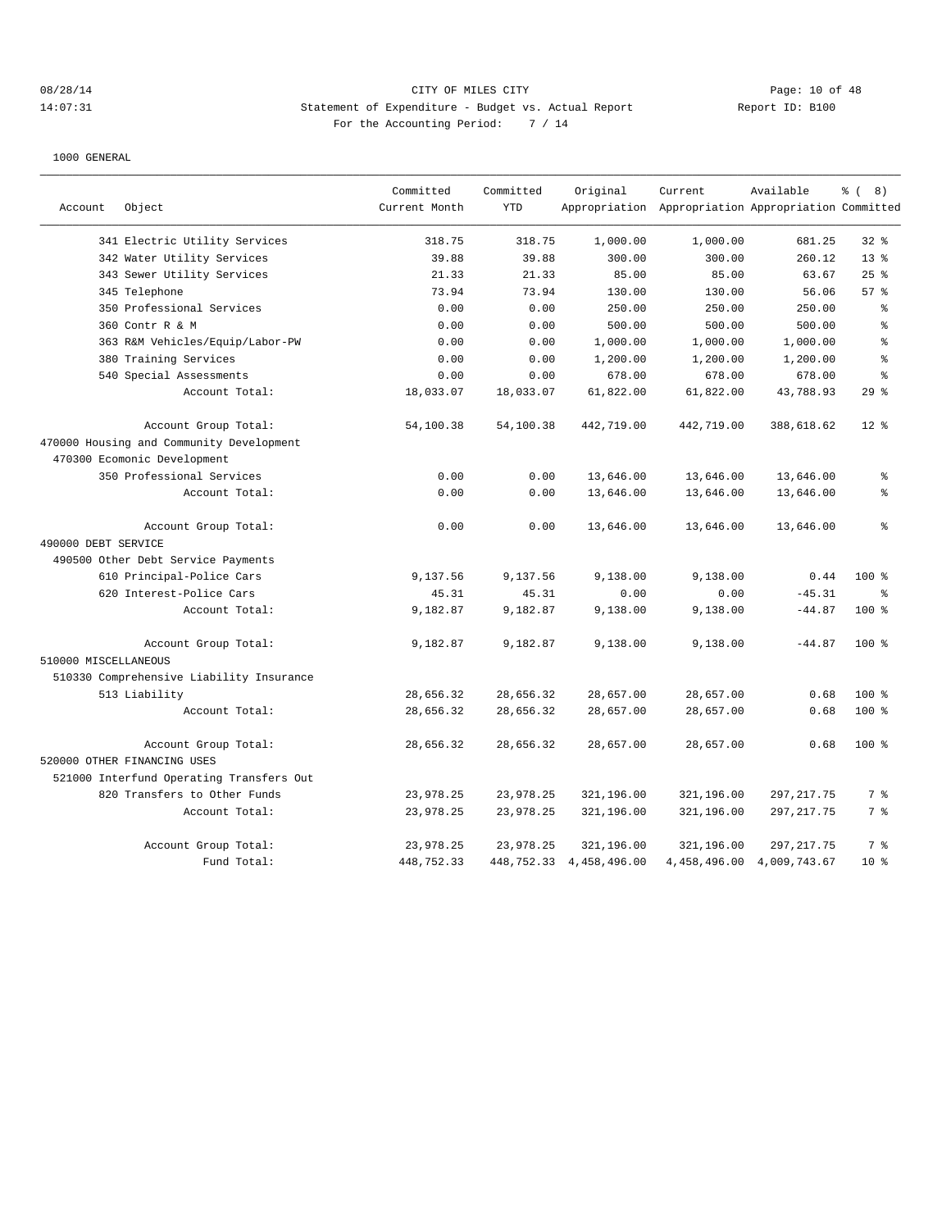# 08/28/14 Page: 10 of 48 14:07:31 Statement of Expenditure - Budget vs. Actual Report Changer Report ID: B100 For the Accounting Period: 7 / 14

|                      |                                          | Committed     | Committed  | Original                     | Current                                             | Available    | <sub>රි</sub> ( 8 ) |
|----------------------|------------------------------------------|---------------|------------|------------------------------|-----------------------------------------------------|--------------|---------------------|
| Account              | Object                                   | Current Month | <b>YTD</b> |                              | Appropriation Appropriation Appropriation Committed |              |                     |
|                      | 341 Electric Utility Services            | 318.75        | 318.75     | 1,000.00                     | 1,000.00                                            | 681.25       | $32$ $%$            |
|                      | 342 Water Utility Services               | 39.88         | 39.88      | 300.00                       | 300.00                                              | 260.12       | $13*$               |
|                      | 343 Sewer Utility Services               | 21.33         | 21.33      | 85.00                        | 85.00                                               | 63.67        | $25$ %              |
|                      | 345 Telephone                            | 73.94         | 73.94      | 130.00                       | 130.00                                              | 56.06        | 57%                 |
|                      | 350 Professional Services                | 0.00          | 0.00       | 250.00                       | 250.00                                              | 250.00       | ి                   |
|                      | 360 Contr R & M                          | 0.00          | 0.00       | 500.00                       | 500.00                                              | 500.00       | န္                  |
|                      | 363 R&M Vehicles/Equip/Labor-PW          | 0.00          | 0.00       | 1,000.00                     | 1,000.00                                            | 1,000.00     | န္                  |
|                      | 380 Training Services                    | 0.00          | 0.00       | 1,200.00                     | 1,200.00                                            | 1,200.00     | န္                  |
|                      | 540 Special Assessments                  | 0.00          | 0.00       | 678.00                       | 678.00                                              | 678.00       | န္                  |
|                      | Account Total:                           | 18,033.07     | 18,033.07  | 61,822.00                    | 61,822.00                                           | 43,788.93    | 29%                 |
|                      | Account Group Total:                     | 54,100.38     | 54,100.38  | 442,719.00                   | 442,719.00                                          | 388,618.62   | $12$ %              |
|                      | 470000 Housing and Community Development |               |            |                              |                                                     |              |                     |
|                      | 470300 Ecomonic Development              |               |            |                              |                                                     |              |                     |
|                      | 350 Professional Services                | 0.00          | 0.00       | 13,646.00                    | 13,646.00                                           | 13,646.00    | ి                   |
|                      | Account Total:                           | 0.00          | 0.00       | 13,646.00                    | 13,646.00                                           | 13,646.00    | နွ                  |
|                      | Account Group Total:                     | 0.00          | 0.00       | 13,646.00                    | 13,646.00                                           | 13,646.00    | ి                   |
| 490000 DEBT SERVICE  |                                          |               |            |                              |                                                     |              |                     |
|                      | 490500 Other Debt Service Payments       |               |            |                              |                                                     |              |                     |
|                      | 610 Principal-Police Cars                | 9,137.56      | 9.137.56   | 9,138.00                     | 9,138.00                                            | 0.44         | 100%                |
|                      | 620 Interest-Police Cars                 | 45.31         | 45.31      | 0.00                         | 0.00                                                | $-45.31$     | နွ                  |
|                      | Account Total:                           | 9,182.87      | 9,182.87   | 9,138.00                     | 9,138.00                                            | $-44.87$     | 100 %               |
|                      | Account Group Total:                     | 9,182.87      | 9,182.87   | 9,138.00                     | 9,138.00                                            | $-44.87$     | $100$ %             |
| 510000 MISCELLANEOUS |                                          |               |            |                              |                                                     |              |                     |
|                      | 510330 Comprehensive Liability Insurance |               |            |                              |                                                     |              |                     |
|                      | 513 Liability                            | 28,656.32     | 28,656.32  | 28,657.00                    | 28,657.00                                           | 0.68         | $100$ %             |
|                      | Account Total:                           | 28,656.32     | 28,656.32  | 28,657.00                    | 28,657.00                                           | 0.68         | 100 %               |
|                      | Account Group Total:                     | 28,656.32     | 28,656.32  | 28,657.00                    | 28,657.00                                           | 0.68         | $100$ %             |
|                      | 520000 OTHER FINANCING USES              |               |            |                              |                                                     |              |                     |
|                      | 521000 Interfund Operating Transfers Out |               |            |                              |                                                     |              |                     |
|                      | 820 Transfers to Other Funds             | 23,978.25     | 23,978.25  | 321,196.00                   | 321,196.00                                          | 297, 217.75  | 7 %                 |
|                      | Account Total:                           | 23,978.25     | 23,978.25  | 321,196.00                   | 321,196.00                                          | 297, 217.75  | 7 %                 |
|                      | Account Group Total:                     | 23,978.25     | 23,978.25  | 321,196.00                   | 321,196.00                                          | 297, 217.75  | 7 %                 |
|                      | Fund Total:                              | 448,752.33    |            | 448, 752. 33 4, 458, 496. 00 | 4,458,496.00                                        | 4,009,743.67 | $10*$               |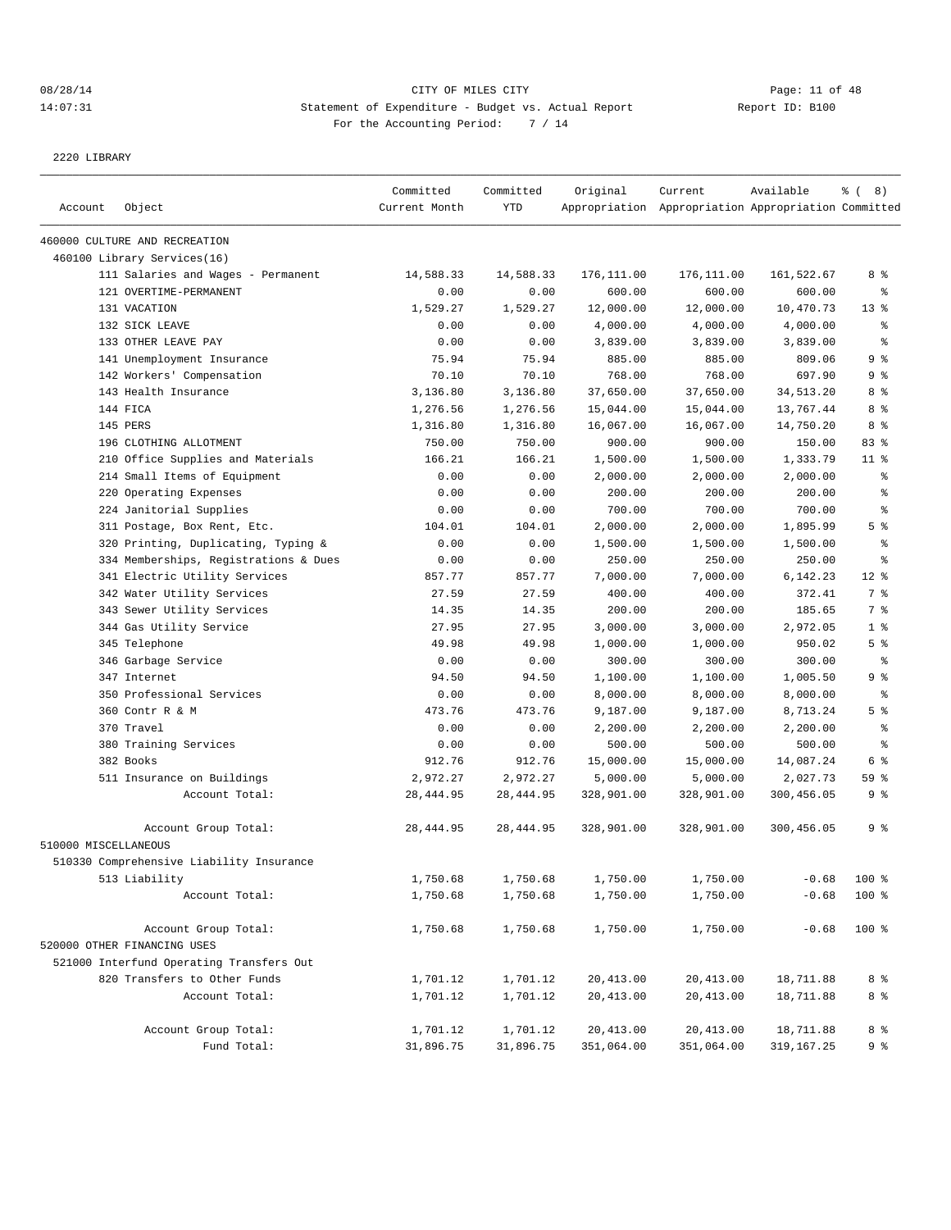## 08/28/14 Page: 11 of 48 14:07:31 Statement of Expenditure - Budget vs. Actual Report Changer Report ID: B100 For the Accounting Period: 7 / 14

2220 LIBRARY

| Account              | Object                                   | Committed<br>Current Month | Committed<br><b>YTD</b> | Original   | Current<br>Appropriation Appropriation Appropriation Committed | Available  | $\frac{6}{6}$ ( 8) |
|----------------------|------------------------------------------|----------------------------|-------------------------|------------|----------------------------------------------------------------|------------|--------------------|
|                      | 460000 CULTURE AND RECREATION            |                            |                         |            |                                                                |            |                    |
|                      | 460100 Library Services(16)              |                            |                         |            |                                                                |            |                    |
|                      | 111 Salaries and Wages - Permanent       | 14,588.33                  | 14,588.33               | 176,111.00 | 176,111.00                                                     | 161,522.67 | 8 %                |
|                      | 121 OVERTIME-PERMANENT                   | 0.00                       | 0.00                    | 600.00     | 600.00                                                         | 600.00     | နွ                 |
|                      | 131 VACATION                             | 1,529.27                   | 1,529.27                | 12,000.00  | 12,000.00                                                      | 10,470.73  | $13*$              |
|                      | 132 SICK LEAVE                           | 0.00                       | 0.00                    | 4,000.00   | 4,000.00                                                       | 4,000.00   | ి                  |
|                      | 133 OTHER LEAVE PAY                      | 0.00                       | 0.00                    | 3,839.00   | 3,839.00                                                       | 3,839.00   | ి                  |
|                      | 141 Unemployment Insurance               | 75.94                      | 75.94                   | 885.00     | 885.00                                                         | 809.06     | 9 %                |
|                      | 142 Workers' Compensation                | 70.10                      | 70.10                   | 768.00     | 768.00                                                         | 697.90     | 9%                 |
|                      | 143 Health Insurance                     | 3,136.80                   | 3,136.80                | 37,650.00  | 37,650.00                                                      | 34,513.20  | 8 %                |
|                      | 144 FICA                                 | 1,276.56                   | 1,276.56                | 15,044.00  | 15,044.00                                                      | 13,767.44  | 8 %                |
|                      | 145 PERS                                 | 1,316.80                   | 1,316.80                | 16,067.00  | 16,067.00                                                      | 14,750.20  | 8 %                |
|                      | 196 CLOTHING ALLOTMENT                   | 750.00                     | 750.00                  | 900.00     | 900.00                                                         | 150.00     | 83%                |
|                      | 210 Office Supplies and Materials        | 166.21                     | 166.21                  | 1,500.00   | 1,500.00                                                       | 1,333.79   | $11$ %             |
|                      | 214 Small Items of Equipment             | 0.00                       | 0.00                    | 2,000.00   | 2,000.00                                                       | 2,000.00   | နွ                 |
|                      | 220 Operating Expenses                   | 0.00                       | 0.00                    | 200.00     | 200.00                                                         | 200.00     | ి                  |
|                      | 224 Janitorial Supplies                  | 0.00                       | 0.00                    | 700.00     | 700.00                                                         | 700.00     | ి                  |
|                      | 311 Postage, Box Rent, Etc.              | 104.01                     | 104.01                  | 2,000.00   | 2,000.00                                                       | 1,895.99   | 5 <sup>°</sup>     |
|                      | 320 Printing, Duplicating, Typing &      | 0.00                       | 0.00                    | 1,500.00   | 1,500.00                                                       | 1,500.00   | န္                 |
|                      | 334 Memberships, Registrations & Dues    | 0.00                       | 0.00                    | 250.00     | 250.00                                                         | 250.00     | ి                  |
|                      | 341 Electric Utility Services            | 857.77                     | 857.77                  | 7,000.00   | 7,000.00                                                       | 6,142.23   | $12$ %             |
|                      | 342 Water Utility Services               | 27.59                      | 27.59                   | 400.00     | 400.00                                                         | 372.41     | 7 %                |
|                      | 343 Sewer Utility Services               | 14.35                      | 14.35                   | 200.00     | 200.00                                                         | 185.65     | 7 %                |
|                      | 344 Gas Utility Service                  | 27.95                      | 27.95                   | 3,000.00   | 3,000.00                                                       | 2,972.05   | 1 <sup>°</sup>     |
|                      | 345 Telephone                            | 49.98                      | 49.98                   | 1,000.00   | 1,000.00                                                       | 950.02     | 5 <sup>8</sup>     |
|                      | 346 Garbage Service                      | 0.00                       | 0.00                    | 300.00     | 300.00                                                         | 300.00     | နွ                 |
|                      | 347 Internet                             | 94.50                      | 94.50                   | 1,100.00   | 1,100.00                                                       | 1,005.50   | 9 <sup>8</sup>     |
|                      | 350 Professional Services                | 0.00                       | 0.00                    | 8,000.00   | 8,000.00                                                       | 8,000.00   | နွ                 |
|                      | 360 Contr R & M                          | 473.76                     | 473.76                  | 9,187.00   | 9,187.00                                                       | 8,713.24   | 5 <sup>°</sup>     |
|                      | 370 Travel                               | 0.00                       | 0.00                    | 2,200.00   | 2,200.00                                                       | 2,200.00   | နွ                 |
|                      | 380 Training Services                    | 0.00                       | 0.00                    | 500.00     | 500.00                                                         | 500.00     | နွ                 |
|                      | 382 Books                                | 912.76                     | 912.76                  | 15,000.00  | 15,000.00                                                      | 14,087.24  | 6 %                |
|                      | 511 Insurance on Buildings               | 2,972.27                   | 2,972.27                | 5,000.00   | 5,000.00                                                       | 2,027.73   | 59 %               |
|                      | Account Total:                           | 28, 444.95                 | 28, 444.95              | 328,901.00 | 328,901.00                                                     | 300,456.05 | 9 %                |
|                      | Account Group Total:                     | 28, 444.95                 | 28, 444.95              | 328,901.00 | 328,901.00                                                     | 300,456.05 | 9 <sup>8</sup>     |
| 510000 MISCELLANEOUS |                                          |                            |                         |            |                                                                |            |                    |
|                      | 510330 Comprehensive Liability Insurance |                            |                         |            |                                                                |            |                    |
|                      | 513 Liability                            | 1,750.68                   | 1,750.68                | 1,750.00   | 1,750.00                                                       | $-0.68$    | 100 %              |
|                      | Account Total:                           | 1,750.68                   | 1,750.68                | 1,750.00   | 1,750.00                                                       | $-0.68$    | 100 %              |
|                      | Account Group Total:                     | 1,750.68                   | 1,750.68                | 1,750.00   | 1,750.00                                                       | $-0.68$    | 100 %              |
|                      | 520000 OTHER FINANCING USES              |                            |                         |            |                                                                |            |                    |
|                      | 521000 Interfund Operating Transfers Out |                            |                         |            |                                                                |            |                    |
|                      | 820 Transfers to Other Funds             | 1,701.12                   | 1,701.12                | 20,413.00  | 20,413.00                                                      | 18,711.88  | 8 %                |
|                      | Account Total:                           | 1,701.12                   | 1,701.12                | 20,413.00  | 20,413.00                                                      | 18,711.88  | 8 %                |
|                      | Account Group Total:                     | 1,701.12                   | 1,701.12                | 20,413.00  | 20,413.00                                                      | 18,711.88  | 8 %                |
|                      | Fund Total:                              | 31,896.75                  | 31,896.75               | 351,064.00 | 351,064.00                                                     | 319,167.25 | 9%                 |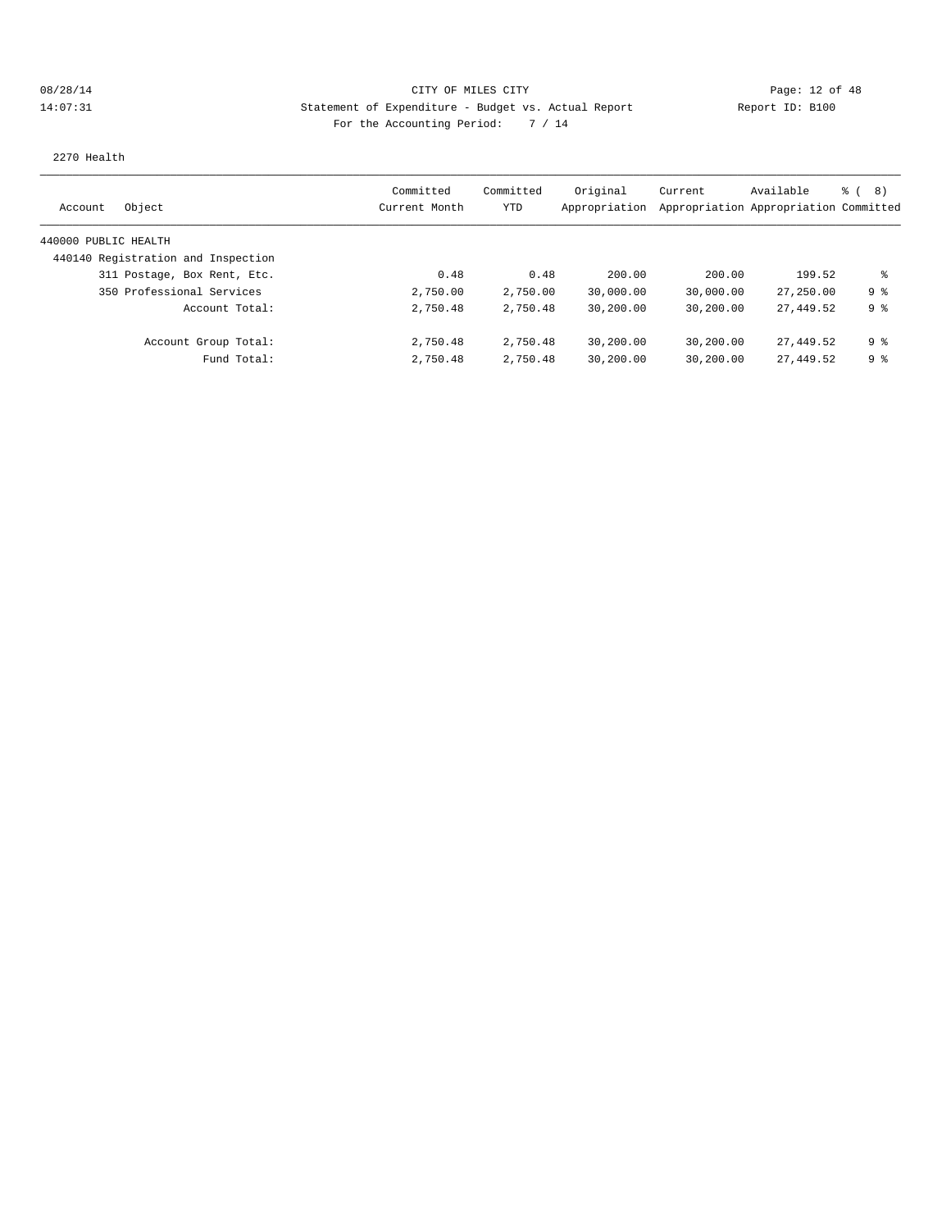# 08/28/14 Page: 12 of 48 14:07:31 Statement of Expenditure - Budget vs. Actual Report Changery Report ID: B100 For the Accounting Period: 7 / 14

2270 Health

| Object<br>Account                  | Committed<br>Current Month | Committed<br>YTD | Original  | Current<br>Appropriation Appropriation Appropriation Committed | Available | ී ( 8 )        |
|------------------------------------|----------------------------|------------------|-----------|----------------------------------------------------------------|-----------|----------------|
|                                    |                            |                  |           |                                                                |           |                |
| 440000 PUBLIC HEALTH               |                            |                  |           |                                                                |           |                |
| 440140 Registration and Inspection |                            |                  |           |                                                                |           |                |
| 311 Postage, Box Rent, Etc.        | 0.48                       | 0.48             | 200.00    | 200.00                                                         | 199.52    | ႜ              |
| 350 Professional Services          | 2,750.00                   | 2,750.00         | 30,000.00 | 30,000.00                                                      | 27,250.00 | 9 %            |
| Account Total:                     | 2,750.48                   | 2,750.48         | 30,200.00 | 30,200.00                                                      | 27,449.52 | 9 <sup>8</sup> |
| Account Group Total:               | 2,750.48                   | 2,750.48         | 30,200.00 | 30,200.00                                                      | 27,449.52 | 9 <sup>8</sup> |
| Fund Total:                        | 2,750.48                   | 2,750.48         | 30,200.00 | 30,200.00                                                      | 27,449.52 | 98             |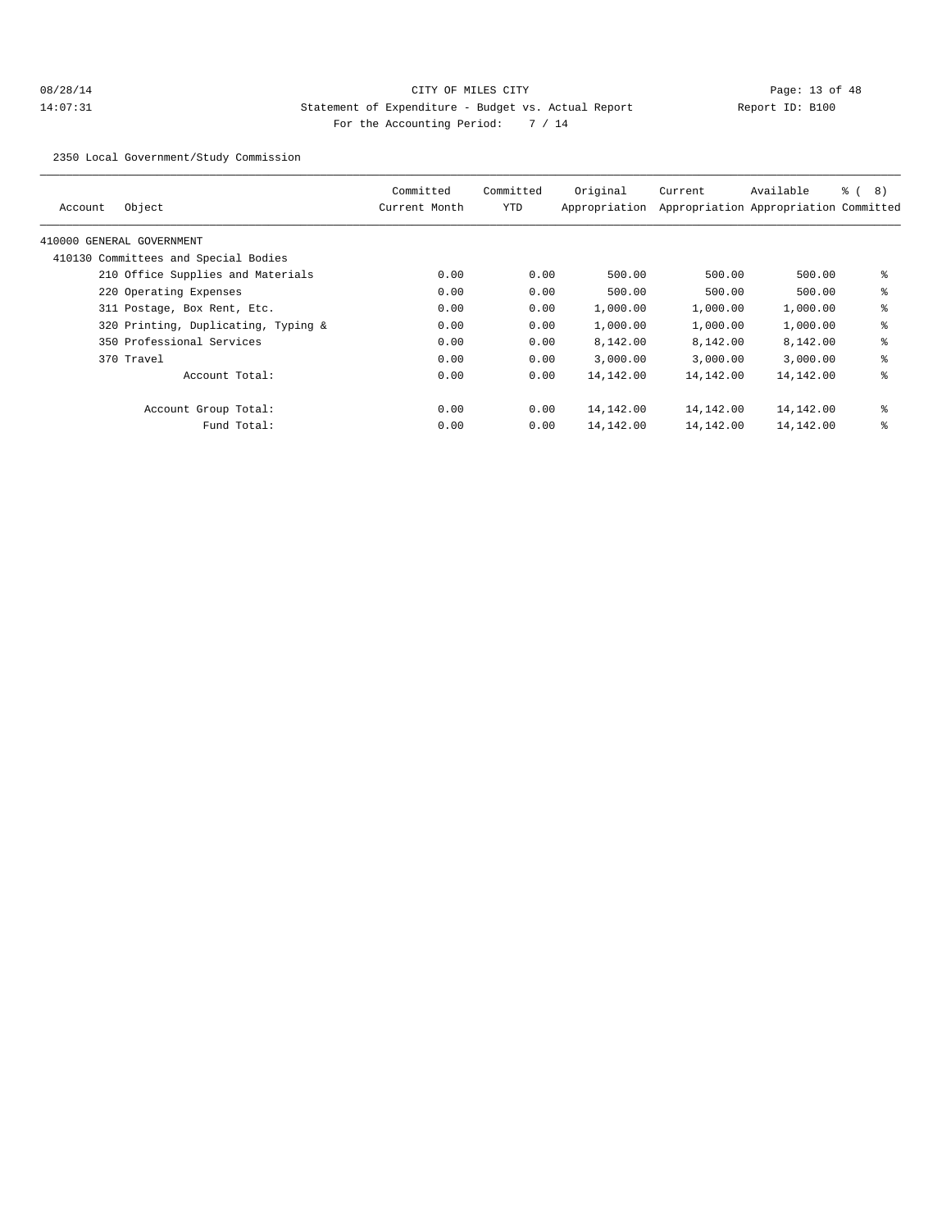## 08/28/14 Page: 13 of 48 14:07:31 Statement of Expenditure - Budget vs. Actual Report Changer Report ID: B100 For the Accounting Period: 7 / 14

2350 Local Government/Study Commission

| Account | Object                               | Committed<br>Current Month | Committed<br>YTD | Original<br>Appropriation | Current   | Available<br>Appropriation Appropriation Committed | ී (<br>8) |
|---------|--------------------------------------|----------------------------|------------------|---------------------------|-----------|----------------------------------------------------|-----------|
|         | 410000 GENERAL GOVERNMENT            |                            |                  |                           |           |                                                    |           |
|         | 410130 Committees and Special Bodies |                            |                  |                           |           |                                                    |           |
|         | 210 Office Supplies and Materials    | 0.00                       | 0.00             | 500.00                    | 500.00    | 500.00                                             | နွ        |
|         | 220 Operating Expenses               | 0.00                       | 0.00             | 500.00                    | 500.00    | 500.00                                             | နွ        |
|         | 311 Postage, Box Rent, Etc.          | 0.00                       | 0.00             | 1,000.00                  | 1,000.00  | 1,000.00                                           | နွ        |
|         | 320 Printing, Duplicating, Typing &  | 0.00                       | 0.00             | 1,000.00                  | 1,000.00  | 1,000.00                                           | နွ        |
|         | 350 Professional Services            | 0.00                       | 0.00             | 8,142.00                  | 8,142.00  | 8,142.00                                           | နွ        |
|         | 370 Travel                           | 0.00                       | 0.00             | 3.000.00                  | 3,000.00  | 3,000.00                                           | နွ        |
|         | Account Total:                       | 0.00                       | 0.00             | 14,142.00                 | 14,142.00 | 14,142.00                                          | နွ        |
|         | Account Group Total:                 | 0.00                       | 0.00             | 14,142.00                 | 14,142.00 | 14,142.00                                          | နွ        |
|         | Fund Total:                          | 0.00                       | 0.00             | 14,142.00                 | 14,142.00 | 14,142.00                                          | နွ        |
|         |                                      |                            |                  |                           |           |                                                    |           |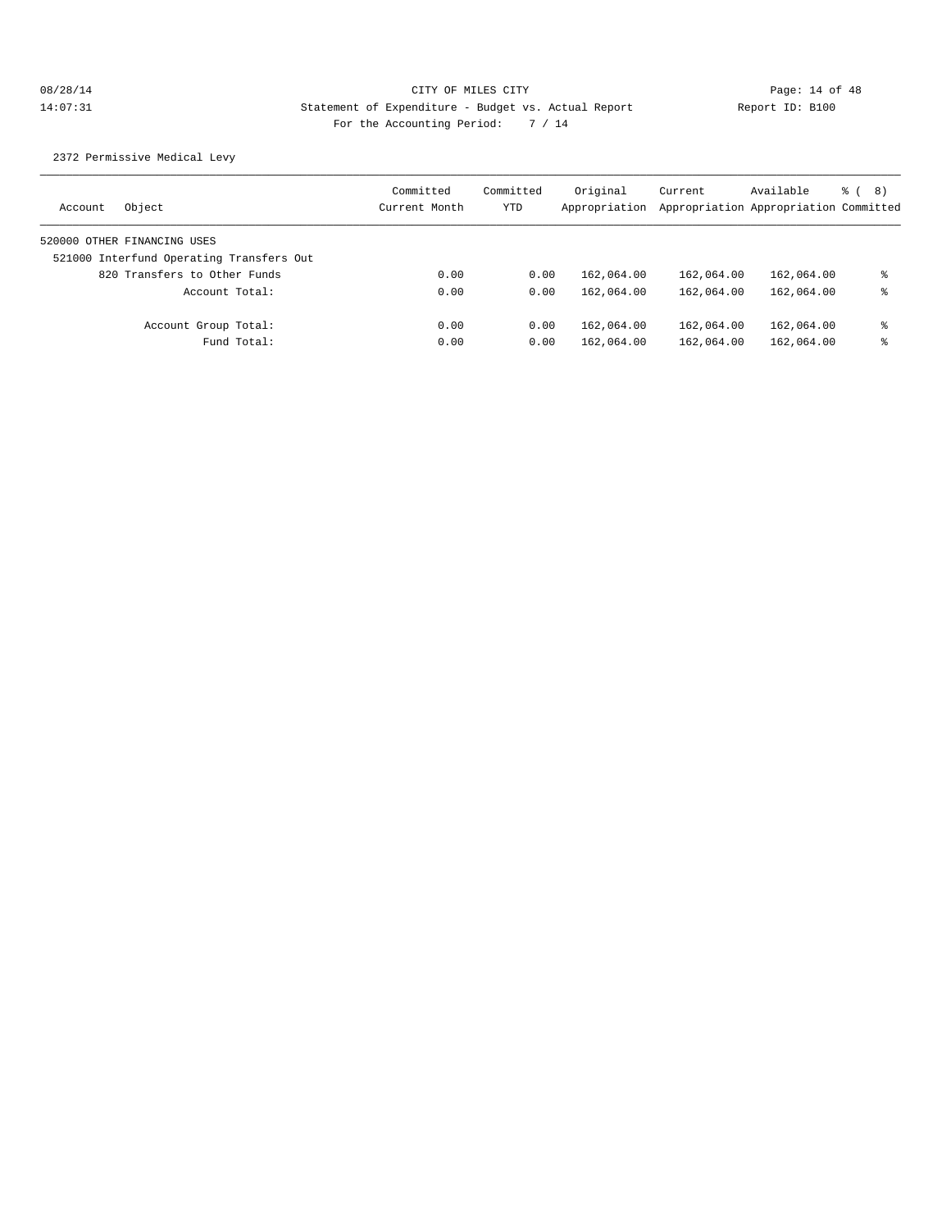2372 Permissive Medical Levy

| Account | Object                                   | Committed<br>Current Month | Committed<br>YTD | Original<br>Appropriation | Current    | Available<br>Appropriation Appropriation Committed | ී ( 8 ) |
|---------|------------------------------------------|----------------------------|------------------|---------------------------|------------|----------------------------------------------------|---------|
|         | 520000 OTHER FINANCING USES              |                            |                  |                           |            |                                                    |         |
|         | 521000 Interfund Operating Transfers Out |                            |                  |                           |            |                                                    |         |
|         | 820 Transfers to Other Funds             | 0.00                       | 0.00             | 162,064.00                | 162,064.00 | 162,064.00                                         | ႜ       |
|         | Account Total:                           | 0.00                       | 0.00             | 162,064.00                | 162,064.00 | 162,064.00                                         | ႜ       |
|         | Account Group Total:                     | 0.00                       | 0.00             | 162,064.00                | 162,064.00 | 162,064.00                                         | ႜ       |
|         | Fund Total:                              | 0.00                       | 0.00             | 162,064.00                | 162,064.00 | 162,064.00                                         | ႜ       |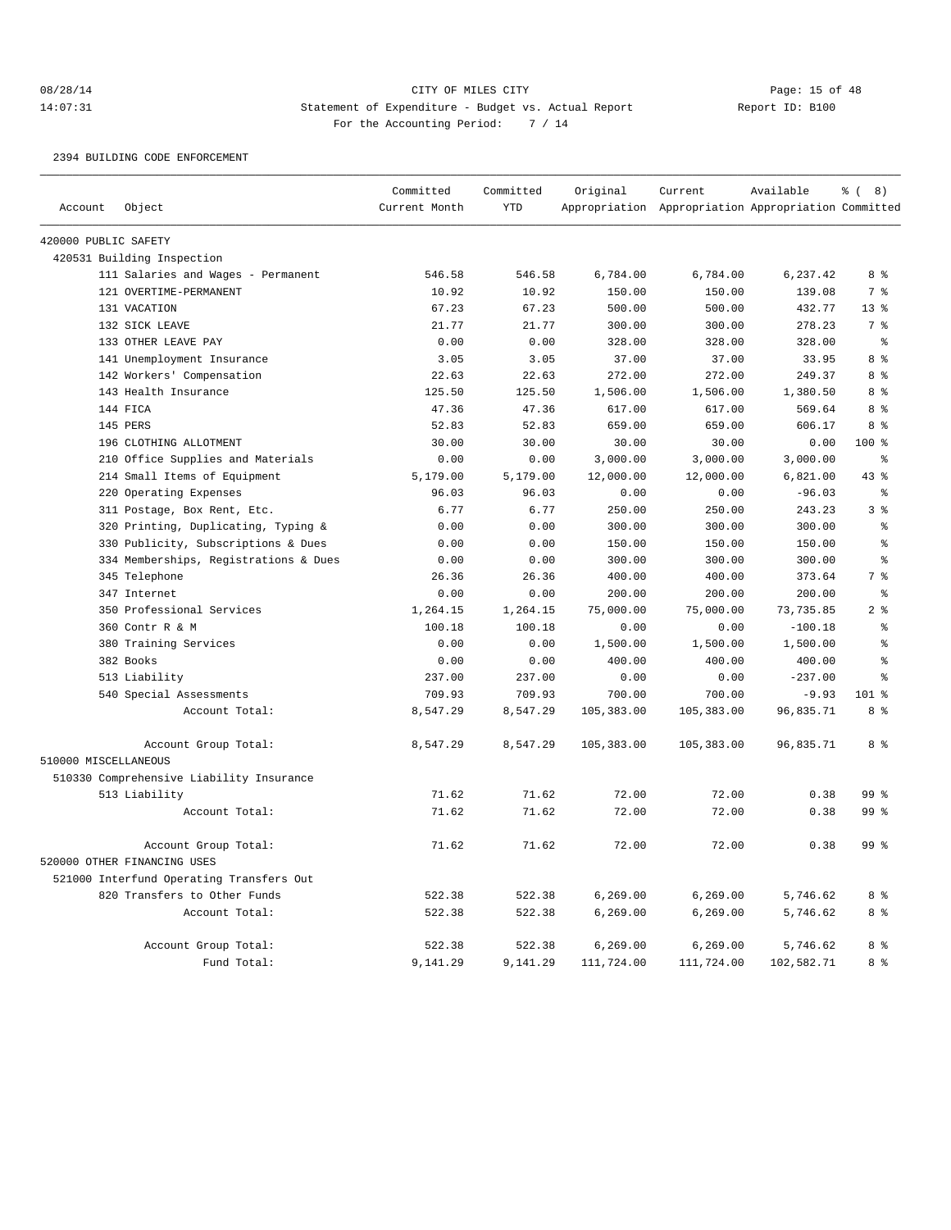## 08/28/14 Page: 15 of 48 14:07:31 Statement of Expenditure - Budget vs. Actual Report Changer Report ID: B100 For the Accounting Period: 7 / 14

#### 2394 BUILDING CODE ENFORCEMENT

|                      |                                          | Committed     | Committed  | Original   | Current                                             | Available  | $\frac{6}{6}$ ( 8) |
|----------------------|------------------------------------------|---------------|------------|------------|-----------------------------------------------------|------------|--------------------|
| Account              | Object                                   | Current Month | <b>YTD</b> |            | Appropriation Appropriation Appropriation Committed |            |                    |
| 420000 PUBLIC SAFETY |                                          |               |            |            |                                                     |            |                    |
|                      | 420531 Building Inspection               |               |            |            |                                                     |            |                    |
|                      | 111 Salaries and Wages - Permanent       | 546.58        | 546.58     | 6,784.00   | 6,784.00                                            | 6,237.42   | 8 %                |
|                      | 121 OVERTIME-PERMANENT                   | 10.92         | 10.92      | 150.00     | 150.00                                              | 139.08     | 7 <sup>°</sup>     |
|                      | 131 VACATION                             | 67.23         | 67.23      | 500.00     | 500.00                                              | 432.77     | 13 <sup>°</sup>    |
|                      | 132 SICK LEAVE                           | 21.77         | 21.77      | 300.00     | 300.00                                              | 278.23     | 7 %                |
|                      | 133 OTHER LEAVE PAY                      | 0.00          | 0.00       | 328.00     | 328.00                                              | 328.00     | ႜ                  |
|                      | 141 Unemployment Insurance               | 3.05          | 3.05       | 37.00      | 37.00                                               | 33.95      | 8 %                |
|                      | 142 Workers' Compensation                | 22.63         | 22.63      | 272.00     | 272.00                                              | 249.37     | 8 %                |
|                      | 143 Health Insurance                     | 125.50        | 125.50     | 1,506.00   | 1,506.00                                            | 1,380.50   | 8 <sup>8</sup>     |
|                      | 144 FICA                                 | 47.36         | 47.36      | 617.00     | 617.00                                              | 569.64     | 8%                 |
|                      | 145 PERS                                 | 52.83         | 52.83      | 659.00     | 659.00                                              | 606.17     | 8 <sup>8</sup>     |
|                      | 196 CLOTHING ALLOTMENT                   | 30.00         | 30.00      | 30.00      | 30.00                                               | 0.00       | $100*$             |
|                      | 210 Office Supplies and Materials        | 0.00          | 0.00       | 3,000.00   | 3,000.00                                            | 3,000.00   | ႜ                  |
|                      | 214 Small Items of Equipment             | 5,179.00      | 5,179.00   | 12,000.00  | 12,000.00                                           | 6,821.00   | $43*$              |
|                      | 220 Operating Expenses                   | 96.03         | 96.03      | 0.00       | 0.00                                                | $-96.03$   | $\epsilon$         |
|                      | 311 Postage, Box Rent, Etc.              | 6.77          | 6.77       | 250.00     | 250.00                                              | 243.23     | 3 <sup>°</sup>     |
|                      | 320 Printing, Duplicating, Typing &      | 0.00          | 0.00       | 300.00     | 300.00                                              | 300.00     | နွ                 |
|                      | 330 Publicity, Subscriptions & Dues      | 0.00          | 0.00       | 150.00     | 150.00                                              | 150.00     | န္                 |
|                      | 334 Memberships, Registrations & Dues    | 0.00          | 0.00       | 300.00     | 300.00                                              | 300.00     | နွ                 |
|                      | 345 Telephone                            | 26.36         | 26.36      | 400.00     | 400.00                                              | 373.64     | 7 <sup>8</sup>     |
|                      | 347 Internet                             | 0.00          | 0.00       | 200.00     | 200.00                                              | 200.00     | ៖                  |
|                      | 350 Professional Services                | 1,264.15      | 1,264.15   | 75,000.00  | 75,000.00                                           | 73,735.85  | 2 <sup>8</sup>     |
|                      | 360 Contr R & M                          | 100.18        | 100.18     | 0.00       | 0.00                                                | $-100.18$  | နွ                 |
|                      | 380 Training Services                    | 0.00          | 0.00       | 1,500.00   | 1,500.00                                            | 1,500.00   | š                  |
|                      | 382 Books                                | 0.00          | 0.00       | 400.00     | 400.00                                              | 400.00     | š                  |
|                      | 513 Liability                            | 237.00        | 237.00     | 0.00       | 0.00                                                | $-237.00$  | ٥Ŗ                 |
|                      | 540 Special Assessments                  | 709.93        | 709.93     | 700.00     | 700.00                                              | $-9.93$    | $101$ %            |
|                      | Account Total:                           | 8,547.29      | 8,547.29   | 105,383.00 | 105,383.00                                          | 96,835.71  | 8 %                |
| 510000 MISCELLANEOUS | Account Group Total:                     | 8,547.29      | 8,547.29   | 105,383.00 | 105,383.00                                          | 96,835.71  | 8%                 |
|                      | 510330 Comprehensive Liability Insurance |               |            |            |                                                     |            |                    |
|                      | 513 Liability                            | 71.62         | 71.62      | 72.00      | 72.00                                               | 0.38       | 99 <sup>8</sup>    |
|                      | Account Total:                           | 71.62         | 71.62      | 72.00      | 72.00                                               | 0.38       | 99 <sup>°</sup>    |
|                      | Account Group Total:                     | 71.62         | 71.62      | 72.00      | 72.00                                               | 0.38       | 99 <sup>°</sup>    |
|                      | 520000 OTHER FINANCING USES              |               |            |            |                                                     |            |                    |
|                      | 521000 Interfund Operating Transfers Out |               |            |            |                                                     |            |                    |
|                      | 820 Transfers to Other Funds             | 522.38        | 522.38     | 6,269.00   | 6,269.00                                            | 5,746.62   | 8 %                |
|                      | Account Total:                           | 522.38        | 522.38     | 6, 269.00  | 6, 269.00                                           | 5,746.62   | 8%                 |
|                      |                                          |               |            |            |                                                     |            |                    |
|                      | Account Group Total:                     | 522.38        | 522.38     | 6, 269.00  | 6, 269.00                                           | 5,746.62   | 8 %                |
|                      | Fund Total:                              | 9,141.29      | 9,141.29   | 111,724.00 | 111,724.00                                          | 102,582.71 | 8 %                |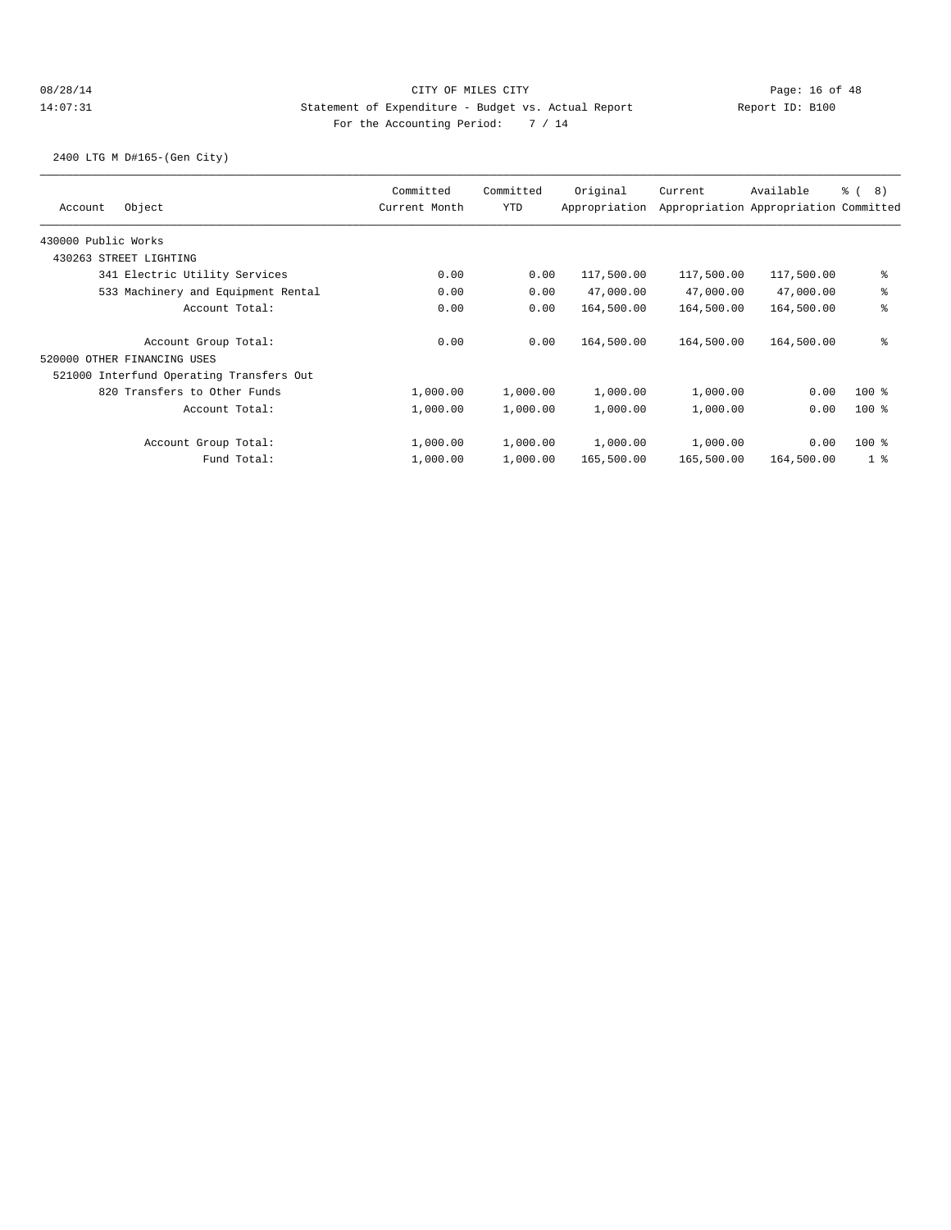2400 LTG M D#165-(Gen City)

| Object<br>Account                        | Committed<br>Current Month | Committed<br><b>YTD</b> | Original<br>Appropriation | Current    | Available<br>Appropriation Appropriation Committed | <sub>රි</sub> ( 8 ) |
|------------------------------------------|----------------------------|-------------------------|---------------------------|------------|----------------------------------------------------|---------------------|
| 430000 Public Works                      |                            |                         |                           |            |                                                    |                     |
| 430263 STREET LIGHTING                   |                            |                         |                           |            |                                                    |                     |
| 341 Electric Utility Services            | 0.00                       | 0.00                    | 117,500.00                | 117,500.00 | 117,500.00                                         | နွ                  |
| 533 Machinery and Equipment Rental       | 0.00                       | 0.00                    | 47,000.00                 | 47,000.00  | 47,000.00                                          | နွ                  |
| Account Total:                           | 0.00                       | 0.00                    | 164,500.00                | 164,500.00 | 164,500.00                                         | ៖                   |
| Account Group Total:                     | 0.00                       | 0.00                    | 164,500.00                | 164,500.00 | 164,500.00                                         | နွ                  |
| 520000 OTHER FINANCING USES              |                            |                         |                           |            |                                                    |                     |
| 521000 Interfund Operating Transfers Out |                            |                         |                           |            |                                                    |                     |
| 820 Transfers to Other Funds             | 1,000.00                   | 1,000.00                | 1,000.00                  | 1,000.00   | 0.00                                               | $100$ %             |
| Account Total:                           | 1,000.00                   | 1,000.00                | 1,000.00                  | 1,000.00   | 0.00                                               | $100$ %             |
| Account Group Total:                     | 1,000.00                   | 1,000.00                | 1,000.00                  | 1,000.00   | 0.00                                               | $100$ %             |
| Fund Total:                              | 1,000.00                   | 1,000.00                | 165,500.00                | 165,500.00 | 164,500.00                                         | 1 %                 |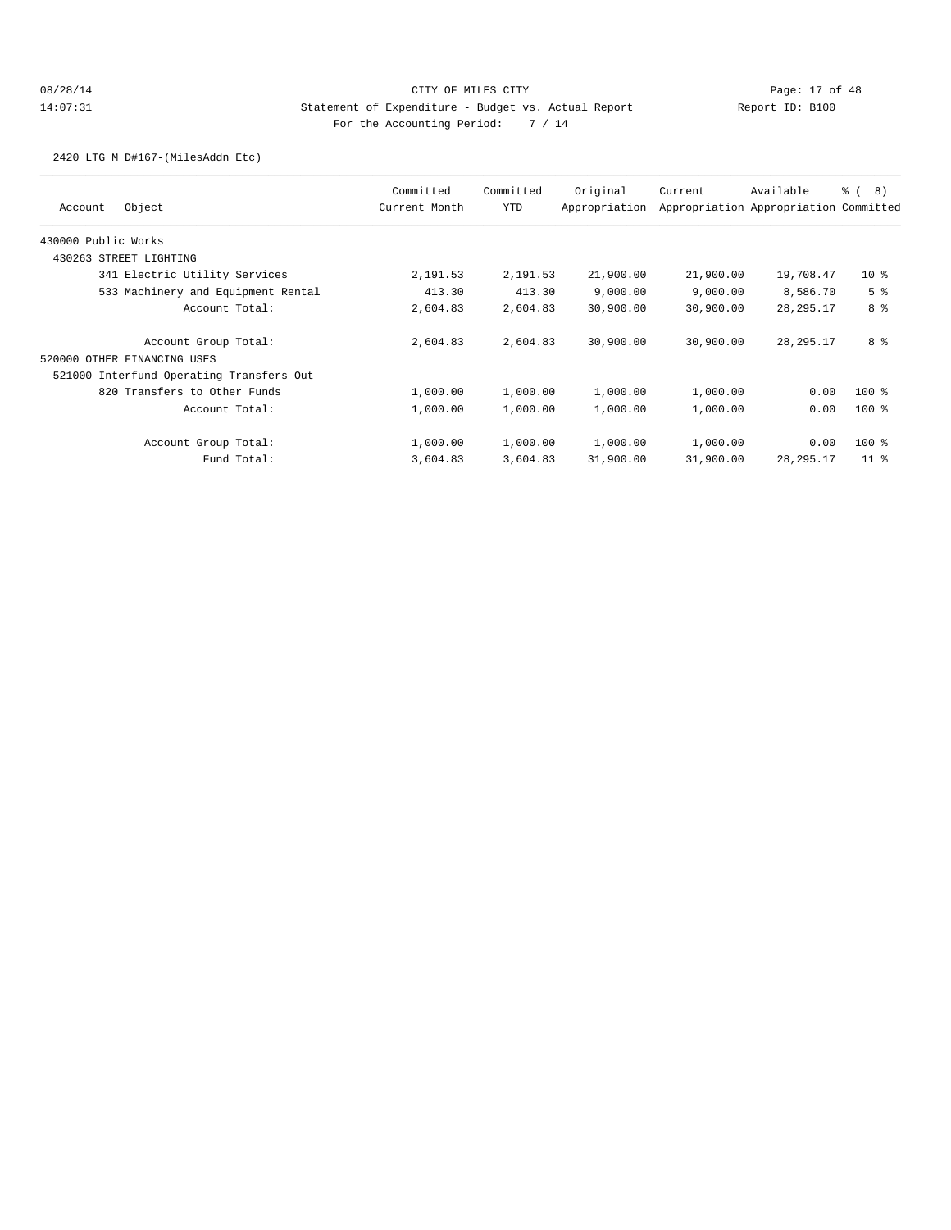2420 LTG M D#167-(MilesAddn Etc)

| Object<br>Account                        | Committed<br>Current Month | Committed<br><b>YTD</b> | Original<br>Appropriation | Current   | Available<br>Appropriation Appropriation Committed | <sub>රි</sub> ( 8 ) |
|------------------------------------------|----------------------------|-------------------------|---------------------------|-----------|----------------------------------------------------|---------------------|
| 430000 Public Works                      |                            |                         |                           |           |                                                    |                     |
| 430263 STREET LIGHTING                   |                            |                         |                           |           |                                                    |                     |
| 341 Electric Utility Services            | 2,191.53                   | 2,191.53                | 21,900.00                 | 21,900.00 | 19,708.47                                          | 10 <sup>8</sup>     |
| 533 Machinery and Equipment Rental       | 413.30                     | 413.30                  | 9,000.00                  | 9,000.00  | 8,586.70                                           | 5 <sup>°</sup>      |
| Account Total:                           | 2,604.83                   | 2,604.83                | 30,900.00                 | 30,900.00 | 28, 295. 17                                        | 8 <sup>8</sup>      |
| Account Group Total:                     | 2,604.83                   | 2,604.83                | 30,900.00                 | 30,900.00 | 28, 295. 17                                        | 8 %                 |
| 520000 OTHER FINANCING USES              |                            |                         |                           |           |                                                    |                     |
| 521000 Interfund Operating Transfers Out |                            |                         |                           |           |                                                    |                     |
| 820 Transfers to Other Funds             | 1,000.00                   | 1,000.00                | 1,000.00                  | 1,000.00  | 0.00                                               | $100$ %             |
| Account Total:                           | 1,000.00                   | 1,000.00                | 1,000.00                  | 1,000.00  | 0.00                                               | $100$ %             |
| Account Group Total:                     | 1,000.00                   | 1,000.00                | 1,000.00                  | 1,000.00  | 0.00                                               | $100$ %             |
| Fund Total:                              | 3,604.83                   | 3,604.83                | 31,900.00                 | 31,900.00 | 28, 295. 17                                        | 11 <sup>8</sup>     |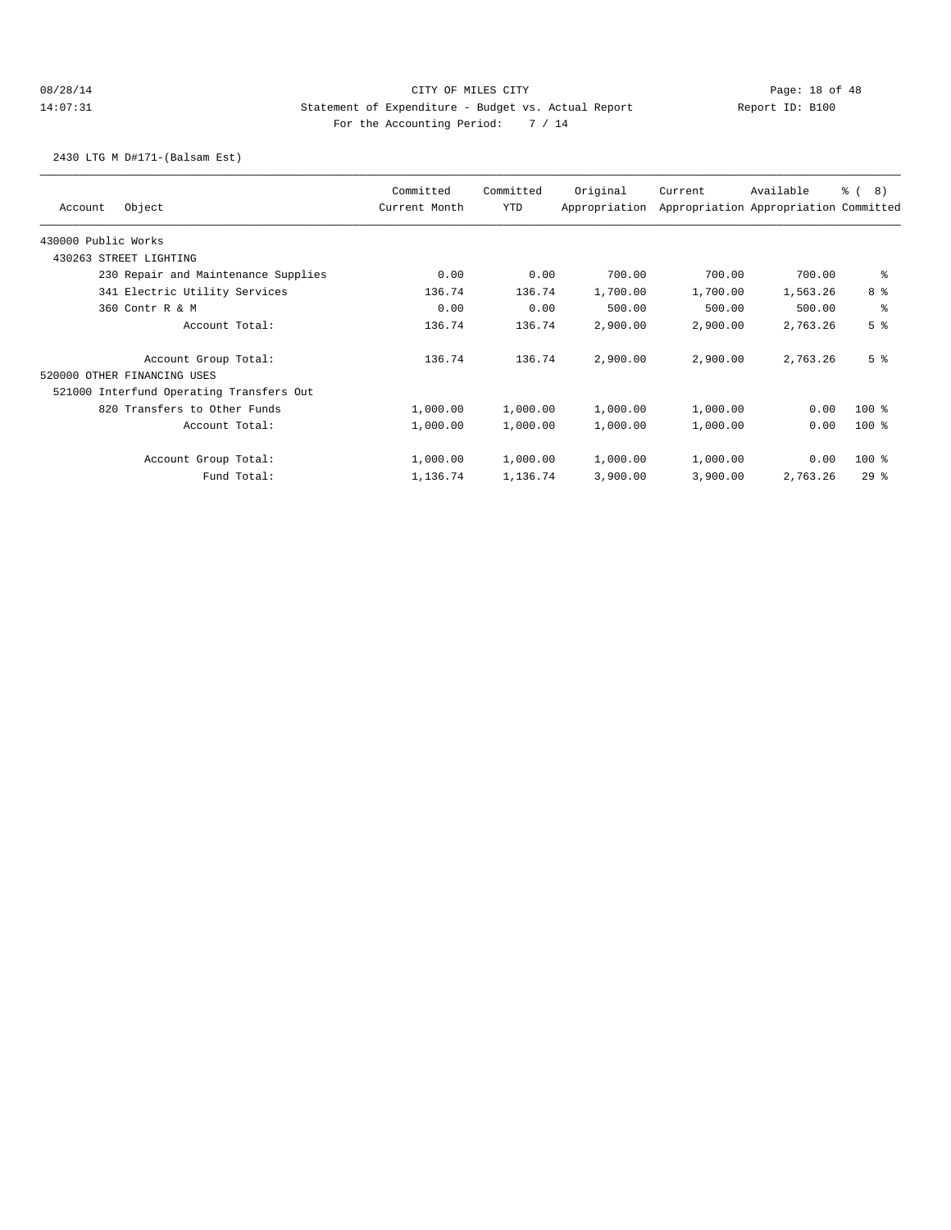## 08/28/14 Page: 18 of 48 14:07:31 Statement of Expenditure - Budget vs. Actual Report Changer Report ID: B100 For the Accounting Period: 7 / 14

2430 LTG M D#171-(Balsam Est)

|                     | Object                                   | Committed<br>Current Month | Committed | Original      | Current  | Available                             | 8)<br><u>ေ</u> ( |
|---------------------|------------------------------------------|----------------------------|-----------|---------------|----------|---------------------------------------|------------------|
| Account             |                                          |                            | YTD       | Appropriation |          | Appropriation Appropriation Committed |                  |
| 430000 Public Works |                                          |                            |           |               |          |                                       |                  |
|                     | 430263 STREET LIGHTING                   |                            |           |               |          |                                       |                  |
|                     | 230 Repair and Maintenance Supplies      | 0.00                       | 0.00      | 700.00        | 700.00   | 700.00                                | နွ               |
|                     | 341 Electric Utility Services            | 136.74                     | 136.74    | 1,700.00      | 1,700.00 | 1,563.26                              | 8 %              |
|                     | 360 Contr R & M                          | 0.00                       | 0.00      | 500.00        | 500.00   | 500.00                                | နွ               |
|                     | Account Total:                           | 136.74                     | 136.74    | 2,900.00      | 2,900.00 | 2,763.26                              | 5 <sup>8</sup>   |
|                     | Account Group Total:                     | 136.74                     | 136.74    | 2,900.00      | 2,900.00 | 2,763.26                              | 5 <sup>8</sup>   |
|                     | 520000 OTHER FINANCING USES              |                            |           |               |          |                                       |                  |
|                     | 521000 Interfund Operating Transfers Out |                            |           |               |          |                                       |                  |
|                     | 820 Transfers to Other Funds             | 1,000.00                   | 1,000.00  | 1,000.00      | 1,000.00 | 0.00                                  | $100$ %          |
|                     | Account Total:                           | 1,000.00                   | 1,000.00  | 1,000.00      | 1,000.00 | 0.00                                  | $100$ %          |
|                     | Account Group Total:                     | 1,000.00                   | 1,000.00  | 1,000.00      | 1,000.00 | 0.00                                  | 100 %            |
|                     | Fund Total:                              | 1,136.74                   | 1,136.74  | 3,900.00      | 3,900.00 | 2,763.26                              | 29%              |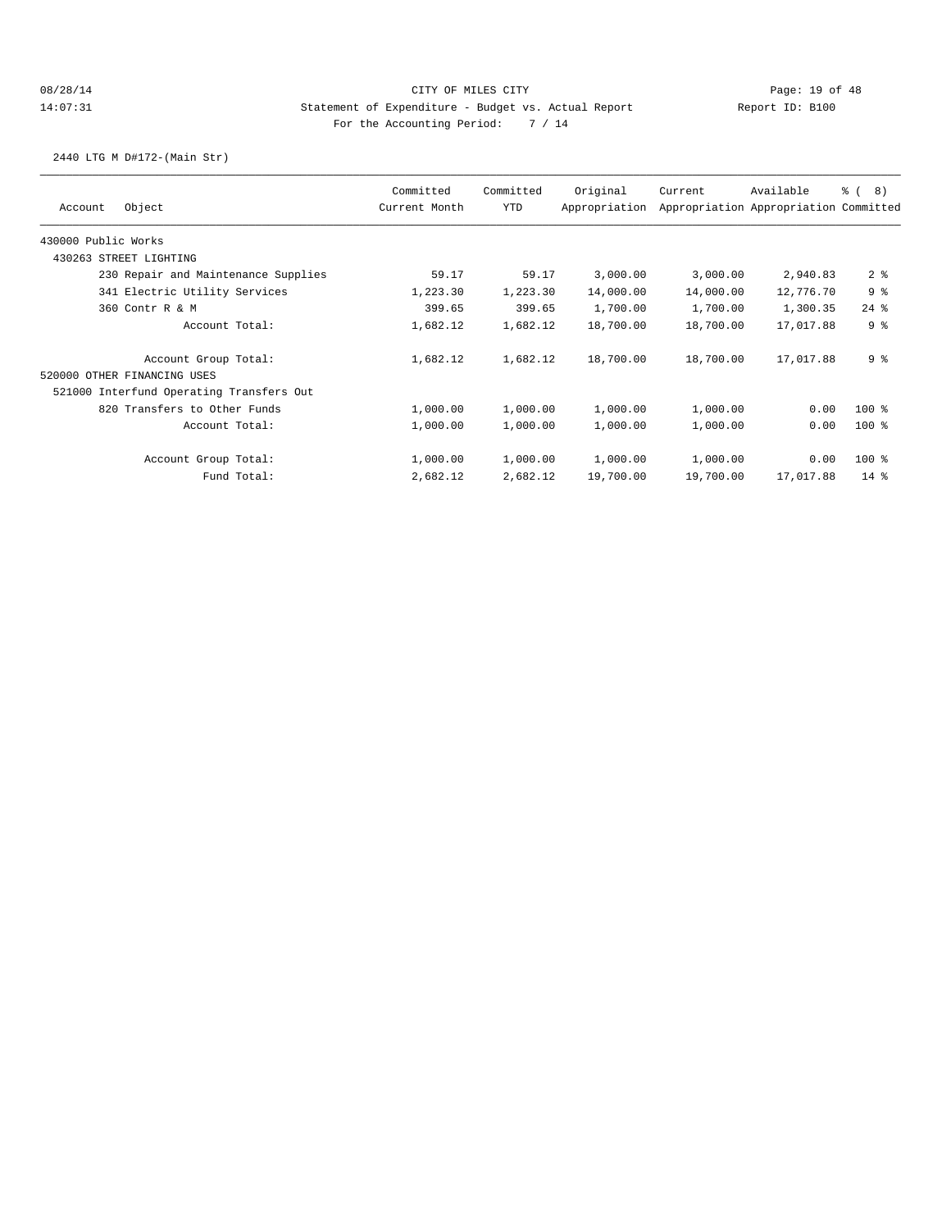2440 LTG M D#172-(Main Str)

|                                          | Committed     | Committed | Original      | Current   | Available                             | 8)<br>ී (      |
|------------------------------------------|---------------|-----------|---------------|-----------|---------------------------------------|----------------|
| Object<br>Account                        | Current Month | YTD       | Appropriation |           | Appropriation Appropriation Committed |                |
| 430000 Public Works                      |               |           |               |           |                                       |                |
| 430263 STREET LIGHTING                   |               |           |               |           |                                       |                |
| 230 Repair and Maintenance Supplies      | 59.17         | 59.17     | 3,000.00      | 3,000.00  | 2,940.83                              | 2 <sup>8</sup> |
| 341 Electric Utility Services            | 1,223.30      | 1,223.30  | 14,000.00     | 14,000.00 | 12,776.70                             | 9%             |
| 360 Contr R & M                          | 399.65        | 399.65    | 1,700.00      | 1,700.00  | 1,300.35                              | $24$ %         |
| Account Total:                           | 1,682.12      | 1,682.12  | 18,700.00     | 18,700.00 | 17,017.88                             | 9 <sup>°</sup> |
| Account Group Total:                     | 1,682.12      | 1,682.12  | 18,700.00     | 18,700.00 | 17,017.88                             | 9 <sup>°</sup> |
| 520000 OTHER FINANCING USES              |               |           |               |           |                                       |                |
| 521000 Interfund Operating Transfers Out |               |           |               |           |                                       |                |
| 820 Transfers to Other Funds             | 1,000.00      | 1,000.00  | 1,000.00      | 1,000.00  | 0.00                                  | $100$ %        |
| Account Total:                           | 1,000.00      | 1,000.00  | 1,000.00      | 1,000.00  | 0.00                                  | $100$ %        |
| Account Group Total:                     | 1,000.00      | 1,000.00  | 1,000.00      | 1,000.00  | 0.00                                  | $100$ %        |
| Fund Total:                              | 2,682.12      | 2,682.12  | 19,700.00     | 19,700.00 | 17,017.88                             | $14*$          |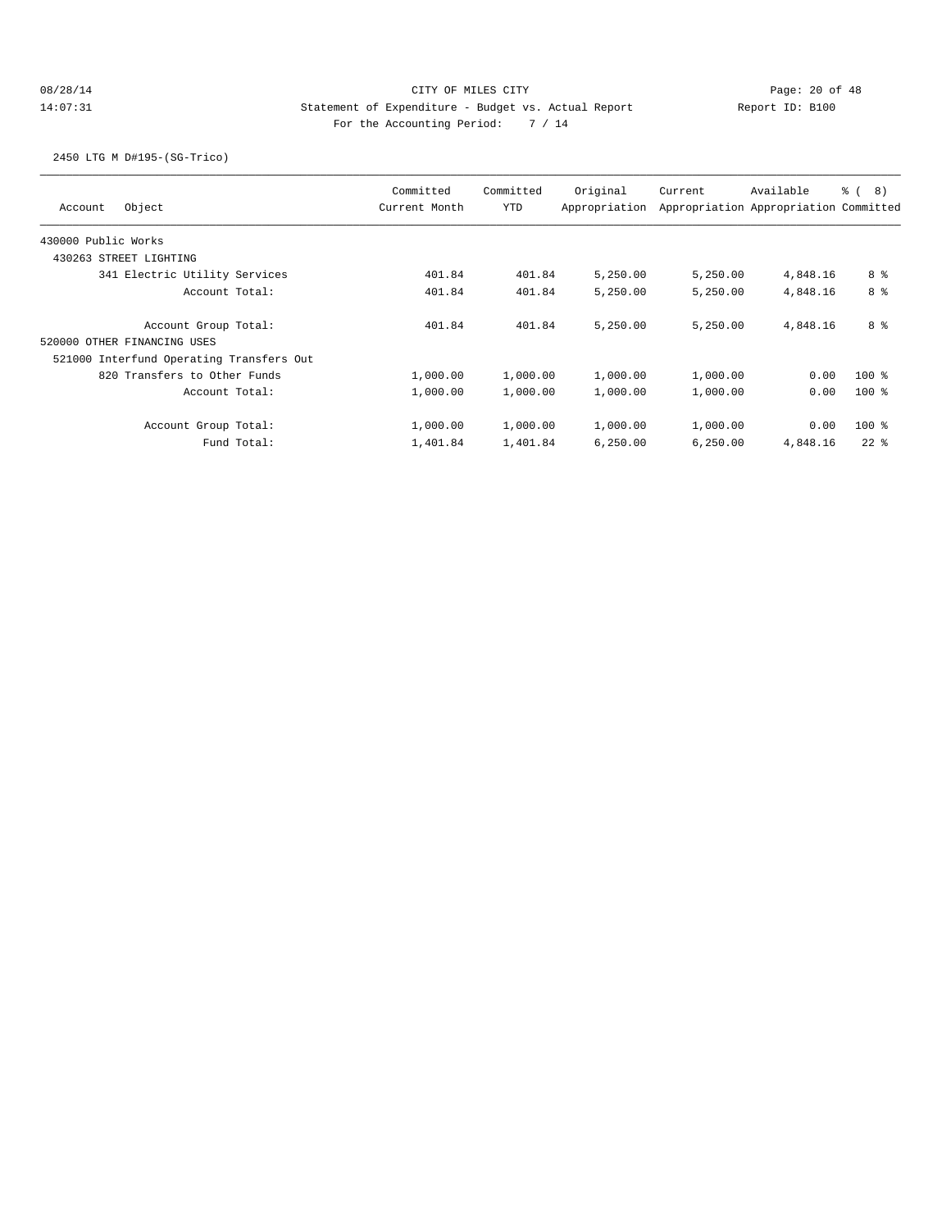## 08/28/14 Page: 20 of 48 14:07:31 Statement of Expenditure - Budget vs. Actual Report Changer Report ID: B100 For the Accounting Period: 7 / 14

2450 LTG M D#195-(SG-Trico)

| Object<br>Account                        | Committed<br>Current Month | Committed<br><b>YTD</b> | Original<br>Appropriation | Current  | Available<br>Appropriation Appropriation Committed | <sub>රි</sub> ( 8 ) |
|------------------------------------------|----------------------------|-------------------------|---------------------------|----------|----------------------------------------------------|---------------------|
| 430000 Public Works                      |                            |                         |                           |          |                                                    |                     |
| 430263 STREET LIGHTING                   |                            |                         |                           |          |                                                    |                     |
| 341 Electric Utility Services            | 401.84                     | 401.84                  | 5,250.00                  | 5,250.00 | 4,848.16                                           | 8 %                 |
| Account Total:                           | 401.84                     | 401.84                  | 5,250.00                  | 5,250.00 | 4,848.16                                           | 8 <sup>8</sup>      |
| Account Group Total:                     | 401.84                     | 401.84                  | 5,250.00                  | 5,250.00 | 4,848.16                                           | 8 %                 |
| 520000 OTHER FINANCING USES              |                            |                         |                           |          |                                                    |                     |
| 521000 Interfund Operating Transfers Out |                            |                         |                           |          |                                                    |                     |
| 820 Transfers to Other Funds             | 1,000.00                   | 1,000.00                | 1,000.00                  | 1,000.00 | 0.00                                               | $100*$              |
| Account Total:                           | 1,000.00                   | 1,000.00                | 1,000.00                  | 1,000.00 | 0.00                                               | $100$ %             |
| Account Group Total:                     | 1,000.00                   | 1,000.00                | 1,000.00                  | 1,000.00 | 0.00                                               | $100$ %             |
| Fund Total:                              | 1,401.84                   | 1,401.84                | 6,250.00                  | 6,250.00 | 4,848.16                                           | $22$ $%$            |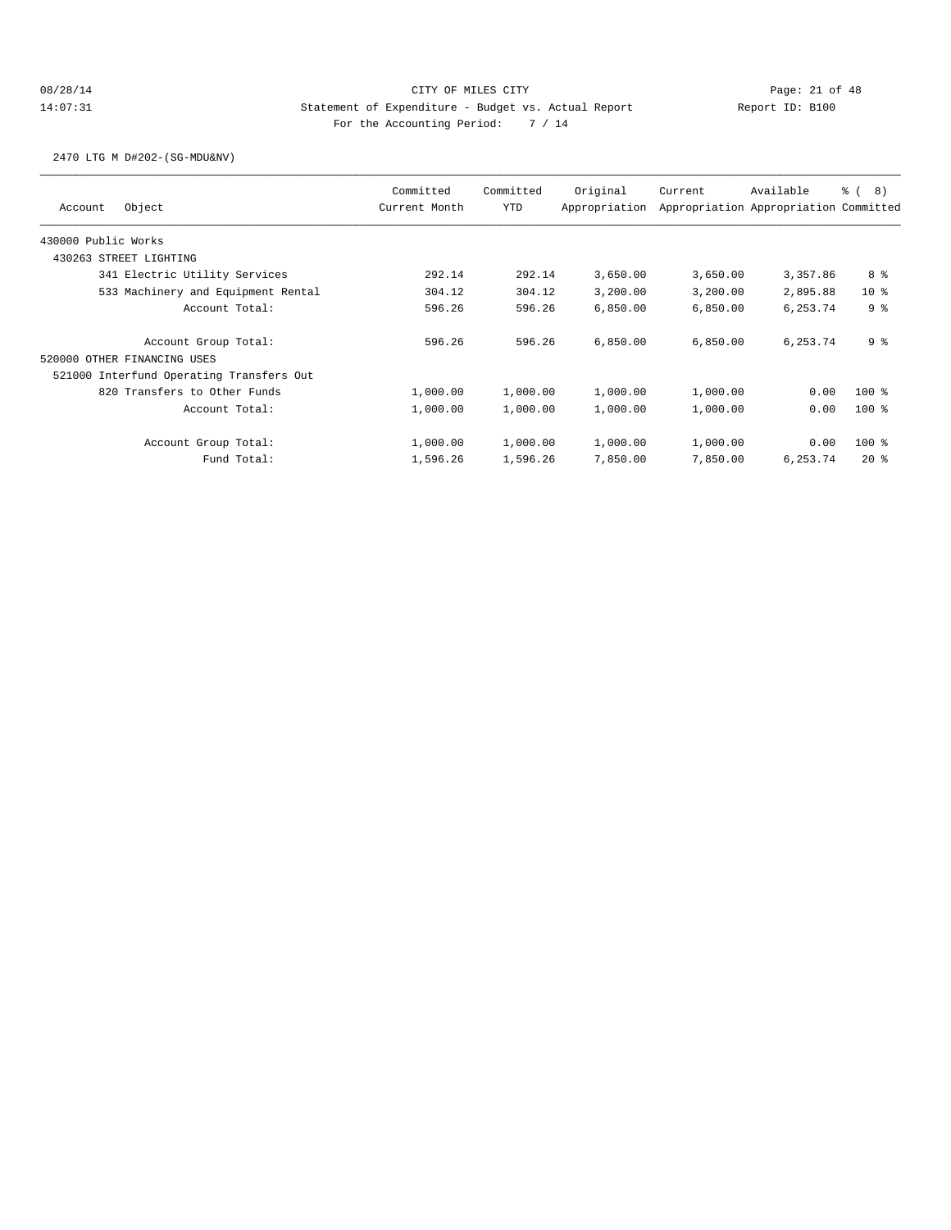2470 LTG M D#202-(SG-MDU&NV)

| Current<br>Appropriation | Available<br>Appropriation Appropriation Committed | <sub>රි</sub> ( 8 )                                                                          |
|--------------------------|----------------------------------------------------|----------------------------------------------------------------------------------------------|
|                          |                                                    |                                                                                              |
|                          |                                                    |                                                                                              |
|                          |                                                    |                                                                                              |
| 3,650.00                 | 3,357.86                                           | 8 %                                                                                          |
| 3,200.00                 | 2,895.88                                           | 10 <sub>8</sub>                                                                              |
| 6,850.00                 | 6,253.74                                           | 9 <sup>8</sup>                                                                               |
| 6,850.00                 | 6,253.74                                           | 9 <sup>8</sup>                                                                               |
|                          |                                                    |                                                                                              |
|                          |                                                    |                                                                                              |
| 1,000.00                 | 0.00                                               | $100$ %                                                                                      |
| 1,000.00                 | 0.00                                               | $100$ %                                                                                      |
| 1,000.00                 | 0.00                                               | $100$ %                                                                                      |
| 7,850.00                 | 6,253.74                                           | $20*$                                                                                        |
|                          |                                                    | 3,650.00<br>3,200.00<br>6,850.00<br>6,850.00<br>1,000.00<br>1,000.00<br>1,000.00<br>7,850.00 |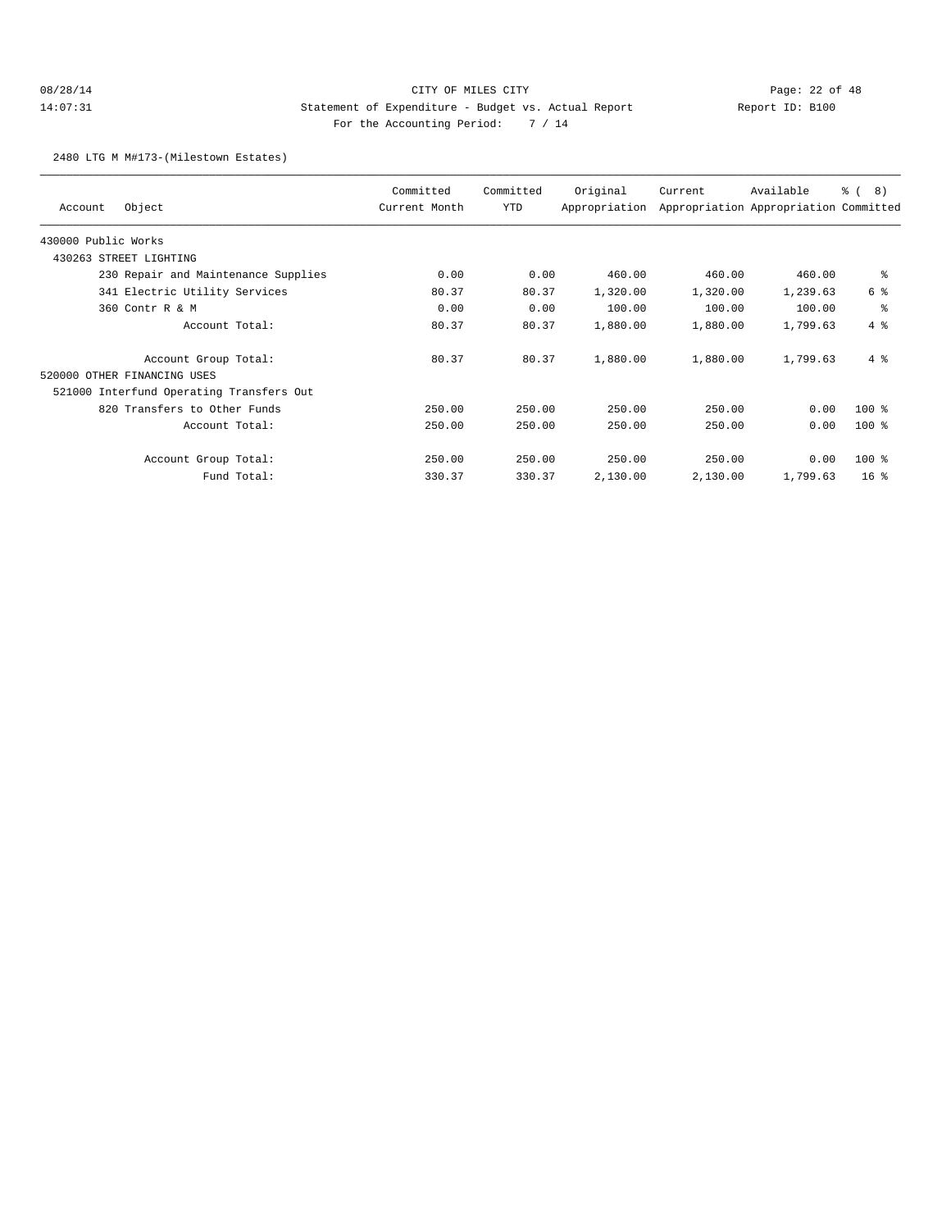## 08/28/14 Page: 22 of 48 14:07:31 Statement of Expenditure - Budget vs. Actual Report Changer Report ID: B100 For the Accounting Period: 7 / 14

2480 LTG M M#173-(Milestown Estates)

| Object<br>Account                        | Committed<br>Current Month | Committed<br>YTD | Original<br>Appropriation | Current  | Available<br>Appropriation Appropriation Committed | <u>ေ</u> (<br>8) |
|------------------------------------------|----------------------------|------------------|---------------------------|----------|----------------------------------------------------|------------------|
| 430000 Public Works                      |                            |                  |                           |          |                                                    |                  |
| STREET LIGHTING<br>430263                |                            |                  |                           |          |                                                    |                  |
| 230 Repair and Maintenance Supplies      | 0.00                       | 0.00             | 460.00                    | 460.00   | 460.00                                             | နွ               |
| 341 Electric Utility Services            | 80.37                      | 80.37            | 1,320.00                  | 1,320.00 | 1,239.63                                           | 6 %              |
| 360 Contr R & M                          | 0.00                       | 0.00             | 100.00                    | 100.00   | 100.00                                             | နွ               |
| Account Total:                           | 80.37                      | 80.37            | 1,880.00                  | 1,880.00 | 1,799.63                                           | $4\degree$       |
| Account Group Total:                     | 80.37                      | 80.37            | 1,880.00                  | 1,880.00 | 1,799.63                                           | $4\degree$       |
| 520000 OTHER FINANCING USES              |                            |                  |                           |          |                                                    |                  |
| 521000 Interfund Operating Transfers Out |                            |                  |                           |          |                                                    |                  |
| 820 Transfers to Other Funds             | 250.00                     | 250.00           | 250.00                    | 250.00   | 0.00                                               | $100$ %          |
| Account Total:                           | 250.00                     | 250.00           | 250.00                    | 250.00   | 0.00                                               | $100$ %          |
| Account Group Total:                     | 250.00                     | 250.00           | 250.00                    | 250.00   | 0.00                                               | $100$ %          |
| Fund Total:                              | 330.37                     | 330.37           | 2,130.00                  | 2,130.00 | 1,799.63                                           | 16 <sup>8</sup>  |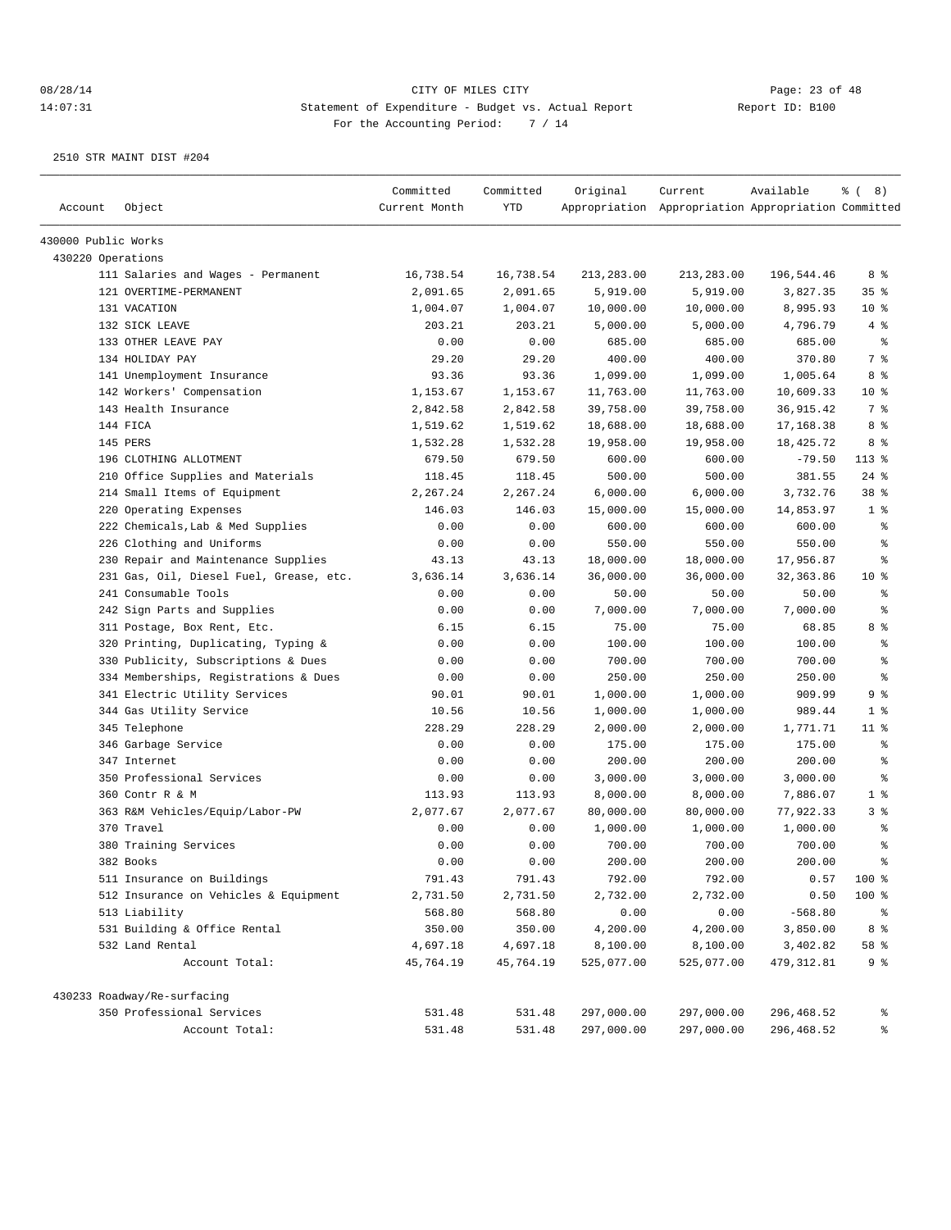| Account             | Object                                  | Committed<br>Current Month | Committed<br><b>YTD</b> | Original   | Current<br>Appropriation Appropriation Appropriation Committed | Available   | $\frac{6}{6}$ ( 8) |
|---------------------|-----------------------------------------|----------------------------|-------------------------|------------|----------------------------------------------------------------|-------------|--------------------|
| 430000 Public Works |                                         |                            |                         |            |                                                                |             |                    |
| 430220 Operations   |                                         |                            |                         |            |                                                                |             |                    |
|                     | 111 Salaries and Wages - Permanent      | 16,738.54                  | 16,738.54               | 213,283.00 | 213,283.00                                                     | 196,544.46  | 8 %                |
|                     | 121 OVERTIME-PERMANENT                  | 2,091.65                   | 2,091.65                | 5,919.00   | 5,919.00                                                       | 3,827.35    | 35 <sup>8</sup>    |
|                     | 131 VACATION                            | 1,004.07                   | 1,004.07                | 10,000.00  | 10,000.00                                                      | 8,995.93    | $10*$              |
|                     | 132 SICK LEAVE                          | 203.21                     | 203.21                  | 5,000.00   | 5,000.00                                                       | 4,796.79    | 4%                 |
|                     | 133 OTHER LEAVE PAY                     | 0.00                       | 0.00                    | 685.00     | 685.00                                                         | 685.00      | $\epsilon$         |
|                     | 134 HOLIDAY PAY                         | 29.20                      | 29.20                   | 400.00     | 400.00                                                         | 370.80      | 7 %                |
|                     | 141 Unemployment Insurance              | 93.36                      | 93.36                   | 1,099.00   | 1,099.00                                                       | 1,005.64    | 8 %                |
|                     | 142 Workers' Compensation               | 1,153.67                   | 1,153.67                | 11,763.00  | 11,763.00                                                      | 10,609.33   | $10*$              |
|                     | 143 Health Insurance                    | 2,842.58                   | 2,842.58                | 39,758.00  | 39,758.00                                                      | 36, 915.42  | 7 %                |
|                     | 144 FICA                                | 1,519.62                   | 1,519.62                | 18,688.00  | 18,688.00                                                      | 17,168.38   | 8 %                |
|                     | 145 PERS                                | 1,532.28                   | 1,532.28                | 19,958.00  | 19,958.00                                                      | 18,425.72   | 8 %                |
|                     | 196 CLOTHING ALLOTMENT                  | 679.50                     | 679.50                  | 600.00     | 600.00                                                         | $-79.50$    | 113 %              |
|                     | 210 Office Supplies and Materials       | 118.45                     | 118.45                  | 500.00     | 500.00                                                         | 381.55      | $24$ %             |
|                     | 214 Small Items of Equipment            | 2,267.24                   | 2,267.24                | 6,000.00   | 6,000.00                                                       | 3,732.76    | 38 %               |
|                     | 220 Operating Expenses                  | 146.03                     | 146.03                  | 15,000.00  | 15,000.00                                                      | 14,853.97   | 1 <sup>8</sup>     |
|                     | 222 Chemicals, Lab & Med Supplies       | 0.00                       | 0.00                    | 600.00     | 600.00                                                         | 600.00      | န္                 |
|                     | 226 Clothing and Uniforms               | 0.00                       | 0.00                    | 550.00     | 550.00                                                         | 550.00      | န္                 |
|                     | 230 Repair and Maintenance Supplies     | 43.13                      | 43.13                   | 18,000.00  | 18,000.00                                                      | 17,956.87   | ి                  |
|                     | 231 Gas, Oil, Diesel Fuel, Grease, etc. | 3,636.14                   | 3,636.14                | 36,000.00  | 36,000.00                                                      | 32,363.86   | $10*$              |
|                     | 241 Consumable Tools                    | 0.00                       | 0.00                    | 50.00      | 50.00                                                          | 50.00       | နွ                 |
|                     | 242 Sign Parts and Supplies             | 0.00                       | 0.00                    | 7,000.00   | 7,000.00                                                       | 7,000.00    | ి                  |
|                     | 311 Postage, Box Rent, Etc.             | 6.15                       | 6.15                    | 75.00      | 75.00                                                          | 68.85       | 8 %                |
|                     | 320 Printing, Duplicating, Typing &     | 0.00                       | 0.00                    | 100.00     | 100.00                                                         | 100.00      | နွ                 |
|                     | 330 Publicity, Subscriptions & Dues     | 0.00                       | 0.00                    | 700.00     | 700.00                                                         | 700.00      | န္                 |
|                     | 334 Memberships, Registrations & Dues   | 0.00                       | 0.00                    | 250.00     | 250.00                                                         | 250.00      | န္                 |
|                     | 341 Electric Utility Services           | 90.01                      | 90.01                   | 1,000.00   | 1,000.00                                                       | 909.99      | 9 %                |
|                     | 344 Gas Utility Service                 | 10.56                      | 10.56                   | 1,000.00   | 1,000.00                                                       | 989.44      | 1 <sup>°</sup>     |
|                     | 345 Telephone                           | 228.29                     | 228.29                  | 2,000.00   | 2,000.00                                                       | 1,771.71    | $11$ %             |
|                     | 346 Garbage Service                     | 0.00                       | 0.00                    | 175.00     | 175.00                                                         | 175.00      | နွ                 |
|                     | 347 Internet                            | 0.00                       | 0.00                    | 200.00     | 200.00                                                         | 200.00      | ి                  |
|                     | 350 Professional Services               | 0.00                       | 0.00                    | 3,000.00   | 3,000.00                                                       | 3,000.00    | ి                  |
|                     | 360 Contr R & M                         | 113.93                     | 113.93                  | 8,000.00   | 8,000.00                                                       | 7,886.07    | 1 <sup>°</sup>     |
|                     | 363 R&M Vehicles/Equip/Labor-PW         | 2,077.67                   | 2,077.67                | 80,000.00  | 80,000.00                                                      | 77,922.33   | 3%                 |
|                     | 370 Travel                              | 0.00                       | 0.00                    | 1,000.00   | 1,000.00                                                       | 1,000.00    | နွ                 |
|                     | 380 Training Services                   | 0.00                       | 0.00                    | 700.00     | 700.00                                                         | 700.00      | န္                 |
|                     | 382 Books                               | 0.00                       | 0.00                    | 200.00     | 200.00                                                         | 200.00      | န္                 |
|                     | 511 Insurance on Buildings              | 791.43                     | 791.43                  | 792.00     | 792.00                                                         | 0.57        | 100 %              |
|                     | 512 Insurance on Vehicles & Equipment   | 2,731.50                   | 2,731.50                | 2,732.00   | 2,732.00                                                       | 0.50        | 100 %              |
|                     | 513 Liability                           | 568.80                     | 568.80                  | 0.00       | 0.00                                                           | $-568.80$   | ಿ                  |
|                     | 531 Building & Office Rental            | 350.00                     | 350.00                  | 4,200.00   | 4,200.00                                                       | 3,850.00    | 8 %                |
|                     | 532 Land Rental                         | 4,697.18                   | 4,697.18                | 8,100.00   | 8,100.00                                                       | 3,402.82    | 58 %               |
|                     | Account Total:                          | 45,764.19                  | 45,764.19               | 525,077.00 | 525,077.00                                                     | 479, 312.81 | 9%                 |
|                     | 430233 Roadway/Re-surfacing             |                            |                         |            |                                                                |             |                    |
|                     | 350 Professional Services               | 531.48                     | 531.48                  | 297,000.00 | 297,000.00                                                     | 296,468.52  | ိင                 |
|                     | Account Total:                          | 531.48                     | 531.48                  | 297,000.00 | 297,000.00                                                     | 296,468.52  | ి                  |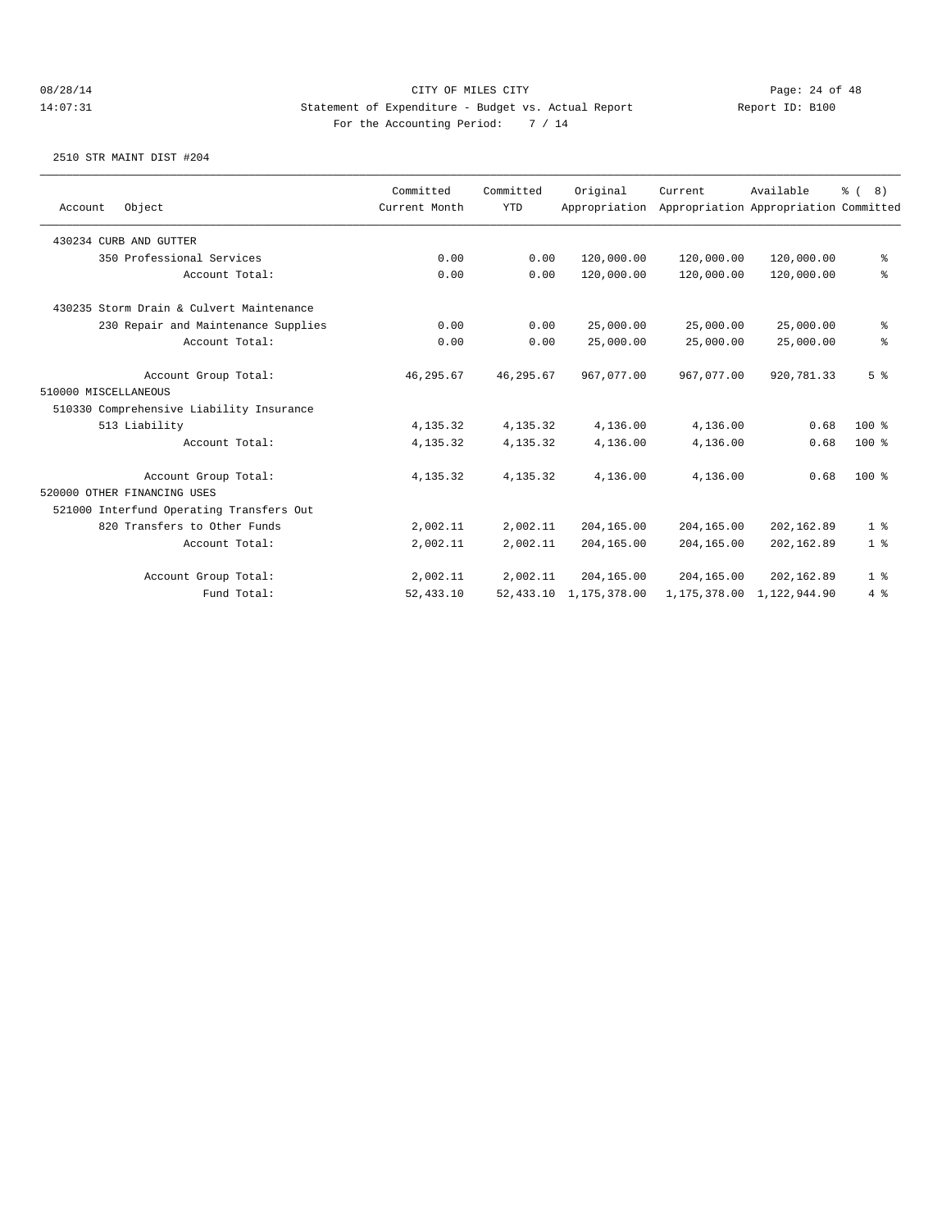08/28/14 Page: 24 of 48 14:07:31 Statement of Expenditure - Budget vs. Actual Report Changery Report ID: B100 For the Accounting Period: 7 / 14

|                      |                                          | Committed     | Committed  | Original      | Current      | Available                             | % (8) |                |
|----------------------|------------------------------------------|---------------|------------|---------------|--------------|---------------------------------------|-------|----------------|
| Account              | Object                                   | Current Month | <b>YTD</b> | Appropriation |              | Appropriation Appropriation Committed |       |                |
|                      | 430234 CURB AND GUTTER                   |               |            |               |              |                                       |       |                |
|                      | 350 Professional Services                | 0.00          | 0.00       | 120,000.00    | 120,000.00   | 120,000.00                            |       | $\epsilon$     |
|                      | Account Total:                           | 0.00          | 0.00       | 120,000.00    | 120,000.00   | 120,000.00                            |       | န္             |
|                      | 430235 Storm Drain & Culvert Maintenance |               |            |               |              |                                       |       |                |
|                      | 230 Repair and Maintenance Supplies      | 0.00          | 0.00       | 25,000.00     | 25,000.00    | 25,000.00                             |       | ್ಠಿ            |
|                      | Account Total:                           | 0.00          | 0.00       | 25,000.00     | 25,000.00    | 25,000.00                             |       | $\epsilon$     |
|                      | Account Group Total:                     | 46,295.67     | 46, 295.67 | 967,077.00    | 967,077.00   | 920,781.33                            |       | 5 <sup>8</sup> |
| 510000 MISCELLANEOUS |                                          |               |            |               |              |                                       |       |                |
|                      | 510330 Comprehensive Liability Insurance |               |            |               |              |                                       |       |                |
|                      | 513 Liability                            | 4,135.32      | 4, 135.32  | 4,136.00      | 4,136.00     | 0.68                                  |       | $100*$         |
|                      | Account Total:                           | 4,135.32      | 4,135.32   | 4,136.00      | 4,136.00     | 0.68                                  |       | $100$ %        |
|                      | Account Group Total:                     | 4,135.32      | 4, 135.32  | 4,136.00      | 4,136.00     | 0.68                                  |       | $100*$         |
|                      | 520000 OTHER FINANCING USES              |               |            |               |              |                                       |       |                |
|                      | 521000 Interfund Operating Transfers Out |               |            |               |              |                                       |       |                |
|                      | 820 Transfers to Other Funds             | 2,002.11      | 2,002.11   | 204,165.00    | 204,165.00   | 202,162.89                            |       | 1 <sup>°</sup> |
|                      | Account Total:                           | 2,002.11      | 2,002.11   | 204,165.00    | 204,165.00   | 202,162.89                            |       | 1 <sup>8</sup> |
|                      | Account Group Total:                     | 2,002.11      | 2,002.11   | 204,165.00    | 204,165.00   | 202,162.89                            |       | 1 <sup>8</sup> |
|                      | Fund Total:                              | 52, 433.10    | 52,433.10  | 1,175,378.00  | 1,175,378.00 | 1,122,944.90                          |       | 4%             |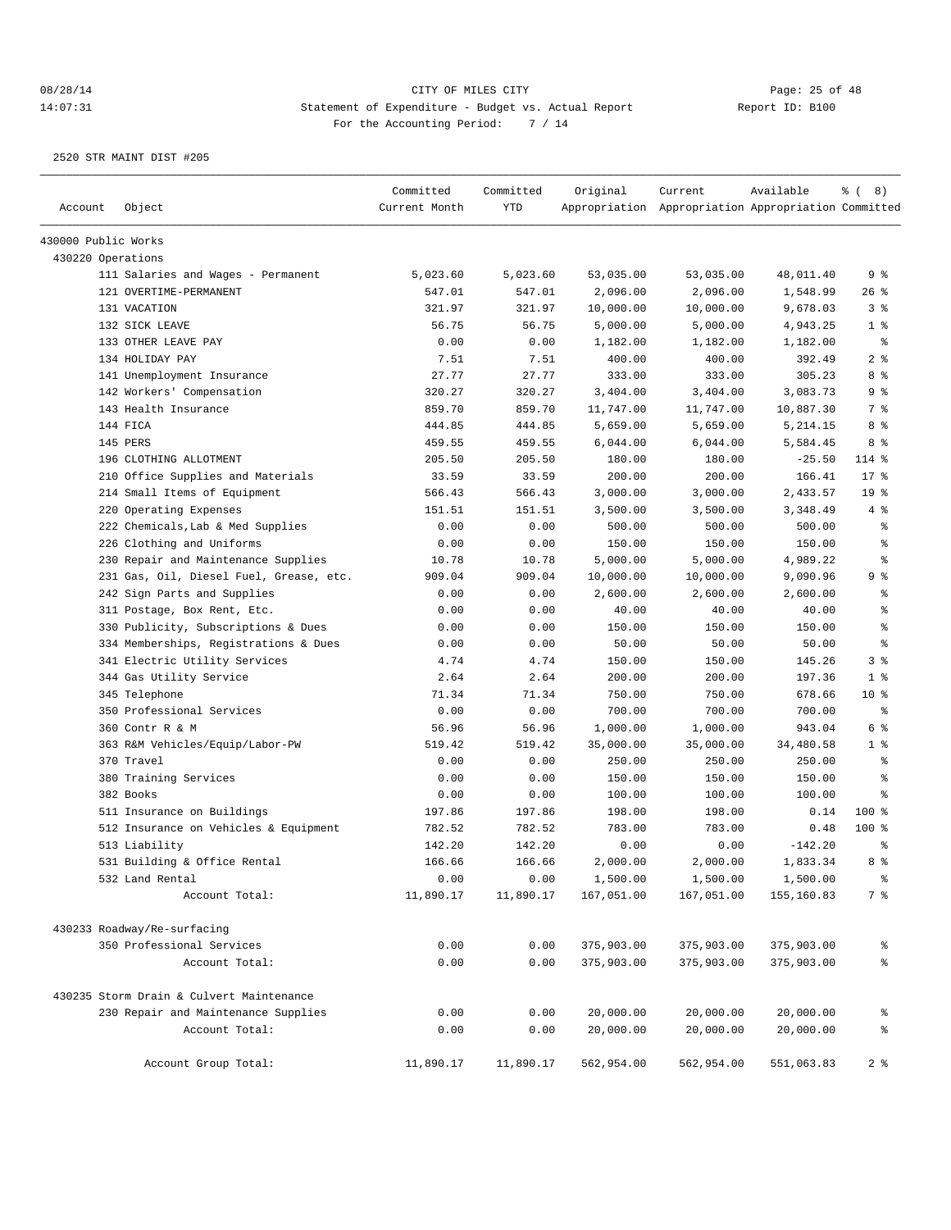|                     |                                          | Committed     | Committed | Original   | Current                                             | Available  | $\frac{6}{6}$ ( 8)                       |
|---------------------|------------------------------------------|---------------|-----------|------------|-----------------------------------------------------|------------|------------------------------------------|
| Account             | Object                                   | Current Month | YTD       |            | Appropriation Appropriation Appropriation Committed |            |                                          |
| 430000 Public Works |                                          |               |           |            |                                                     |            |                                          |
| 430220 Operations   |                                          |               |           |            |                                                     |            |                                          |
|                     | 111 Salaries and Wages - Permanent       | 5,023.60      | 5,023.60  | 53,035.00  | 53,035.00                                           | 48,011.40  | 9 %                                      |
|                     | 121 OVERTIME-PERMANENT                   | 547.01        | 547.01    | 2,096.00   | 2,096.00                                            | 1,548.99   | $26$ %                                   |
|                     | 131 VACATION                             | 321.97        | 321.97    | 10,000.00  | 10,000.00                                           | 9,678.03   | 3%                                       |
|                     | 132 SICK LEAVE                           | 56.75         | 56.75     | 5,000.00   | 5,000.00                                            | 4,943.25   | 1 <sup>8</sup>                           |
|                     | 133 OTHER LEAVE PAY                      | 0.00          | 0.00      | 1,182.00   | 1,182.00                                            | 1,182.00   | နွ                                       |
|                     | 134 HOLIDAY PAY                          | 7.51          | 7.51      | 400.00     | 400.00                                              | 392.49     | 2 <sup>8</sup>                           |
|                     | 141 Unemployment Insurance               | 27.77         | 27.77     | 333.00     | 333.00                                              | 305.23     | 8%                                       |
|                     | 142 Workers' Compensation                | 320.27        | 320.27    | 3,404.00   | 3,404.00                                            | 3,083.73   | 9%                                       |
|                     | 143 Health Insurance                     | 859.70        | 859.70    | 11,747.00  | 11,747.00                                           | 10,887.30  | 7 %                                      |
|                     | 144 FICA                                 | 444.85        | 444.85    | 5,659.00   | 5,659.00                                            | 5,214.15   | 8%                                       |
|                     | 145 PERS                                 | 459.55        | 459.55    | 6,044.00   | 6,044.00                                            | 5,584.45   | 8 %                                      |
|                     | 196 CLOTHING ALLOTMENT                   | 205.50        | 205.50    | 180.00     | 180.00                                              | $-25.50$   | 114 %                                    |
|                     | 210 Office Supplies and Materials        | 33.59         | 33.59     | 200.00     | 200.00                                              | 166.41     | 17 <sup>°</sup>                          |
|                     | 214 Small Items of Equipment             | 566.43        | 566.43    | 3,000.00   | 3,000.00                                            | 2,433.57   | 19 <sup>°</sup>                          |
|                     | 220 Operating Expenses                   | 151.51        | 151.51    | 3,500.00   | 3,500.00                                            | 3,348.49   | 4%                                       |
|                     | 222 Chemicals, Lab & Med Supplies        | 0.00          | 0.00      | 500.00     | 500.00                                              | 500.00     | နွ                                       |
|                     | 226 Clothing and Uniforms                | 0.00          | 0.00      | 150.00     | 150.00                                              | 150.00     | $\epsilon$                               |
|                     | 230 Repair and Maintenance Supplies      | 10.78         | 10.78     | 5,000.00   | 5,000.00                                            | 4,989.22   | ៖                                        |
|                     | 231 Gas, Oil, Diesel Fuel, Grease, etc.  | 909.04        | 909.04    | 10,000.00  | 10,000.00                                           | 9,090.96   | 9%                                       |
|                     | 242 Sign Parts and Supplies              | 0.00          | 0.00      | 2,600.00   | 2,600.00                                            | 2,600.00   | နွ                                       |
|                     | 311 Postage, Box Rent, Etc.              | 0.00          | 0.00      | 40.00      | 40.00                                               | 40.00      | နွ                                       |
|                     | 330 Publicity, Subscriptions & Dues      | 0.00          | 0.00      | 150.00     | 150.00                                              | 150.00     | $\, \raisebox{0.6ex}{\scriptsize{*}} \,$ |
|                     | 334 Memberships, Registrations & Dues    | 0.00          | 0.00      | 50.00      | 50.00                                               | 50.00      | ៖                                        |
|                     | 341 Electric Utility Services            | 4.74          | 4.74      | 150.00     | 150.00                                              | 145.26     | 3%                                       |
|                     | 344 Gas Utility Service                  | 2.64          | 2.64      | 200.00     | 200.00                                              | 197.36     | 1 <sup>°</sup>                           |
|                     | 345 Telephone                            | 71.34         | 71.34     | 750.00     | 750.00                                              | 678.66     | $10*$                                    |
|                     | 350 Professional Services                | 0.00          | 0.00      | 700.00     | 700.00                                              | 700.00     | နွ                                       |
|                     | 360 Contr R & M                          | 56.96         | 56.96     | 1,000.00   | 1,000.00                                            | 943.04     | 6 %                                      |
|                     | 363 R&M Vehicles/Equip/Labor-PW          | 519.42        | 519.42    | 35,000.00  | 35,000.00                                           | 34,480.58  | 1 <sup>8</sup>                           |
|                     | 370 Travel                               | 0.00          | 0.00      | 250.00     | 250.00                                              | 250.00     | နွ                                       |
|                     | 380 Training Services                    | 0.00          | 0.00      | 150.00     | 150.00                                              | 150.00     | ి                                        |
|                     | 382 Books                                | 0.00          | 0.00      | 100.00     | 100.00                                              | 100.00     | ి                                        |
|                     | 511 Insurance on Buildings               | 197.86        | 197.86    | 198.00     | 198.00                                              | 0.14       | 100 %                                    |
|                     | 512 Insurance on Vehicles & Equipment    | 782.52        | 782.52    | 783.00     | 783.00                                              | 0.48       | 100 %                                    |
|                     | 513 Liability                            | 142.20        | 142.20    | 0.00       | 0.00                                                | $-142.20$  | နွ                                       |
|                     | 531 Building & Office Rental             | 166.66        | 166.66    | 2,000.00   | 2,000.00                                            | 1,833.34   | 8 %                                      |
|                     | 532 Land Rental                          | 0.00          | 0.00      | 1,500.00   | 1,500.00                                            | 1,500.00   | $\frac{6}{9}$                            |
|                     | Account Total:                           | 11,890.17     | 11,890.17 | 167,051.00 | 167,051.00                                          | 155,160.83 | 7 %                                      |
|                     |                                          |               |           |            |                                                     |            |                                          |
|                     | 430233 Roadway/Re-surfacing              |               |           |            |                                                     |            |                                          |
|                     | 350 Professional Services                | 0.00          | 0.00      | 375,903.00 | 375,903.00                                          | 375,903.00 | ್ಠಿ                                      |
|                     | Account Total:                           | 0.00          | 0.00      | 375,903.00 | 375,903.00                                          | 375,903.00 | $\rm ^{o}$                               |
|                     | 430235 Storm Drain & Culvert Maintenance |               |           |            |                                                     |            |                                          |
|                     | 230 Repair and Maintenance Supplies      | 0.00          | 0.00      | 20,000.00  | 20,000.00                                           | 20,000.00  | ಕಿ                                       |
|                     | Account Total:                           | 0.00          | 0.00      | 20,000.00  | 20,000.00                                           | 20,000.00  | $\frac{6}{3}$                            |
|                     | Account Group Total:                     | 11,890.17     | 11,890.17 | 562,954.00 | 562,954.00                                          | 551,063.83 | 2 <sup>8</sup>                           |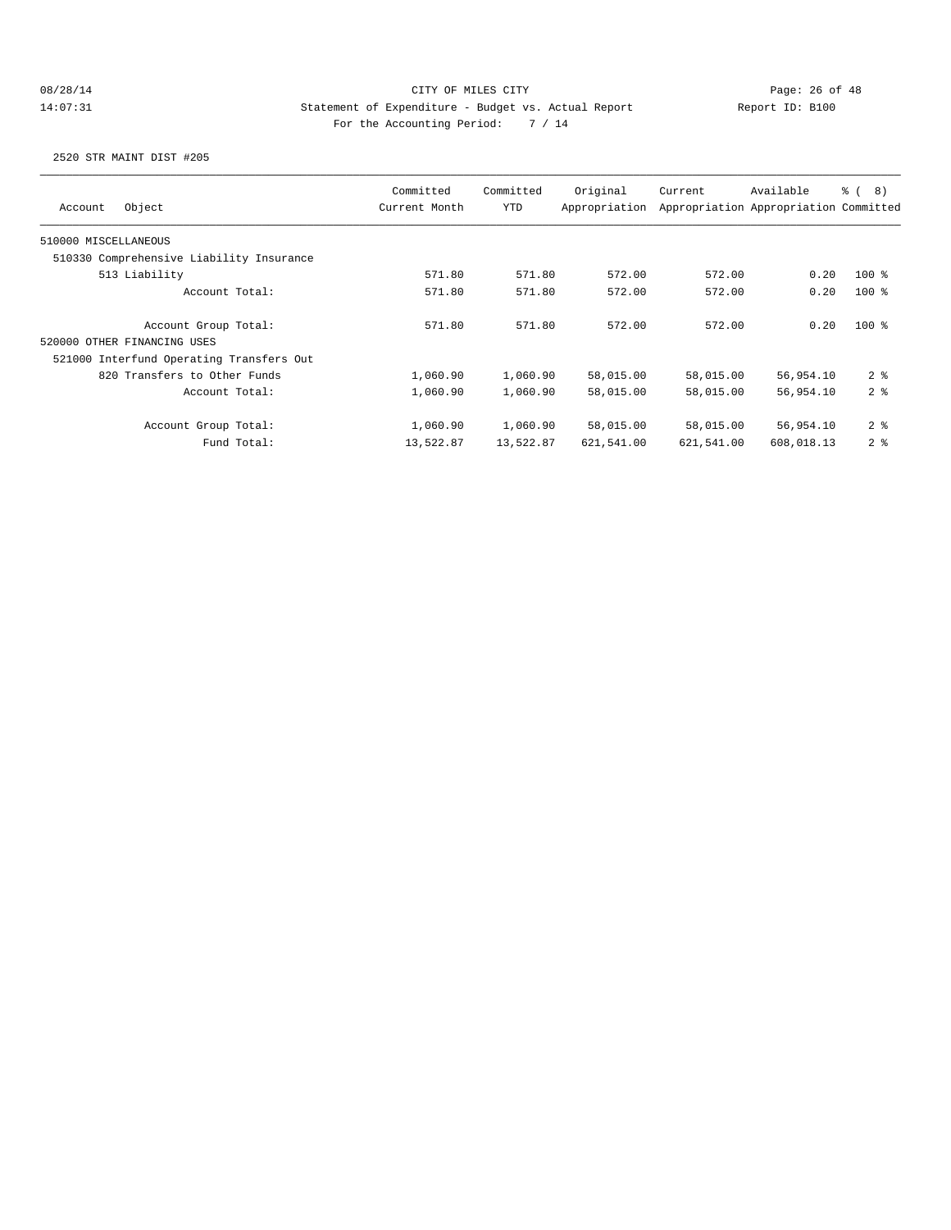| Object<br>Account                        | Committed<br>Current Month | Committed<br><b>YTD</b> | Original<br>Appropriation | Current    | Available<br>Appropriation Appropriation Committed | <u> ද</u> ි ( 8 ) |
|------------------------------------------|----------------------------|-------------------------|---------------------------|------------|----------------------------------------------------|-------------------|
| 510000 MISCELLANEOUS                     |                            |                         |                           |            |                                                    |                   |
| 510330 Comprehensive Liability Insurance |                            |                         |                           |            |                                                    |                   |
| 513 Liability                            | 571.80                     | 571.80                  | 572.00                    | 572.00     | 0.20                                               | $100*$            |
| Account Total:                           | 571.80                     | 571.80                  | 572.00                    | 572.00     | 0.20                                               | $100*$            |
| Account Group Total:                     | 571.80                     | 571.80                  | 572.00                    | 572.00     | 0.20                                               | $100*$            |
| 520000 OTHER FINANCING USES              |                            |                         |                           |            |                                                    |                   |
| 521000 Interfund Operating Transfers Out |                            |                         |                           |            |                                                    |                   |
| 820 Transfers to Other Funds             | 1,060.90                   | 1,060.90                | 58,015.00                 | 58,015.00  | 56,954.10                                          | 2 <sub>8</sub>    |
| Account Total:                           | 1,060.90                   | 1,060.90                | 58,015.00                 | 58,015.00  | 56,954.10                                          | 2 <sup>8</sup>    |
| Account Group Total:                     | 1,060.90                   | 1,060.90                | 58,015.00                 | 58,015.00  | 56,954.10                                          | 2 <sup>8</sup>    |
| Fund Total:                              | 13,522.87                  | 13,522.87               | 621,541.00                | 621,541.00 | 608,018.13                                         | 2 <sup>8</sup>    |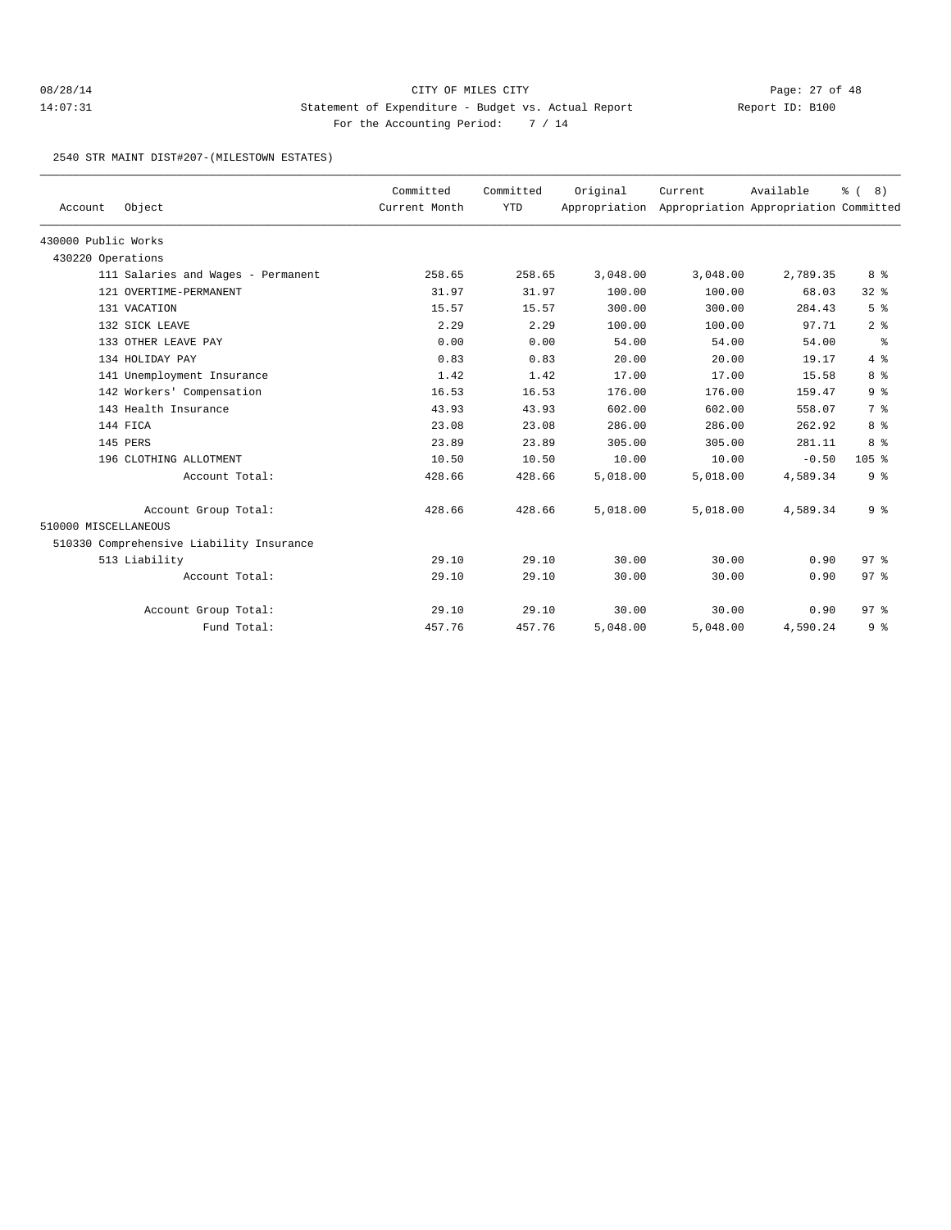## 08/28/14 Page: 27 of 48 14:07:31 Statement of Expenditure - Budget vs. Actual Report Changery Report ID: B100 For the Accounting Period: 7 / 14

2540 STR MAINT DIST#207-(MILESTOWN ESTATES)

| Account              | Object                                   | Committed<br>Current Month | Committed<br><b>YTD</b> | Original<br>Appropriation | Current  | Available<br>Appropriation Appropriation Committed | % (8)           |
|----------------------|------------------------------------------|----------------------------|-------------------------|---------------------------|----------|----------------------------------------------------|-----------------|
| 430000 Public Works  |                                          |                            |                         |                           |          |                                                    |                 |
| 430220 Operations    |                                          |                            |                         |                           |          |                                                    |                 |
|                      | 111 Salaries and Wages - Permanent       | 258.65                     | 258.65                  | 3,048.00                  | 3,048.00 | 2,789.35                                           | 8 %             |
|                      | 121 OVERTIME-PERMANENT                   | 31.97                      | 31.97                   | 100.00                    | 100.00   | 68.03                                              | 328             |
|                      | 131 VACATION                             | 15.57                      | 15.57                   | 300.00                    | 300.00   | 284.43                                             | 5 <sup>°</sup>  |
|                      | 132 SICK LEAVE                           | 2.29                       | 2.29                    | 100.00                    | 100.00   | 97.71                                              | 2 <sup>8</sup>  |
|                      | 133 OTHER LEAVE PAY                      | 0.00                       | 0.00                    | 54.00                     | 54.00    | 54.00                                              | နွ              |
|                      | 134 HOLIDAY PAY                          | 0.83                       | 0.83                    | 20.00                     | 20.00    | 19.17                                              | 4%              |
|                      | 141 Unemployment Insurance               | 1.42                       | 1.42                    | 17.00                     | 17.00    | 15.58                                              | 8 %             |
|                      | 142 Workers' Compensation                | 16.53                      | 16.53                   | 176.00                    | 176.00   | 159.47                                             | 9 <sup>°</sup>  |
|                      | 143 Health Insurance                     | 43.93                      | 43.93                   | 602.00                    | 602.00   | 558.07                                             | 7 %             |
|                      | 144 FICA                                 | 23.08                      | 23.08                   | 286.00                    | 286.00   | 262.92                                             | 8 %             |
|                      | 145 PERS                                 | 23.89                      | 23.89                   | 305.00                    | 305.00   | 281.11                                             | 8 %             |
|                      | 196 CLOTHING ALLOTMENT                   | 10.50                      | 10.50                   | 10.00                     | 10.00    | $-0.50$                                            | $105$ %         |
|                      | Account Total:                           | 428.66                     | 428.66                  | 5,018.00                  | 5,018.00 | 4,589.34                                           | 9 <sup>°</sup>  |
|                      | Account Group Total:                     | 428.66                     | 428.66                  | 5,018.00                  | 5,018.00 | 4,589.34                                           | 9 <sup>°</sup>  |
| 510000 MISCELLANEOUS |                                          |                            |                         |                           |          |                                                    |                 |
|                      | 510330 Comprehensive Liability Insurance |                            |                         |                           |          |                                                    |                 |
|                      | 513 Liability                            | 29.10                      | 29.10                   | 30.00                     | 30.00    | 0.90                                               | 97 <sub>8</sub> |
|                      | Account Total:                           | 29.10                      | 29.10                   | 30.00                     | 30.00    | 0.90                                               | 97 <sub>8</sub> |
|                      | Account Group Total:                     | 29.10                      | 29.10                   | 30.00                     | 30.00    | 0.90                                               | 97 <sup>8</sup> |
|                      | Fund Total:                              | 457.76                     | 457.76                  | 5,048.00                  | 5,048.00 | 4,590.24                                           | 9%              |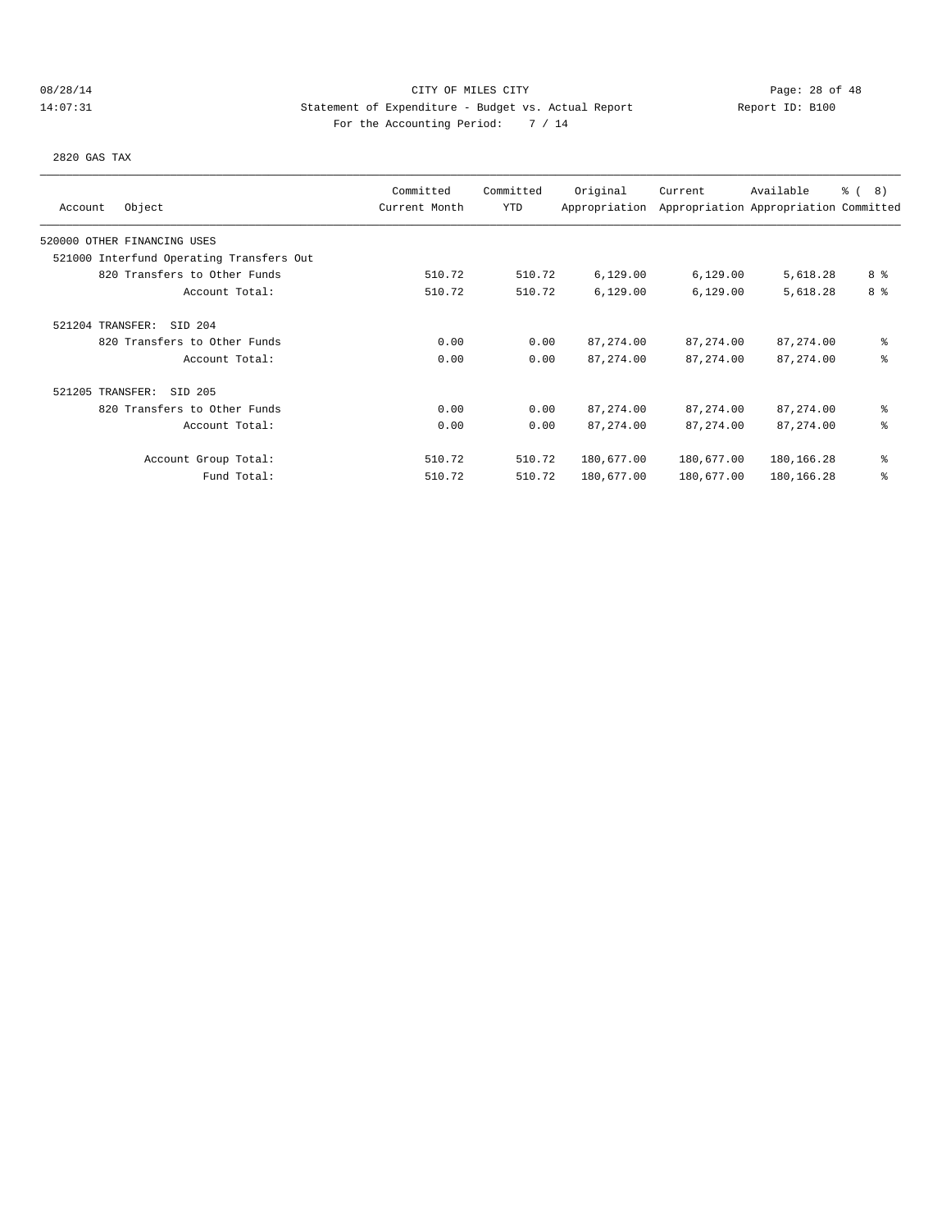# 08/28/14 Page: 28 of 48 14:07:31 Statement of Expenditure - Budget vs. Actual Report Changery Report ID: B100 For the Accounting Period: 7 / 14

2820 GAS TAX

| Object<br>Account                        | Committed<br>Current Month | Committed<br><b>YTD</b> | Original<br>Appropriation | Current    | Available<br>Appropriation Appropriation Committed | $\frac{6}{6}$ ( 8) |
|------------------------------------------|----------------------------|-------------------------|---------------------------|------------|----------------------------------------------------|--------------------|
| 520000 OTHER FINANCING USES              |                            |                         |                           |            |                                                    |                    |
| 521000 Interfund Operating Transfers Out |                            |                         |                           |            |                                                    |                    |
| 820 Transfers to Other Funds             | 510.72                     | 510.72                  | 6,129.00                  | 6,129.00   | 5,618.28                                           | 8 %                |
| Account Total:                           | 510.72                     | 510.72                  | 6,129.00                  | 6,129.00   | 5,618.28                                           | 8 <sup>8</sup>     |
| SID 204<br>521204 TRANSFER:              |                            |                         |                           |            |                                                    |                    |
| 820 Transfers to Other Funds             | 0.00                       | 0.00                    | 87, 274.00                | 87, 274.00 | 87, 274.00                                         | ៖                  |
| Account Total:                           | 0.00                       | 0.00                    | 87, 274.00                | 87, 274.00 | 87, 274.00                                         | ి                  |
| 521205 TRANSFER:<br>SID 205              |                            |                         |                           |            |                                                    |                    |
| 820 Transfers to Other Funds             | 0.00                       | 0.00                    | 87, 274.00                | 87, 274.00 | 87, 274.00                                         | ៖                  |
| Account Total:                           | 0.00                       | 0.00                    | 87, 274.00                | 87, 274.00 | 87, 274.00                                         | ి                  |
| Account Group Total:                     | 510.72                     | 510.72                  | 180,677.00                | 180,677.00 | 180,166.28                                         | ៖                  |
| Fund Total:                              | 510.72                     | 510.72                  | 180,677.00                | 180,677.00 | 180,166.28                                         | ៖                  |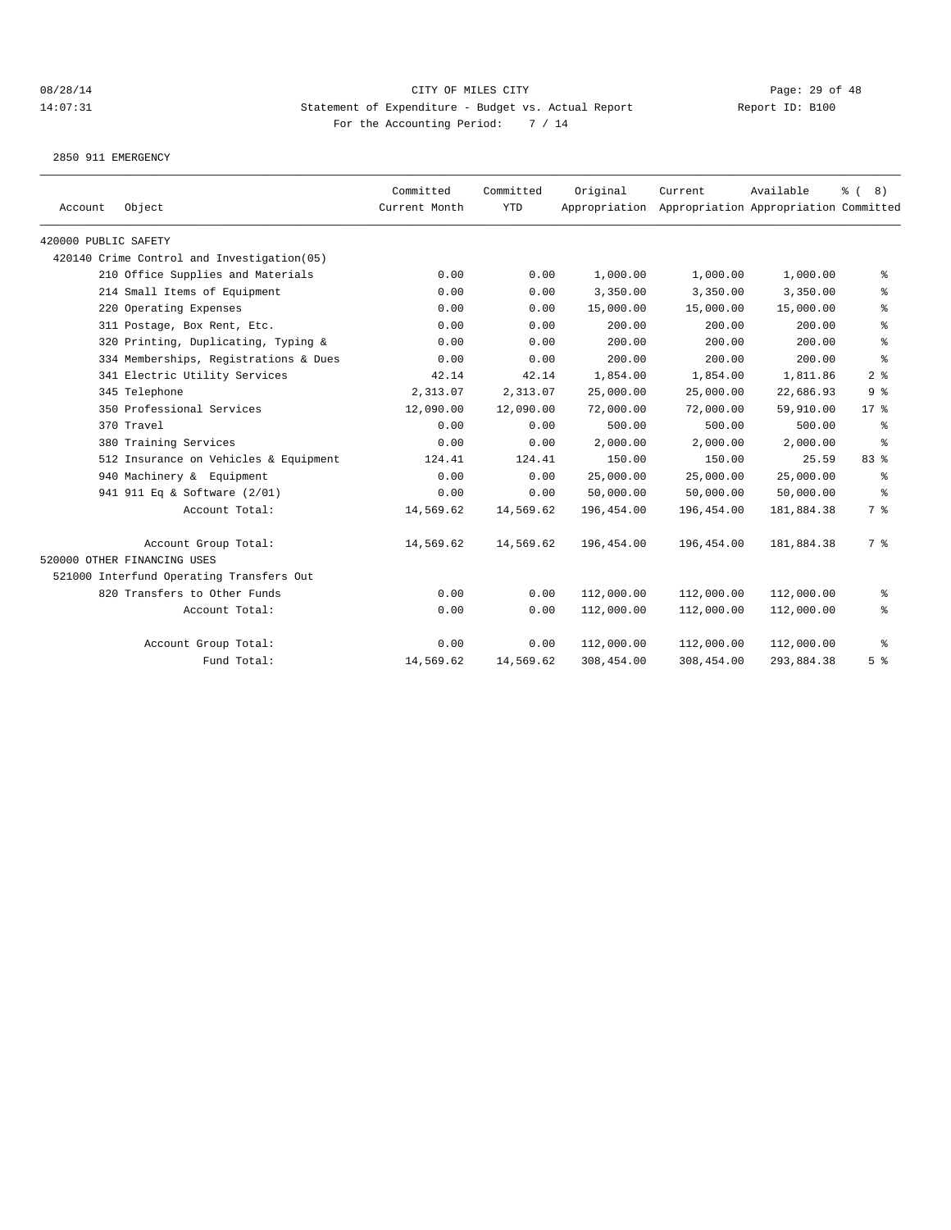2850 911 EMERGENCY

| Account              | Object                                     | Committed<br>Current Month | Committed<br><b>YTD</b> | Original   | Current<br>Appropriation Appropriation Appropriation Committed | Available  | $\frac{6}{6}$ ( 8) |
|----------------------|--------------------------------------------|----------------------------|-------------------------|------------|----------------------------------------------------------------|------------|--------------------|
| 420000 PUBLIC SAFETY |                                            |                            |                         |            |                                                                |            |                    |
|                      | 420140 Crime Control and Investigation(05) |                            |                         |            |                                                                |            |                    |
|                      | 210 Office Supplies and Materials          | 0.00                       | 0.00                    | 1,000.00   | 1,000.00                                                       | 1,000.00   | ွေ                 |
|                      | 214 Small Items of Equipment               | 0.00                       | 0.00                    | 3,350.00   | 3,350.00                                                       | 3,350.00   | နွ                 |
|                      | 220 Operating Expenses                     | 0.00                       | 0.00                    | 15,000.00  | 15,000.00                                                      | 15,000.00  | နွ                 |
|                      | 311 Postage, Box Rent, Etc.                | 0.00                       | 0.00                    | 200.00     | 200.00                                                         | 200.00     | န္                 |
|                      | 320 Printing, Duplicating, Typing &        | 0.00                       | 0.00                    | 200.00     | 200.00                                                         | 200.00     | န္                 |
|                      | 334 Memberships, Registrations & Dues      | 0.00                       | 0.00                    | 200.00     | 200.00                                                         | 200.00     | ి                  |
|                      | 341 Electric Utility Services              | 42.14                      | 42.14                   | 1,854.00   | 1,854.00                                                       | 1,811.86   | 2 <sup>8</sup>     |
|                      | 345 Telephone                              | 2,313.07                   | 2,313.07                | 25,000.00  | 25,000.00                                                      | 22,686.93  | 9 <sup>8</sup>     |
|                      | 350 Professional Services                  | 12,090.00                  | 12,090.00               | 72,000.00  | 72,000.00                                                      | 59,910.00  | $17*$              |
|                      | 370 Travel                                 | 0.00                       | 0.00                    | 500.00     | 500.00                                                         | 500.00     | ႜ                  |
|                      | 380 Training Services                      | 0.00                       | 0.00                    | 2,000.00   | 2,000.00                                                       | 2,000.00   | ႜ                  |
|                      | 512 Insurance on Vehicles & Equipment      | 124.41                     | 124.41                  | 150.00     | 150.00                                                         | 25.59      | 83 %               |
|                      | 940 Machinery & Equipment                  | 0.00                       | 0.00                    | 25,000.00  | 25,000.00                                                      | 25,000.00  | နွ                 |
|                      | 941 911 Eq & Software (2/01)               | 0.00                       | 0.00                    | 50,000.00  | 50,000.00                                                      | 50,000.00  | နွ                 |
|                      | Account Total:                             | 14,569.62                  | 14,569.62               | 196,454.00 | 196,454.00                                                     | 181,884.38 | 7 %                |
|                      | Account Group Total:                       | 14,569.62                  | 14,569.62               | 196,454.00 | 196,454.00                                                     | 181,884.38 | 7 %                |
|                      | 520000 OTHER FINANCING USES                |                            |                         |            |                                                                |            |                    |
|                      | 521000 Interfund Operating Transfers Out   |                            |                         |            |                                                                |            |                    |
|                      | 820 Transfers to Other Funds               | 0.00                       | 0.00                    | 112,000.00 | 112,000.00                                                     | 112,000.00 | ႜွ                 |
|                      | Account Total:                             | 0.00                       | 0.00                    | 112,000.00 | 112,000.00                                                     | 112,000.00 | နွ                 |
|                      | Account Group Total:                       | 0.00                       | 0.00                    | 112,000.00 | 112,000.00                                                     | 112,000.00 | ႜ                  |
|                      | Fund Total:                                | 14,569.62                  | 14,569.62               | 308,454.00 | 308,454.00                                                     | 293,884.38 | 5 <sup>°</sup>     |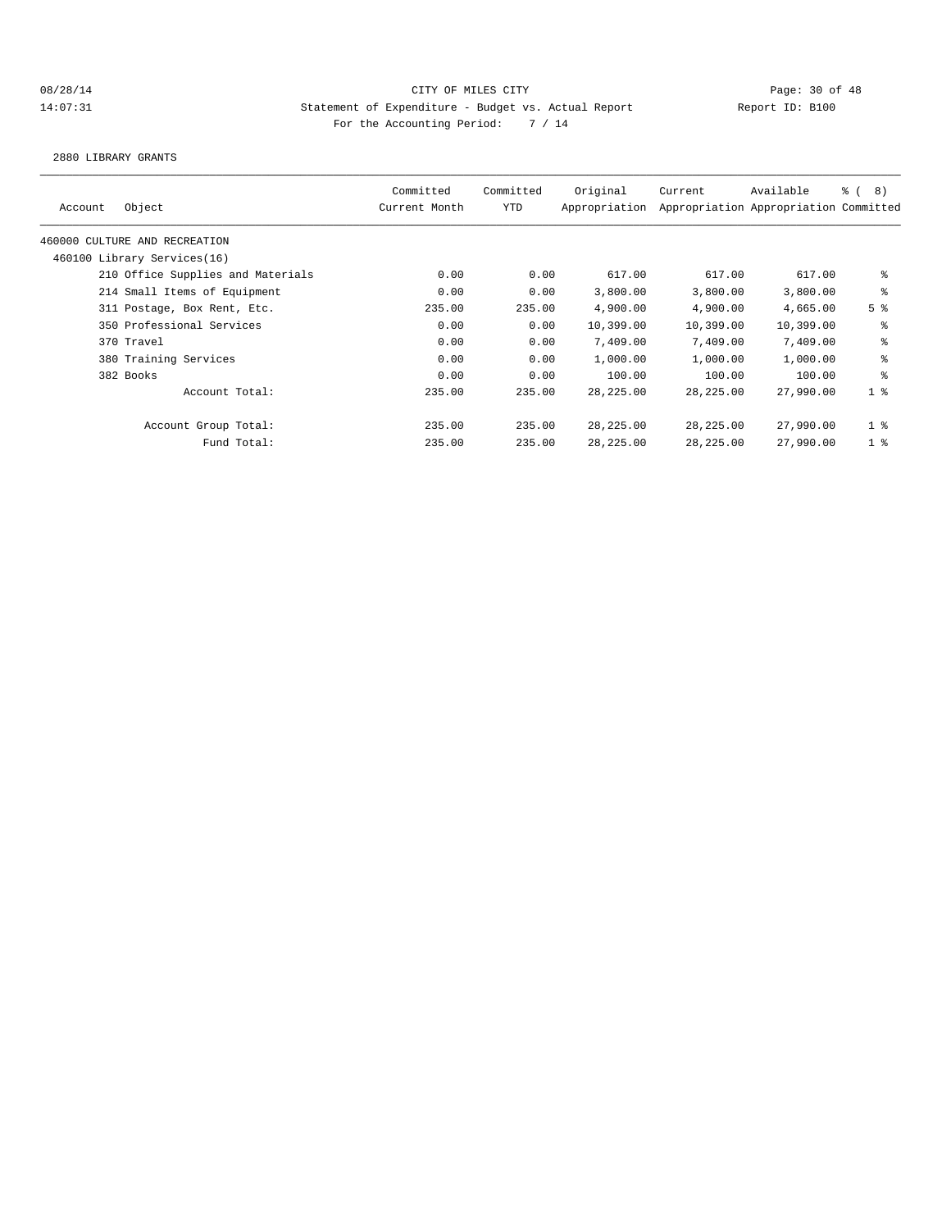2880 LIBRARY GRANTS

|         |                                   | Committed     | Committed | Original      | Current     | Available                             | <sub>රි</sub> ( 8 ) |
|---------|-----------------------------------|---------------|-----------|---------------|-------------|---------------------------------------|---------------------|
| Account | Object                            | Current Month | YTD       | Appropriation |             | Appropriation Appropriation Committed |                     |
|         | 460000 CULTURE AND RECREATION     |               |           |               |             |                                       |                     |
|         | 460100 Library Services(16)       |               |           |               |             |                                       |                     |
|         | 210 Office Supplies and Materials | 0.00          | 0.00      | 617.00        | 617.00      | 617.00                                | နွ                  |
|         | 214 Small Items of Equipment      | 0.00          | 0.00      | 3,800.00      | 3,800.00    | 3,800.00                              | ి                   |
|         | 311 Postage, Box Rent, Etc.       | 235.00        | 235.00    | 4,900.00      | 4,900.00    | 4,665.00                              | 5 <sup>8</sup>      |
|         | 350 Professional Services         | 0.00          | 0.00      | 10,399.00     | 10,399.00   | 10,399.00                             | နွ                  |
|         | 370 Travel                        | 0.00          | 0.00      | 7,409.00      | 7,409.00    | 7,409.00                              | နွ                  |
|         | 380 Training Services             | 0.00          | 0.00      | 1,000.00      | 1,000.00    | 1,000.00                              | နွ                  |
|         | 382 Books                         | 0.00          | 0.00      | 100.00        | 100.00      | 100.00                                | နွ                  |
|         | Account Total:                    | 235.00        | 235.00    | 28, 225, 00   | 28, 225, 00 | 27,990.00                             | 1 <sup>8</sup>      |
|         | Account Group Total:              | 235.00        | 235.00    | 28,225.00     | 28,225.00   | 27,990.00                             | 1 <sup>°</sup>      |
|         | Fund Total:                       | 235.00        | 235.00    | 28,225.00     | 28,225.00   | 27,990.00                             | 1 <sup>8</sup>      |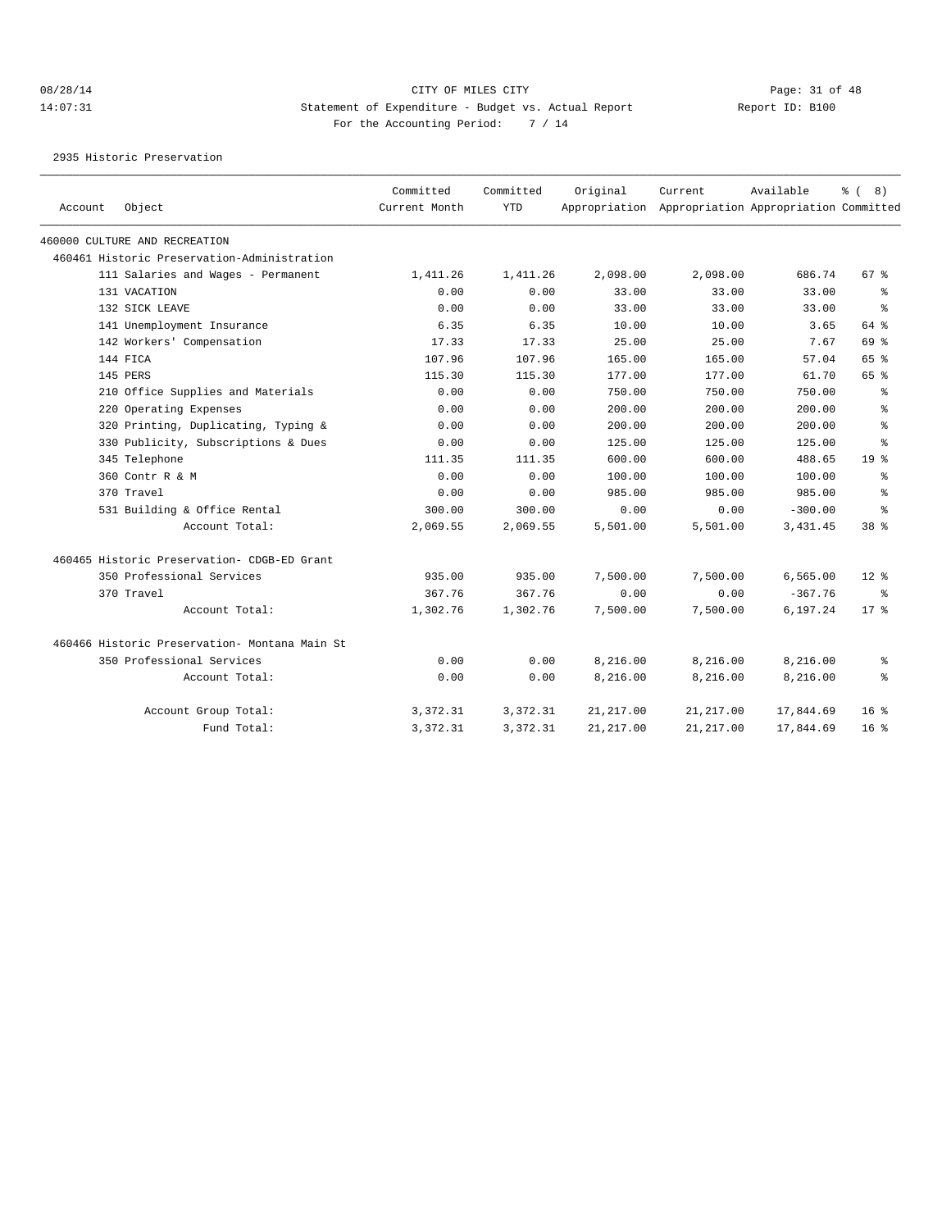2935 Historic Preservation

| Account | Object                                        | Committed<br>Current Month | Committed<br><b>YTD</b> | Original   | Current<br>Appropriation Appropriation Appropriation Committed | Available | දි (<br>8)         |
|---------|-----------------------------------------------|----------------------------|-------------------------|------------|----------------------------------------------------------------|-----------|--------------------|
|         | 460000 CULTURE AND RECREATION                 |                            |                         |            |                                                                |           |                    |
|         | 460461 Historic Preservation-Administration   |                            |                         |            |                                                                |           |                    |
|         | 111 Salaries and Wages - Permanent            | 1,411.26                   | 1,411.26                | 2,098.00   | 2,098.00                                                       | 686.74    | $67$ $\frac{6}{3}$ |
|         | 131 VACATION                                  | 0.00                       | 0.00                    | 33.00      | 33.00                                                          | 33.00     | ႜ                  |
|         | 132 SICK LEAVE                                | 0.00                       | 0.00                    | 33.00      | 33.00                                                          | 33.00     | ి                  |
|         | 141 Unemployment Insurance                    | 6.35                       | 6.35                    | 10.00      | 10.00                                                          | 3.65      | 64 %               |
|         | 142 Workers' Compensation                     | 17.33                      | 17.33                   | 25.00      | 25.00                                                          | 7.67      | 69 %               |
|         | 144 FICA                                      | 107.96                     | 107.96                  | 165.00     | 165.00                                                         | 57.04     | 65 %               |
|         | 145 PERS                                      | 115.30                     | 115.30                  | 177.00     | 177.00                                                         | 61.70     | 65 %               |
|         | 210 Office Supplies and Materials             | 0.00                       | 0.00                    | 750.00     | 750.00                                                         | 750.00    | ႜ                  |
|         | 220 Operating Expenses                        | 0.00                       | 0.00                    | 200.00     | 200.00                                                         | 200.00    | ి                  |
|         | 320 Printing, Duplicating, Typing &           | 0.00                       | 0.00                    | 200.00     | 200.00                                                         | 200.00    | ి                  |
|         | 330 Publicity, Subscriptions & Dues           | 0.00                       | 0.00                    | 125.00     | 125.00                                                         | 125.00    | ి                  |
|         | 345 Telephone                                 | 111.35                     | 111.35                  | 600.00     | 600.00                                                         | 488.65    | 19 <sup>8</sup>    |
|         | 360 Contr R & M                               | 0.00                       | 0.00                    | 100.00     | 100.00                                                         | 100.00    | ి                  |
|         | 370 Travel                                    | 0.00                       | 0.00                    | 985.00     | 985.00                                                         | 985.00    | ి                  |
|         | 531 Building & Office Rental                  | 300.00                     | 300.00                  | 0.00       | 0.00                                                           | $-300.00$ | ి                  |
|         | Account Total:                                | 2,069.55                   | 2,069.55                | 5,501.00   | 5,501.00                                                       | 3, 431.45 | 38 %               |
|         | 460465 Historic Preservation- CDGB-ED Grant   |                            |                         |            |                                                                |           |                    |
|         | 350 Professional Services                     | 935.00                     | 935.00                  | 7,500.00   | 7,500.00                                                       | 6,565.00  | $12*$              |
|         | 370 Travel                                    | 367.76                     | 367.76                  | 0.00       | 0.00                                                           | $-367.76$ | ႜ                  |
|         | Account Total:                                | 1,302.76                   | 1,302.76                | 7,500.00   | 7,500.00                                                       | 6,197.24  | $17*$              |
|         | 460466 Historic Preservation- Montana Main St |                            |                         |            |                                                                |           |                    |
|         | 350 Professional Services                     | 0.00                       | 0.00                    | 8,216.00   | 8,216.00                                                       | 8,216.00  | ႜ                  |
|         | Account Total:                                | 0.00                       | 0.00                    | 8,216.00   | 8,216.00                                                       | 8,216.00  | နွ                 |
|         | Account Group Total:                          | 3,372.31                   | 3,372.31                | 21, 217.00 | 21, 217.00                                                     | 17,844.69 | $16*$              |
|         | Fund Total:                                   | 3, 372.31                  | 3,372.31                | 21, 217.00 | 21, 217.00                                                     | 17,844.69 | $16*$              |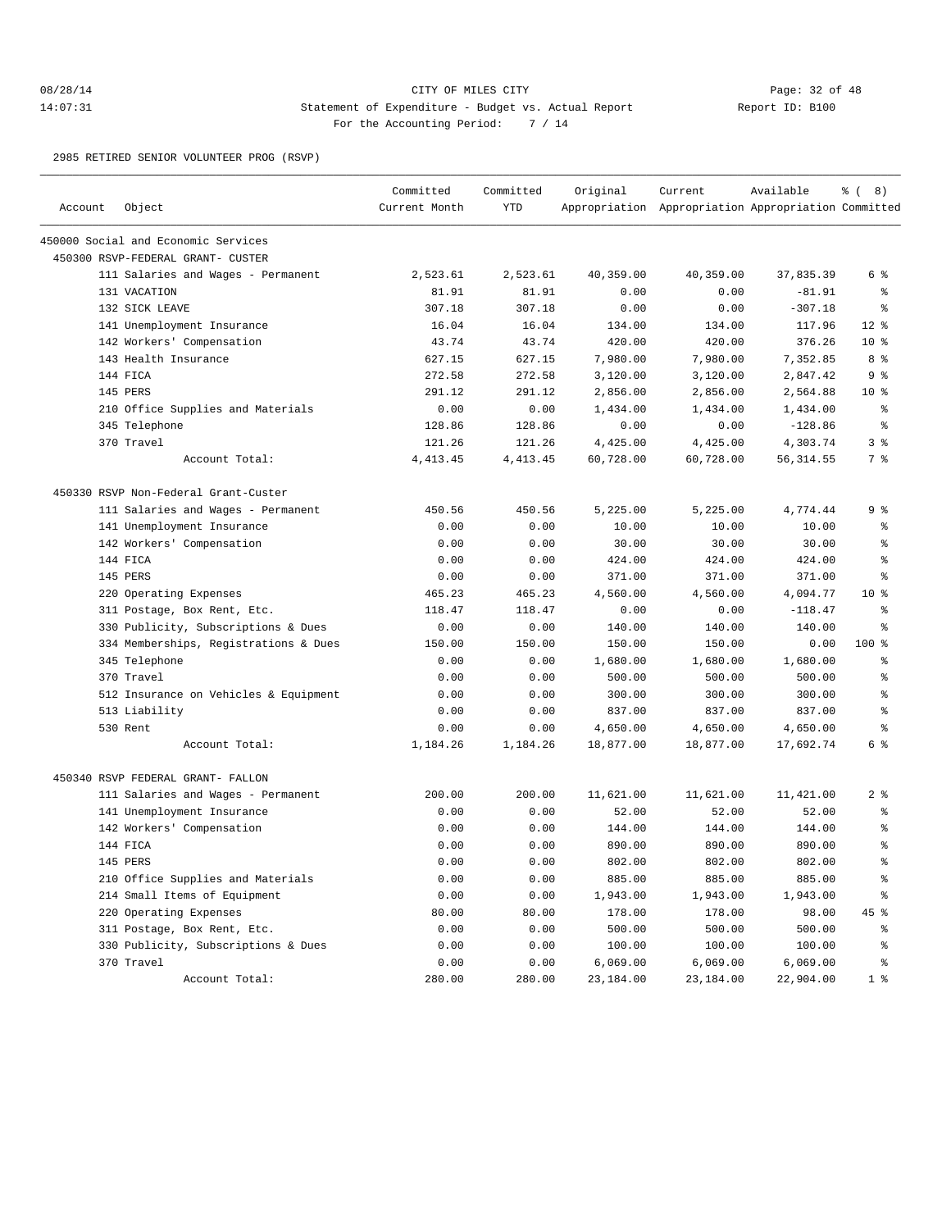## 08/28/14 Page: 32 of 48 14:07:31 Statement of Expenditure - Budget vs. Actual Report Report ID: B100 For the Accounting Period: 7 / 14

2985 RETIRED SENIOR VOLUNTEER PROG (RSVP)

| Account | Object                                | Committed<br>Current Month | Committed<br><b>YTD</b> | Original  | Current<br>Appropriation Appropriation Appropriation Committed | Available  | $\frac{6}{6}$ ( 8) |
|---------|---------------------------------------|----------------------------|-------------------------|-----------|----------------------------------------------------------------|------------|--------------------|
|         |                                       |                            |                         |           |                                                                |            |                    |
|         | 450000 Social and Economic Services   |                            |                         |           |                                                                |            |                    |
|         | 450300 RSVP-FEDERAL GRANT- CUSTER     |                            |                         |           |                                                                |            |                    |
|         | 111 Salaries and Wages - Permanent    | 2,523.61                   | 2,523.61                | 40,359.00 | 40,359.00                                                      | 37,835.39  | 6 %                |
|         | 131 VACATION                          | 81.91                      | 81.91                   | 0.00      | 0.00                                                           | $-81.91$   | ႜ                  |
|         | 132 SICK LEAVE                        | 307.18                     | 307.18                  | 0.00      | 0.00                                                           | $-307.18$  | နွ                 |
|         | 141 Unemployment Insurance            | 16.04                      | 16.04                   | 134.00    | 134.00                                                         | 117.96     | $12*$              |
|         | 142 Workers' Compensation             | 43.74                      | 43.74                   | 420.00    | 420.00                                                         | 376.26     | $10*$              |
|         | 143 Health Insurance                  | 627.15                     | 627.15                  | 7,980.00  | 7,980.00                                                       | 7,352.85   | 8%                 |
|         | 144 FICA                              | 272.58                     | 272.58                  | 3,120.00  | 3,120.00                                                       | 2,847.42   | 9%                 |
|         | 145 PERS                              | 291.12                     | 291.12                  | 2,856.00  | 2,856.00                                                       | 2,564.88   | $10*$              |
|         | 210 Office Supplies and Materials     | 0.00                       | 0.00                    | 1,434.00  | 1,434.00                                                       | 1,434.00   | ႜ                  |
|         | 345 Telephone                         | 128.86                     | 128.86                  | 0.00      | 0.00                                                           | $-128.86$  | နွ                 |
|         | 370 Travel                            | 121.26                     | 121.26                  | 4,425.00  | 4,425.00                                                       | 4,303.74   | 3 %                |
|         | Account Total:                        | 4, 413.45                  | 4, 413. 45              | 60,728.00 | 60,728.00                                                      | 56, 314.55 | 7 %                |
|         | 450330 RSVP Non-Federal Grant-Custer  |                            |                         |           |                                                                |            |                    |
|         | 111 Salaries and Wages - Permanent    | 450.56                     | 450.56                  | 5,225.00  | 5,225.00                                                       | 4,774.44   | 9 <sup>°</sup>     |
|         | 141 Unemployment Insurance            | 0.00                       | 0.00                    | 10.00     | 10.00                                                          | 10.00      | ႜ                  |
|         | 142 Workers' Compensation             | 0.00                       | 0.00                    | 30.00     | 30.00                                                          | 30.00      | န္                 |
|         | 144 FICA                              | 0.00                       | 0.00                    | 424.00    | 424.00                                                         | 424.00     | š                  |
|         | 145 PERS                              | 0.00                       | 0.00                    | 371.00    | 371.00                                                         | 371.00     | နွ                 |
|         | 220 Operating Expenses                | 465.23                     | 465.23                  | 4,560.00  | 4,560.00                                                       | 4,094.77   | $10*$              |
|         | 311 Postage, Box Rent, Etc.           | 118.47                     | 118.47                  | 0.00      | 0.00                                                           | $-118.47$  | နွ                 |
|         | 330 Publicity, Subscriptions & Dues   | 0.00                       | 0.00                    | 140.00    | 140.00                                                         | 140.00     | နွ                 |
|         | 334 Memberships, Registrations & Dues | 150.00                     | 150.00                  | 150.00    | 150.00                                                         | 0.00       | 100 %              |
|         | 345 Telephone                         | 0.00                       | 0.00                    | 1,680.00  | 1,680.00                                                       | 1,680.00   | ႜ                  |
|         | 370 Travel                            | 0.00                       | 0.00                    | 500.00    | 500.00                                                         | 500.00     | š                  |
|         | 512 Insurance on Vehicles & Equipment | 0.00                       | 0.00                    | 300.00    | 300.00                                                         | 300.00     | š                  |
|         | 513 Liability                         | 0.00                       | 0.00                    | 837.00    | 837.00                                                         | 837.00     | န္                 |
|         | 530 Rent                              | 0.00                       | 0.00                    | 4,650.00  | 4,650.00                                                       | 4,650.00   | နွ                 |
|         | Account Total:                        | 1,184.26                   | 1,184.26                | 18,877.00 | 18,877.00                                                      | 17,692.74  | 6 %                |
|         | 450340 RSVP FEDERAL GRANT- FALLON     |                            |                         |           |                                                                |            |                    |
|         | 111 Salaries and Wages - Permanent    | 200.00                     | 200.00                  | 11,621.00 | 11,621.00                                                      | 11,421.00  | $2$ %              |
|         | 141 Unemployment Insurance            | 0.00                       | 0.00                    | 52.00     | 52.00                                                          | 52.00      | ್ಠಿ                |
|         | 142 Workers' Compensation             | 0.00                       | 0.00                    | 144.00    | 144.00                                                         | 144.00     | ႜ                  |
|         | 144 FICA                              | 0.00                       | 0.00                    | 890.00    | 890.00                                                         | 890.00     | š                  |
|         | 145 PERS                              | 0.00                       | 0.00                    | 802.00    | 802.00                                                         | 802.00     | ٥Ŗ                 |
|         | 210 Office Supplies and Materials     | 0.00                       | 0.00                    | 885.00    | 885.00                                                         | 885.00     | ి                  |
|         | 214 Small Items of Equipment          | 0.00                       | 0.00                    | 1,943.00  | 1,943.00                                                       | 1,943.00   | ి                  |
|         | 220 Operating Expenses                | 80.00                      | 80.00                   | 178.00    | 178.00                                                         | 98.00      | 45 %               |
|         | 311 Postage, Box Rent, Etc.           | 0.00                       | 0.00                    | 500.00    | 500.00                                                         | 500.00     | နွ                 |
|         | 330 Publicity, Subscriptions & Dues   | 0.00                       | 0.00                    | 100.00    | 100.00                                                         | 100.00     | နွ                 |
|         | 370 Travel                            | 0.00                       | 0.00                    | 6,069.00  | 6,069.00                                                       | 6,069.00   | ి                  |
|         | Account Total:                        | 280.00                     | 280.00                  | 23,184.00 | 23,184.00                                                      | 22,904.00  | 1 <sup>8</sup>     |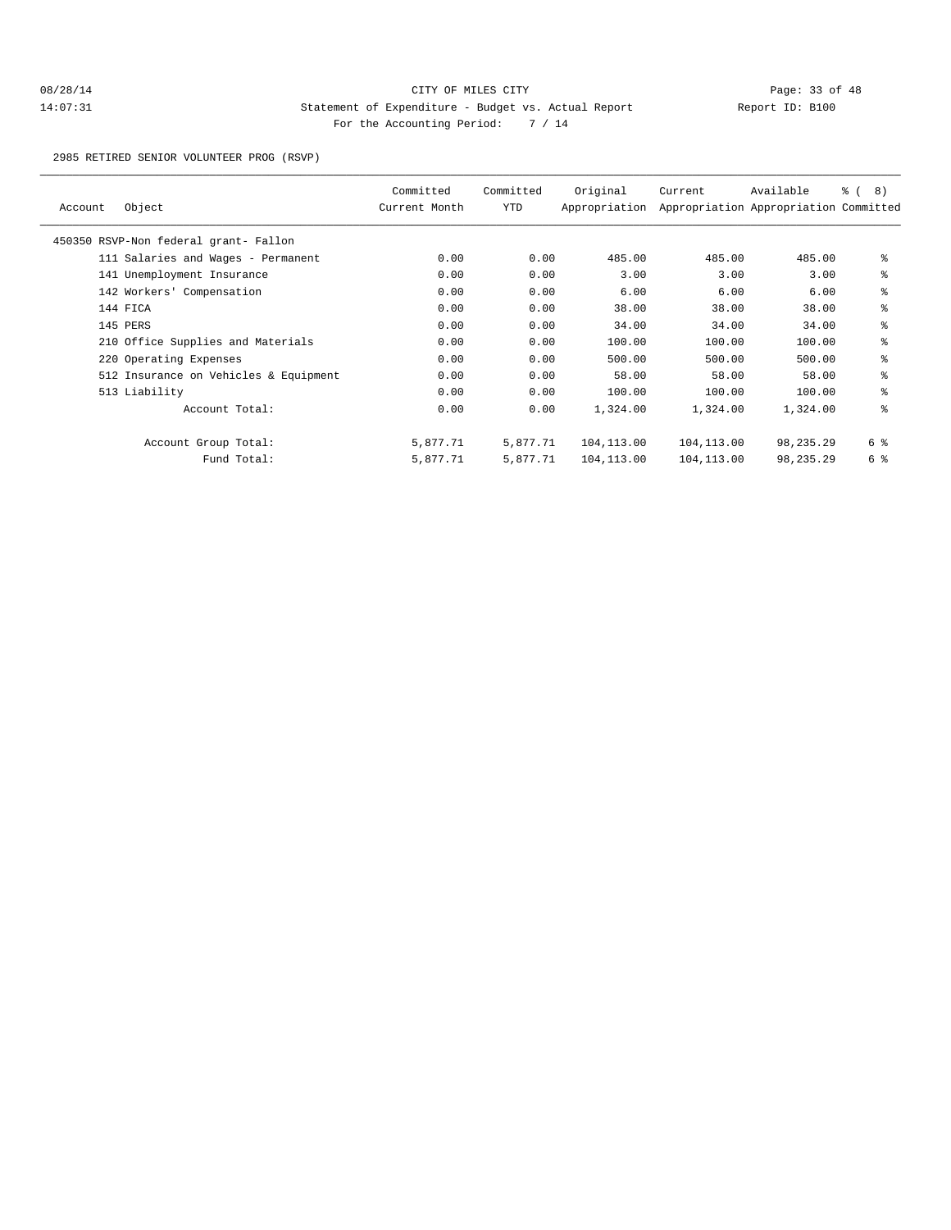## 08/28/14 Page: 33 of 48 14:07:31 Statement of Expenditure - Budget vs. Actual Report Changery Report ID: B100 For the Accounting Period: 7 / 14

2985 RETIRED SENIOR VOLUNTEER PROG (RSVP)

| Account | Object                                | Committed<br>Current Month | Committed<br>YTD | Original<br>Appropriation | Current    | Available<br>Appropriation Appropriation Committed | $\frac{6}{6}$ ( 8) |
|---------|---------------------------------------|----------------------------|------------------|---------------------------|------------|----------------------------------------------------|--------------------|
|         | 450350 RSVP-Non federal grant- Fallon |                            |                  |                           |            |                                                    |                    |
|         | 111 Salaries and Wages - Permanent    | 0.00                       | 0.00             | 485.00                    | 485.00     | 485.00                                             | နွ                 |
|         | 141 Unemployment Insurance            | 0.00                       | 0.00             | 3.00                      | 3.00       | 3.00                                               | နွ                 |
|         | 142 Workers' Compensation             | 0.00                       | 0.00             | 6.00                      | 6.00       | 6.00                                               | နွ                 |
|         | 144 FICA                              | 0.00                       | 0.00             | 38.00                     | 38.00      | 38.00                                              | နွ                 |
|         | 145 PERS                              | 0.00                       | 0.00             | 34.00                     | 34.00      | 34.00                                              | နွ                 |
|         | 210 Office Supplies and Materials     | 0.00                       | 0.00             | 100.00                    | 100.00     | 100.00                                             | နွ                 |
|         | 220 Operating Expenses                | 0.00                       | 0.00             | 500.00                    | 500.00     | 500.00                                             | နွ                 |
|         | 512 Insurance on Vehicles & Equipment | 0.00                       | 0.00             | 58.00                     | 58.00      | 58.00                                              | နွ                 |
|         | 513 Liability                         | 0.00                       | 0.00             | 100.00                    | 100.00     | 100.00                                             | နွ                 |
|         | Account Total:                        | 0.00                       | 0.00             | 1,324.00                  | 1,324.00   | 1,324.00                                           | နွ                 |
|         | Account Group Total:                  | 5,877.71                   | 5,877.71         | 104,113.00                | 104,113.00 | 98,235.29                                          | 6 %                |
|         | Fund Total:                           | 5,877.71                   | 5,877.71         | 104,113.00                | 104,113.00 | 98,235.29                                          | 6 %                |
|         |                                       |                            |                  |                           |            |                                                    |                    |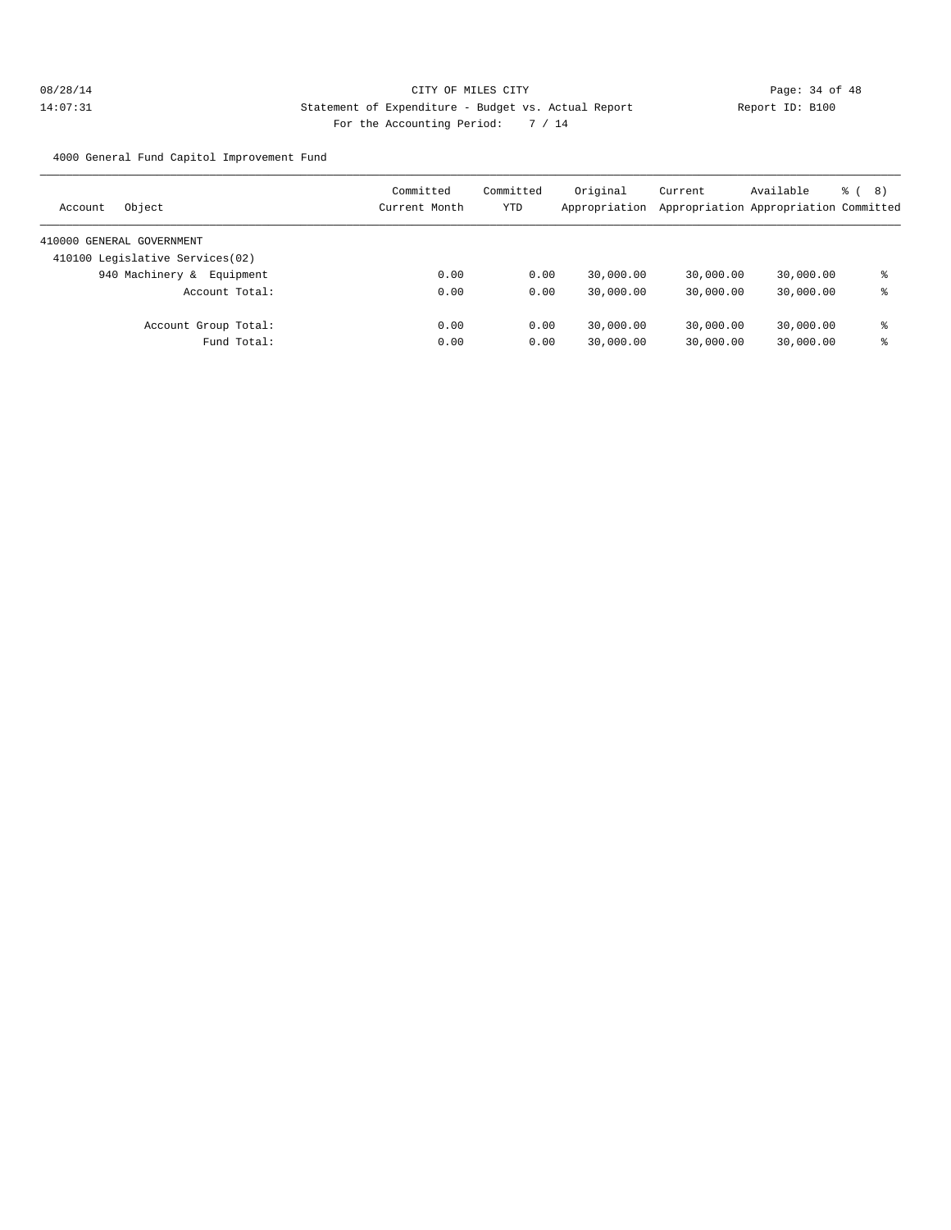4000 General Fund Capitol Improvement Fund

| Object<br>Account               | Committed<br>Current Month | Committed<br>YTD | Original<br>Appropriation | Current   | Available<br>Appropriation Appropriation Committed | る (<br>8) |
|---------------------------------|----------------------------|------------------|---------------------------|-----------|----------------------------------------------------|-----------|
| 410000 GENERAL GOVERNMENT       |                            |                  |                           |           |                                                    |           |
| 410100 Legislative Services(02) |                            |                  |                           |           |                                                    |           |
| 940 Machinery &<br>Equipment    | 0.00                       | 0.00             | 30,000.00                 | 30,000.00 | 30,000.00                                          | ႜ         |
| Account Total:                  | 0.00                       | 0.00             | 30,000.00                 | 30,000.00 | 30,000.00                                          | ႜ         |
| Account Group Total:            | 0.00                       | 0.00             | 30,000.00                 | 30,000.00 | 30,000.00                                          | ⊱         |
| Fund Total:                     | 0.00                       | 0.00             | 30,000.00                 | 30,000.00 | 30,000.00                                          | ႜ         |
|                                 |                            |                  |                           |           |                                                    |           |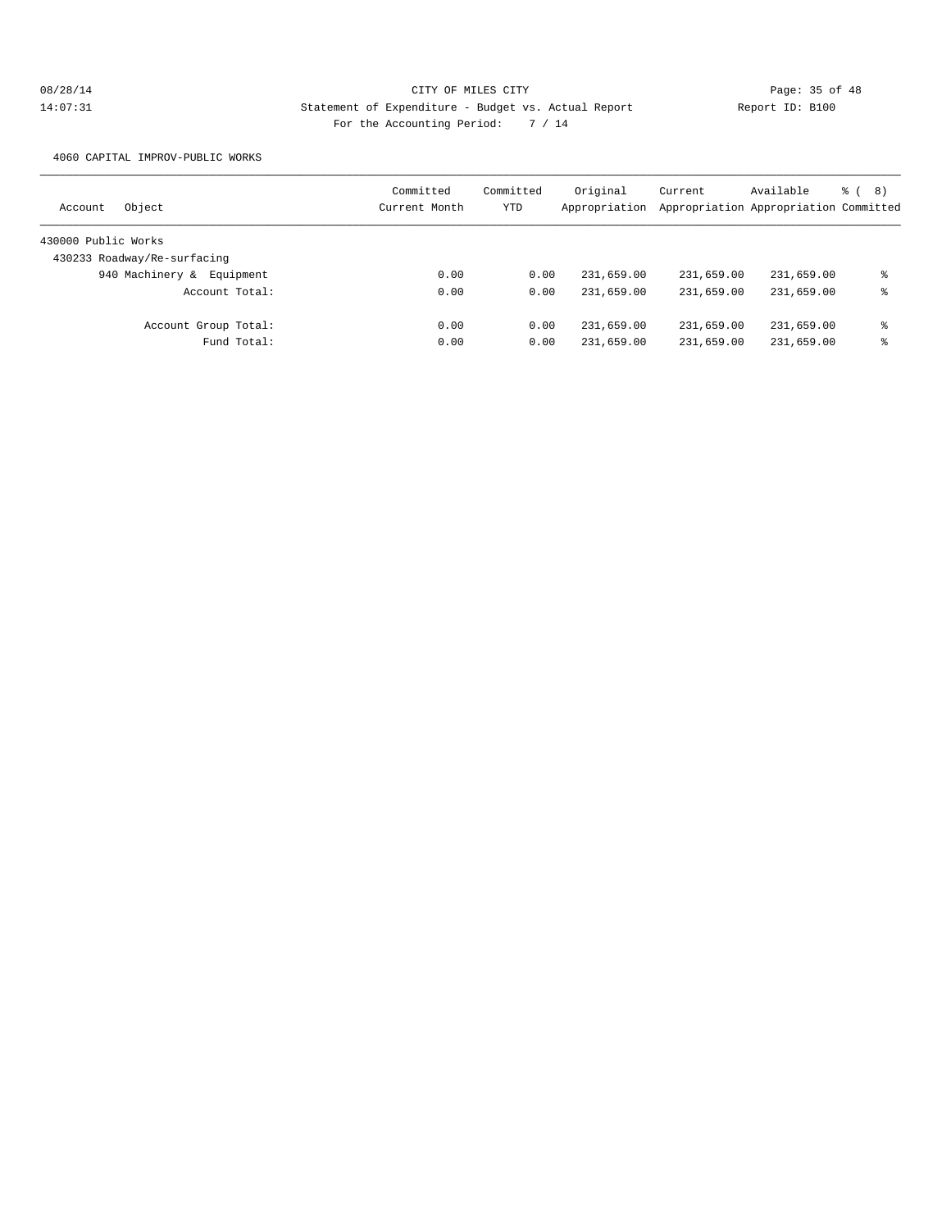4060 CAPITAL IMPROV-PUBLIC WORKS

| Object<br>Account            | Committed<br>Current Month | Committed<br>YTD | Original<br>Appropriation | Current    | Available<br>Appropriation Appropriation Committed | <sub>රි</sub> ( 8 ) |
|------------------------------|----------------------------|------------------|---------------------------|------------|----------------------------------------------------|---------------------|
| 430000 Public Works          |                            |                  |                           |            |                                                    |                     |
| 430233 Roadway/Re-surfacing  |                            |                  |                           |            |                                                    |                     |
| 940 Machinery &<br>Equipment | 0.00                       | 0.00             | 231,659.00                | 231,659.00 | 231,659.00                                         | ႜ                   |
| Account Total:               | 0.00                       | 0.00             | 231,659.00                | 231,659.00 | 231,659.00                                         | ႜ                   |
| Account Group Total:         | 0.00                       | 0.00             | 231,659.00                | 231,659.00 | 231,659.00                                         | ႜ                   |
| Fund Total:                  | 0.00                       | 0.00             | 231,659.00                | 231,659.00 | 231,659.00                                         | ႜ                   |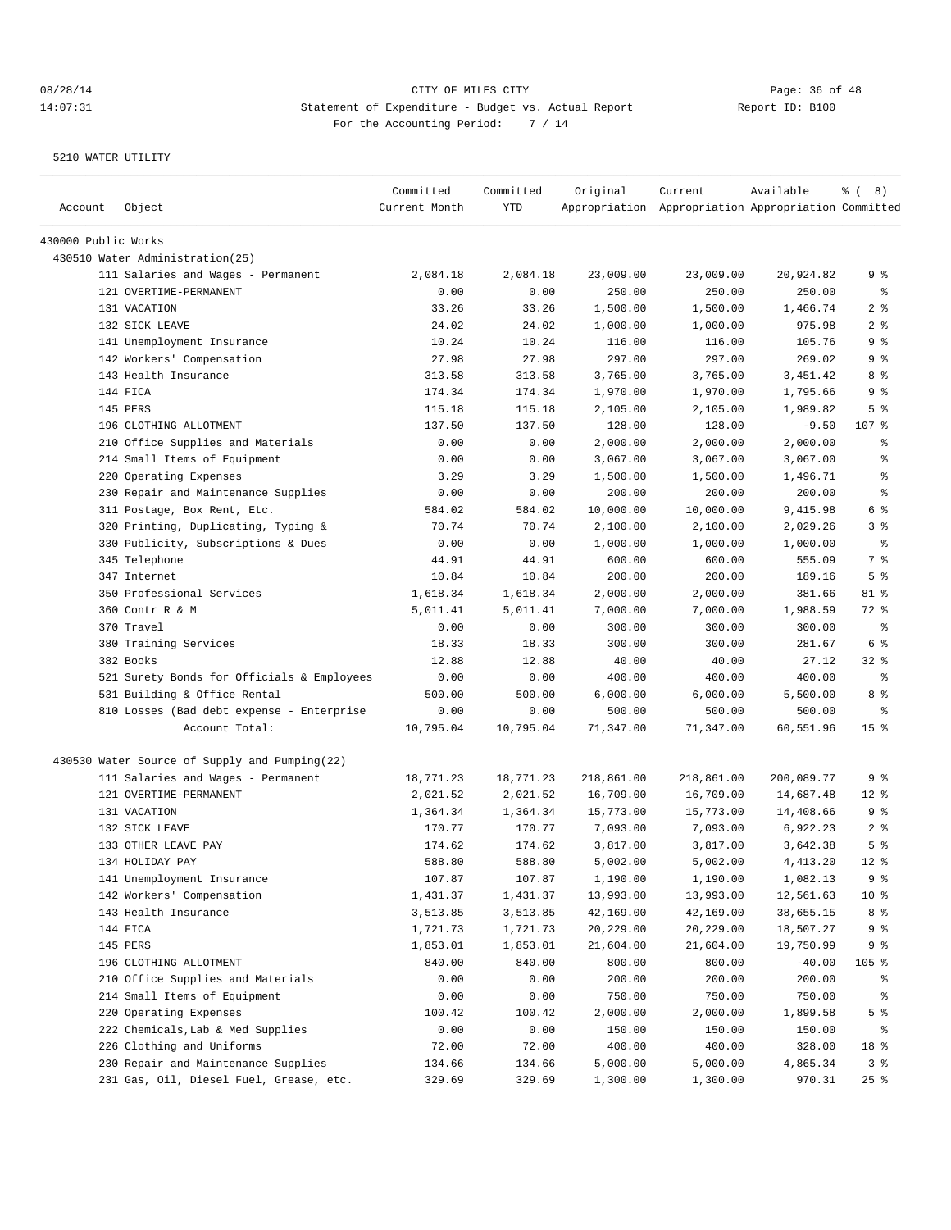| Account             | Object                                        | Committed<br>Current Month | Committed<br>YTD | Original   | Current<br>Appropriation Appropriation Appropriation Committed | Available  | $\frac{6}{6}$ ( 8) |
|---------------------|-----------------------------------------------|----------------------------|------------------|------------|----------------------------------------------------------------|------------|--------------------|
| 430000 Public Works |                                               |                            |                  |            |                                                                |            |                    |
|                     | 430510 Water Administration(25)               |                            |                  |            |                                                                |            |                    |
|                     | 111 Salaries and Wages - Permanent            | 2,084.18                   | 2,084.18         | 23,009.00  | 23,009.00                                                      | 20,924.82  | ९ %                |
|                     | 121 OVERTIME-PERMANENT                        | 0.00                       | 0.00             | 250.00     | 250.00                                                         | 250.00     | ွေ                 |
|                     | 131 VACATION                                  | 33.26                      | 33.26            | 1,500.00   | 1,500.00                                                       | 1,466.74   | 2 <sup>8</sup>     |
|                     | 132 SICK LEAVE                                | 24.02                      | 24.02            | 1,000.00   | 1,000.00                                                       | 975.98     | 2 <sup>8</sup>     |
|                     | 141 Unemployment Insurance                    | 10.24                      | 10.24            | 116.00     | 116.00                                                         | 105.76     | 9 %                |
|                     | 142 Workers' Compensation                     | 27.98                      | 27.98            | 297.00     | 297.00                                                         | 269.02     | 9 %                |
|                     | 143 Health Insurance                          | 313.58                     | 313.58           | 3,765.00   | 3,765.00                                                       | 3,451.42   | 8 %                |
|                     | 144 FICA                                      | 174.34                     | 174.34           | 1,970.00   | 1,970.00                                                       | 1,795.66   | 9 %                |
|                     | 145 PERS                                      | 115.18                     | 115.18           | 2,105.00   | 2,105.00                                                       | 1,989.82   | 5 <sup>°</sup>     |
|                     | 196 CLOTHING ALLOTMENT                        | 137.50                     | 137.50           | 128.00     | 128.00                                                         | $-9.50$    | 107 %              |
|                     | 210 Office Supplies and Materials             | 0.00                       | 0.00             | 2,000.00   | 2,000.00                                                       | 2,000.00   | ႜ                  |
|                     | 214 Small Items of Equipment                  | 0.00                       | 0.00             | 3,067.00   | 3,067.00                                                       | 3,067.00   | န္                 |
|                     | 220 Operating Expenses                        | 3.29                       | 3.29             | 1,500.00   | 1,500.00                                                       | 1,496.71   | န္                 |
|                     | 230 Repair and Maintenance Supplies           | 0.00                       | 0.00             | 200.00     | 200.00                                                         | 200.00     | ి                  |
|                     | 311 Postage, Box Rent, Etc.                   | 584.02                     | 584.02           | 10,000.00  | 10,000.00                                                      | 9,415.98   | 6 %                |
|                     | 320 Printing, Duplicating, Typing &           | 70.74                      | 70.74            | 2,100.00   | 2,100.00                                                       | 2,029.26   | 3 %                |
|                     | 330 Publicity, Subscriptions & Dues           | 0.00                       | 0.00             | 1,000.00   | 1,000.00                                                       | 1,000.00   | နွ                 |
|                     | 345 Telephone                                 | 44.91                      | 44.91            | 600.00     | 600.00                                                         | 555.09     | 7 %                |
|                     | 347 Internet                                  | 10.84                      | 10.84            | 200.00     | 200.00                                                         | 189.16     | 5 <sup>°</sup>     |
|                     | 350 Professional Services                     | 1,618.34                   | 1,618.34         | 2,000.00   | 2,000.00                                                       | 381.66     | 81 %               |
|                     | 360 Contr R & M                               | 5,011.41                   | 5,011.41         | 7,000.00   | 7,000.00                                                       | 1,988.59   | 72 %               |
|                     | 370 Travel                                    | 0.00                       | 0.00             | 300.00     | 300.00                                                         | 300.00     | နွ                 |
|                     | 380 Training Services                         | 18.33                      | 18.33            | 300.00     | 300.00                                                         | 281.67     | 6 %                |
|                     | 382 Books                                     | 12.88                      | 12.88            | 40.00      | 40.00                                                          | 27.12      | $32$ $%$           |
|                     | 521 Surety Bonds for Officials & Employees    | 0.00                       | 0.00             | 400.00     | 400.00                                                         | 400.00     | နွ                 |
|                     | 531 Building & Office Rental                  | 500.00                     | 500.00           | 6,000.00   | 6,000.00                                                       | 5,500.00   | 8 %                |
|                     | 810 Losses (Bad debt expense - Enterprise     | 0.00                       | 0.00             | 500.00     | 500.00                                                         | 500.00     | နွ                 |
|                     | Account Total:                                | 10,795.04                  | 10,795.04        | 71,347.00  | 71,347.00                                                      | 60,551.96  | 15 <sup>°</sup>    |
|                     | 430530 Water Source of Supply and Pumping(22) |                            |                  |            |                                                                |            |                    |
|                     | 111 Salaries and Wages - Permanent            | 18,771.23                  | 18,771.23        | 218,861.00 | 218,861.00                                                     | 200,089.77 | 9 %                |
|                     | 121 OVERTIME-PERMANENT                        | 2,021.52                   | 2,021.52         | 16,709.00  | 16,709.00                                                      | 14,687.48  | $12*$              |
|                     | 131 VACATION                                  | 1,364.34                   | 1,364.34         | 15,773.00  | 15,773.00                                                      | 14,408.66  | 9%                 |
|                     | 132 SICK LEAVE                                | 170.77                     | 170.77           | 7,093.00   | 7,093.00                                                       | 6,922.23   | 2 <sub>8</sub>     |
|                     | 133 OTHER LEAVE PAY                           | 174.62                     | 174.62           | 3,817.00   | 3,817.00                                                       | 3,642.38   | 5 <sup>°</sup>     |
|                     | 134 HOLIDAY PAY                               | 588.80                     | 588.80           | 5,002.00   | 5,002.00                                                       | 4, 413.20  | $12*$              |
|                     | 141 Unemployment Insurance                    | 107.87                     | 107.87           | 1,190.00   | 1,190.00                                                       | 1,082.13   | 9 %                |
|                     | 142 Workers' Compensation                     | 1,431.37                   | 1,431.37         | 13,993.00  | 13,993.00                                                      | 12,561.63  | 10 <sup>°</sup>    |
|                     | 143 Health Insurance                          | 3,513.85                   | 3,513.85         | 42,169.00  | 42,169.00                                                      | 38,655.15  | 8 %                |
|                     | 144 FICA                                      | 1,721.73                   | 1,721.73         | 20,229.00  | 20,229.00                                                      | 18,507.27  | 9 %                |
|                     | 145 PERS                                      | 1,853.01                   | 1,853.01         | 21,604.00  | 21,604.00                                                      | 19,750.99  | 9 %                |
|                     | 196 CLOTHING ALLOTMENT                        | 840.00                     | 840.00           | 800.00     | 800.00                                                         | $-40.00$   | 105 %              |
|                     | 210 Office Supplies and Materials             | 0.00                       | 0.00             | 200.00     | 200.00                                                         | 200.00     | ိင                 |
|                     | 214 Small Items of Equipment                  | 0.00                       | 0.00             | 750.00     | 750.00                                                         | 750.00     | န့                 |
|                     | 220 Operating Expenses                        | 100.42                     | 100.42           | 2,000.00   | 2,000.00                                                       | 1,899.58   | 5 %                |
|                     | 222 Chemicals, Lab & Med Supplies             | 0.00                       | 0.00             | 150.00     | 150.00                                                         | 150.00     | ႜ                  |
|                     | 226 Clothing and Uniforms                     | 72.00                      | 72.00            | 400.00     | 400.00                                                         | 328.00     | 18 %               |
|                     | 230 Repair and Maintenance Supplies           | 134.66                     | 134.66           | 5,000.00   | 5,000.00                                                       | 4,865.34   | 3 <sup>8</sup>     |
|                     | 231 Gas, Oil, Diesel Fuel, Grease, etc.       | 329.69                     | 329.69           | 1,300.00   | 1,300.00                                                       | 970.31     | 25%                |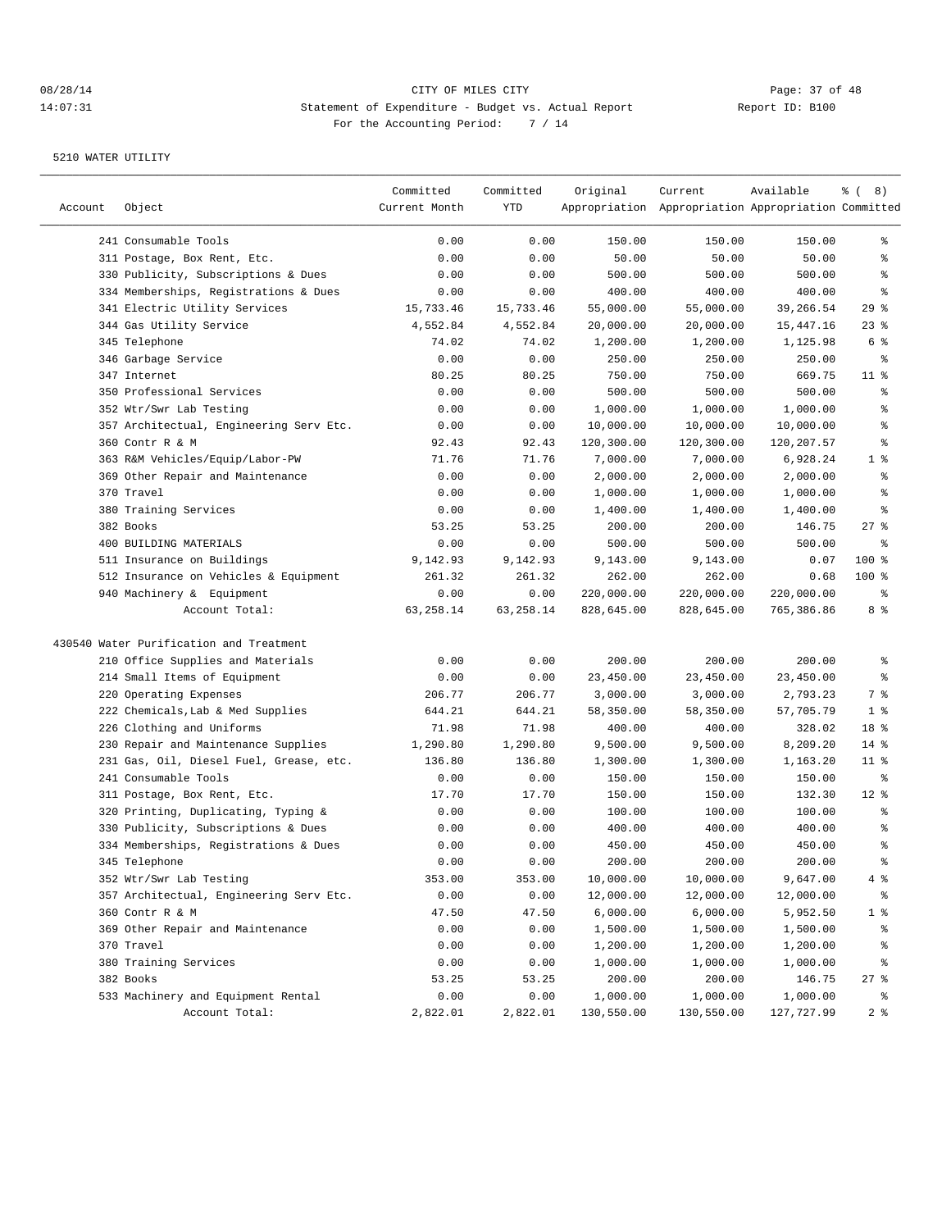| 241 Consumable Tools<br>0.00<br>0.00<br>150.00<br>150.00<br>150.00<br>0.00<br>311 Postage, Box Rent, Etc.<br>0.00<br>50.00<br>50.00<br>50.00<br>ి<br>330 Publicity, Subscriptions & Dues<br>0.00<br>0.00<br>500.00<br>500.00<br>500.00<br>န္<br>334 Memberships, Registrations & Dues<br>0.00<br>0.00<br>400.00<br>400.00<br>န္<br>400.00<br>29%<br>341 Electric Utility Services<br>15,733.46<br>55,000.00<br>55,000.00<br>39,266.54<br>15,733.46<br>344 Gas Utility Service<br>4,552.84<br>4,552.84<br>20,000.00<br>20,000.00<br>$23$ %<br>15,447.16<br>345 Telephone<br>74.02<br>74.02<br>1,200.00<br>1,200.00<br>1,125.98<br>6 %<br>346 Garbage Service<br>0.00<br>0.00<br>250.00<br>250.00<br>250.00<br>ႜ<br>347 Internet<br>80.25<br>80.25<br>750.00<br>750.00<br>669.75<br>$11$ %<br>350 Professional Services<br>0.00<br>500.00<br>500.00<br>500.00<br>န္<br>0.00<br>352 Wtr/Swr Lab Testing<br>0.00<br>0.00<br>1,000.00<br>1,000.00<br>1,000.00<br>န္<br>357 Architectual, Engineering Serv Etc.<br>0.00<br>0.00<br>10,000.00<br>10,000.00<br>10,000.00<br>ి<br>360 Contr R & M<br>92.43<br>92.43<br>120,300.00<br>န္<br>120,300.00<br>120,207.57<br>363 R&M Vehicles/Equip/Labor-PW<br>71.76<br>71.76<br>7,000.00<br>7,000.00<br>1 <sup>8</sup><br>6,928.24<br>$\,$ %<br>369 Other Repair and Maintenance<br>0.00<br>2,000.00<br>2,000.00<br>2,000.00<br>0.00<br>370 Travel<br>0.00<br>0.00<br>1,000.00<br>1,000.00<br>န္<br>1,000.00<br>380 Training Services<br>0.00<br>0.00<br>1,400.00<br>1,400.00<br>1,400.00<br>$\,{}^{\circ}\!$<br>382 Books<br>53.25<br>53.25<br>200.00<br>$27$ %<br>200.00<br>146.75<br>400 BUILDING MATERIALS<br>0.00<br>0.00<br>500.00<br>500.00<br>500.00<br>နွ<br>100 %<br>511 Insurance on Buildings<br>9,142.93<br>9,142.93<br>9,143.00<br>9,143.00<br>0.07<br>512 Insurance on Vehicles & Equipment<br>261.32<br>261.32<br>262.00<br>262.00<br>100 %<br>0.68<br>940 Machinery & Equipment<br>0.00<br>0.00<br>220,000.00<br>220,000.00<br>220,000.00<br>ႜ<br>Account Total:<br>63, 258.14<br>63, 258.14<br>765,386.86<br>8 %<br>828,645.00<br>828,645.00<br>430540 Water Purification and Treatment<br>210 Office Supplies and Materials<br>0.00<br>0.00<br>200.00<br>200.00<br>200.00<br>ႜ<br>214 Small Items of Equipment<br>0.00<br>0.00<br>23,450.00<br>23,450.00<br>23,450.00<br>နွ<br>220 Operating Expenses<br>206.77<br>206.77<br>3,000.00<br>7 %<br>3,000.00<br>2,793.23<br>222 Chemicals, Lab & Med Supplies<br>58,350.00<br>1 <sup>8</sup><br>644.21<br>644.21<br>58,350.00<br>57,705.79<br>226 Clothing and Uniforms<br>400.00<br>400.00<br>18 %<br>71.98<br>71.98<br>328.02<br>230 Repair and Maintenance Supplies<br>1,290.80<br>1,290.80<br>9,500.00<br>9,500.00<br>8,209.20<br>$14*$<br>231 Gas, Oil, Diesel Fuel, Grease, etc.<br>136.80<br>136.80<br>1,300.00<br>1,300.00<br>1,163.20<br>$11$ %<br>241 Consumable Tools<br>0.00<br>0.00<br>150.00<br>150.00<br>150.00<br>ႜ<br>$12$ %<br>17.70<br>17.70<br>150.00<br>150.00<br>311 Postage, Box Rent, Etc.<br>132.30<br>320 Printing, Duplicating, Typing &<br>0.00<br>100.00<br>100.00<br>100.00<br>0.00<br>330 Publicity, Subscriptions & Dues<br>0.00<br>400.00<br>400.00<br>400.00<br>န္<br>0.00<br>$\epsilon$<br>334 Memberships, Registrations & Dues<br>0.00<br>0.00<br>450.00<br>450.00<br>450.00<br>0.00<br>345 Telephone<br>0.00<br>200.00<br>200.00<br>200.00<br>ి<br>352 Wtr/Swr Lab Testing<br>353.00<br>353.00<br>10,000.00<br>10,000.00<br>9,647.00<br>4%<br>357 Architectual, Engineering Serv Etc.<br>0.00<br>0.00<br>12,000.00<br>12,000.00<br>12,000.00<br>ႜૢ<br>360 Contr R & M<br>47.50<br>47.50<br>6,000.00<br>6,000.00<br>5,952.50<br>369 Other Repair and Maintenance<br>0.00<br>0.00<br>1,500.00<br>1,500.00<br>1,500.00<br>ိင<br>370 Travel<br>0.00<br>0.00<br>1,200.00<br>1,200.00<br>1,200.00<br>ိင<br>380 Training Services<br>0.00<br>0.00<br>1,000.00<br>1,000.00<br>1,000.00<br>ိင<br>382 Books<br>$27$ %<br>53.25<br>53.25<br>200.00<br>200.00<br>146.75<br>533 Machinery and Equipment Rental<br>0.00<br>0.00<br>1,000.00<br>1,000.00<br>1,000.00 | Account | Object         | Committed<br>Current Month | Committed<br>YTD | Original   | Current<br>Appropriation Appropriation Appropriation Committed | Available  | $\frac{6}{6}$ ( 8) |
|-----------------------------------------------------------------------------------------------------------------------------------------------------------------------------------------------------------------------------------------------------------------------------------------------------------------------------------------------------------------------------------------------------------------------------------------------------------------------------------------------------------------------------------------------------------------------------------------------------------------------------------------------------------------------------------------------------------------------------------------------------------------------------------------------------------------------------------------------------------------------------------------------------------------------------------------------------------------------------------------------------------------------------------------------------------------------------------------------------------------------------------------------------------------------------------------------------------------------------------------------------------------------------------------------------------------------------------------------------------------------------------------------------------------------------------------------------------------------------------------------------------------------------------------------------------------------------------------------------------------------------------------------------------------------------------------------------------------------------------------------------------------------------------------------------------------------------------------------------------------------------------------------------------------------------------------------------------------------------------------------------------------------------------------------------------------------------------------------------------------------------------------------------------------------------------------------------------------------------------------------------------------------------------------------------------------------------------------------------------------------------------------------------------------------------------------------------------------------------------------------------------------------------------------------------------------------------------------------------------------------------------------------------------------------------------------------------------------------------------------------------------------------------------------------------------------------------------------------------------------------------------------------------------------------------------------------------------------------------------------------------------------------------------------------------------------------------------------------------------------------------------------------------------------------------------------------------------------------------------------------------------------------------------------------------------------------------------------------------------------------------------------------------------------------------------------------------------------------------------------------------------------------------------------------------------------------------------------------------------------------------------------------------------------------------------------------------------------------------------------------------------------------------------------------------------------------------------------------------------------------------------------------------------------------------------------------------------------------------------------------------------------------------------------------------------------------------------------------|---------|----------------|----------------------------|------------------|------------|----------------------------------------------------------------|------------|--------------------|
|                                                                                                                                                                                                                                                                                                                                                                                                                                                                                                                                                                                                                                                                                                                                                                                                                                                                                                                                                                                                                                                                                                                                                                                                                                                                                                                                                                                                                                                                                                                                                                                                                                                                                                                                                                                                                                                                                                                                                                                                                                                                                                                                                                                                                                                                                                                                                                                                                                                                                                                                                                                                                                                                                                                                                                                                                                                                                                                                                                                                                                                                                                                                                                                                                                                                                                                                                                                                                                                                                                                                                                                                                                                                                                                                                                                                                                                                                                                                                                                                                                                                                               |         |                |                            |                  |            |                                                                |            | ွေ                 |
|                                                                                                                                                                                                                                                                                                                                                                                                                                                                                                                                                                                                                                                                                                                                                                                                                                                                                                                                                                                                                                                                                                                                                                                                                                                                                                                                                                                                                                                                                                                                                                                                                                                                                                                                                                                                                                                                                                                                                                                                                                                                                                                                                                                                                                                                                                                                                                                                                                                                                                                                                                                                                                                                                                                                                                                                                                                                                                                                                                                                                                                                                                                                                                                                                                                                                                                                                                                                                                                                                                                                                                                                                                                                                                                                                                                                                                                                                                                                                                                                                                                                                               |         |                |                            |                  |            |                                                                |            |                    |
|                                                                                                                                                                                                                                                                                                                                                                                                                                                                                                                                                                                                                                                                                                                                                                                                                                                                                                                                                                                                                                                                                                                                                                                                                                                                                                                                                                                                                                                                                                                                                                                                                                                                                                                                                                                                                                                                                                                                                                                                                                                                                                                                                                                                                                                                                                                                                                                                                                                                                                                                                                                                                                                                                                                                                                                                                                                                                                                                                                                                                                                                                                                                                                                                                                                                                                                                                                                                                                                                                                                                                                                                                                                                                                                                                                                                                                                                                                                                                                                                                                                                                               |         |                |                            |                  |            |                                                                |            |                    |
|                                                                                                                                                                                                                                                                                                                                                                                                                                                                                                                                                                                                                                                                                                                                                                                                                                                                                                                                                                                                                                                                                                                                                                                                                                                                                                                                                                                                                                                                                                                                                                                                                                                                                                                                                                                                                                                                                                                                                                                                                                                                                                                                                                                                                                                                                                                                                                                                                                                                                                                                                                                                                                                                                                                                                                                                                                                                                                                                                                                                                                                                                                                                                                                                                                                                                                                                                                                                                                                                                                                                                                                                                                                                                                                                                                                                                                                                                                                                                                                                                                                                                               |         |                |                            |                  |            |                                                                |            |                    |
|                                                                                                                                                                                                                                                                                                                                                                                                                                                                                                                                                                                                                                                                                                                                                                                                                                                                                                                                                                                                                                                                                                                                                                                                                                                                                                                                                                                                                                                                                                                                                                                                                                                                                                                                                                                                                                                                                                                                                                                                                                                                                                                                                                                                                                                                                                                                                                                                                                                                                                                                                                                                                                                                                                                                                                                                                                                                                                                                                                                                                                                                                                                                                                                                                                                                                                                                                                                                                                                                                                                                                                                                                                                                                                                                                                                                                                                                                                                                                                                                                                                                                               |         |                |                            |                  |            |                                                                |            |                    |
|                                                                                                                                                                                                                                                                                                                                                                                                                                                                                                                                                                                                                                                                                                                                                                                                                                                                                                                                                                                                                                                                                                                                                                                                                                                                                                                                                                                                                                                                                                                                                                                                                                                                                                                                                                                                                                                                                                                                                                                                                                                                                                                                                                                                                                                                                                                                                                                                                                                                                                                                                                                                                                                                                                                                                                                                                                                                                                                                                                                                                                                                                                                                                                                                                                                                                                                                                                                                                                                                                                                                                                                                                                                                                                                                                                                                                                                                                                                                                                                                                                                                                               |         |                |                            |                  |            |                                                                |            |                    |
|                                                                                                                                                                                                                                                                                                                                                                                                                                                                                                                                                                                                                                                                                                                                                                                                                                                                                                                                                                                                                                                                                                                                                                                                                                                                                                                                                                                                                                                                                                                                                                                                                                                                                                                                                                                                                                                                                                                                                                                                                                                                                                                                                                                                                                                                                                                                                                                                                                                                                                                                                                                                                                                                                                                                                                                                                                                                                                                                                                                                                                                                                                                                                                                                                                                                                                                                                                                                                                                                                                                                                                                                                                                                                                                                                                                                                                                                                                                                                                                                                                                                                               |         |                |                            |                  |            |                                                                |            |                    |
|                                                                                                                                                                                                                                                                                                                                                                                                                                                                                                                                                                                                                                                                                                                                                                                                                                                                                                                                                                                                                                                                                                                                                                                                                                                                                                                                                                                                                                                                                                                                                                                                                                                                                                                                                                                                                                                                                                                                                                                                                                                                                                                                                                                                                                                                                                                                                                                                                                                                                                                                                                                                                                                                                                                                                                                                                                                                                                                                                                                                                                                                                                                                                                                                                                                                                                                                                                                                                                                                                                                                                                                                                                                                                                                                                                                                                                                                                                                                                                                                                                                                                               |         |                |                            |                  |            |                                                                |            |                    |
|                                                                                                                                                                                                                                                                                                                                                                                                                                                                                                                                                                                                                                                                                                                                                                                                                                                                                                                                                                                                                                                                                                                                                                                                                                                                                                                                                                                                                                                                                                                                                                                                                                                                                                                                                                                                                                                                                                                                                                                                                                                                                                                                                                                                                                                                                                                                                                                                                                                                                                                                                                                                                                                                                                                                                                                                                                                                                                                                                                                                                                                                                                                                                                                                                                                                                                                                                                                                                                                                                                                                                                                                                                                                                                                                                                                                                                                                                                                                                                                                                                                                                               |         |                |                            |                  |            |                                                                |            |                    |
|                                                                                                                                                                                                                                                                                                                                                                                                                                                                                                                                                                                                                                                                                                                                                                                                                                                                                                                                                                                                                                                                                                                                                                                                                                                                                                                                                                                                                                                                                                                                                                                                                                                                                                                                                                                                                                                                                                                                                                                                                                                                                                                                                                                                                                                                                                                                                                                                                                                                                                                                                                                                                                                                                                                                                                                                                                                                                                                                                                                                                                                                                                                                                                                                                                                                                                                                                                                                                                                                                                                                                                                                                                                                                                                                                                                                                                                                                                                                                                                                                                                                                               |         |                |                            |                  |            |                                                                |            |                    |
|                                                                                                                                                                                                                                                                                                                                                                                                                                                                                                                                                                                                                                                                                                                                                                                                                                                                                                                                                                                                                                                                                                                                                                                                                                                                                                                                                                                                                                                                                                                                                                                                                                                                                                                                                                                                                                                                                                                                                                                                                                                                                                                                                                                                                                                                                                                                                                                                                                                                                                                                                                                                                                                                                                                                                                                                                                                                                                                                                                                                                                                                                                                                                                                                                                                                                                                                                                                                                                                                                                                                                                                                                                                                                                                                                                                                                                                                                                                                                                                                                                                                                               |         |                |                            |                  |            |                                                                |            |                    |
|                                                                                                                                                                                                                                                                                                                                                                                                                                                                                                                                                                                                                                                                                                                                                                                                                                                                                                                                                                                                                                                                                                                                                                                                                                                                                                                                                                                                                                                                                                                                                                                                                                                                                                                                                                                                                                                                                                                                                                                                                                                                                                                                                                                                                                                                                                                                                                                                                                                                                                                                                                                                                                                                                                                                                                                                                                                                                                                                                                                                                                                                                                                                                                                                                                                                                                                                                                                                                                                                                                                                                                                                                                                                                                                                                                                                                                                                                                                                                                                                                                                                                               |         |                |                            |                  |            |                                                                |            |                    |
|                                                                                                                                                                                                                                                                                                                                                                                                                                                                                                                                                                                                                                                                                                                                                                                                                                                                                                                                                                                                                                                                                                                                                                                                                                                                                                                                                                                                                                                                                                                                                                                                                                                                                                                                                                                                                                                                                                                                                                                                                                                                                                                                                                                                                                                                                                                                                                                                                                                                                                                                                                                                                                                                                                                                                                                                                                                                                                                                                                                                                                                                                                                                                                                                                                                                                                                                                                                                                                                                                                                                                                                                                                                                                                                                                                                                                                                                                                                                                                                                                                                                                               |         |                |                            |                  |            |                                                                |            |                    |
|                                                                                                                                                                                                                                                                                                                                                                                                                                                                                                                                                                                                                                                                                                                                                                                                                                                                                                                                                                                                                                                                                                                                                                                                                                                                                                                                                                                                                                                                                                                                                                                                                                                                                                                                                                                                                                                                                                                                                                                                                                                                                                                                                                                                                                                                                                                                                                                                                                                                                                                                                                                                                                                                                                                                                                                                                                                                                                                                                                                                                                                                                                                                                                                                                                                                                                                                                                                                                                                                                                                                                                                                                                                                                                                                                                                                                                                                                                                                                                                                                                                                                               |         |                |                            |                  |            |                                                                |            |                    |
|                                                                                                                                                                                                                                                                                                                                                                                                                                                                                                                                                                                                                                                                                                                                                                                                                                                                                                                                                                                                                                                                                                                                                                                                                                                                                                                                                                                                                                                                                                                                                                                                                                                                                                                                                                                                                                                                                                                                                                                                                                                                                                                                                                                                                                                                                                                                                                                                                                                                                                                                                                                                                                                                                                                                                                                                                                                                                                                                                                                                                                                                                                                                                                                                                                                                                                                                                                                                                                                                                                                                                                                                                                                                                                                                                                                                                                                                                                                                                                                                                                                                                               |         |                |                            |                  |            |                                                                |            |                    |
|                                                                                                                                                                                                                                                                                                                                                                                                                                                                                                                                                                                                                                                                                                                                                                                                                                                                                                                                                                                                                                                                                                                                                                                                                                                                                                                                                                                                                                                                                                                                                                                                                                                                                                                                                                                                                                                                                                                                                                                                                                                                                                                                                                                                                                                                                                                                                                                                                                                                                                                                                                                                                                                                                                                                                                                                                                                                                                                                                                                                                                                                                                                                                                                                                                                                                                                                                                                                                                                                                                                                                                                                                                                                                                                                                                                                                                                                                                                                                                                                                                                                                               |         |                |                            |                  |            |                                                                |            |                    |
|                                                                                                                                                                                                                                                                                                                                                                                                                                                                                                                                                                                                                                                                                                                                                                                                                                                                                                                                                                                                                                                                                                                                                                                                                                                                                                                                                                                                                                                                                                                                                                                                                                                                                                                                                                                                                                                                                                                                                                                                                                                                                                                                                                                                                                                                                                                                                                                                                                                                                                                                                                                                                                                                                                                                                                                                                                                                                                                                                                                                                                                                                                                                                                                                                                                                                                                                                                                                                                                                                                                                                                                                                                                                                                                                                                                                                                                                                                                                                                                                                                                                                               |         |                |                            |                  |            |                                                                |            |                    |
|                                                                                                                                                                                                                                                                                                                                                                                                                                                                                                                                                                                                                                                                                                                                                                                                                                                                                                                                                                                                                                                                                                                                                                                                                                                                                                                                                                                                                                                                                                                                                                                                                                                                                                                                                                                                                                                                                                                                                                                                                                                                                                                                                                                                                                                                                                                                                                                                                                                                                                                                                                                                                                                                                                                                                                                                                                                                                                                                                                                                                                                                                                                                                                                                                                                                                                                                                                                                                                                                                                                                                                                                                                                                                                                                                                                                                                                                                                                                                                                                                                                                                               |         |                |                            |                  |            |                                                                |            |                    |
|                                                                                                                                                                                                                                                                                                                                                                                                                                                                                                                                                                                                                                                                                                                                                                                                                                                                                                                                                                                                                                                                                                                                                                                                                                                                                                                                                                                                                                                                                                                                                                                                                                                                                                                                                                                                                                                                                                                                                                                                                                                                                                                                                                                                                                                                                                                                                                                                                                                                                                                                                                                                                                                                                                                                                                                                                                                                                                                                                                                                                                                                                                                                                                                                                                                                                                                                                                                                                                                                                                                                                                                                                                                                                                                                                                                                                                                                                                                                                                                                                                                                                               |         |                |                            |                  |            |                                                                |            |                    |
|                                                                                                                                                                                                                                                                                                                                                                                                                                                                                                                                                                                                                                                                                                                                                                                                                                                                                                                                                                                                                                                                                                                                                                                                                                                                                                                                                                                                                                                                                                                                                                                                                                                                                                                                                                                                                                                                                                                                                                                                                                                                                                                                                                                                                                                                                                                                                                                                                                                                                                                                                                                                                                                                                                                                                                                                                                                                                                                                                                                                                                                                                                                                                                                                                                                                                                                                                                                                                                                                                                                                                                                                                                                                                                                                                                                                                                                                                                                                                                                                                                                                                               |         |                |                            |                  |            |                                                                |            |                    |
|                                                                                                                                                                                                                                                                                                                                                                                                                                                                                                                                                                                                                                                                                                                                                                                                                                                                                                                                                                                                                                                                                                                                                                                                                                                                                                                                                                                                                                                                                                                                                                                                                                                                                                                                                                                                                                                                                                                                                                                                                                                                                                                                                                                                                                                                                                                                                                                                                                                                                                                                                                                                                                                                                                                                                                                                                                                                                                                                                                                                                                                                                                                                                                                                                                                                                                                                                                                                                                                                                                                                                                                                                                                                                                                                                                                                                                                                                                                                                                                                                                                                                               |         |                |                            |                  |            |                                                                |            |                    |
|                                                                                                                                                                                                                                                                                                                                                                                                                                                                                                                                                                                                                                                                                                                                                                                                                                                                                                                                                                                                                                                                                                                                                                                                                                                                                                                                                                                                                                                                                                                                                                                                                                                                                                                                                                                                                                                                                                                                                                                                                                                                                                                                                                                                                                                                                                                                                                                                                                                                                                                                                                                                                                                                                                                                                                                                                                                                                                                                                                                                                                                                                                                                                                                                                                                                                                                                                                                                                                                                                                                                                                                                                                                                                                                                                                                                                                                                                                                                                                                                                                                                                               |         |                |                            |                  |            |                                                                |            |                    |
|                                                                                                                                                                                                                                                                                                                                                                                                                                                                                                                                                                                                                                                                                                                                                                                                                                                                                                                                                                                                                                                                                                                                                                                                                                                                                                                                                                                                                                                                                                                                                                                                                                                                                                                                                                                                                                                                                                                                                                                                                                                                                                                                                                                                                                                                                                                                                                                                                                                                                                                                                                                                                                                                                                                                                                                                                                                                                                                                                                                                                                                                                                                                                                                                                                                                                                                                                                                                                                                                                                                                                                                                                                                                                                                                                                                                                                                                                                                                                                                                                                                                                               |         |                |                            |                  |            |                                                                |            |                    |
|                                                                                                                                                                                                                                                                                                                                                                                                                                                                                                                                                                                                                                                                                                                                                                                                                                                                                                                                                                                                                                                                                                                                                                                                                                                                                                                                                                                                                                                                                                                                                                                                                                                                                                                                                                                                                                                                                                                                                                                                                                                                                                                                                                                                                                                                                                                                                                                                                                                                                                                                                                                                                                                                                                                                                                                                                                                                                                                                                                                                                                                                                                                                                                                                                                                                                                                                                                                                                                                                                                                                                                                                                                                                                                                                                                                                                                                                                                                                                                                                                                                                                               |         |                |                            |                  |            |                                                                |            |                    |
|                                                                                                                                                                                                                                                                                                                                                                                                                                                                                                                                                                                                                                                                                                                                                                                                                                                                                                                                                                                                                                                                                                                                                                                                                                                                                                                                                                                                                                                                                                                                                                                                                                                                                                                                                                                                                                                                                                                                                                                                                                                                                                                                                                                                                                                                                                                                                                                                                                                                                                                                                                                                                                                                                                                                                                                                                                                                                                                                                                                                                                                                                                                                                                                                                                                                                                                                                                                                                                                                                                                                                                                                                                                                                                                                                                                                                                                                                                                                                                                                                                                                                               |         |                |                            |                  |            |                                                                |            |                    |
|                                                                                                                                                                                                                                                                                                                                                                                                                                                                                                                                                                                                                                                                                                                                                                                                                                                                                                                                                                                                                                                                                                                                                                                                                                                                                                                                                                                                                                                                                                                                                                                                                                                                                                                                                                                                                                                                                                                                                                                                                                                                                                                                                                                                                                                                                                                                                                                                                                                                                                                                                                                                                                                                                                                                                                                                                                                                                                                                                                                                                                                                                                                                                                                                                                                                                                                                                                                                                                                                                                                                                                                                                                                                                                                                                                                                                                                                                                                                                                                                                                                                                               |         |                |                            |                  |            |                                                                |            |                    |
|                                                                                                                                                                                                                                                                                                                                                                                                                                                                                                                                                                                                                                                                                                                                                                                                                                                                                                                                                                                                                                                                                                                                                                                                                                                                                                                                                                                                                                                                                                                                                                                                                                                                                                                                                                                                                                                                                                                                                                                                                                                                                                                                                                                                                                                                                                                                                                                                                                                                                                                                                                                                                                                                                                                                                                                                                                                                                                                                                                                                                                                                                                                                                                                                                                                                                                                                                                                                                                                                                                                                                                                                                                                                                                                                                                                                                                                                                                                                                                                                                                                                                               |         |                |                            |                  |            |                                                                |            |                    |
|                                                                                                                                                                                                                                                                                                                                                                                                                                                                                                                                                                                                                                                                                                                                                                                                                                                                                                                                                                                                                                                                                                                                                                                                                                                                                                                                                                                                                                                                                                                                                                                                                                                                                                                                                                                                                                                                                                                                                                                                                                                                                                                                                                                                                                                                                                                                                                                                                                                                                                                                                                                                                                                                                                                                                                                                                                                                                                                                                                                                                                                                                                                                                                                                                                                                                                                                                                                                                                                                                                                                                                                                                                                                                                                                                                                                                                                                                                                                                                                                                                                                                               |         |                |                            |                  |            |                                                                |            |                    |
|                                                                                                                                                                                                                                                                                                                                                                                                                                                                                                                                                                                                                                                                                                                                                                                                                                                                                                                                                                                                                                                                                                                                                                                                                                                                                                                                                                                                                                                                                                                                                                                                                                                                                                                                                                                                                                                                                                                                                                                                                                                                                                                                                                                                                                                                                                                                                                                                                                                                                                                                                                                                                                                                                                                                                                                                                                                                                                                                                                                                                                                                                                                                                                                                                                                                                                                                                                                                                                                                                                                                                                                                                                                                                                                                                                                                                                                                                                                                                                                                                                                                                               |         |                |                            |                  |            |                                                                |            |                    |
|                                                                                                                                                                                                                                                                                                                                                                                                                                                                                                                                                                                                                                                                                                                                                                                                                                                                                                                                                                                                                                                                                                                                                                                                                                                                                                                                                                                                                                                                                                                                                                                                                                                                                                                                                                                                                                                                                                                                                                                                                                                                                                                                                                                                                                                                                                                                                                                                                                                                                                                                                                                                                                                                                                                                                                                                                                                                                                                                                                                                                                                                                                                                                                                                                                                                                                                                                                                                                                                                                                                                                                                                                                                                                                                                                                                                                                                                                                                                                                                                                                                                                               |         |                |                            |                  |            |                                                                |            |                    |
|                                                                                                                                                                                                                                                                                                                                                                                                                                                                                                                                                                                                                                                                                                                                                                                                                                                                                                                                                                                                                                                                                                                                                                                                                                                                                                                                                                                                                                                                                                                                                                                                                                                                                                                                                                                                                                                                                                                                                                                                                                                                                                                                                                                                                                                                                                                                                                                                                                                                                                                                                                                                                                                                                                                                                                                                                                                                                                                                                                                                                                                                                                                                                                                                                                                                                                                                                                                                                                                                                                                                                                                                                                                                                                                                                                                                                                                                                                                                                                                                                                                                                               |         |                |                            |                  |            |                                                                |            |                    |
|                                                                                                                                                                                                                                                                                                                                                                                                                                                                                                                                                                                                                                                                                                                                                                                                                                                                                                                                                                                                                                                                                                                                                                                                                                                                                                                                                                                                                                                                                                                                                                                                                                                                                                                                                                                                                                                                                                                                                                                                                                                                                                                                                                                                                                                                                                                                                                                                                                                                                                                                                                                                                                                                                                                                                                                                                                                                                                                                                                                                                                                                                                                                                                                                                                                                                                                                                                                                                                                                                                                                                                                                                                                                                                                                                                                                                                                                                                                                                                                                                                                                                               |         |                |                            |                  |            |                                                                |            |                    |
|                                                                                                                                                                                                                                                                                                                                                                                                                                                                                                                                                                                                                                                                                                                                                                                                                                                                                                                                                                                                                                                                                                                                                                                                                                                                                                                                                                                                                                                                                                                                                                                                                                                                                                                                                                                                                                                                                                                                                                                                                                                                                                                                                                                                                                                                                                                                                                                                                                                                                                                                                                                                                                                                                                                                                                                                                                                                                                                                                                                                                                                                                                                                                                                                                                                                                                                                                                                                                                                                                                                                                                                                                                                                                                                                                                                                                                                                                                                                                                                                                                                                                               |         |                |                            |                  |            |                                                                |            |                    |
|                                                                                                                                                                                                                                                                                                                                                                                                                                                                                                                                                                                                                                                                                                                                                                                                                                                                                                                                                                                                                                                                                                                                                                                                                                                                                                                                                                                                                                                                                                                                                                                                                                                                                                                                                                                                                                                                                                                                                                                                                                                                                                                                                                                                                                                                                                                                                                                                                                                                                                                                                                                                                                                                                                                                                                                                                                                                                                                                                                                                                                                                                                                                                                                                                                                                                                                                                                                                                                                                                                                                                                                                                                                                                                                                                                                                                                                                                                                                                                                                                                                                                               |         |                |                            |                  |            |                                                                |            |                    |
|                                                                                                                                                                                                                                                                                                                                                                                                                                                                                                                                                                                                                                                                                                                                                                                                                                                                                                                                                                                                                                                                                                                                                                                                                                                                                                                                                                                                                                                                                                                                                                                                                                                                                                                                                                                                                                                                                                                                                                                                                                                                                                                                                                                                                                                                                                                                                                                                                                                                                                                                                                                                                                                                                                                                                                                                                                                                                                                                                                                                                                                                                                                                                                                                                                                                                                                                                                                                                                                                                                                                                                                                                                                                                                                                                                                                                                                                                                                                                                                                                                                                                               |         |                |                            |                  |            |                                                                |            | နွ                 |
|                                                                                                                                                                                                                                                                                                                                                                                                                                                                                                                                                                                                                                                                                                                                                                                                                                                                                                                                                                                                                                                                                                                                                                                                                                                                                                                                                                                                                                                                                                                                                                                                                                                                                                                                                                                                                                                                                                                                                                                                                                                                                                                                                                                                                                                                                                                                                                                                                                                                                                                                                                                                                                                                                                                                                                                                                                                                                                                                                                                                                                                                                                                                                                                                                                                                                                                                                                                                                                                                                                                                                                                                                                                                                                                                                                                                                                                                                                                                                                                                                                                                                               |         |                |                            |                  |            |                                                                |            |                    |
|                                                                                                                                                                                                                                                                                                                                                                                                                                                                                                                                                                                                                                                                                                                                                                                                                                                                                                                                                                                                                                                                                                                                                                                                                                                                                                                                                                                                                                                                                                                                                                                                                                                                                                                                                                                                                                                                                                                                                                                                                                                                                                                                                                                                                                                                                                                                                                                                                                                                                                                                                                                                                                                                                                                                                                                                                                                                                                                                                                                                                                                                                                                                                                                                                                                                                                                                                                                                                                                                                                                                                                                                                                                                                                                                                                                                                                                                                                                                                                                                                                                                                               |         |                |                            |                  |            |                                                                |            |                    |
|                                                                                                                                                                                                                                                                                                                                                                                                                                                                                                                                                                                                                                                                                                                                                                                                                                                                                                                                                                                                                                                                                                                                                                                                                                                                                                                                                                                                                                                                                                                                                                                                                                                                                                                                                                                                                                                                                                                                                                                                                                                                                                                                                                                                                                                                                                                                                                                                                                                                                                                                                                                                                                                                                                                                                                                                                                                                                                                                                                                                                                                                                                                                                                                                                                                                                                                                                                                                                                                                                                                                                                                                                                                                                                                                                                                                                                                                                                                                                                                                                                                                                               |         |                |                            |                  |            |                                                                |            |                    |
|                                                                                                                                                                                                                                                                                                                                                                                                                                                                                                                                                                                                                                                                                                                                                                                                                                                                                                                                                                                                                                                                                                                                                                                                                                                                                                                                                                                                                                                                                                                                                                                                                                                                                                                                                                                                                                                                                                                                                                                                                                                                                                                                                                                                                                                                                                                                                                                                                                                                                                                                                                                                                                                                                                                                                                                                                                                                                                                                                                                                                                                                                                                                                                                                                                                                                                                                                                                                                                                                                                                                                                                                                                                                                                                                                                                                                                                                                                                                                                                                                                                                                               |         |                |                            |                  |            |                                                                |            |                    |
|                                                                                                                                                                                                                                                                                                                                                                                                                                                                                                                                                                                                                                                                                                                                                                                                                                                                                                                                                                                                                                                                                                                                                                                                                                                                                                                                                                                                                                                                                                                                                                                                                                                                                                                                                                                                                                                                                                                                                                                                                                                                                                                                                                                                                                                                                                                                                                                                                                                                                                                                                                                                                                                                                                                                                                                                                                                                                                                                                                                                                                                                                                                                                                                                                                                                                                                                                                                                                                                                                                                                                                                                                                                                                                                                                                                                                                                                                                                                                                                                                                                                                               |         |                |                            |                  |            |                                                                |            |                    |
|                                                                                                                                                                                                                                                                                                                                                                                                                                                                                                                                                                                                                                                                                                                                                                                                                                                                                                                                                                                                                                                                                                                                                                                                                                                                                                                                                                                                                                                                                                                                                                                                                                                                                                                                                                                                                                                                                                                                                                                                                                                                                                                                                                                                                                                                                                                                                                                                                                                                                                                                                                                                                                                                                                                                                                                                                                                                                                                                                                                                                                                                                                                                                                                                                                                                                                                                                                                                                                                                                                                                                                                                                                                                                                                                                                                                                                                                                                                                                                                                                                                                                               |         |                |                            |                  |            |                                                                |            | 1 <sup>8</sup>     |
|                                                                                                                                                                                                                                                                                                                                                                                                                                                                                                                                                                                                                                                                                                                                                                                                                                                                                                                                                                                                                                                                                                                                                                                                                                                                                                                                                                                                                                                                                                                                                                                                                                                                                                                                                                                                                                                                                                                                                                                                                                                                                                                                                                                                                                                                                                                                                                                                                                                                                                                                                                                                                                                                                                                                                                                                                                                                                                                                                                                                                                                                                                                                                                                                                                                                                                                                                                                                                                                                                                                                                                                                                                                                                                                                                                                                                                                                                                                                                                                                                                                                                               |         |                |                            |                  |            |                                                                |            |                    |
|                                                                                                                                                                                                                                                                                                                                                                                                                                                                                                                                                                                                                                                                                                                                                                                                                                                                                                                                                                                                                                                                                                                                                                                                                                                                                                                                                                                                                                                                                                                                                                                                                                                                                                                                                                                                                                                                                                                                                                                                                                                                                                                                                                                                                                                                                                                                                                                                                                                                                                                                                                                                                                                                                                                                                                                                                                                                                                                                                                                                                                                                                                                                                                                                                                                                                                                                                                                                                                                                                                                                                                                                                                                                                                                                                                                                                                                                                                                                                                                                                                                                                               |         |                |                            |                  |            |                                                                |            |                    |
|                                                                                                                                                                                                                                                                                                                                                                                                                                                                                                                                                                                                                                                                                                                                                                                                                                                                                                                                                                                                                                                                                                                                                                                                                                                                                                                                                                                                                                                                                                                                                                                                                                                                                                                                                                                                                                                                                                                                                                                                                                                                                                                                                                                                                                                                                                                                                                                                                                                                                                                                                                                                                                                                                                                                                                                                                                                                                                                                                                                                                                                                                                                                                                                                                                                                                                                                                                                                                                                                                                                                                                                                                                                                                                                                                                                                                                                                                                                                                                                                                                                                                               |         |                |                            |                  |            |                                                                |            |                    |
|                                                                                                                                                                                                                                                                                                                                                                                                                                                                                                                                                                                                                                                                                                                                                                                                                                                                                                                                                                                                                                                                                                                                                                                                                                                                                                                                                                                                                                                                                                                                                                                                                                                                                                                                                                                                                                                                                                                                                                                                                                                                                                                                                                                                                                                                                                                                                                                                                                                                                                                                                                                                                                                                                                                                                                                                                                                                                                                                                                                                                                                                                                                                                                                                                                                                                                                                                                                                                                                                                                                                                                                                                                                                                                                                                                                                                                                                                                                                                                                                                                                                                               |         |                |                            |                  |            |                                                                |            |                    |
|                                                                                                                                                                                                                                                                                                                                                                                                                                                                                                                                                                                                                                                                                                                                                                                                                                                                                                                                                                                                                                                                                                                                                                                                                                                                                                                                                                                                                                                                                                                                                                                                                                                                                                                                                                                                                                                                                                                                                                                                                                                                                                                                                                                                                                                                                                                                                                                                                                                                                                                                                                                                                                                                                                                                                                                                                                                                                                                                                                                                                                                                                                                                                                                                                                                                                                                                                                                                                                                                                                                                                                                                                                                                                                                                                                                                                                                                                                                                                                                                                                                                                               |         |                |                            |                  |            |                                                                |            | ွေ                 |
|                                                                                                                                                                                                                                                                                                                                                                                                                                                                                                                                                                                                                                                                                                                                                                                                                                                                                                                                                                                                                                                                                                                                                                                                                                                                                                                                                                                                                                                                                                                                                                                                                                                                                                                                                                                                                                                                                                                                                                                                                                                                                                                                                                                                                                                                                                                                                                                                                                                                                                                                                                                                                                                                                                                                                                                                                                                                                                                                                                                                                                                                                                                                                                                                                                                                                                                                                                                                                                                                                                                                                                                                                                                                                                                                                                                                                                                                                                                                                                                                                                                                                               |         | Account Total: | 2,822.01                   | 2,822.01         | 130,550.00 | 130,550.00                                                     | 127,727.99 | 2 <sub>8</sub>     |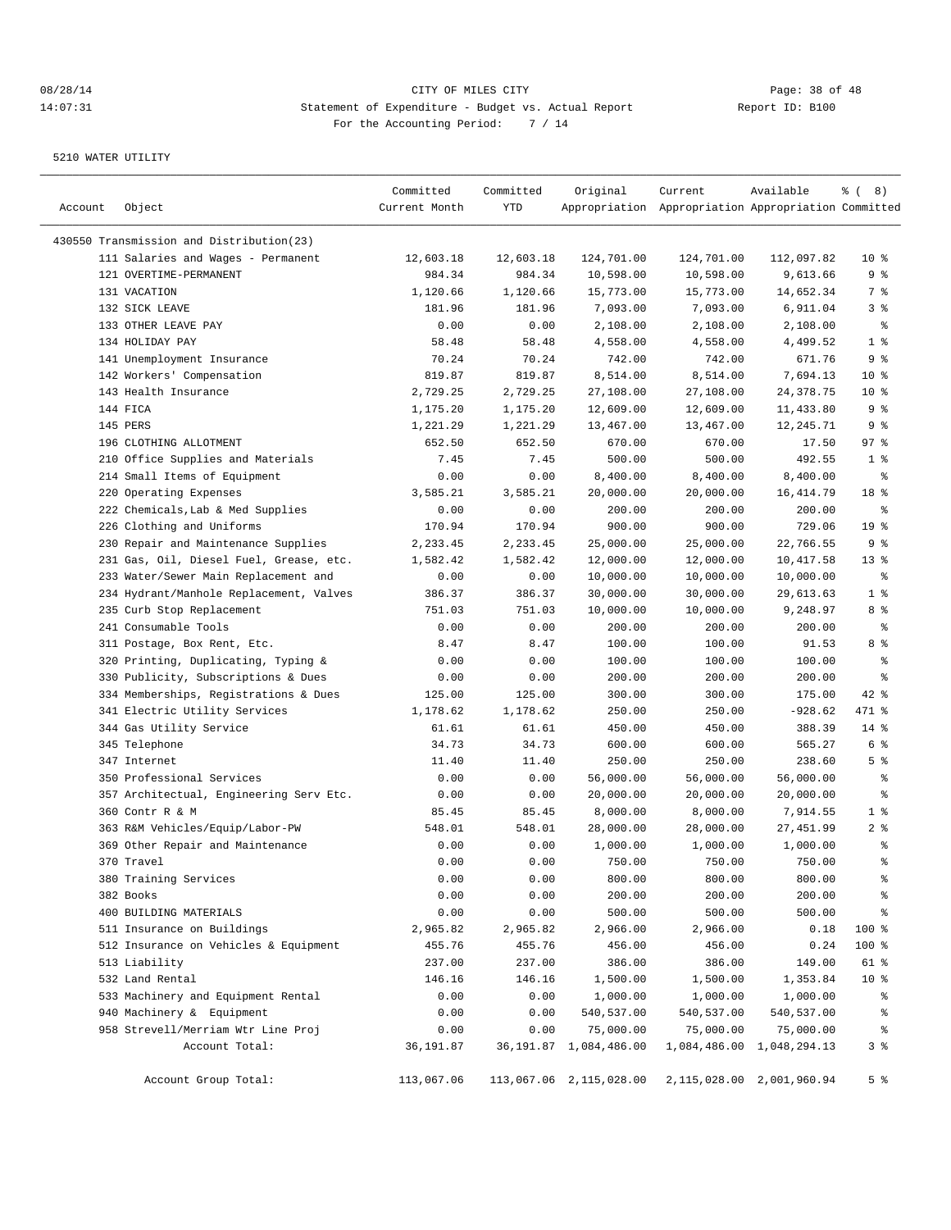| Account | Object                                   | Committed<br>Current Month | Committed<br>YTD | Original                  | Current<br>Appropriation Appropriation Appropriation Committed | Available                     | $\frac{6}{6}$ ( 8)       |
|---------|------------------------------------------|----------------------------|------------------|---------------------------|----------------------------------------------------------------|-------------------------------|--------------------------|
|         | 430550 Transmission and Distribution(23) |                            |                  |                           |                                                                |                               |                          |
|         | 111 Salaries and Wages - Permanent       | 12,603.18                  | 12,603.18        | 124,701.00                | 124,701.00                                                     | 112,097.82                    | $10*$                    |
|         | 121 OVERTIME-PERMANENT                   | 984.34                     | 984.34           | 10,598.00                 | 10,598.00                                                      | 9,613.66                      | 9 %                      |
|         | 131 VACATION                             | 1,120.66                   | 1,120.66         | 15,773.00                 | 15,773.00                                                      | 14,652.34                     | 7 %                      |
|         | 132 SICK LEAVE                           | 181.96                     | 181.96           | 7,093.00                  | 7,093.00                                                       | 6,911.04                      | 3%                       |
|         | 133 OTHER LEAVE PAY                      | 0.00                       | 0.00             | 2,108.00                  | 2,108.00                                                       | 2,108.00                      | ್ಠಿ                      |
|         | 134 HOLIDAY PAY                          | 58.48                      | 58.48            | 4,558.00                  | 4,558.00                                                       | 4,499.52                      | 1 <sup>°</sup>           |
|         | 141 Unemployment Insurance               | 70.24                      | 70.24            | 742.00                    | 742.00                                                         | 671.76                        | 9%                       |
|         | 142 Workers' Compensation                | 819.87                     | 819.87           | 8,514.00                  | 8,514.00                                                       | 7,694.13                      | $10*$                    |
|         | 143 Health Insurance                     | 2,729.25                   | 2,729.25         | 27,108.00                 | 27,108.00                                                      | 24, 378. 75                   | $10*$                    |
|         | 144 FICA                                 | 1,175.20                   | 1,175.20         | 12,609.00                 | 12,609.00                                                      | 11,433.80                     | 9%                       |
|         | 145 PERS                                 | 1,221.29                   | 1,221.29         | 13,467.00                 | 13,467.00                                                      | 12,245.71                     | 9%                       |
|         | 196 CLOTHING ALLOTMENT                   | 652.50                     | 652.50           | 670.00                    | 670.00                                                         | 17.50                         | 97%                      |
|         | 210 Office Supplies and Materials        | 7.45                       | 7.45             | 500.00                    | 500.00                                                         | 492.55                        | 1 <sup>°</sup>           |
|         | 214 Small Items of Equipment             | 0.00                       | 0.00             | 8,400.00                  | 8,400.00                                                       | 8,400.00                      | နွ                       |
|         | 220 Operating Expenses                   | 3,585.21                   | 3,585.21         | 20,000.00                 | 20,000.00                                                      | 16, 414.79                    | 18 %                     |
|         | 222 Chemicals, Lab & Med Supplies        | 0.00                       | 0.00             | 200.00                    | 200.00                                                         | 200.00                        | နွ                       |
|         | 226 Clothing and Uniforms                | 170.94                     | 170.94           | 900.00                    | 900.00                                                         | 729.06                        | 19 <sup>°</sup>          |
|         | 230 Repair and Maintenance Supplies      | 2,233.45                   | 2,233.45         | 25,000.00                 | 25,000.00                                                      | 22,766.55                     | 9%                       |
|         | 231 Gas, Oil, Diesel Fuel, Grease, etc.  | 1,582.42                   | 1,582.42         | 12,000.00                 | 12,000.00                                                      | 10,417.58                     | $13*$                    |
|         | 233 Water/Sewer Main Replacement and     | 0.00                       | 0.00             | 10,000.00                 | 10,000.00                                                      | 10,000.00                     | ್ಠಿ                      |
|         | 234 Hydrant/Manhole Replacement, Valves  | 386.37                     | 386.37           | 30,000.00                 | 30,000.00                                                      | 29,613.63                     | 1 <sup>°</sup>           |
|         | 235 Curb Stop Replacement                | 751.03                     | 751.03           | 10,000.00                 | 10,000.00                                                      | 9,248.97                      | 8 %                      |
|         | 241 Consumable Tools                     | 0.00                       | 0.00             | 200.00                    | 200.00                                                         | 200.00                        | နွ                       |
|         | 311 Postage, Box Rent, Etc.              | 8.47                       | 8.47             | 100.00                    | 100.00                                                         | 91.53                         | 8 %                      |
|         | 320 Printing, Duplicating, Typing &      | 0.00                       | 0.00             | 100.00                    | 100.00                                                         | 100.00                        | နွ                       |
|         | 330 Publicity, Subscriptions & Dues      | 0.00                       | 0.00             | 200.00                    | 200.00                                                         | 200.00                        | ి                        |
|         | 334 Memberships, Registrations & Dues    | 125.00                     | 125.00           | 300.00                    | 300.00                                                         | 175.00                        | 42 %                     |
|         | 341 Electric Utility Services            | 1,178.62                   | 1,178.62         | 250.00                    | 250.00                                                         | $-928.62$                     | 471 %                    |
|         | 344 Gas Utility Service                  | 61.61                      | 61.61            | 450.00                    | 450.00                                                         | 388.39                        | $14$ %                   |
|         | 345 Telephone                            | 34.73                      | 34.73            | 600.00                    | 600.00                                                         | 565.27                        | 6 %                      |
|         | 347 Internet                             | 11.40                      | 11.40            | 250.00                    | 250.00                                                         | 238.60                        | 5 <sup>8</sup>           |
|         | 350 Professional Services                | 0.00                       | 0.00             | 56,000.00                 | 56,000.00                                                      | 56,000.00                     | နွ                       |
|         | 357 Architectual, Engineering Serv Etc.  | 0.00                       | 0.00             | 20,000.00                 | 20,000.00                                                      | 20,000.00                     | နွ                       |
|         | 360 Contr R & M                          | 85.45                      | 85.45            | 8,000.00                  | 8,000.00                                                       | 7,914.55                      | 1 <sup>°</sup>           |
|         | 363 R&M Vehicles/Equip/Labor-PW          | 548.01                     | 548.01           | 28,000.00                 | 28,000.00                                                      | 27, 451.99                    | 2 <sub>8</sub>           |
|         | 369 Other Repair and Maintenance         | 0.00                       | 0.00             | 1,000.00                  | 1,000.00                                                       | 1,000.00                      | ್ಠಿ                      |
|         | 370 Travel                               | 0.00                       | 0.00             | 750.00                    | 750.00                                                         | 750.00                        | ి                        |
|         | 380 Training Services                    | 0.00                       | 0.00             | 800.00                    | 800.00                                                         | 800.00                        | ៖                        |
|         | 382 Books                                | 0.00                       | 0.00             | 200.00                    | 200.00                                                         | 200.00                        | $\,{}^{\circ}\!$         |
|         | 400 BUILDING MATERIALS                   | 0.00                       | 0.00             | 500.00                    | 500.00                                                         | 500.00                        | $\,{}^{\circ}\!\!\delta$ |
|         | 511 Insurance on Buildings               | 2,965.82                   | 2,965.82         | 2,966.00                  | 2,966.00                                                       | 0.18                          | 100 %                    |
|         | 512 Insurance on Vehicles & Equipment    | 455.76                     | 455.76           | 456.00                    | 456.00                                                         | 0.24                          | 100 %                    |
|         | 513 Liability                            | 237.00                     | 237.00           | 386.00                    | 386.00                                                         | 149.00                        | 61 %                     |
|         | 532 Land Rental                          | 146.16                     | 146.16           | 1,500.00                  | 1,500.00                                                       | 1,353.84                      | 10 <sup>°</sup>          |
|         | 533 Machinery and Equipment Rental       | 0.00                       | 0.00             | 1,000.00                  | 1,000.00                                                       | 1,000.00                      | န့                       |
|         | 940 Machinery & Equipment                | 0.00                       | 0.00             | 540,537.00                | 540,537.00                                                     | 540,537.00                    | $\approx$                |
|         | 958 Strevell/Merriam Wtr Line Proj       | 0.00                       | 0.00             | 75,000.00                 | 75,000.00                                                      | 75,000.00                     | ႜૢ                       |
|         | Account Total:                           | 36,191.87                  |                  | 36, 191.87 1, 084, 486.00 |                                                                | 1,084,486.00 1,048,294.13     | 3%                       |
|         | Account Group Total:                     | 113,067.06                 |                  | 113,067.06 2,115,028.00   |                                                                | 2, 115, 028.00 2, 001, 960.94 | 5 <sup>8</sup>           |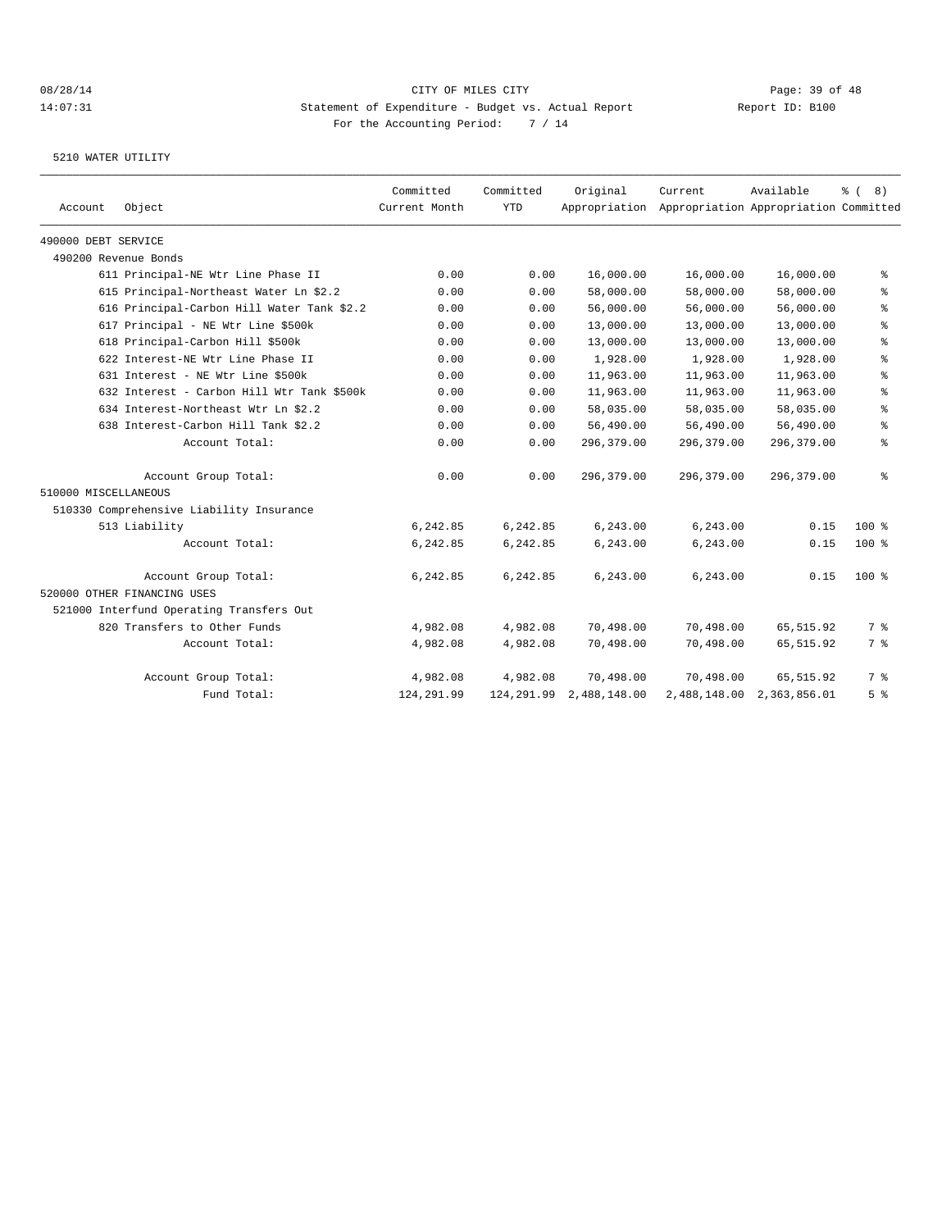|                      |                                            | Committed     | Committed  | Original     | Current                                             | Available                 | $\frac{6}{6}$ (<br>8) |
|----------------------|--------------------------------------------|---------------|------------|--------------|-----------------------------------------------------|---------------------------|-----------------------|
| Account              | Object                                     | Current Month | <b>YTD</b> |              | Appropriation Appropriation Appropriation Committed |                           |                       |
| 490000 DEBT SERVICE  |                                            |               |            |              |                                                     |                           |                       |
|                      | 490200 Revenue Bonds                       |               |            |              |                                                     |                           |                       |
|                      | 611 Principal-NE Wtr Line Phase II         | 0.00          | 0.00       | 16,000.00    | 16,000.00                                           | 16,000.00                 | °                     |
|                      | 615 Principal-Northeast Water Ln \$2.2     | 0.00          | 0.00       | 58,000.00    | 58,000.00                                           | 58,000.00                 | နွ                    |
|                      | 616 Principal-Carbon Hill Water Tank \$2.2 | 0.00          | 0.00       | 56,000.00    | 56,000.00                                           | 56,000.00                 | ి                     |
|                      | 617 Principal - NE Wtr Line \$500k         | 0.00          | 0.00       | 13,000.00    | 13,000.00                                           | 13,000.00                 | $\,$ %                |
|                      | 618 Principal-Carbon Hill \$500k           | 0.00          | 0.00       | 13,000.00    | 13,000.00                                           | 13,000.00                 | $\epsilon$            |
|                      | 622 Interest-NE Wtr Line Phase II          | 0.00          | 0.00       | 1,928.00     | 1,928.00                                            | 1,928.00                  | နွ                    |
|                      | 631 Interest - NE Wtr Line \$500k          | 0.00          | 0.00       | 11,963.00    | 11,963.00                                           | 11,963.00                 | နွ                    |
|                      | 632 Interest - Carbon Hill Wtr Tank \$500k | 0.00          | 0.00       | 11,963.00    | 11,963.00                                           | 11,963.00                 | ి                     |
|                      | 634 Interest-Northeast Wtr Ln \$2.2        | 0.00          | 0.00       | 58,035.00    | 58,035.00                                           | 58,035.00                 | နွ                    |
|                      | 638 Interest-Carbon Hill Tank \$2.2        | 0.00          | 0.00       | 56,490.00    | 56,490.00                                           | 56,490.00                 | နွ                    |
|                      | Account Total:                             | 0.00          | 0.00       | 296,379.00   | 296,379.00                                          | 296,379.00                | နွ                    |
|                      | Account Group Total:                       | 0.00          | 0.00       | 296,379.00   | 296,379.00                                          | 296,379.00                | နွ                    |
| 510000 MISCELLANEOUS |                                            |               |            |              |                                                     |                           |                       |
|                      | 510330 Comprehensive Liability Insurance   |               |            |              |                                                     |                           |                       |
|                      | 513 Liability                              | 6,242.85      | 6,242.85   | 6,243.00     | 6,243.00                                            | 0.15                      | $100*$                |
|                      | Account Total:                             | 6,242.85      | 6,242.85   | 6,243.00     | 6,243.00                                            | 0.15                      | $100$ %               |
|                      | Account Group Total:                       | 6,242.85      | 6,242.85   | 6,243.00     | 6,243.00                                            | 0.15                      | $100*$                |
|                      | 520000 OTHER FINANCING USES                |               |            |              |                                                     |                           |                       |
|                      | 521000 Interfund Operating Transfers Out   |               |            |              |                                                     |                           |                       |
|                      | 820 Transfers to Other Funds               | 4,982.08      | 4,982.08   | 70,498.00    | 70,498.00                                           | 65,515.92                 | 7 %                   |
|                      | Account Total:                             | 4,982.08      | 4,982.08   | 70,498.00    | 70,498.00                                           | 65,515.92                 | 7 %                   |
|                      | Account Group Total:                       | 4,982.08      | 4,982.08   | 70,498.00    | 70,498.00                                           | 65, 515.92                | 7 <sup>°</sup>        |
|                      | Fund Total:                                | 124,291.99    | 124,291.99 | 2,488,148.00 |                                                     | 2,488,148.00 2,363,856.01 | 5 <sup>8</sup>        |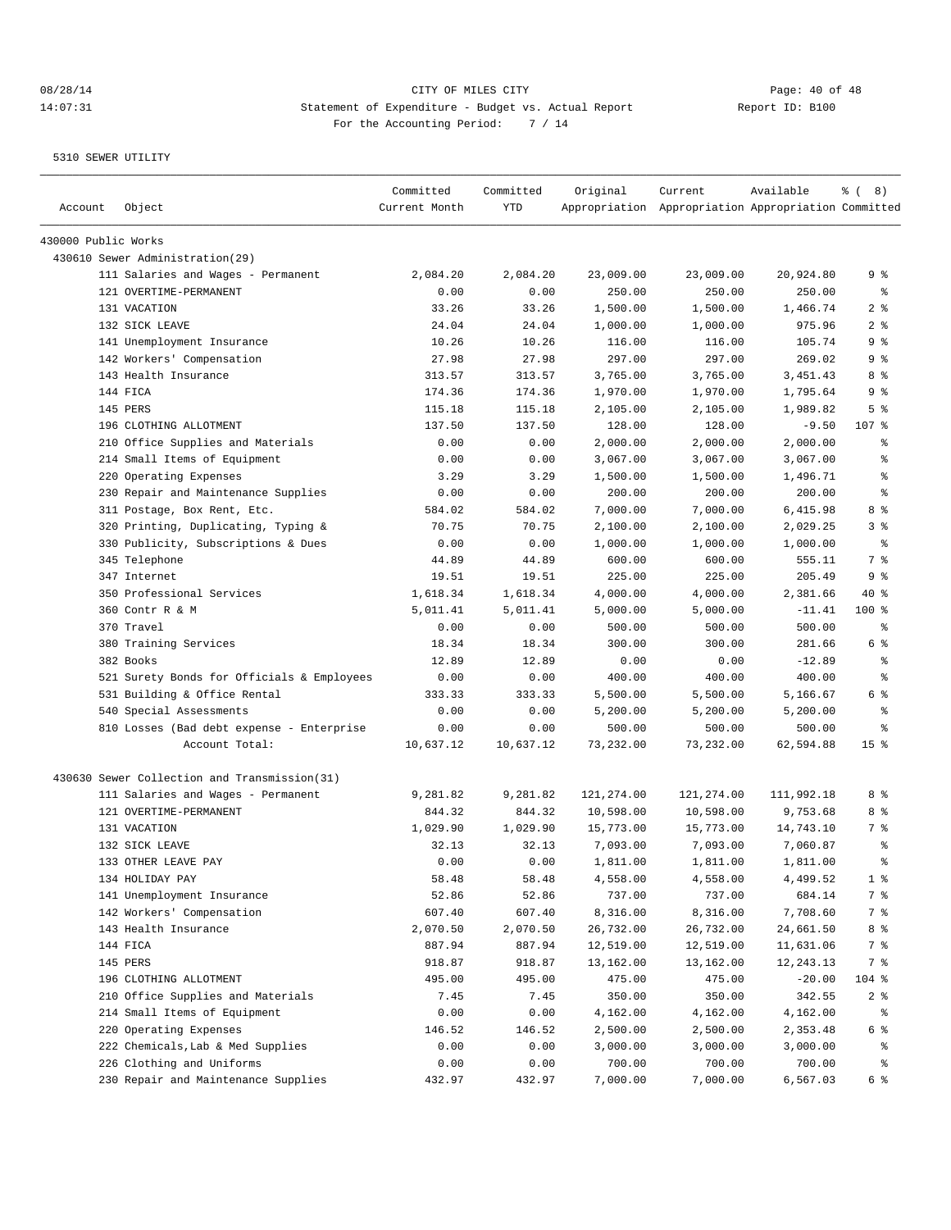| Account             | Object                                       | Committed<br>Current Month | Committed<br><b>YTD</b> | Original   | Current<br>Appropriation Appropriation Appropriation Committed | Available   | $\frac{6}{6}$ ( 8) |
|---------------------|----------------------------------------------|----------------------------|-------------------------|------------|----------------------------------------------------------------|-------------|--------------------|
| 430000 Public Works |                                              |                            |                         |            |                                                                |             |                    |
|                     | 430610 Sewer Administration(29)              |                            |                         |            |                                                                |             |                    |
|                     | 111 Salaries and Wages - Permanent           | 2,084.20                   | 2,084.20                | 23,009.00  | 23,009.00                                                      | 20,924.80   | 9 %                |
|                     | 121 OVERTIME-PERMANENT                       | 0.00                       | 0.00                    | 250.00     | 250.00                                                         | 250.00      | $\epsilon$         |
|                     | 131 VACATION                                 | 33.26                      | 33.26                   | 1,500.00   | 1,500.00                                                       | 1,466.74    | 2 <sup>8</sup>     |
|                     | 132 STCK LEAVE                               | 24.04                      | 24.04                   | 1,000.00   | 1,000.00                                                       | 975.96      | 28                 |
|                     | 141 Unemployment Insurance                   | 10.26                      | 10.26                   | 116.00     | 116.00                                                         | 105.74      | 9 %                |
|                     | 142 Workers' Compensation                    | 27.98                      | 27.98                   | 297.00     | 297.00                                                         | 269.02      | 9 %                |
|                     | 143 Health Insurance                         | 313.57                     | 313.57                  | 3,765.00   | 3,765.00                                                       | 3, 451.43   | 8 %                |
|                     | 144 FICA                                     | 174.36                     | 174.36                  | 1,970.00   | 1,970.00                                                       | 1,795.64    | 9%                 |
|                     | 145 PERS                                     | 115.18                     | 115.18                  | 2,105.00   | 2,105.00                                                       | 1,989.82    | 5 <sup>°</sup>     |
|                     | 196 CLOTHING ALLOTMENT                       | 137.50                     | 137.50                  | 128.00     | 128.00                                                         | $-9.50$     | 107 %              |
|                     | 210 Office Supplies and Materials            | 0.00                       | 0.00                    | 2,000.00   | 2,000.00                                                       | 2,000.00    | ႜ                  |
|                     | 214 Small Items of Equipment                 | 0.00                       | 0.00                    | 3,067.00   | 3,067.00                                                       | 3,067.00    | န္                 |
|                     | 220 Operating Expenses                       | 3.29                       | 3.29                    | 1,500.00   | 1,500.00                                                       | 1,496.71    | $\epsilon$         |
|                     | 230 Repair and Maintenance Supplies          | 0.00                       | 0.00                    | 200.00     | 200.00                                                         | 200.00      | $\epsilon$         |
|                     | 311 Postage, Box Rent, Etc.                  | 584.02                     | 584.02                  | 7,000.00   | 7,000.00                                                       | 6,415.98    | 8 %                |
|                     | 320 Printing, Duplicating, Typing &          | 70.75                      | 70.75                   | 2,100.00   | 2,100.00                                                       | 2,029.25    | 3 <sup>°</sup>     |
|                     | 330 Publicity, Subscriptions & Dues          | 0.00                       | 0.00                    | 1,000.00   | 1,000.00                                                       | 1,000.00    | $\epsilon$         |
|                     | 345 Telephone                                | 44.89                      | 44.89                   | 600.00     | 600.00                                                         | 555.11      | 7 <sup>°</sup>     |
|                     | 347 Internet                                 | 19.51                      | 19.51                   | 225.00     | 225.00                                                         | 205.49      | 9%                 |
|                     | 350 Professional Services                    | 1,618.34                   | 1,618.34                | 4,000.00   | 4,000.00                                                       | 2,381.66    | $40*$              |
|                     | 360 Contr R & M                              | 5,011.41                   | 5,011.41                | 5,000.00   | 5,000.00                                                       | $-11.41$    | 100 %              |
|                     | 370 Travel                                   | 0.00                       | 0.00                    | 500.00     | 500.00                                                         | 500.00      | $\epsilon$         |
|                     | 380 Training Services                        | 18.34                      | 18.34                   | 300.00     | 300.00                                                         | 281.66      | 6 %                |
|                     | 382 Books                                    | 12.89                      | 12.89                   | 0.00       | 0.00                                                           | $-12.89$    | $\epsilon$         |
|                     | 521 Surety Bonds for Officials & Employees   | 0.00                       | 0.00                    | 400.00     | 400.00                                                         | 400.00      | နွ                 |
|                     | 531 Building & Office Rental                 | 333.33                     | 333.33                  | 5,500.00   | 5,500.00                                                       | 5,166.67    | 6 %                |
|                     | 540 Special Assessments                      | 0.00                       | 0.00                    | 5,200.00   | 5,200.00                                                       | 5,200.00    | န္                 |
|                     | 810 Losses (Bad debt expense - Enterprise    | 0.00                       | 0.00                    | 500.00     | 500.00                                                         | 500.00      | ి                  |
|                     | Account Total:                               | 10,637.12                  | 10,637.12               | 73,232.00  | 73,232.00                                                      | 62,594.88   | 15 <sup>°</sup>    |
|                     | 430630 Sewer Collection and Transmission(31) |                            |                         |            |                                                                |             |                    |
|                     | 111 Salaries and Wages - Permanent           | 9,281.82                   | 9,281.82                | 121,274.00 | 121,274.00                                                     | 111,992.18  | 8 %                |
|                     | 121 OVERTIME-PERMANENT                       | 844.32                     | 844.32                  | 10,598.00  | 10,598.00                                                      | 9,753.68    | 8 %                |
|                     | 131 VACATION                                 | 1,029.90                   | 1,029.90                | 15,773.00  | 15,773.00                                                      | 14,743.10   | 7 %                |
|                     | 132 SICK LEAVE                               | 32.13                      | 32.13                   | 7,093.00   | 7,093.00                                                       | 7,060.87    | နွ                 |
|                     | 133 OTHER LEAVE PAY                          | 0.00                       | 0.00                    | 1,811.00   | 1,811.00                                                       | 1,811.00    | ÷                  |
|                     | 134 HOLIDAY PAY                              | 58.48                      | 58.48                   | 4,558.00   | 4,558.00                                                       | 4,499.52    | 1 <sup>8</sup>     |
|                     | 141 Unemployment Insurance                   | 52.86                      | 52.86                   | 737.00     | 737.00                                                         | 684.14      | 7 %                |
|                     | 142 Workers' Compensation                    | 607.40                     | 607.40                  | 8,316.00   | 8,316.00                                                       | 7,708.60    | 7 %                |
|                     | 143 Health Insurance                         | 2,070.50                   | 2,070.50                | 26,732.00  | 26,732.00                                                      | 24,661.50   | 8 %                |
|                     | 144 FICA                                     | 887.94                     | 887.94                  | 12,519.00  | 12,519.00                                                      | 11,631.06   | 7 %                |
|                     | 145 PERS                                     | 918.87                     | 918.87                  | 13,162.00  | 13,162.00                                                      | 12, 243. 13 | 7 %                |
|                     | 196 CLOTHING ALLOTMENT                       | 495.00                     | 495.00                  | 475.00     | 475.00                                                         | $-20.00$    | $104$ %            |
|                     | 210 Office Supplies and Materials            | 7.45                       | 7.45                    | 350.00     | 350.00                                                         | 342.55      | 2 <sub>8</sub>     |
|                     | 214 Small Items of Equipment                 | 0.00                       | 0.00                    | 4,162.00   | 4,162.00                                                       | 4,162.00    | ိ                  |
|                     | 220 Operating Expenses                       | 146.52                     | 146.52                  | 2,500.00   | 2,500.00                                                       | 2,353.48    | 6 %                |
|                     | 222 Chemicals, Lab & Med Supplies            | 0.00                       | 0.00                    | 3,000.00   | 3,000.00                                                       | 3,000.00    | ိင                 |
|                     | 226 Clothing and Uniforms                    | 0.00                       | 0.00                    | 700.00     | 700.00                                                         | 700.00      | နွ                 |
|                     | 230 Repair and Maintenance Supplies          | 432.97                     | 432.97                  | 7,000.00   | 7,000.00                                                       | 6,567.03    | 6 %                |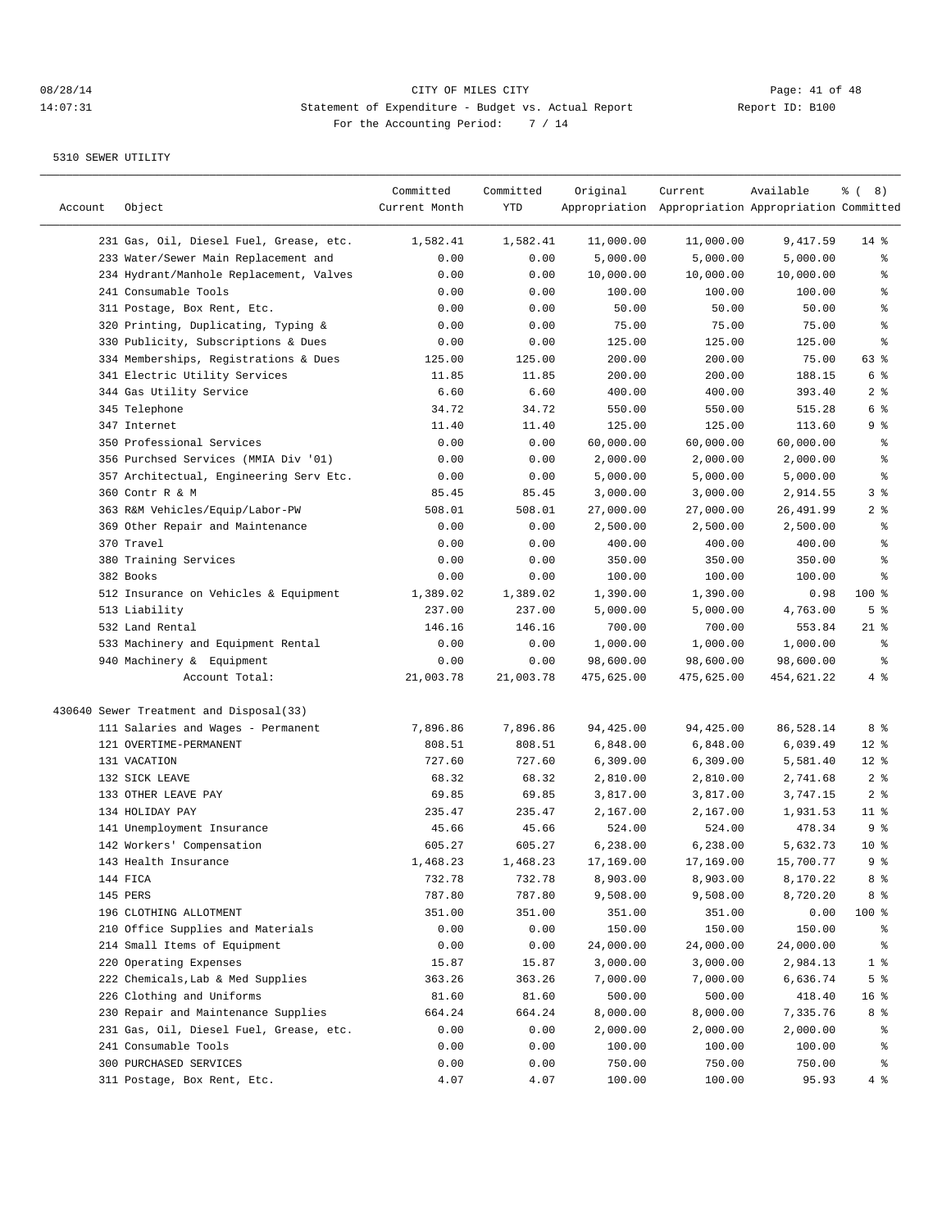## 08/28/14 Page: 41 of 48 14:07:31 Statement of Expenditure - Budget vs. Actual Report Changer Report ID: B100 For the Accounting Period: 7 / 14

| Account | Object                                  | Committed<br>Current Month | Committed<br>YTD | Original   | Current<br>Appropriation Appropriation Appropriation Committed | Available  | $\frac{6}{6}$ ( 8) |
|---------|-----------------------------------------|----------------------------|------------------|------------|----------------------------------------------------------------|------------|--------------------|
|         | 231 Gas, Oil, Diesel Fuel, Grease, etc. | 1,582.41                   | 1,582.41         | 11,000.00  | 11,000.00                                                      | 9,417.59   | $14$ %             |
|         | 233 Water/Sewer Main Replacement and    | 0.00                       | 0.00             | 5,000.00   | 5,000.00                                                       | 5,000.00   | န္                 |
|         | 234 Hydrant/Manhole Replacement, Valves | 0.00                       | 0.00             | 10,000.00  | 10,000.00                                                      | 10,000.00  | ႜ                  |
|         | 241 Consumable Tools                    | 0.00                       | 0.00             | 100.00     | 100.00                                                         | 100.00     | န္                 |
|         | 311 Postage, Box Rent, Etc.             | 0.00                       | 0.00             | 50.00      | 50.00                                                          | 50.00      | $\epsilon$         |
|         | 320 Printing, Duplicating, Typing &     | 0.00                       | 0.00             | 75.00      | 75.00                                                          | 75.00      | $\epsilon$         |
|         | 330 Publicity, Subscriptions & Dues     | 0.00                       | 0.00             | 125.00     | 125.00                                                         | 125.00     | ి                  |
|         | 334 Memberships, Registrations & Dues   | 125.00                     | 125.00           | 200.00     | 200.00                                                         | 75.00      | 63 %               |
|         | 341 Electric Utility Services           | 11.85                      | 11.85            | 200.00     | 200.00                                                         | 188.15     | 6 %                |
|         | 344 Gas Utility Service                 | 6.60                       | 6.60             | 400.00     | 400.00                                                         | 393.40     | 2 <sup>8</sup>     |
|         | 345 Telephone                           | 34.72                      | 34.72            | 550.00     | 550.00                                                         | 515.28     | 6 %                |
|         | 347 Internet                            | 11.40                      | 11.40            | 125.00     | 125.00                                                         | 113.60     | 9 %                |
|         | 350 Professional Services               | 0.00                       | 0.00             | 60,000.00  | 60,000.00                                                      | 60,000.00  | ႜ                  |
|         | 356 Purchsed Services (MMIA Div '01)    | 0.00                       | 0.00             | 2,000.00   | 2,000.00                                                       | 2,000.00   | န္                 |
|         | 357 Architectual, Engineering Serv Etc. | 0.00                       | 0.00             | 5,000.00   | 5,000.00                                                       | 5,000.00   | $\epsilon$         |
|         | 360 Contr R & M                         | 85.45                      | 85.45            | 3,000.00   | 3,000.00                                                       | 2,914.55   | 3%                 |
|         | 363 R&M Vehicles/Equip/Labor-PW         | 508.01                     | 508.01           | 27,000.00  | 27,000.00                                                      | 26, 491.99 | 2 <sup>8</sup>     |
|         | 369 Other Repair and Maintenance        | 0.00                       | 0.00             | 2,500.00   | 2,500.00                                                       | 2,500.00   | ႜ                  |
|         | 370 Travel                              | 0.00                       | 0.00             | 400.00     | 400.00                                                         | 400.00     | န္                 |
|         | 380 Training Services                   | 0.00                       | 0.00             | 350.00     | 350.00                                                         | 350.00     | ి                  |
|         | 382 Books                               | 0.00                       | 0.00             | 100.00     | 100.00                                                         | 100.00     | ి                  |
|         | 512 Insurance on Vehicles & Equipment   | 1,389.02                   | 1,389.02         | 1,390.00   | 1,390.00                                                       | 0.98       | $100$ %            |
|         | 513 Liability                           | 237.00                     | 237.00           | 5,000.00   | 5,000.00                                                       | 4,763.00   | 5 <sup>°</sup>     |
|         | 532 Land Rental                         | 146.16                     | 146.16           | 700.00     | 700.00                                                         | 553.84     | $21$ %             |
|         | 533 Machinery and Equipment Rental      | 0.00                       | 0.00             | 1,000.00   | 1,000.00                                                       | 1,000.00   | နွ                 |
|         | 940 Machinery & Equipment               | 0.00                       | 0.00             | 98,600.00  | 98,600.00                                                      | 98,600.00  | န္                 |
|         | Account Total:                          | 21,003.78                  | 21,003.78        | 475,625.00 | 475,625.00                                                     | 454,621.22 | 4 %                |
|         | 430640 Sewer Treatment and Disposal(33) |                            |                  |            |                                                                |            |                    |
|         | 111 Salaries and Wages - Permanent      | 7,896.86                   | 7,896.86         | 94,425.00  | 94,425.00                                                      | 86,528.14  | 8 %                |
|         | 121 OVERTIME-PERMANENT                  | 808.51                     | 808.51           | 6,848.00   | 6,848.00                                                       | 6,039.49   | $12$ %             |
|         | 131 VACATION                            | 727.60                     | 727.60           | 6,309.00   | 6,309.00                                                       | 5,581.40   | $12*$              |
|         | 132 SICK LEAVE                          | 68.32                      | 68.32            | 2,810.00   | 2,810.00                                                       | 2,741.68   | 2 <sup>8</sup>     |
|         | 133 OTHER LEAVE PAY                     | 69.85                      | 69.85            | 3,817.00   | 3,817.00                                                       | 3,747.15   | 2 <sup>°</sup>     |
|         | 134 HOLIDAY PAY                         | 235.47                     | 235.47           | 2,167.00   | 2,167.00                                                       | 1,931.53   | $11$ %             |
|         | 141 Unemployment Insurance              | 45.66                      | 45.66            | 524.00     | 524.00                                                         | 478.34     | 9%                 |
|         | 142 Workers' Compensation               | 605.27                     | 605.27           | 6,238.00   | 6,238.00                                                       | 5,632.73   | $10*$              |
|         | 143 Health Insurance                    | 1,468.23                   | 1,468.23         | 17,169.00  | 17,169.00                                                      | 15,700.77  | 9 %                |
|         | 144 FICA                                | 732.78                     | 732.78           | 8,903.00   | 8,903.00                                                       | 8,170.22   | 8 %                |
|         | 145 PERS                                | 787.80                     | 787.80           | 9,508.00   | 9,508.00                                                       | 8,720.20   | 8 %                |
|         | 196 CLOTHING ALLOTMENT                  | 351.00                     | 351.00           | 351.00     | 351.00                                                         | 0.00       | 100 %              |
|         | 210 Office Supplies and Materials       | 0.00                       | 0.00             | 150.00     | 150.00                                                         | 150.00     | ႜૢ                 |
|         | 214 Small Items of Equipment            | 0.00                       | 0.00             | 24,000.00  | 24,000.00                                                      | 24,000.00  | ိင                 |
|         | 220 Operating Expenses                  | 15.87                      | 15.87            | 3,000.00   | 3,000.00                                                       | 2,984.13   | 1 <sup>8</sup>     |
|         | 222 Chemicals, Lab & Med Supplies       | 363.26                     | 363.26           | 7,000.00   | 7,000.00                                                       | 6,636.74   | 5 %                |
|         | 226 Clothing and Uniforms               | 81.60                      | 81.60            | 500.00     | 500.00                                                         | 418.40     | 16 <sup>°</sup>    |
|         | 230 Repair and Maintenance Supplies     | 664.24                     | 664.24           | 8,000.00   | 8,000.00                                                       | 7,335.76   | 8 %                |
|         | 231 Gas, Oil, Diesel Fuel, Grease, etc. | 0.00                       | 0.00             | 2,000.00   | 2,000.00                                                       | 2,000.00   | ွေ                 |
|         | 241 Consumable Tools                    | 0.00                       | 0.00             | 100.00     | 100.00                                                         | 100.00     | ိင                 |
|         | 300 PURCHASED SERVICES                  | 0.00                       | 0.00             | 750.00     | 750.00                                                         | 750.00     | ႜ                  |
|         | 311 Postage, Box Rent, Etc.             | 4.07                       | 4.07             | 100.00     | 100.00                                                         | 95.93      | 4%                 |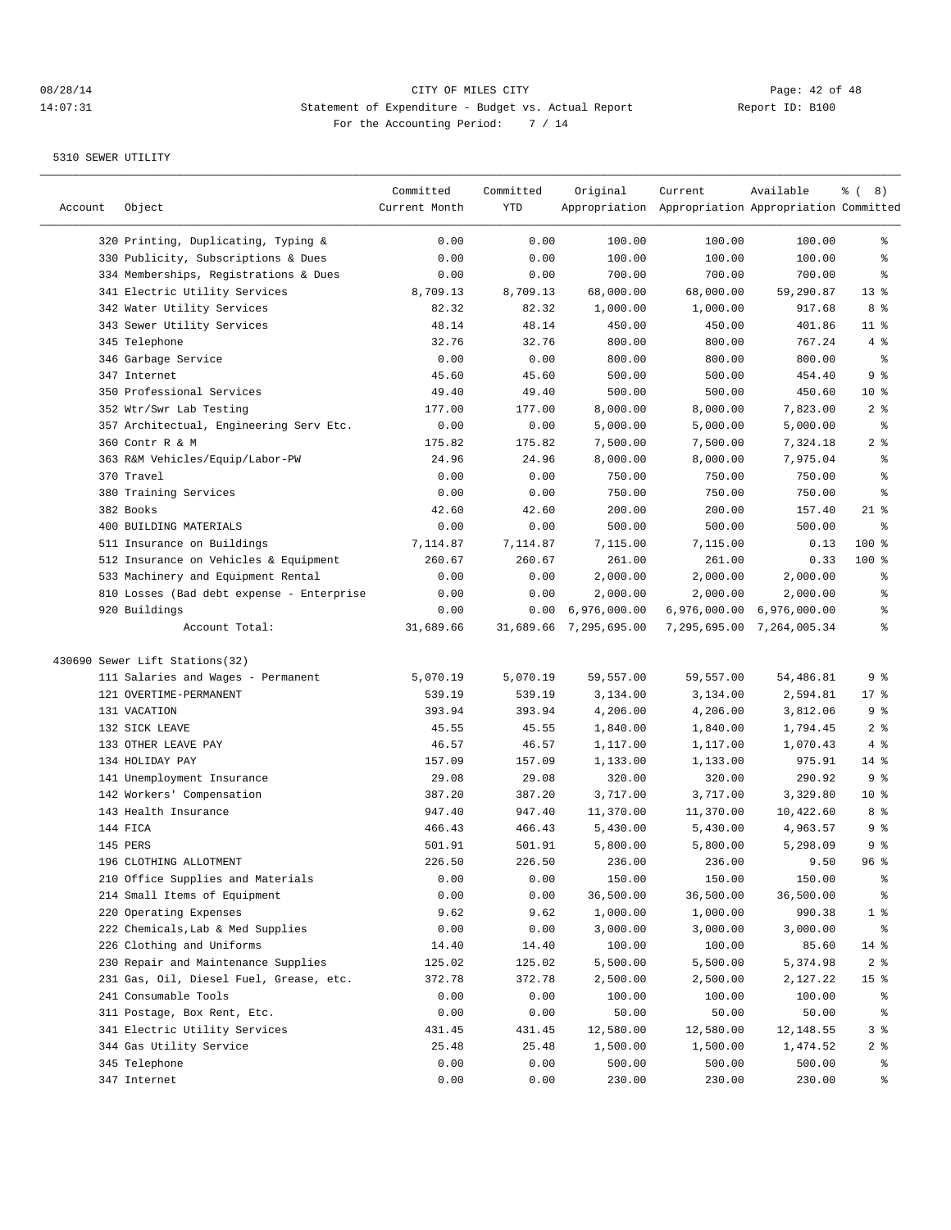————————————————————————————————————————————————————————————————————————————————————————————————————————————————————————————————————

|         |                                                              | Committed       | Committed | Original                  | Current                                             | Available                 | ී (<br>8)       |
|---------|--------------------------------------------------------------|-----------------|-----------|---------------------------|-----------------------------------------------------|---------------------------|-----------------|
| Account | Object                                                       | Current Month   | YTD       |                           | Appropriation Appropriation Appropriation Committed |                           |                 |
|         | 320 Printing, Duplicating, Typing &                          | 0.00            | 0.00      | 100.00                    | 100.00                                              | 100.00                    | ွေ              |
|         | 330 Publicity, Subscriptions & Dues                          | 0.00            | 0.00      | 100.00                    | 100.00                                              | 100.00                    | န္              |
|         | 334 Memberships, Registrations & Dues                        | 0.00            | 0.00      | 700.00                    | 700.00                                              | 700.00                    | ႜ               |
|         | 341 Electric Utility Services                                | 8,709.13        | 8,709.13  | 68,000.00                 | 68,000.00                                           | 59,290.87                 | 13 <sup>8</sup> |
|         | 342 Water Utility Services                                   | 82.32           | 82.32     | 1,000.00                  | 1,000.00                                            | 917.68                    | 8 %             |
|         | 343 Sewer Utility Services                                   | 48.14           | 48.14     | 450.00                    | 450.00                                              | 401.86                    | $11$ %          |
|         | 345 Telephone                                                | 32.76           | 32.76     | 800.00                    | 800.00                                              | 767.24                    | 4%              |
|         | 346 Garbage Service                                          | 0.00            | 0.00      | 800.00                    | 800.00                                              | 800.00                    | နွ              |
|         | 347 Internet                                                 | 45.60           | 45.60     | 500.00                    | 500.00                                              | 454.40                    | 9 %             |
|         | 350 Professional Services                                    | 49.40           | 49.40     | 500.00                    | 500.00                                              | 450.60                    | $10*$           |
|         | 352 Wtr/Swr Lab Testing                                      | 177.00          | 177.00    | 8,000.00                  | 8,000.00                                            | 7,823.00                  | 2 <sup>8</sup>  |
|         | 357 Architectual, Engineering Serv Etc.                      | 0.00            | 0.00      | 5,000.00                  | 5,000.00                                            | 5,000.00                  | နွ              |
|         | 360 Contr R & M                                              | 175.82          | 175.82    | 7,500.00                  | 7,500.00                                            | 7,324.18                  | 2 <sup>8</sup>  |
|         | 363 R&M Vehicles/Equip/Labor-PW                              | 24.96           | 24.96     | 8,000.00                  | 8,000.00                                            | 7,975.04                  | နွ              |
|         | 370 Travel                                                   | 0.00            | 0.00      | 750.00                    | 750.00                                              | 750.00                    | ႜ               |
|         | 380 Training Services                                        | 0.00            | 0.00      | 750.00                    | 750.00                                              | 750.00                    | ႜ               |
|         | 382 Books                                                    | 42.60           | 42.60     | 200.00                    | 200.00                                              | 157.40                    | $21$ %          |
|         | 400 BUILDING MATERIALS                                       | 0.00            | 0.00      | 500.00                    | 500.00                                              | 500.00                    | န္              |
|         | 511 Insurance on Buildings                                   | 7,114.87        | 7,114.87  | 7,115.00                  | 7,115.00                                            | 0.13                      | 100 %           |
|         | 512 Insurance on Vehicles & Equipment                        | 260.67          | 260.67    | 261.00                    | 261.00                                              | 0.33                      | 100 %           |
|         | 533 Machinery and Equipment Rental                           | 0.00            | 0.00      | 2,000.00                  | 2,000.00                                            | 2,000.00                  | ႜ               |
|         | 810 Losses (Bad debt expense - Enterprise                    | 0.00            | 0.00      | 2,000.00                  | 2,000.00                                            | 2,000.00                  | ႜ               |
|         | 920 Buildings                                                | 0.00            |           | $0.00 \quad 6,976,000.00$ |                                                     | 6,976,000.00 6,976,000.00 | ႜ               |
|         | Account Total:                                               | 31,689.66       |           | 31,689.66 7,295,695.00    |                                                     | 7,295,695.00 7,264,005.34 | ి               |
|         | 430690 Sewer Lift Stations(32)                               |                 |           |                           |                                                     |                           |                 |
|         | 111 Salaries and Wages - Permanent                           | 5,070.19        | 5,070.19  | 59,557.00                 | 59,557.00                                           | 54,486.81                 | 9 %             |
|         | 121 OVERTIME-PERMANENT                                       | 539.19          | 539.19    | 3,134.00                  | 3,134.00                                            | 2,594.81                  | $17*$           |
|         | 131 VACATION                                                 | 393.94          | 393.94    | 4,206.00                  | 4,206.00                                            | 3,812.06                  | 9 %             |
|         | 132 SICK LEAVE                                               | 45.55           | 45.55     | 1,840.00                  | 1,840.00                                            | 1,794.45                  | 2 <sup>8</sup>  |
|         | 133 OTHER LEAVE PAY                                          | 46.57           | 46.57     | 1,117.00                  | 1,117.00                                            | 1,070.43                  | 4 %             |
|         | 134 HOLIDAY PAY                                              | 157.09          | 157.09    | 1,133.00                  | 1,133.00                                            | 975.91                    | $14$ %          |
|         | 141 Unemployment Insurance                                   | 29.08           | 29.08     | 320.00                    | 320.00                                              | 290.92                    | 9%              |
|         | 142 Workers' Compensation                                    | 387.20          | 387.20    | 3,717.00                  | 3,717.00                                            | 3,329.80                  | $10*$           |
|         | 143 Health Insurance                                         | 947.40          | 947.40    | 11,370.00                 | 11,370.00                                           | 10,422.60                 | 8 %             |
|         | 144 FICA                                                     | 466.43          | 466.43    | 5,430.00                  | 5,430.00                                            | 4,963.57                  | 9%              |
|         | 145 PERS                                                     | 501.91          | 501.91    | 5,800.00                  | 5,800.00                                            | 5,298.09                  | 9%              |
|         | 196 CLOTHING ALLOTMENT                                       | 226.50          | 226.50    | 236.00                    | 236.00                                              | 9.50                      | 96%             |
|         | 210 Office Supplies and Materials                            | 0.00            | 0.00      | 150.00                    | 150.00                                              | 150.00                    | ွေ              |
|         | 214 Small Items of Equipment                                 | 0.00            | 0.00      | 36,500.00                 | 36,500.00                                           | 36,500.00                 | ႜૢ              |
|         | 220 Operating Expenses                                       | 9.62            | 9.62      | 1,000.00                  | 1,000.00                                            | 990.38                    | 1 <sup>8</sup>  |
|         | 222 Chemicals, Lab & Med Supplies                            | 0.00            | 0.00      | 3,000.00                  | 3,000.00                                            | 3,000.00                  | $\frac{6}{9}$   |
|         | 226 Clothing and Uniforms                                    | 14.40           | 14.40     | 100.00                    | 100.00                                              | 85.60                     | $14$ %          |
|         | 230 Repair and Maintenance Supplies                          | 125.02          | 125.02    | 5,500.00                  | 5,500.00                                            | 5,374.98                  | 2 <sub>8</sub>  |
|         | 231 Gas, Oil, Diesel Fuel, Grease, etc.                      | 372.78          | 372.78    | 2,500.00                  |                                                     |                           | 15 <sup>°</sup> |
|         | 241 Consumable Tools                                         |                 | 0.00      | 100.00                    | 2,500.00                                            | 2,127.22                  |                 |
|         |                                                              | 0.00            |           |                           | 100.00                                              | 100.00                    | ိ<br>ိင         |
|         | 311 Postage, Box Rent, Etc.<br>341 Electric Utility Services | 0.00            | 0.00      | 50.00<br>12,580.00        | 50.00<br>12,580.00                                  | 50.00                     | 3 %             |
|         | 344 Gas Utility Service                                      | 431.45<br>25.48 | 431.45    |                           | 1,500.00                                            | 12,148.55                 |                 |
|         |                                                              |                 | 25.48     | 1,500.00                  |                                                     | 1,474.52                  | 2 <sub>8</sub>  |
|         | 345 Telephone                                                | 0.00            | 0.00      | 500.00                    | 500.00                                              | 500.00                    | ႜွ              |
|         | 347 Internet                                                 | 0.00            | 0.00      | 230.00                    | 230.00                                              | 230.00                    | ွေ              |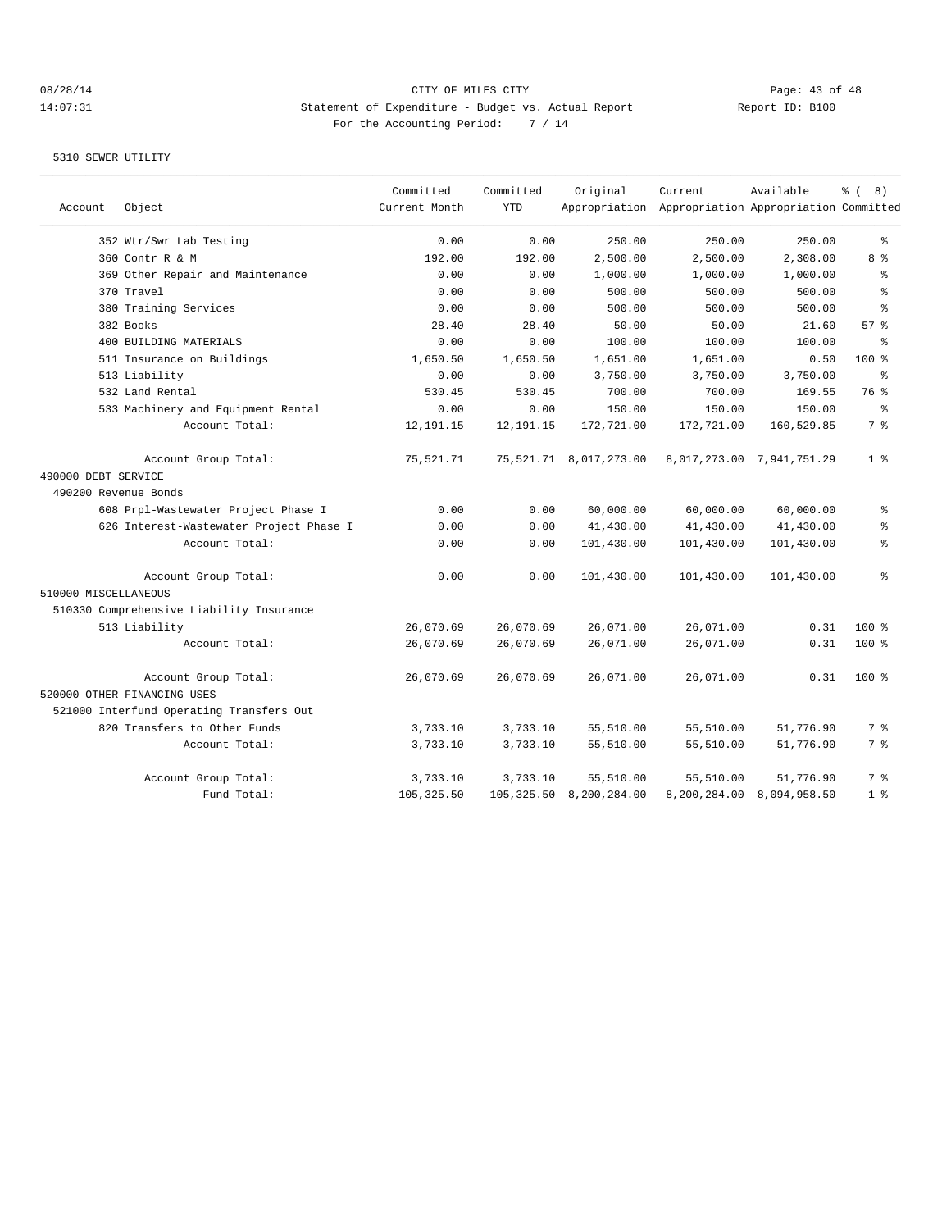## 08/28/14 Page: 43 of 48 14:07:31 Statement of Expenditure - Budget vs. Actual Report Changery Report ID: B100 For the Accounting Period: 7 / 14

| Account              | Object                                              | Committed<br>Current Month | Committed<br><b>YTD</b> | Original                    | Current<br>Appropriation Appropriation Appropriation Committed | Available                 | % (8)           |
|----------------------|-----------------------------------------------------|----------------------------|-------------------------|-----------------------------|----------------------------------------------------------------|---------------------------|-----------------|
|                      | 352 Wtr/Swr Lab Testing                             | 0.00                       | 0.00                    | 250.00                      | 250.00                                                         | 250.00                    | ి               |
|                      | 360 Contr R & M                                     | 192.00                     | 192.00                  | 2,500.00                    | 2,500.00                                                       | 2,308.00                  | 8 %             |
|                      | 369 Other Repair and Maintenance                    | 0.00                       | 0.00                    | 1,000.00                    | 1,000.00                                                       | 1,000.00                  | န္              |
|                      | 370 Travel                                          | 0.00                       | 0.00                    | 500.00                      | 500.00                                                         | 500.00                    | န္              |
|                      | 380 Training Services                               | 0.00                       | 0.00                    | 500.00                      | 500.00                                                         | 500.00                    | ి               |
|                      | 382 Books                                           | 28.40                      | 28.40                   | 50.00                       | 50.00                                                          | 21.60                     | 57 <sub>8</sub> |
|                      | 400 BUILDING MATERIALS                              | 0.00                       | 0.00                    | 100.00                      | 100.00                                                         | 100.00                    | 昙               |
|                      | 511 Insurance on Buildings                          | 1,650.50                   | 1,650.50                | 1,651.00                    | 1,651.00                                                       | 0.50                      | $100*$          |
|                      | 513 Liability                                       | 0.00                       | 0.00                    | 3,750.00                    | 3,750.00                                                       | 3,750.00                  | ⊱               |
|                      | 532 Land Rental                                     | 530.45                     | 530.45                  | 700.00                      | 700.00                                                         | 169.55                    | 76 %            |
|                      | 533 Machinery and Equipment Rental                  | 0.00                       | 0.00                    | 150.00                      | 150.00                                                         | 150.00                    | နွ              |
|                      | Account Total:                                      | 12, 191. 15                | 12, 191. 15             | 172,721.00                  | 172,721.00                                                     | 160,529.85                | 7 %             |
|                      | Account Group Total:                                | 75,521.71                  |                         | 75, 521. 71 8, 017, 273. 00 |                                                                | 8,017,273.00 7,941,751.29 | 1 <sup>°</sup>  |
| 490000 DEBT SERVICE  |                                                     |                            |                         |                             |                                                                |                           |                 |
| 490200 Revenue Bonds |                                                     |                            |                         |                             |                                                                |                           |                 |
|                      | 608 Prpl-Wastewater Project Phase I                 | 0.00                       | 0.00                    | 60,000.00                   | 60,000.00                                                      | 60,000.00                 | ి               |
|                      | 626 Interest-Wastewater Project Phase I             | 0.00                       | 0.00                    | 41,430.00                   | 41,430.00                                                      | 41,430.00                 | နွ              |
|                      | Account Total:                                      | 0.00                       | 0.00                    | 101,430.00                  | 101,430.00                                                     | 101,430.00                | ి               |
|                      | Account Group Total:                                | 0.00                       | 0.00                    | 101,430.00                  | 101,430.00                                                     | 101,430.00                | ి               |
| 510000 MISCELLANEOUS |                                                     |                            |                         |                             |                                                                |                           |                 |
|                      | 510330 Comprehensive Liability Insurance            |                            |                         |                             |                                                                |                           |                 |
|                      | 513 Liability                                       | 26,070.69                  | 26,070.69               | 26,071.00                   | 26,071.00                                                      | 0.31                      | $100$ %         |
|                      | Account Total:                                      | 26,070.69                  | 26,070.69               | 26,071.00                   | 26,071.00                                                      | 0.31                      | $100$ %         |
|                      | Account Group Total:<br>520000 OTHER FINANCING USES | 26,070.69                  | 26,070.69               | 26,071.00                   | 26,071.00                                                      | 0.31                      | $100$ %         |
|                      | 521000 Interfund Operating Transfers Out            |                            |                         |                             |                                                                |                           |                 |
|                      | 820 Transfers to Other Funds                        | 3,733.10                   | 3,733.10                | 55,510.00                   | 55,510.00                                                      | 51,776.90                 | 7 %             |
|                      | Account Total:                                      | 3,733.10                   | 3,733.10                | 55,510.00                   | 55,510.00                                                      | 51,776.90                 | 7 %             |
|                      | Account Group Total:                                | 3,733.10                   | 3,733.10                | 55,510.00                   | 55,510.00                                                      | 51,776.90                 | 7 %             |
|                      | Fund Total:                                         | 105, 325.50                | 105,325.50              | 8,200,284.00                | 8,200,284.00                                                   | 8,094,958.50              | 1 <sup>8</sup>  |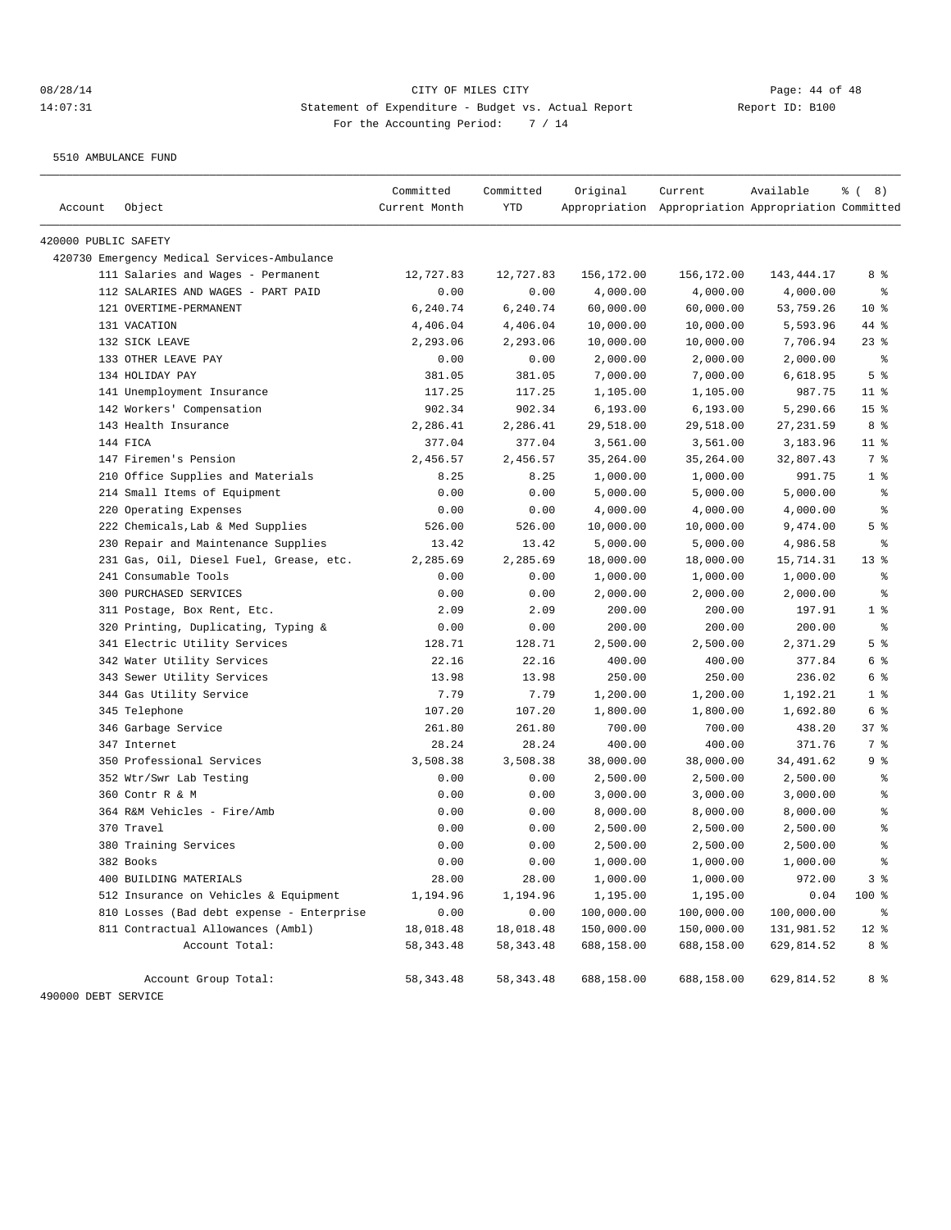5510 AMBULANCE FUND

| 420000 PUBLIC SAFETY<br>420730 Emergency Medical Services-Ambulance<br>111 Salaries and Wages - Permanent<br>12,727.83<br>12,727.83<br>156,172.00<br>156,172.00<br>143, 444. 17<br>112 SALARIES AND WAGES - PART PAID<br>0.00<br>0.00<br>4,000.00<br>4,000.00<br>4,000.00<br>121 OVERTIME-PERMANENT<br>6,240.74<br>6,240.74<br>60,000.00<br>60,000.00<br>53,759.26<br>131 VACATION<br>4,406.04<br>4,406.04<br>10,000.00<br>10,000.00<br>5,593.96<br>132 SICK LEAVE<br>2,293.06<br>2,293.06<br>10,000.00<br>10,000.00<br>7,706.94<br>133 OTHER LEAVE PAY<br>0.00<br>0.00<br>2,000.00<br>2,000.00<br>2,000.00<br>134 HOLIDAY PAY<br>381.05<br>381.05<br>7,000.00<br>7,000.00<br>6,618.95<br>141 Unemployment Insurance<br>117.25<br>117.25<br>1,105.00<br>1,105.00<br>987.75<br>142 Workers' Compensation<br>902.34<br>902.34<br>6, 193.00<br>5,290.66<br>6,193.00<br>143 Health Insurance<br>2,286.41<br>2,286.41<br>29,518.00<br>29,518.00<br>27, 231.59<br>144 FICA<br>377.04<br>377.04<br>3,561.00<br>3,183.96<br>3,561.00<br>147 Firemen's Pension<br>2,456.57<br>2,456.57<br>35,264.00<br>35,264.00<br>32,807.43<br>210 Office Supplies and Materials<br>8.25<br>8.25<br>1,000.00<br>1,000.00<br>991.75<br>214 Small Items of Equipment<br>0.00<br>0.00<br>5,000.00<br>5,000.00<br>5,000.00<br>220 Operating Expenses<br>0.00<br>0.00<br>4,000.00<br>4,000.00<br>4,000.00<br>222 Chemicals, Lab & Med Supplies<br>526.00<br>526.00<br>10,000.00<br>10,000.00<br>9,474.00<br>230 Repair and Maintenance Supplies<br>13.42<br>5,000.00<br>13.42<br>5,000.00<br>4,986.58<br>231 Gas, Oil, Diesel Fuel, Grease, etc.<br>2,285.69<br>2,285.69<br>18,000.00<br>18,000.00<br>15,714.31<br>241 Consumable Tools<br>1,000.00<br>1,000.00<br>0.00<br>0.00<br>1,000.00<br>300 PURCHASED SERVICES<br>0.00<br>0.00<br>2,000.00<br>2,000.00<br>2,000.00<br>2.09<br>2.09<br>311 Postage, Box Rent, Etc.<br>200.00<br>200.00<br>197.91<br>320 Printing, Duplicating, Typing &<br>0.00<br>0.00<br>200.00<br>200.00<br>200.00<br>341 Electric Utility Services<br>128.71<br>128.71<br>2,500.00<br>2,500.00<br>2,371.29<br>22.16<br>22.16<br>342 Water Utility Services<br>400.00<br>400.00<br>377.84<br>343 Sewer Utility Services<br>13.98<br>13.98<br>250.00<br>250.00<br>236.02<br>344 Gas Utility Service<br>7.79<br>7.79<br>1,200.00<br>1,200.00<br>1,192.21<br>345 Telephone<br>107.20<br>107.20<br>1,800.00<br>1,800.00<br>1,692.80<br>346 Garbage Service<br>261.80<br>261.80<br>700.00<br>700.00<br>438.20<br>347 Internet<br>28.24<br>28.24<br>400.00<br>400.00<br>371.76<br>350 Professional Services<br>3,508.38<br>3,508.38<br>38,000.00<br>38,000.00<br>34,491.62<br>352 Wtr/Swr Lab Testing<br>0.00<br>0.00<br>2,500.00<br>2,500.00<br>2,500.00<br>360 Contr R & M<br>0.00<br>3,000.00<br>0.00<br>3,000.00<br>3,000.00 | 8 %<br>$\epsilon$<br>10 <sup>8</sup><br>44 %<br>$23$ $%$<br>နွ<br>5 <sup>°</sup><br>$11$ % |
|-------------------------------------------------------------------------------------------------------------------------------------------------------------------------------------------------------------------------------------------------------------------------------------------------------------------------------------------------------------------------------------------------------------------------------------------------------------------------------------------------------------------------------------------------------------------------------------------------------------------------------------------------------------------------------------------------------------------------------------------------------------------------------------------------------------------------------------------------------------------------------------------------------------------------------------------------------------------------------------------------------------------------------------------------------------------------------------------------------------------------------------------------------------------------------------------------------------------------------------------------------------------------------------------------------------------------------------------------------------------------------------------------------------------------------------------------------------------------------------------------------------------------------------------------------------------------------------------------------------------------------------------------------------------------------------------------------------------------------------------------------------------------------------------------------------------------------------------------------------------------------------------------------------------------------------------------------------------------------------------------------------------------------------------------------------------------------------------------------------------------------------------------------------------------------------------------------------------------------------------------------------------------------------------------------------------------------------------------------------------------------------------------------------------------------------------------------------------------------------------------------------------------------------------------------------------------------------------------------------------------------------------------------------------------------------------------------------------------------------------------------------------------------------------------------------------------|--------------------------------------------------------------------------------------------|
|                                                                                                                                                                                                                                                                                                                                                                                                                                                                                                                                                                                                                                                                                                                                                                                                                                                                                                                                                                                                                                                                                                                                                                                                                                                                                                                                                                                                                                                                                                                                                                                                                                                                                                                                                                                                                                                                                                                                                                                                                                                                                                                                                                                                                                                                                                                                                                                                                                                                                                                                                                                                                                                                                                                                                                                                                         |                                                                                            |
|                                                                                                                                                                                                                                                                                                                                                                                                                                                                                                                                                                                                                                                                                                                                                                                                                                                                                                                                                                                                                                                                                                                                                                                                                                                                                                                                                                                                                                                                                                                                                                                                                                                                                                                                                                                                                                                                                                                                                                                                                                                                                                                                                                                                                                                                                                                                                                                                                                                                                                                                                                                                                                                                                                                                                                                                                         |                                                                                            |
|                                                                                                                                                                                                                                                                                                                                                                                                                                                                                                                                                                                                                                                                                                                                                                                                                                                                                                                                                                                                                                                                                                                                                                                                                                                                                                                                                                                                                                                                                                                                                                                                                                                                                                                                                                                                                                                                                                                                                                                                                                                                                                                                                                                                                                                                                                                                                                                                                                                                                                                                                                                                                                                                                                                                                                                                                         |                                                                                            |
|                                                                                                                                                                                                                                                                                                                                                                                                                                                                                                                                                                                                                                                                                                                                                                                                                                                                                                                                                                                                                                                                                                                                                                                                                                                                                                                                                                                                                                                                                                                                                                                                                                                                                                                                                                                                                                                                                                                                                                                                                                                                                                                                                                                                                                                                                                                                                                                                                                                                                                                                                                                                                                                                                                                                                                                                                         |                                                                                            |
|                                                                                                                                                                                                                                                                                                                                                                                                                                                                                                                                                                                                                                                                                                                                                                                                                                                                                                                                                                                                                                                                                                                                                                                                                                                                                                                                                                                                                                                                                                                                                                                                                                                                                                                                                                                                                                                                                                                                                                                                                                                                                                                                                                                                                                                                                                                                                                                                                                                                                                                                                                                                                                                                                                                                                                                                                         |                                                                                            |
|                                                                                                                                                                                                                                                                                                                                                                                                                                                                                                                                                                                                                                                                                                                                                                                                                                                                                                                                                                                                                                                                                                                                                                                                                                                                                                                                                                                                                                                                                                                                                                                                                                                                                                                                                                                                                                                                                                                                                                                                                                                                                                                                                                                                                                                                                                                                                                                                                                                                                                                                                                                                                                                                                                                                                                                                                         |                                                                                            |
|                                                                                                                                                                                                                                                                                                                                                                                                                                                                                                                                                                                                                                                                                                                                                                                                                                                                                                                                                                                                                                                                                                                                                                                                                                                                                                                                                                                                                                                                                                                                                                                                                                                                                                                                                                                                                                                                                                                                                                                                                                                                                                                                                                                                                                                                                                                                                                                                                                                                                                                                                                                                                                                                                                                                                                                                                         |                                                                                            |
|                                                                                                                                                                                                                                                                                                                                                                                                                                                                                                                                                                                                                                                                                                                                                                                                                                                                                                                                                                                                                                                                                                                                                                                                                                                                                                                                                                                                                                                                                                                                                                                                                                                                                                                                                                                                                                                                                                                                                                                                                                                                                                                                                                                                                                                                                                                                                                                                                                                                                                                                                                                                                                                                                                                                                                                                                         |                                                                                            |
|                                                                                                                                                                                                                                                                                                                                                                                                                                                                                                                                                                                                                                                                                                                                                                                                                                                                                                                                                                                                                                                                                                                                                                                                                                                                                                                                                                                                                                                                                                                                                                                                                                                                                                                                                                                                                                                                                                                                                                                                                                                                                                                                                                                                                                                                                                                                                                                                                                                                                                                                                                                                                                                                                                                                                                                                                         |                                                                                            |
|                                                                                                                                                                                                                                                                                                                                                                                                                                                                                                                                                                                                                                                                                                                                                                                                                                                                                                                                                                                                                                                                                                                                                                                                                                                                                                                                                                                                                                                                                                                                                                                                                                                                                                                                                                                                                                                                                                                                                                                                                                                                                                                                                                                                                                                                                                                                                                                                                                                                                                                                                                                                                                                                                                                                                                                                                         |                                                                                            |
|                                                                                                                                                                                                                                                                                                                                                                                                                                                                                                                                                                                                                                                                                                                                                                                                                                                                                                                                                                                                                                                                                                                                                                                                                                                                                                                                                                                                                                                                                                                                                                                                                                                                                                                                                                                                                                                                                                                                                                                                                                                                                                                                                                                                                                                                                                                                                                                                                                                                                                                                                                                                                                                                                                                                                                                                                         | 15 <sup>°</sup>                                                                            |
|                                                                                                                                                                                                                                                                                                                                                                                                                                                                                                                                                                                                                                                                                                                                                                                                                                                                                                                                                                                                                                                                                                                                                                                                                                                                                                                                                                                                                                                                                                                                                                                                                                                                                                                                                                                                                                                                                                                                                                                                                                                                                                                                                                                                                                                                                                                                                                                                                                                                                                                                                                                                                                                                                                                                                                                                                         | 8 %                                                                                        |
|                                                                                                                                                                                                                                                                                                                                                                                                                                                                                                                                                                                                                                                                                                                                                                                                                                                                                                                                                                                                                                                                                                                                                                                                                                                                                                                                                                                                                                                                                                                                                                                                                                                                                                                                                                                                                                                                                                                                                                                                                                                                                                                                                                                                                                                                                                                                                                                                                                                                                                                                                                                                                                                                                                                                                                                                                         | $11$ %                                                                                     |
|                                                                                                                                                                                                                                                                                                                                                                                                                                                                                                                                                                                                                                                                                                                                                                                                                                                                                                                                                                                                                                                                                                                                                                                                                                                                                                                                                                                                                                                                                                                                                                                                                                                                                                                                                                                                                                                                                                                                                                                                                                                                                                                                                                                                                                                                                                                                                                                                                                                                                                                                                                                                                                                                                                                                                                                                                         | 7 %                                                                                        |
|                                                                                                                                                                                                                                                                                                                                                                                                                                                                                                                                                                                                                                                                                                                                                                                                                                                                                                                                                                                                                                                                                                                                                                                                                                                                                                                                                                                                                                                                                                                                                                                                                                                                                                                                                                                                                                                                                                                                                                                                                                                                                                                                                                                                                                                                                                                                                                                                                                                                                                                                                                                                                                                                                                                                                                                                                         | 1 <sup>°</sup>                                                                             |
|                                                                                                                                                                                                                                                                                                                                                                                                                                                                                                                                                                                                                                                                                                                                                                                                                                                                                                                                                                                                                                                                                                                                                                                                                                                                                                                                                                                                                                                                                                                                                                                                                                                                                                                                                                                                                                                                                                                                                                                                                                                                                                                                                                                                                                                                                                                                                                                                                                                                                                                                                                                                                                                                                                                                                                                                                         | နွ                                                                                         |
|                                                                                                                                                                                                                                                                                                                                                                                                                                                                                                                                                                                                                                                                                                                                                                                                                                                                                                                                                                                                                                                                                                                                                                                                                                                                                                                                                                                                                                                                                                                                                                                                                                                                                                                                                                                                                                                                                                                                                                                                                                                                                                                                                                                                                                                                                                                                                                                                                                                                                                                                                                                                                                                                                                                                                                                                                         | နွ                                                                                         |
|                                                                                                                                                                                                                                                                                                                                                                                                                                                                                                                                                                                                                                                                                                                                                                                                                                                                                                                                                                                                                                                                                                                                                                                                                                                                                                                                                                                                                                                                                                                                                                                                                                                                                                                                                                                                                                                                                                                                                                                                                                                                                                                                                                                                                                                                                                                                                                                                                                                                                                                                                                                                                                                                                                                                                                                                                         | 5 <sup>°</sup>                                                                             |
|                                                                                                                                                                                                                                                                                                                                                                                                                                                                                                                                                                                                                                                                                                                                                                                                                                                                                                                                                                                                                                                                                                                                                                                                                                                                                                                                                                                                                                                                                                                                                                                                                                                                                                                                                                                                                                                                                                                                                                                                                                                                                                                                                                                                                                                                                                                                                                                                                                                                                                                                                                                                                                                                                                                                                                                                                         | နွ                                                                                         |
|                                                                                                                                                                                                                                                                                                                                                                                                                                                                                                                                                                                                                                                                                                                                                                                                                                                                                                                                                                                                                                                                                                                                                                                                                                                                                                                                                                                                                                                                                                                                                                                                                                                                                                                                                                                                                                                                                                                                                                                                                                                                                                                                                                                                                                                                                                                                                                                                                                                                                                                                                                                                                                                                                                                                                                                                                         | $13*$                                                                                      |
|                                                                                                                                                                                                                                                                                                                                                                                                                                                                                                                                                                                                                                                                                                                                                                                                                                                                                                                                                                                                                                                                                                                                                                                                                                                                                                                                                                                                                                                                                                                                                                                                                                                                                                                                                                                                                                                                                                                                                                                                                                                                                                                                                                                                                                                                                                                                                                                                                                                                                                                                                                                                                                                                                                                                                                                                                         | နွ                                                                                         |
|                                                                                                                                                                                                                                                                                                                                                                                                                                                                                                                                                                                                                                                                                                                                                                                                                                                                                                                                                                                                                                                                                                                                                                                                                                                                                                                                                                                                                                                                                                                                                                                                                                                                                                                                                                                                                                                                                                                                                                                                                                                                                                                                                                                                                                                                                                                                                                                                                                                                                                                                                                                                                                                                                                                                                                                                                         | $\epsilon$                                                                                 |
|                                                                                                                                                                                                                                                                                                                                                                                                                                                                                                                                                                                                                                                                                                                                                                                                                                                                                                                                                                                                                                                                                                                                                                                                                                                                                                                                                                                                                                                                                                                                                                                                                                                                                                                                                                                                                                                                                                                                                                                                                                                                                                                                                                                                                                                                                                                                                                                                                                                                                                                                                                                                                                                                                                                                                                                                                         | 1 <sup>°</sup>                                                                             |
|                                                                                                                                                                                                                                                                                                                                                                                                                                                                                                                                                                                                                                                                                                                                                                                                                                                                                                                                                                                                                                                                                                                                                                                                                                                                                                                                                                                                                                                                                                                                                                                                                                                                                                                                                                                                                                                                                                                                                                                                                                                                                                                                                                                                                                                                                                                                                                                                                                                                                                                                                                                                                                                                                                                                                                                                                         | နွ                                                                                         |
|                                                                                                                                                                                                                                                                                                                                                                                                                                                                                                                                                                                                                                                                                                                                                                                                                                                                                                                                                                                                                                                                                                                                                                                                                                                                                                                                                                                                                                                                                                                                                                                                                                                                                                                                                                                                                                                                                                                                                                                                                                                                                                                                                                                                                                                                                                                                                                                                                                                                                                                                                                                                                                                                                                                                                                                                                         | 5 <sup>8</sup>                                                                             |
|                                                                                                                                                                                                                                                                                                                                                                                                                                                                                                                                                                                                                                                                                                                                                                                                                                                                                                                                                                                                                                                                                                                                                                                                                                                                                                                                                                                                                                                                                                                                                                                                                                                                                                                                                                                                                                                                                                                                                                                                                                                                                                                                                                                                                                                                                                                                                                                                                                                                                                                                                                                                                                                                                                                                                                                                                         | 6 %                                                                                        |
|                                                                                                                                                                                                                                                                                                                                                                                                                                                                                                                                                                                                                                                                                                                                                                                                                                                                                                                                                                                                                                                                                                                                                                                                                                                                                                                                                                                                                                                                                                                                                                                                                                                                                                                                                                                                                                                                                                                                                                                                                                                                                                                                                                                                                                                                                                                                                                                                                                                                                                                                                                                                                                                                                                                                                                                                                         | 6 %                                                                                        |
|                                                                                                                                                                                                                                                                                                                                                                                                                                                                                                                                                                                                                                                                                                                                                                                                                                                                                                                                                                                                                                                                                                                                                                                                                                                                                                                                                                                                                                                                                                                                                                                                                                                                                                                                                                                                                                                                                                                                                                                                                                                                                                                                                                                                                                                                                                                                                                                                                                                                                                                                                                                                                                                                                                                                                                                                                         | 1 <sup>°</sup>                                                                             |
|                                                                                                                                                                                                                                                                                                                                                                                                                                                                                                                                                                                                                                                                                                                                                                                                                                                                                                                                                                                                                                                                                                                                                                                                                                                                                                                                                                                                                                                                                                                                                                                                                                                                                                                                                                                                                                                                                                                                                                                                                                                                                                                                                                                                                                                                                                                                                                                                                                                                                                                                                                                                                                                                                                                                                                                                                         | 6 %                                                                                        |
|                                                                                                                                                                                                                                                                                                                                                                                                                                                                                                                                                                                                                                                                                                                                                                                                                                                                                                                                                                                                                                                                                                                                                                                                                                                                                                                                                                                                                                                                                                                                                                                                                                                                                                                                                                                                                                                                                                                                                                                                                                                                                                                                                                                                                                                                                                                                                                                                                                                                                                                                                                                                                                                                                                                                                                                                                         | 37%                                                                                        |
|                                                                                                                                                                                                                                                                                                                                                                                                                                                                                                                                                                                                                                                                                                                                                                                                                                                                                                                                                                                                                                                                                                                                                                                                                                                                                                                                                                                                                                                                                                                                                                                                                                                                                                                                                                                                                                                                                                                                                                                                                                                                                                                                                                                                                                                                                                                                                                                                                                                                                                                                                                                                                                                                                                                                                                                                                         | 7 %                                                                                        |
|                                                                                                                                                                                                                                                                                                                                                                                                                                                                                                                                                                                                                                                                                                                                                                                                                                                                                                                                                                                                                                                                                                                                                                                                                                                                                                                                                                                                                                                                                                                                                                                                                                                                                                                                                                                                                                                                                                                                                                                                                                                                                                                                                                                                                                                                                                                                                                                                                                                                                                                                                                                                                                                                                                                                                                                                                         | 9%                                                                                         |
|                                                                                                                                                                                                                                                                                                                                                                                                                                                                                                                                                                                                                                                                                                                                                                                                                                                                                                                                                                                                                                                                                                                                                                                                                                                                                                                                                                                                                                                                                                                                                                                                                                                                                                                                                                                                                                                                                                                                                                                                                                                                                                                                                                                                                                                                                                                                                                                                                                                                                                                                                                                                                                                                                                                                                                                                                         | နွ                                                                                         |
|                                                                                                                                                                                                                                                                                                                                                                                                                                                                                                                                                                                                                                                                                                                                                                                                                                                                                                                                                                                                                                                                                                                                                                                                                                                                                                                                                                                                                                                                                                                                                                                                                                                                                                                                                                                                                                                                                                                                                                                                                                                                                                                                                                                                                                                                                                                                                                                                                                                                                                                                                                                                                                                                                                                                                                                                                         | နွ                                                                                         |
| 364 R&M Vehicles - Fire/Amb<br>0.00<br>8,000.00<br>8,000.00<br>0.00<br>8,000.00                                                                                                                                                                                                                                                                                                                                                                                                                                                                                                                                                                                                                                                                                                                                                                                                                                                                                                                                                                                                                                                                                                                                                                                                                                                                                                                                                                                                                                                                                                                                                                                                                                                                                                                                                                                                                                                                                                                                                                                                                                                                                                                                                                                                                                                                                                                                                                                                                                                                                                                                                                                                                                                                                                                                         | နွ                                                                                         |
| 370 Travel<br>0.00<br>0.00<br>2,500.00<br>2,500.00<br>2,500.00                                                                                                                                                                                                                                                                                                                                                                                                                                                                                                                                                                                                                                                                                                                                                                                                                                                                                                                                                                                                                                                                                                                                                                                                                                                                                                                                                                                                                                                                                                                                                                                                                                                                                                                                                                                                                                                                                                                                                                                                                                                                                                                                                                                                                                                                                                                                                                                                                                                                                                                                                                                                                                                                                                                                                          | နွ                                                                                         |
| 380 Training Services<br>0.00<br>0.00<br>2,500.00<br>2,500.00<br>2,500.00                                                                                                                                                                                                                                                                                                                                                                                                                                                                                                                                                                                                                                                                                                                                                                                                                                                                                                                                                                                                                                                                                                                                                                                                                                                                                                                                                                                                                                                                                                                                                                                                                                                                                                                                                                                                                                                                                                                                                                                                                                                                                                                                                                                                                                                                                                                                                                                                                                                                                                                                                                                                                                                                                                                                               | ి                                                                                          |
| 0.00<br>382 Books<br>0.00<br>1,000.00<br>1,000.00<br>1,000.00                                                                                                                                                                                                                                                                                                                                                                                                                                                                                                                                                                                                                                                                                                                                                                                                                                                                                                                                                                                                                                                                                                                                                                                                                                                                                                                                                                                                                                                                                                                                                                                                                                                                                                                                                                                                                                                                                                                                                                                                                                                                                                                                                                                                                                                                                                                                                                                                                                                                                                                                                                                                                                                                                                                                                           | န္                                                                                         |
| 400 BUILDING MATERIALS<br>28.00<br>28.00<br>1,000.00<br>1,000.00<br>972.00                                                                                                                                                                                                                                                                                                                                                                                                                                                                                                                                                                                                                                                                                                                                                                                                                                                                                                                                                                                                                                                                                                                                                                                                                                                                                                                                                                                                                                                                                                                                                                                                                                                                                                                                                                                                                                                                                                                                                                                                                                                                                                                                                                                                                                                                                                                                                                                                                                                                                                                                                                                                                                                                                                                                              | 3 <sup>8</sup>                                                                             |
| 512 Insurance on Vehicles & Equipment<br>1,194.96<br>1,194.96<br>1,195.00<br>1,195.00<br>0.04                                                                                                                                                                                                                                                                                                                                                                                                                                                                                                                                                                                                                                                                                                                                                                                                                                                                                                                                                                                                                                                                                                                                                                                                                                                                                                                                                                                                                                                                                                                                                                                                                                                                                                                                                                                                                                                                                                                                                                                                                                                                                                                                                                                                                                                                                                                                                                                                                                                                                                                                                                                                                                                                                                                           | 100 %                                                                                      |
| 810 Losses (Bad debt expense - Enterprise<br>0.00<br>0.00<br>100,000.00<br>100,000.00<br>100,000.00                                                                                                                                                                                                                                                                                                                                                                                                                                                                                                                                                                                                                                                                                                                                                                                                                                                                                                                                                                                                                                                                                                                                                                                                                                                                                                                                                                                                                                                                                                                                                                                                                                                                                                                                                                                                                                                                                                                                                                                                                                                                                                                                                                                                                                                                                                                                                                                                                                                                                                                                                                                                                                                                                                                     | ಿ                                                                                          |
| 811 Contractual Allowances (Ambl)<br>18,018.48<br>18,018.48<br>150,000.00<br>150,000.00<br>131,981.52                                                                                                                                                                                                                                                                                                                                                                                                                                                                                                                                                                                                                                                                                                                                                                                                                                                                                                                                                                                                                                                                                                                                                                                                                                                                                                                                                                                                                                                                                                                                                                                                                                                                                                                                                                                                                                                                                                                                                                                                                                                                                                                                                                                                                                                                                                                                                                                                                                                                                                                                                                                                                                                                                                                   | $12$ %                                                                                     |
| Account Total:<br>58, 343.48<br>58, 343.48<br>629,814.52<br>688,158.00<br>688,158.00                                                                                                                                                                                                                                                                                                                                                                                                                                                                                                                                                                                                                                                                                                                                                                                                                                                                                                                                                                                                                                                                                                                                                                                                                                                                                                                                                                                                                                                                                                                                                                                                                                                                                                                                                                                                                                                                                                                                                                                                                                                                                                                                                                                                                                                                                                                                                                                                                                                                                                                                                                                                                                                                                                                                    | 8 %                                                                                        |
| Account Group Total:<br>58, 343.48<br>58, 343.48<br>688,158.00<br>688,158.00<br>629,814.52<br>490000 DEBT SERVICE                                                                                                                                                                                                                                                                                                                                                                                                                                                                                                                                                                                                                                                                                                                                                                                                                                                                                                                                                                                                                                                                                                                                                                                                                                                                                                                                                                                                                                                                                                                                                                                                                                                                                                                                                                                                                                                                                                                                                                                                                                                                                                                                                                                                                                                                                                                                                                                                                                                                                                                                                                                                                                                                                                       |                                                                                            |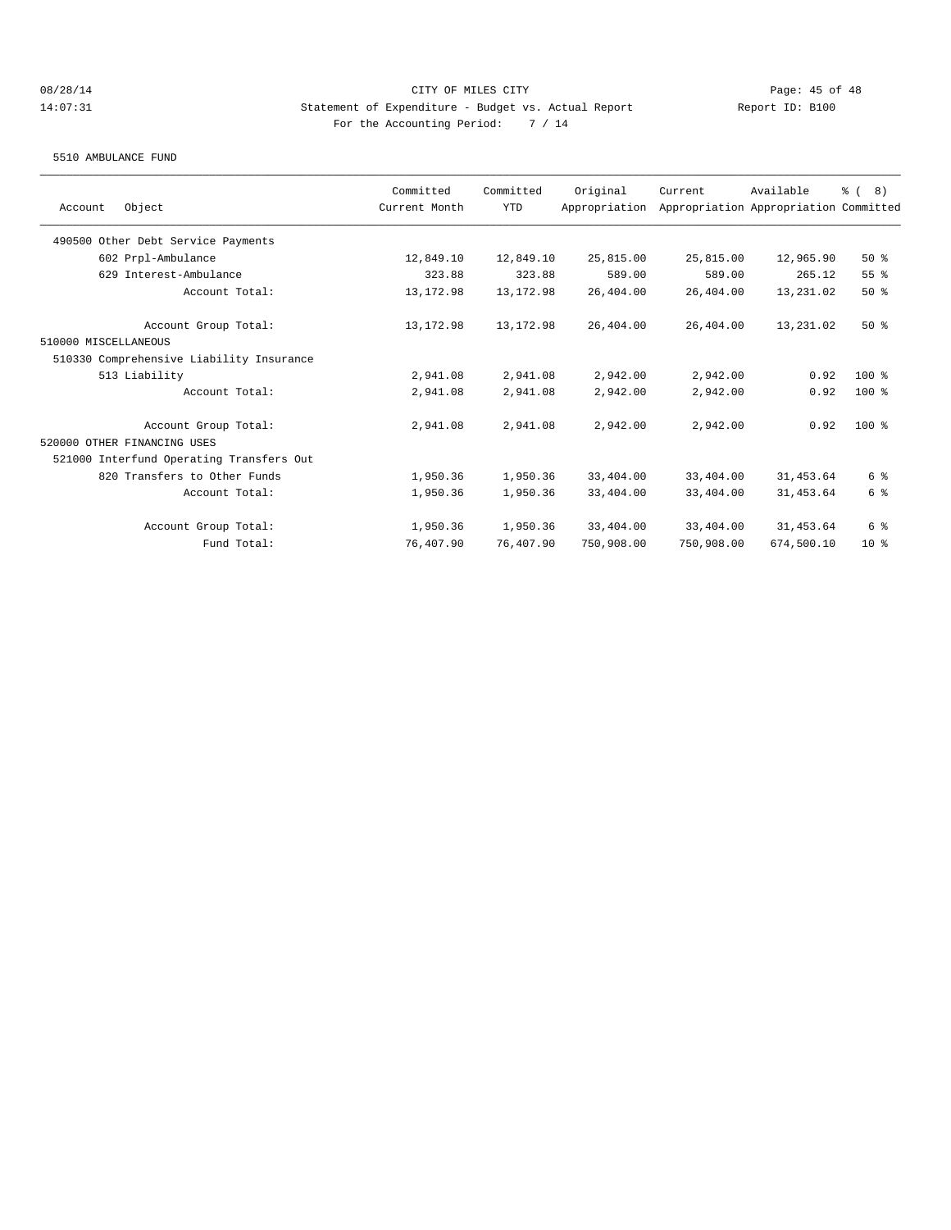#### 5510 AMBULANCE FUND

| Original<br>Committed<br>Committed<br>Object<br>Current Month<br><b>YTD</b><br>Appropriation<br>Account<br>490500 Other Debt Service Payments<br>25,815.00<br>602 Prpl-Ambulance<br>12,849.10<br>12,849.10<br>629 Interest-Ambulance<br>323.88<br>323.88<br>589.00<br>Account Total:<br>13, 172.98<br>13, 172.98<br>26,404.00<br>Account Group Total:<br>13,172.98<br>13, 172.98<br>26,404.00<br>510000 MISCELLANEOUS<br>510330 Comprehensive Liability Insurance<br>513 Liability<br>2,941.08<br>2,941.08<br>2,942.00<br>Account Total:<br>2,941.08<br>2,941.08<br>2,942.00<br>2,941.08<br>2,942.00<br>Account Group Total:<br>2,941.08<br>520000 OTHER FINANCING USES<br>521000 Interfund Operating Transfers Out<br>820 Transfers to Other Funds<br>1,950.36<br>1,950.36<br>33,404.00<br>1,950.36<br>33,404.00<br>Account Total:<br>1,950.36 |            |                                       |                 |
|-------------------------------------------------------------------------------------------------------------------------------------------------------------------------------------------------------------------------------------------------------------------------------------------------------------------------------------------------------------------------------------------------------------------------------------------------------------------------------------------------------------------------------------------------------------------------------------------------------------------------------------------------------------------------------------------------------------------------------------------------------------------------------------------------------------------------------------------------|------------|---------------------------------------|-----------------|
|                                                                                                                                                                                                                                                                                                                                                                                                                                                                                                                                                                                                                                                                                                                                                                                                                                                 | Current    | Available                             | % (8)           |
|                                                                                                                                                                                                                                                                                                                                                                                                                                                                                                                                                                                                                                                                                                                                                                                                                                                 |            | Appropriation Appropriation Committed |                 |
|                                                                                                                                                                                                                                                                                                                                                                                                                                                                                                                                                                                                                                                                                                                                                                                                                                                 |            |                                       |                 |
|                                                                                                                                                                                                                                                                                                                                                                                                                                                                                                                                                                                                                                                                                                                                                                                                                                                 | 25,815.00  | 12,965.90                             | $50*$           |
|                                                                                                                                                                                                                                                                                                                                                                                                                                                                                                                                                                                                                                                                                                                                                                                                                                                 | 589.00     | 265.12                                | $55$ $%$        |
|                                                                                                                                                                                                                                                                                                                                                                                                                                                                                                                                                                                                                                                                                                                                                                                                                                                 | 26,404.00  | 13,231.02                             | 50%             |
|                                                                                                                                                                                                                                                                                                                                                                                                                                                                                                                                                                                                                                                                                                                                                                                                                                                 | 26,404.00  | 13,231.02                             | 50%             |
|                                                                                                                                                                                                                                                                                                                                                                                                                                                                                                                                                                                                                                                                                                                                                                                                                                                 |            |                                       |                 |
|                                                                                                                                                                                                                                                                                                                                                                                                                                                                                                                                                                                                                                                                                                                                                                                                                                                 |            |                                       |                 |
|                                                                                                                                                                                                                                                                                                                                                                                                                                                                                                                                                                                                                                                                                                                                                                                                                                                 | 2,942.00   | 0.92                                  | $100*$          |
|                                                                                                                                                                                                                                                                                                                                                                                                                                                                                                                                                                                                                                                                                                                                                                                                                                                 | 2,942.00   | 0.92                                  | $100$ %         |
|                                                                                                                                                                                                                                                                                                                                                                                                                                                                                                                                                                                                                                                                                                                                                                                                                                                 | 2,942.00   | 0.92                                  | $100$ %         |
|                                                                                                                                                                                                                                                                                                                                                                                                                                                                                                                                                                                                                                                                                                                                                                                                                                                 |            |                                       |                 |
|                                                                                                                                                                                                                                                                                                                                                                                                                                                                                                                                                                                                                                                                                                                                                                                                                                                 |            |                                       |                 |
|                                                                                                                                                                                                                                                                                                                                                                                                                                                                                                                                                                                                                                                                                                                                                                                                                                                 | 33,404.00  | 31,453.64                             | 6 %             |
|                                                                                                                                                                                                                                                                                                                                                                                                                                                                                                                                                                                                                                                                                                                                                                                                                                                 | 33,404.00  | 31,453.64                             | 6 %             |
| Account Group Total:<br>1,950.36<br>1,950.36<br>33,404.00                                                                                                                                                                                                                                                                                                                                                                                                                                                                                                                                                                                                                                                                                                                                                                                       | 33,404.00  | 31,453.64                             | 6 %             |
| Fund Total:<br>76,407.90<br>76,407.90<br>750,908.00                                                                                                                                                                                                                                                                                                                                                                                                                                                                                                                                                                                                                                                                                                                                                                                             | 750,908.00 | 674,500.10                            | 10 <sup>8</sup> |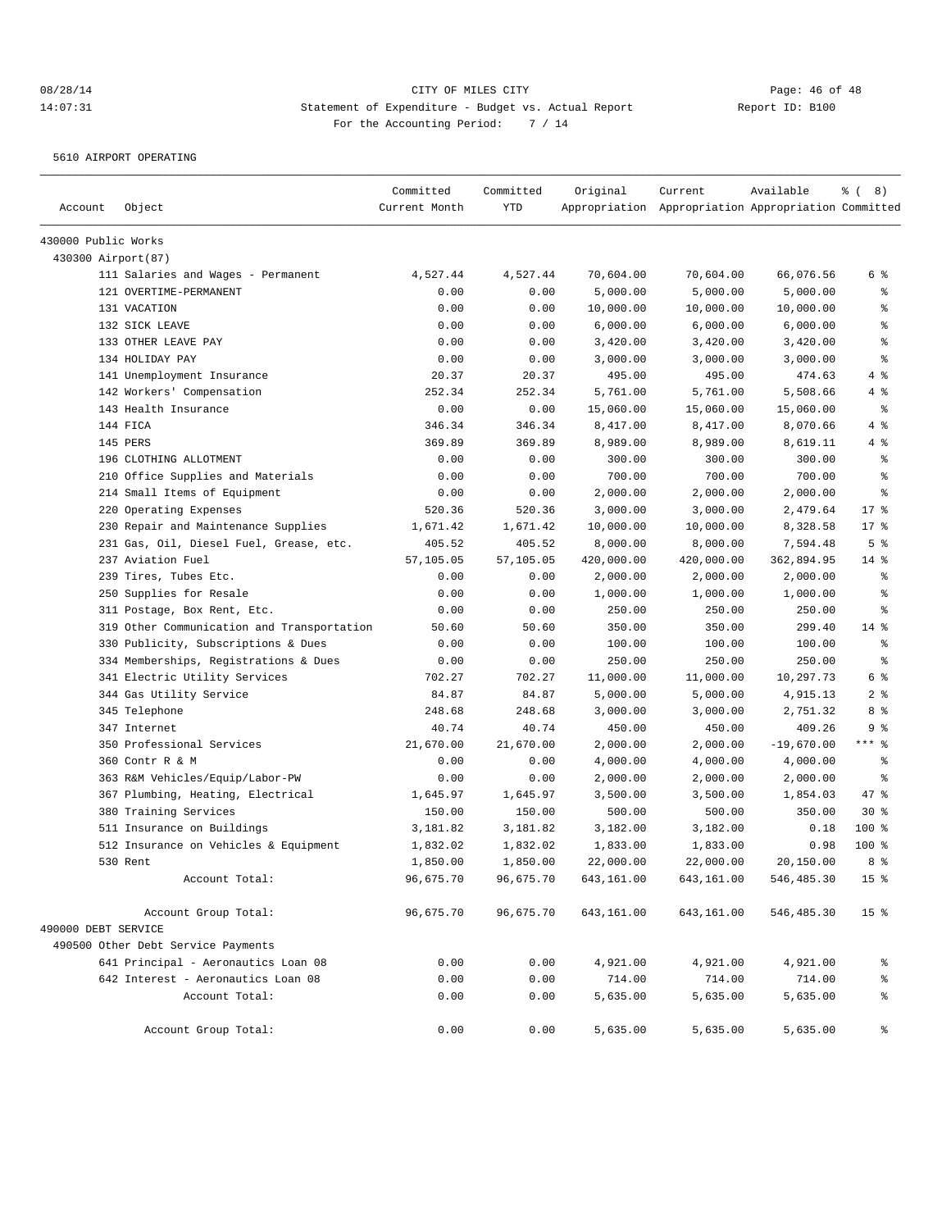5610 AIRPORT OPERATING

| Account             | Object                                     | Committed<br>Current Month | Committed<br>YTD | Original   | Current<br>Appropriation Appropriation Appropriation Committed | Available    | $\frac{6}{6}$ ( 8) |
|---------------------|--------------------------------------------|----------------------------|------------------|------------|----------------------------------------------------------------|--------------|--------------------|
| 430000 Public Works |                                            |                            |                  |            |                                                                |              |                    |
| 430300 Airport (87) |                                            |                            |                  |            |                                                                |              |                    |
|                     | 111 Salaries and Wages - Permanent         | 4,527.44                   | 4,527.44         | 70,604.00  | 70,604.00                                                      | 66,076.56    | 6 %                |
|                     | 121 OVERTIME-PERMANENT                     | 0.00                       | 0.00             | 5,000.00   | 5,000.00                                                       | 5,000.00     | နွ                 |
|                     | 131 VACATION                               | 0.00                       | 0.00             | 10,000.00  | 10,000.00                                                      | 10,000.00    | ి                  |
|                     | 132 SICK LEAVE                             | 0.00                       | 0.00             | 6,000.00   | 6,000.00                                                       | 6,000.00     | ి                  |
|                     | 133 OTHER LEAVE PAY                        | 0.00                       | 0.00             | 3,420.00   | 3,420.00                                                       | 3,420.00     | န္                 |
|                     | 134 HOLIDAY PAY                            | 0.00                       | 0.00             | 3,000.00   | 3,000.00                                                       | 3,000.00     | ి                  |
|                     | 141 Unemployment Insurance                 | 20.37                      | 20.37            | 495.00     | 495.00                                                         | 474.63       | 4%                 |
|                     | 142 Workers' Compensation                  | 252.34                     | 252.34           | 5,761.00   | 5,761.00                                                       | 5,508.66     | 4%                 |
|                     | 143 Health Insurance                       | 0.00                       | 0.00             | 15,060.00  | 15,060.00                                                      | 15,060.00    | နွ                 |
|                     | 144 FICA                                   | 346.34                     | 346.34           | 8,417.00   | 8,417.00                                                       | 8,070.66     | 4%                 |
|                     | 145 PERS                                   | 369.89                     | 369.89           | 8,989.00   | 8,989.00                                                       | 8,619.11     | 4 %                |
|                     | 196 CLOTHING ALLOTMENT                     | 0.00                       | 0.00             | 300.00     | 300.00                                                         | 300.00       | နွ                 |
|                     | 210 Office Supplies and Materials          | 0.00                       | 0.00             | 700.00     | 700.00                                                         | 700.00       | ి                  |
|                     | 214 Small Items of Equipment               | 0.00                       | 0.00             | 2,000.00   | 2,000.00                                                       | 2,000.00     | န္                 |
|                     | 220 Operating Expenses                     | 520.36                     | 520.36           | 3,000.00   | 3,000.00                                                       | 2,479.64     | $17$ %             |
|                     | 230 Repair and Maintenance Supplies        | 1,671.42                   | 1,671.42         | 10,000.00  | 10,000.00                                                      | 8,328.58     | $17*$              |
|                     | 231 Gas, Oil, Diesel Fuel, Grease, etc.    | 405.52                     | 405.52           | 8,000.00   | 8,000.00                                                       | 7,594.48     | 5 <sup>°</sup>     |
|                     | 237 Aviation Fuel                          | 57,105.05                  | 57,105.05        | 420,000.00 | 420,000.00                                                     | 362,894.95   | $14$ %             |
|                     | 239 Tires, Tubes Etc.                      | 0.00                       | 0.00             | 2,000.00   | 2,000.00                                                       | 2,000.00     | နွ                 |
|                     | 250 Supplies for Resale                    | 0.00                       | 0.00             | 1,000.00   | 1,000.00                                                       | 1,000.00     | ి                  |
|                     | 311 Postage, Box Rent, Etc.                | 0.00                       | 0.00             | 250.00     | 250.00                                                         | 250.00       | ి                  |
|                     | 319 Other Communication and Transportation | 50.60                      | 50.60            | 350.00     | 350.00                                                         | 299.40       | 14 %               |
|                     | 330 Publicity, Subscriptions & Dues        | 0.00                       | 0.00             | 100.00     | 100.00                                                         | 100.00       | ి                  |
|                     | 334 Memberships, Registrations & Dues      | 0.00                       | 0.00             | 250.00     | 250.00                                                         | 250.00       | ి                  |
|                     | 341 Electric Utility Services              | 702.27                     | 702.27           | 11,000.00  | 11,000.00                                                      | 10,297.73    | 6 %                |
|                     | 344 Gas Utility Service                    | 84.87                      | 84.87            | 5,000.00   | 5,000.00                                                       | 4,915.13     | 2 <sub>8</sub>     |
|                     | 345 Telephone                              | 248.68                     | 248.68           | 3,000.00   | 3,000.00                                                       | 2,751.32     | 8%                 |
|                     | 347 Internet                               | 40.74                      | 40.74            | 450.00     | 450.00                                                         | 409.26       | 9%                 |
|                     | 350 Professional Services                  | 21,670.00                  | 21,670.00        | 2,000.00   | 2,000.00                                                       | $-19,670.00$ | $***$ $-$          |
|                     | 360 Contr R & M                            | 0.00                       | 0.00             | 4,000.00   | 4,000.00                                                       | 4,000.00     | နွ                 |
|                     | 363 R&M Vehicles/Equip/Labor-PW            | 0.00                       | 0.00             | 2,000.00   | 2,000.00                                                       | 2,000.00     | ి                  |
|                     | 367 Plumbing, Heating, Electrical          | 1,645.97                   | 1,645.97         | 3,500.00   | 3,500.00                                                       | 1,854.03     | 47 %               |
|                     | 380 Training Services                      | 150.00                     | 150.00           | 500.00     | 500.00                                                         | 350.00       | $30*$              |
|                     | 511 Insurance on Buildings                 | 3,181.82                   | 3,181.82         | 3,182.00   | 3,182.00                                                       | 0.18         | 100 %              |
|                     | 512 Insurance on Vehicles & Equipment      | 1,832.02                   | 1,832.02         | 1,833.00   | 1,833.00                                                       | 0.98         | $100$ %            |
|                     | 530 Rent                                   | 1,850.00                   | 1,850.00         | 22,000.00  | 22,000.00                                                      | 20,150.00    | 8 %                |
|                     | Account Total:                             | 96,675.70                  | 96,675.70        | 643,161.00 | 643,161.00                                                     | 546,485.30   | 15 <sup>8</sup>    |
|                     | Account Group Total:                       | 96,675.70                  | 96,675.70        | 643,161.00 | 643,161.00                                                     | 546,485.30   | 15 <sub>8</sub>    |
| 490000 DEBT SERVICE |                                            |                            |                  |            |                                                                |              |                    |
|                     | 490500 Other Debt Service Payments         |                            |                  |            |                                                                |              |                    |
|                     | 641 Principal - Aeronautics Loan 08        | 0.00                       | 0.00             | 4,921.00   | 4,921.00                                                       | 4,921.00     | ိင                 |
|                     | 642 Interest - Aeronautics Loan 08         | 0.00                       | 0.00             | 714.00     | 714.00                                                         | 714.00       | ್ಠಿ                |
|                     | Account Total:                             | 0.00                       | 0.00             | 5,635.00   | 5,635.00                                                       | 5,635.00     | ್ಠಿ                |
|                     | Account Group Total:                       | 0.00                       | 0.00             | 5,635.00   | 5,635.00                                                       | 5,635.00     | နွ                 |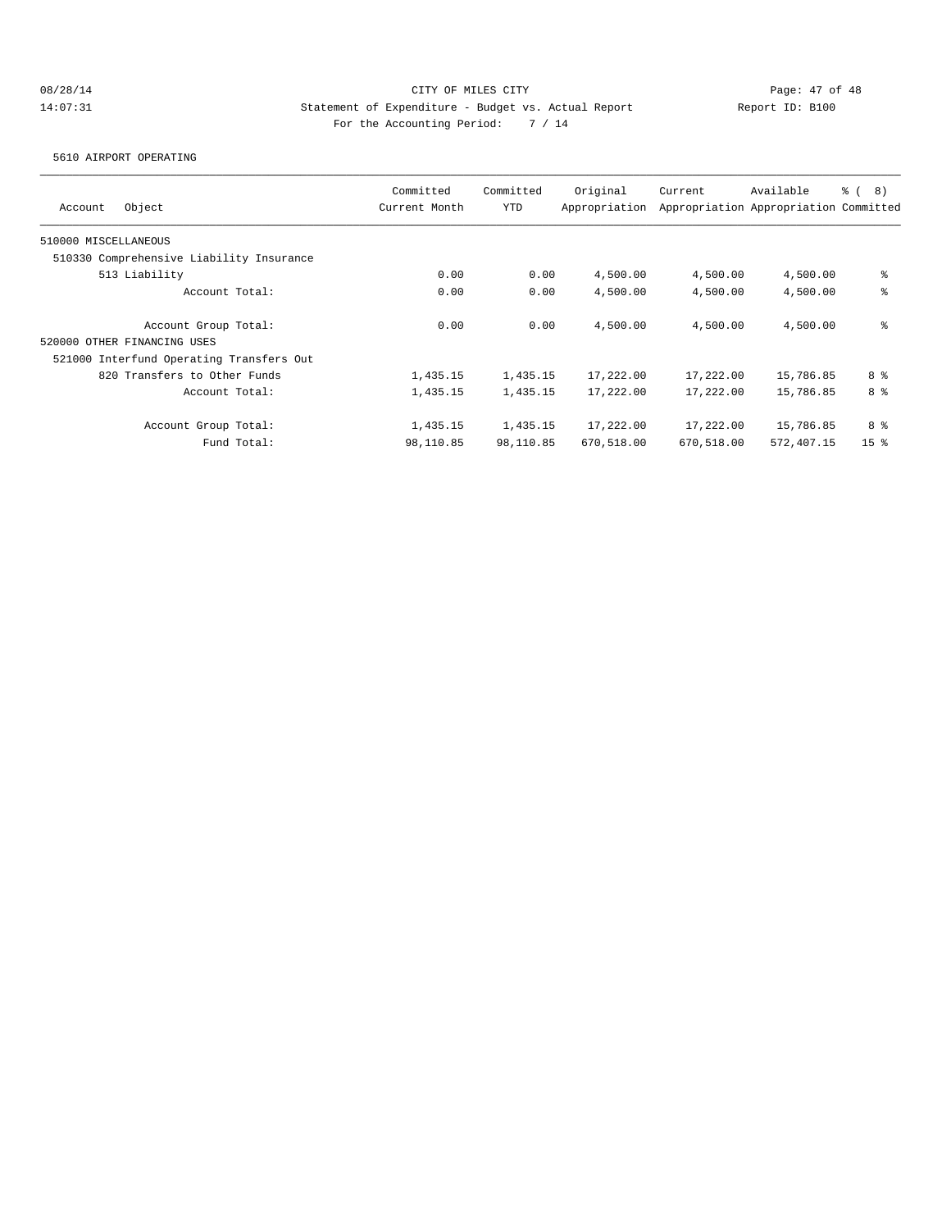5610 AIRPORT OPERATING

| Object<br>Account                        | Committed<br>Current Month | Committed<br><b>YTD</b> | Original<br>Appropriation | Current    | Available<br>Appropriation Appropriation Committed | <sub>රි</sub> ( 8 ) |
|------------------------------------------|----------------------------|-------------------------|---------------------------|------------|----------------------------------------------------|---------------------|
| 510000 MISCELLANEOUS                     |                            |                         |                           |            |                                                    |                     |
| 510330 Comprehensive Liability Insurance |                            |                         |                           |            |                                                    |                     |
| 513 Liability                            | 0.00                       | 0.00                    | 4,500.00                  | 4,500.00   | 4,500.00                                           | နွ                  |
| Account Total:                           | 0.00                       | 0.00                    | 4,500.00                  | 4,500.00   | 4,500.00                                           | နွ                  |
| Account Group Total:                     | 0.00                       | 0.00                    | 4,500.00                  | 4,500.00   | 4,500.00                                           | နွ                  |
| 520000 OTHER FINANCING USES              |                            |                         |                           |            |                                                    |                     |
| 521000 Interfund Operating Transfers Out |                            |                         |                           |            |                                                    |                     |
| 820 Transfers to Other Funds             | 1,435.15                   | 1,435.15                | 17,222.00                 | 17,222.00  | 15,786.85                                          | 8 %                 |
| Account Total:                           | 1,435.15                   | 1,435.15                | 17,222.00                 | 17,222.00  | 15,786.85                                          | 8 %                 |
| Account Group Total:                     | 1,435.15                   | 1,435.15                | 17,222.00                 | 17,222.00  | 15,786.85                                          | 8 %                 |
| Fund Total:                              | 98,110.85                  | 98,110.85               | 670,518.00                | 670,518.00 | 572,407.15                                         | 15 <sup>8</sup>     |